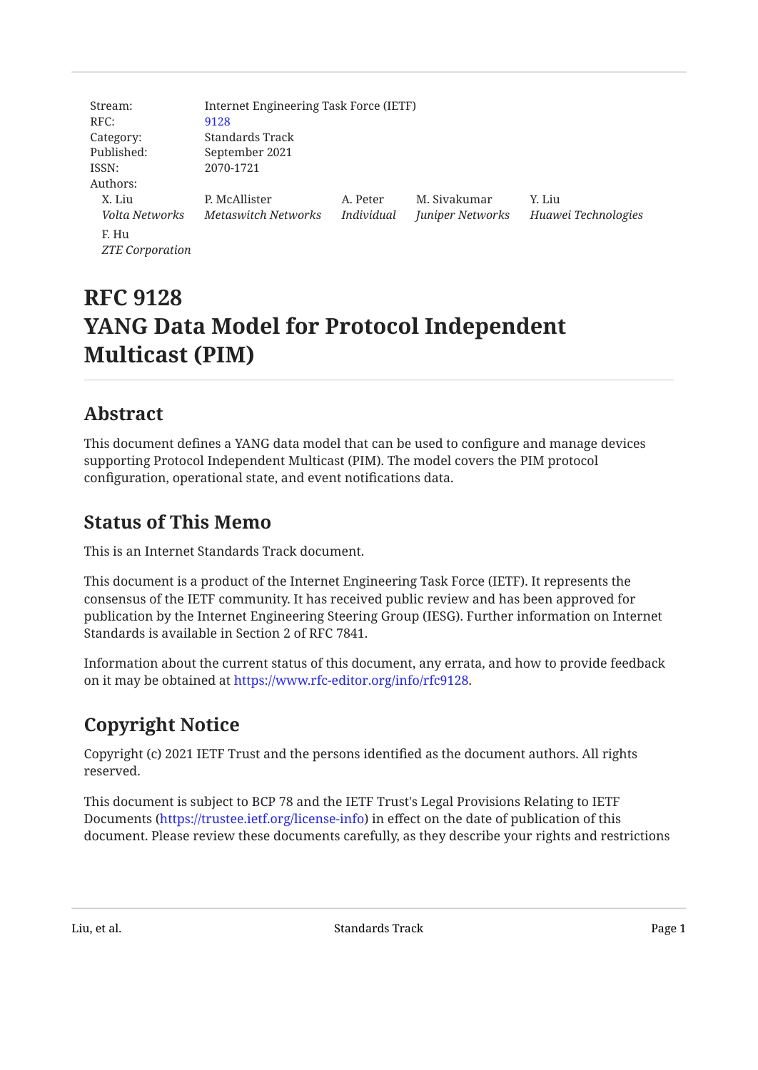| Stream:                | Internet Engineering Task Force (IETF) |            |                  |                     |
|------------------------|----------------------------------------|------------|------------------|---------------------|
| RFC:                   | 9128                                   |            |                  |                     |
| Category:              | Standards Track                        |            |                  |                     |
| Published:             | September 2021                         |            |                  |                     |
| ISSN:                  | 2070-1721                              |            |                  |                     |
| Authors:               |                                        |            |                  |                     |
| X. Liu                 | P. McAllister                          | A. Peter   | M. Siyakumar     | Y. Liu              |
| Volta Networks         | Metaswitch Networks                    | Individual | Juniper Networks | Huawei Technologies |
| F. Hu                  |                                        |            |                  |                     |
| <b>ZTE</b> Corporation |                                        |            |                  |                     |

# **RFC 9128 YANG Data Model for Protocol Independent Multicast (PIM)**

## <span id="page-0-0"></span>**[Abstract](#page-0-0)**

This document defines a YANG data model that can be used to configure and manage devices supporting Protocol Independent Multicast (PIM). The model covers the PIM protocol configuration, operational state, and event notifications data.

## <span id="page-0-1"></span>**[Status of This Memo](#page-0-1)**

This is an Internet Standards Track document.

This document is a product of the Internet Engineering Task Force (IETF). It represents the consensus of the IETF community. It has received public review and has been approved for publication by the Internet Engineering Steering Group (IESG). Further information on Internet Standards is available in Section 2 of RFC 7841.

Information about the current status of this document, any errata, and how to provide feedback on it may be obtained at <https://www.rfc-editor.org/info/rfc9128>.

# <span id="page-0-2"></span>**[Copyright Notice](#page-0-2)**

Copyright (c) 2021 IETF Trust and the persons identified as the document authors. All rights reserved.

This document is subject to BCP 78 and the IETF Trust's Legal Provisions Relating to IETF Documents (<https://trustee.ietf.org/license-info>) in effect on the date of publication of this document. Please review these documents carefully, as they describe your rights and restrictions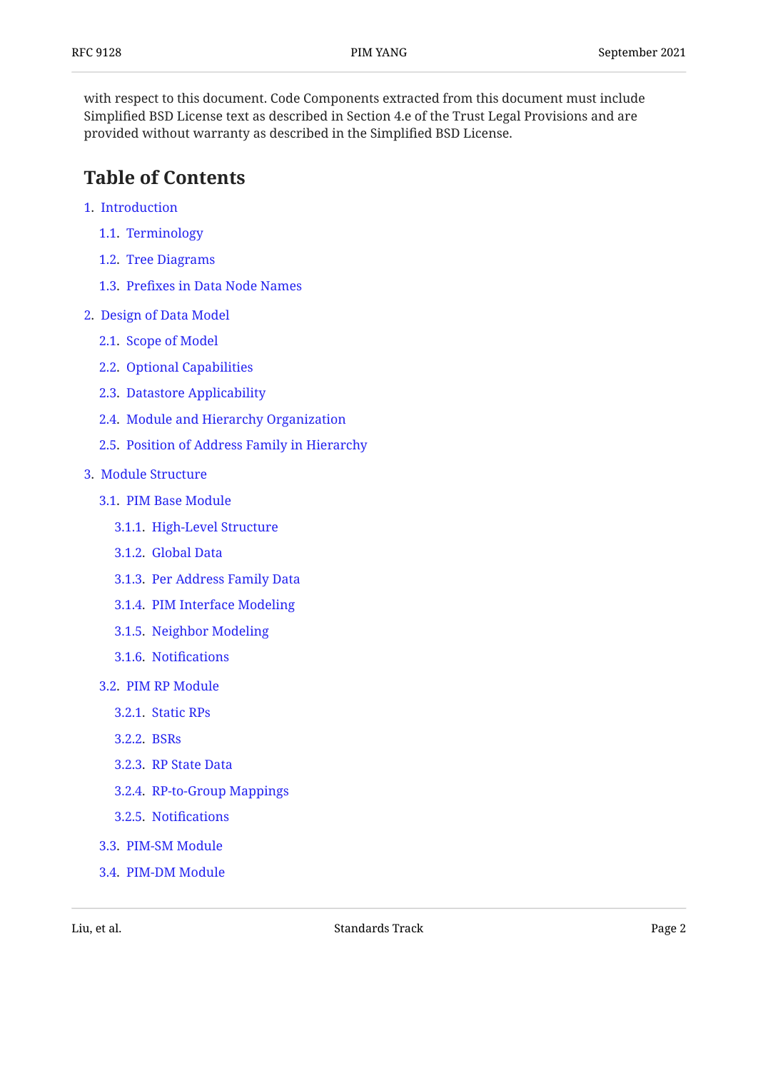with respect to this document. Code Components extracted from this document must include Simplified BSD License text as described in Section 4.e of the Trust Legal Provisions and are provided without warranty as described in the Simplified BSD License.

## <span id="page-1-0"></span>**[Table of Contents](#page-1-0)**

- [1.](#page-3-0) [Introduction](#page-3-0)
	- [1.1.](#page-3-1) [Terminology](#page-3-1)
	- [1.2.](#page-4-0) [Tree Diagrams](#page-4-0)
	- [1.3.](#page-4-1) Prefi[xes in Data Node Names](#page-4-1)
- [2.](#page-5-0) [Design of Data Model](#page-5-0)
	- [2.1.](#page-5-1) [Scope of Model](#page-5-1)
	- [2.2.](#page-5-2) [Optional Capabilities](#page-5-2)
	- [2.3.](#page-6-0) [Datastore Applicability](#page-6-0)
	- [2.4.](#page-6-1) [Module and Hierarchy Organization](#page-6-1)
	- [2.5.](#page-6-2) [Position of Address Family in Hierarchy](#page-6-2)
- [3.](#page-7-0) [Module Structure](#page-7-0)
	- [3.1.](#page-7-1) [PIM Base Module](#page-7-1)
		- [3.1.1.](#page-8-0) [High-Level Structure](#page-8-0)
		- [3.1.2.](#page-8-1) [Global Data](#page-8-1)
		- [3.1.3.](#page-9-0) [Per Address Family Data](#page-9-0)
		- [3.1.4.](#page-10-0) [PIM Interface Modeling](#page-10-0)
		- [3.1.5.](#page-11-0) [Neighbor Modeling](#page-11-0)
		- [3.1.6.](#page-12-0) Notifi[cations](#page-12-0)
	- [3.2.](#page-12-1) [PIM RP Module](#page-12-1)
		- [3.2.1.](#page-13-0) [Static RPs](#page-13-0)
		- [3.2.2.](#page-14-0) [BSRs](#page-14-0)
		- [3.2.3.](#page-15-0) [RP State Data](#page-15-0)
		- [3.2.4.](#page-15-1) [RP-to-Group Mappings](#page-15-1)
		- [3.2.5.](#page-16-0) Notifi[cations](#page-16-0)
	- [3.3.](#page-16-1) [PIM-SM Module](#page-16-1)
	- [3.4.](#page-17-0) [PIM-DM Module](#page-17-0)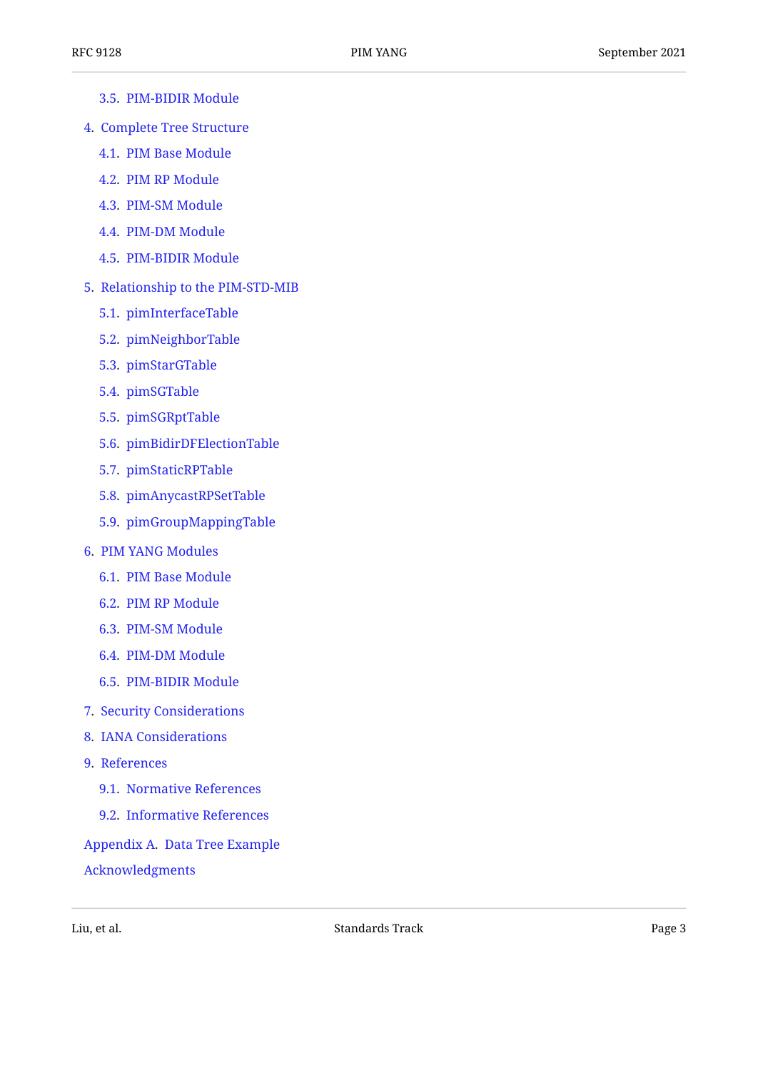- [3.5.](#page-17-1) [PIM-BIDIR Module](#page-17-1)
- [4.](#page-20-0) [Complete Tree Structure](#page-20-0)
	- [4.1.](#page-21-0) [PIM Base Module](#page-21-0)
	- [4.2.](#page-26-0) [PIM RP Module](#page-26-0)
	- [4.3.](#page-29-0) [PIM-SM Module](#page-29-0)
	- [4.4.](#page-29-1) [PIM-DM Module](#page-29-1)
	- [4.5.](#page-30-0) [PIM-BIDIR Module](#page-30-0)
- [5.](#page-32-0) [Relationship to the PIM-STD-MIB](#page-32-0)
	- [5.1.](#page-32-1) [pimInterfaceTable](#page-32-1)
	- [5.2.](#page-33-0) [pimNeighborTable](#page-33-0)
	- [5.3.](#page-33-1) [pimStarGTable](#page-33-1)
	- [5.4.](#page-34-0) [pimSGTable](#page-34-0)
	- [5.5.](#page-35-0) [pimSGRptTable](#page-35-0)
	- [5.6.](#page-35-1) [pimBidirDFElectionTable](#page-35-1)
	- [5.7.](#page-36-0) [pimStaticRPTable](#page-36-0)
	- [5.8.](#page-36-1) [pimAnycastRPSetTable](#page-36-1)
	- [5.9.](#page-37-0) [pimGroupMappingTable](#page-37-0)
- [6.](#page-38-0) [PIM YANG Modules](#page-38-0)
	- [6.1.](#page-39-0) [PIM Base Module](#page-39-0)
	- [6.2.](#page-60-0) [PIM RP Module](#page-60-0)
	- [6.3.](#page-75-0) [PIM-SM Module](#page-75-0)
	- [6.4.](#page-82-0) [PIM-DM Module](#page-82-0)
	- [6.5.](#page-85-0) [PIM-BIDIR Module](#page-85-0)
- [7.](#page-93-0) [Security Considerations](#page-93-0)
- [8.](#page-94-0) [IANA Considerations](#page-94-0)
- [9.](#page-96-0) [References](#page-96-0)
	- [9.1.](#page-96-1) [Normative References](#page-96-1)
	- [9.2.](#page-97-0) [Informative References](#page-97-0)

#### [Appendix A.](#page-98-0) [Data Tree Example](#page-98-0)

[Acknowledgments](#page-107-0)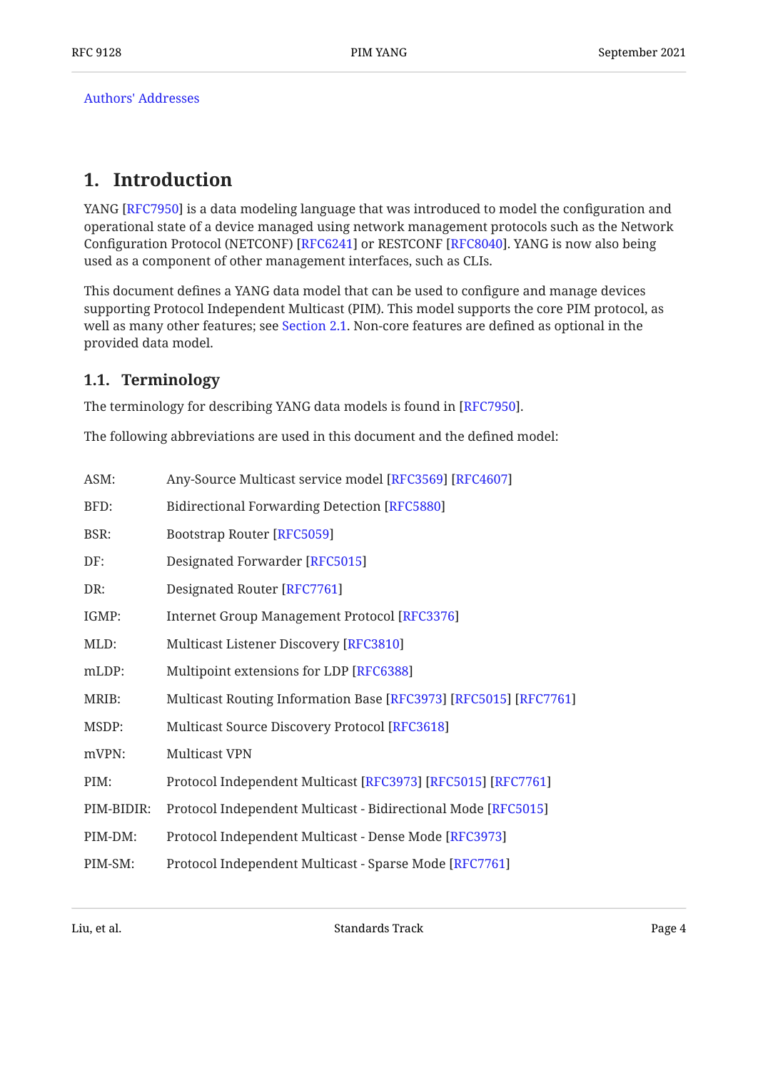[Authors' Addresses](#page-108-0)

## <span id="page-3-0"></span>**[1. Introduction](#page-3-0)**

YANG [RFC7950] is a data modeling language that was introduced to model the configuration and operational state of a device managed using network management protocols such as the Network Configuration Protocol (NETCONF) [RFC6241] or RESTCONF [RFC8040]. YANG is now also being used as a component of other management interfaces, such as CLIs.

This document defines a YANG data model that can be used to configure and manage devices supporting Protocol Independent Multicast (PIM). This model supports the core PIM protocol, as well as many other features; see [Section 2.1.](#page-5-1) Non-core features are defined as optional in the provided data model.

## <span id="page-3-1"></span>**[1.1. Terminology](#page-3-1)**

The terminology for describing YANG data models is found in [RFC7950].

The following abbreviations are used in this document and the defined model:

| ASM:       | Any-Source Multicast service model [RFC3569] [RFC4607]           |
|------------|------------------------------------------------------------------|
| BFD:       | <b>Bidirectional Forwarding Detection [RFC5880]</b>              |
| BSR:       | <b>Bootstrap Router [RFC5059]</b>                                |
| DF:        | Designated Forwarder [RFC5015]                                   |
| DR:        | Designated Router [RFC7761]                                      |
| IGMP:      | <b>Internet Group Management Protocol [RFC3376]</b>              |
| MLD:       | Multicast Listener Discovery [RFC3810]                           |
| mLDP:      | Multipoint extensions for LDP [RFC6388]                          |
| MRIB:      | Multicast Routing Information Base [RFC3973] [RFC5015] [RFC7761] |
| MSDP:      | Multicast Source Discovery Protocol [RFC3618]                    |
| mVPN:      | <b>Multicast VPN</b>                                             |
| PIM:       | Protocol Independent Multicast [RFC3973] [RFC5015] [RFC7761]     |
| PIM-BIDIR: | Protocol Independent Multicast - Bidirectional Mode [RFC5015]    |
| PIM-DM:    | Protocol Independent Multicast - Dense Mode [RFC3973]            |
| PIM-SM:    | Protocol Independent Multicast - Sparse Mode [RFC7761]           |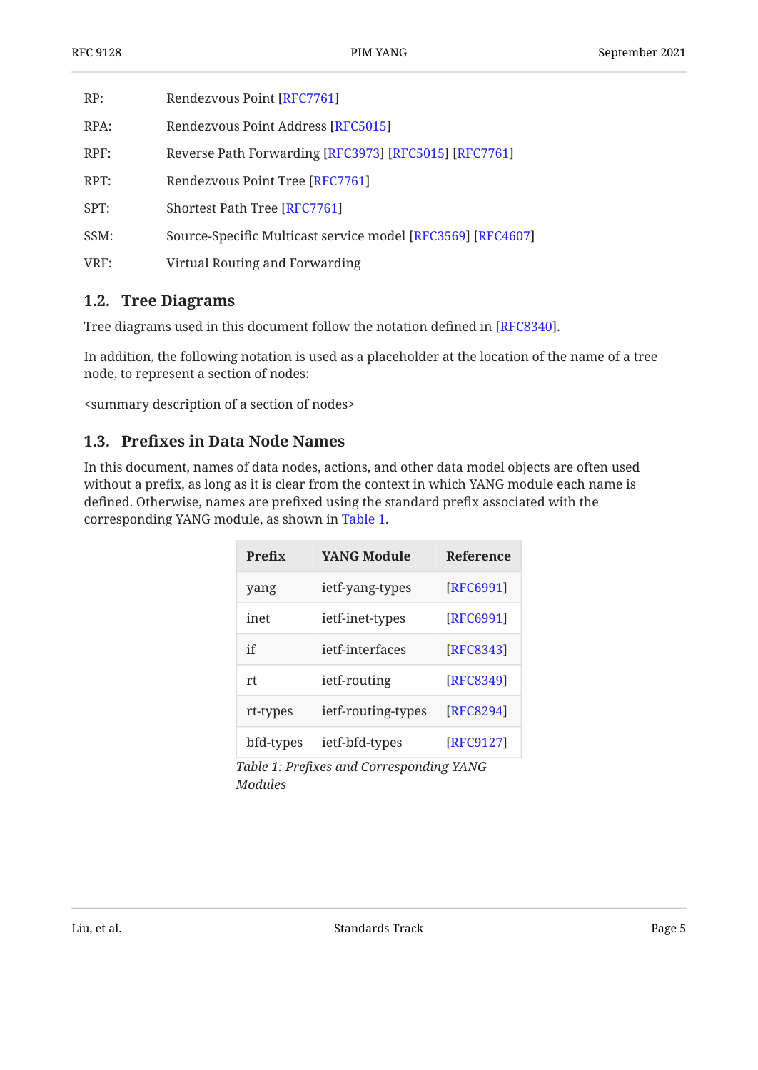| RP:  | Rendezvous Point [RFC7761]                                  |
|------|-------------------------------------------------------------|
| RPA: | Rendezvous Point Address [RFC5015]                          |
| RPF: | Reverse Path Forwarding [RFC3973] [RFC5015] [RFC7761]       |
| RPT: | Rendezvous Point Tree [RFC7761]                             |
| SPT: | Shortest Path Tree [RFC7761]                                |
| SSM: | Source-Specific Multicast service model [RFC3569] [RFC4607] |
| VRF: | Virtual Routing and Forwarding                              |

### <span id="page-4-0"></span>**[1.2. Tree Diagrams](#page-4-0)**

Tree diagrams used in this document follow the notation defined in [RFC8340].  $\,$ 

In addition, the following notation is used as a placeholder at the location of the name of a tree node, to represent a section of nodes:

<span id="page-4-1"></span><summary description of a section of nodes>

#### **[1.3. P](#page-4-1)refi[xes in Data Node Names](#page-4-1)**

<span id="page-4-2"></span>In this document, names of data nodes, actions, and other data model objects are often used without a prefix, as long as it is clear from the context in which YANG module each name is defined. Otherwise, names are prefixed using the standard prefix associated with the corresponding YANG module, as shown in [Table 1.](#page-4-2)

<span id="page-4-3"></span>

| Prefix    | <b>YANG Module</b> | <b>Reference</b> |
|-----------|--------------------|------------------|
| yang      | ietf-yang-types    | [RFC6991]        |
| inet      | ietf-inet-types    | [RFC6991]        |
| if        | jetf-interfaces    | [RFC8343]        |
| rt        | ietf-routing       | [RFC8349]        |
| rt-types  | ietf-routing-types | [RFC8294]        |
| bfd-types | ietf-bfd-types     | [RFC9127]        |

*[Table 1](#page-4-3): Prefi[xes and Corresponding YANG](#page-4-2) [Modules](#page-4-2)*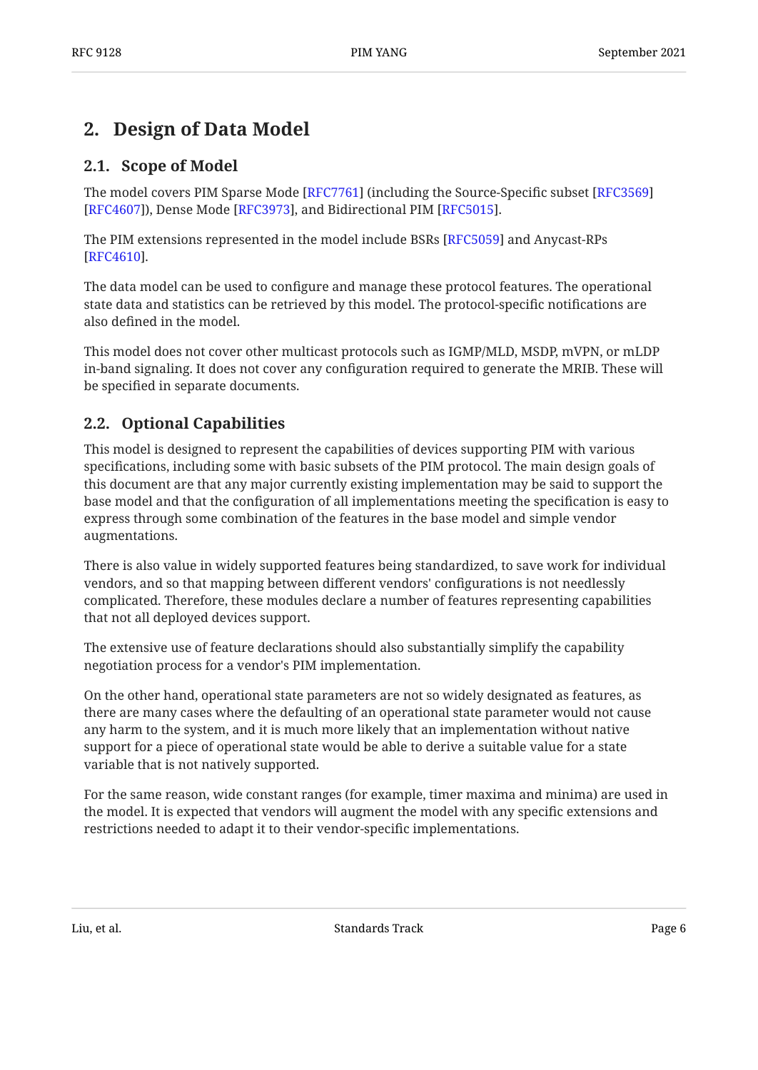## <span id="page-5-1"></span><span id="page-5-0"></span>**[2. Design of Data Model](#page-5-0)**

## **[2.1. Scope of Model](#page-5-1)**

The model covers PIM Sparse Mode [RFC7761] (including the Source-Specific subset [[RFC3569\]](#page-96-3) [[RFC4607\]](#page-96-4)), Dense Mode [RFC3973], and Bidirectional PIM [RFC5015].

The PIM extensions represented in the model include BSRs [RFC5059] and Anycast-RPs . [[RFC4610\]](#page-96-9)

The data model can be used to configure and manage these protocol features. The operational state data and statistics can be retrieved by this model. The protocol-specific notifications are also defined in the model.

This model does not cover other multicast protocols such as IGMP/MLD, MSDP, mVPN, or mLDP in-band signaling. It does not cover any configuration required to generate the MRIB. These will be specified in separate documents.

## <span id="page-5-2"></span>**[2.2. Optional Capabilities](#page-5-2)**

This model is designed to represent the capabilities of devices supporting PIM with various specifications, including some with basic subsets of the PIM protocol. The main design goals of this document are that any major currently existing implementation may be said to support the base model and that the configuration of all implementations meeting the specification is easy to express through some combination of the features in the base model and simple vendor augmentations.

There is also value in widely supported features being standardized, to save work for individual vendors, and so that mapping between different vendors' configurations is not needlessly complicated. Therefore, these modules declare a number of features representing capabilities that not all deployed devices support.

The extensive use of feature declarations should also substantially simplify the capability negotiation process for a vendor's PIM implementation.

On the other hand, operational state parameters are not so widely designated as features, as there are many cases where the defaulting of an operational state parameter would not cause any harm to the system, and it is much more likely that an implementation without native support for a piece of operational state would be able to derive a suitable value for a state variable that is not natively supported.

For the same reason, wide constant ranges (for example, timer maxima and minima) are used in the model. It is expected that vendors will augment the model with any specific extensions and restrictions needed to adapt it to their vendor-specific implementations.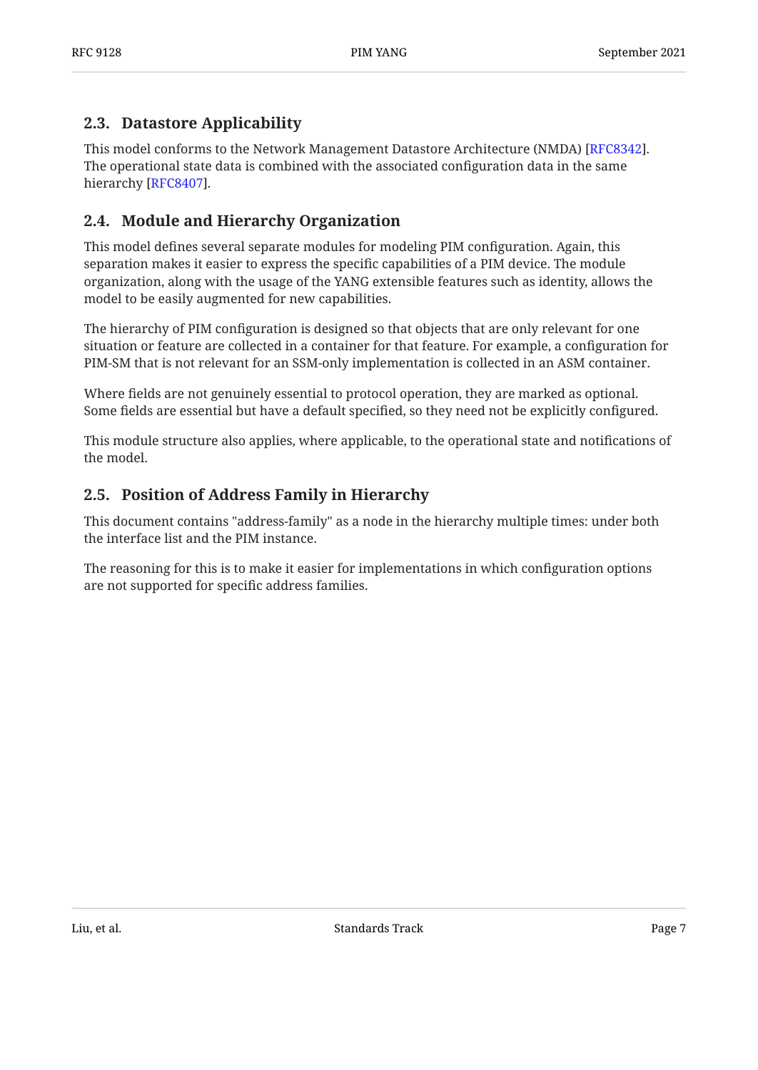## <span id="page-6-0"></span>**[2.3. Datastore Applicability](#page-6-0)**

This model conforms to the Network Management Datastore Architecture (NMDA) [\[RFC8342](#page-97-10)]. The operational state data is combined with the associated configuration data in the same hierarchy [RFC8407].

## <span id="page-6-1"></span>**[2.4. Module and Hierarchy Organization](#page-6-1)**

This model defines several separate modules for modeling PIM configuration. Again, this separation makes it easier to express the specific capabilities of a PIM device. The module organization, along with the usage of the YANG extensible features such as identity, allows the model to be easily augmented for new capabilities.

The hierarchy of PIM configuration is designed so that objects that are only relevant for one situation or feature are collected in a container for that feature. For example, a configuration for PIM-SM that is not relevant for an SSM-only implementation is collected in an ASM container.

Where fields are not genuinely essential to protocol operation, they are marked as optional. Some fields are essential but have a default specified, so they need not be explicitly configured.

This module structure also applies, where applicable, to the operational state and notifications of the model.

## <span id="page-6-2"></span>**[2.5. Position of Address Family in Hierarchy](#page-6-2)**

This document contains "address-family" as a node in the hierarchy multiple times: under both the interface list and the PIM instance.

The reasoning for this is to make it easier for implementations in which configuration options are not supported for specific address families.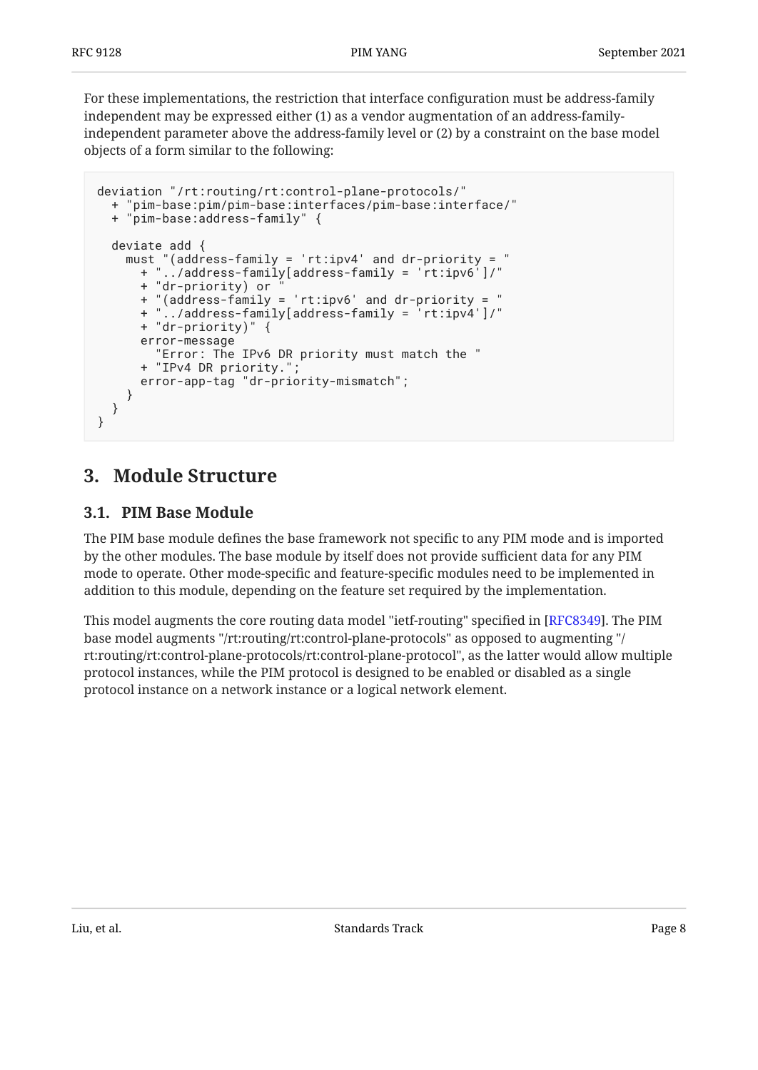For these implementations, the restriction that interface configuration must be address-family independent may be expressed either (1) as a vendor augmentation of an address-familyindependent parameter above the address-family level or (2) by a constraint on the base model objects of a form similar to the following:

```
deviation "/rt:routing/rt:control-plane-protocols/"
     + "pim-base:pim/pim-base:interfaces/pim-base:interface/"
   + "pim-base:address-family" {
   deviate add {
     must "(address-family = 'rt:ipv4' and dr-priority = "
          \ldots/address-family[address-family = 'rt:ipv6^{\prime}]/"
 + "dr-priority) or "
 + "(address-family = 'rt:ipv6' and dr-priority = "
 + "../address-family[address-family = 'rt:ipv4']/"
       + "dr-priority)" {
       error-message
         "Error: The IPv6 DR priority must match the "
      + "IPv4 DR priority."
       error-app-tag "dr-priority-mismatch";
     }
  }
}
```
## <span id="page-7-1"></span><span id="page-7-0"></span>**[3. Module Structure](#page-7-0)**

### **[3.1. PIM Base Module](#page-7-1)**

The PIM base module defines the base framework not specific to any PIM mode and is imported by the other modules. The base module by itself does not provide sufficient data for any PIM mode to operate. Other mode-specific and feature-specific modules need to be implemented in addition to this module, depending on the feature set required by the implementation.

This model augments the core routing data model "ietf-routing" specified in [RFC8349]. The PIM base model augments "/rt:routing/rt:control-plane-protocols" as opposed to augmenting "/ rt:routing/rt:control-plane-protocols/rt:control-plane-protocol", as the latter would allow multiple protocol instances, while the PIM protocol is designed to be enabled or disabled as a single protocol instance on a network instance or a logical network element.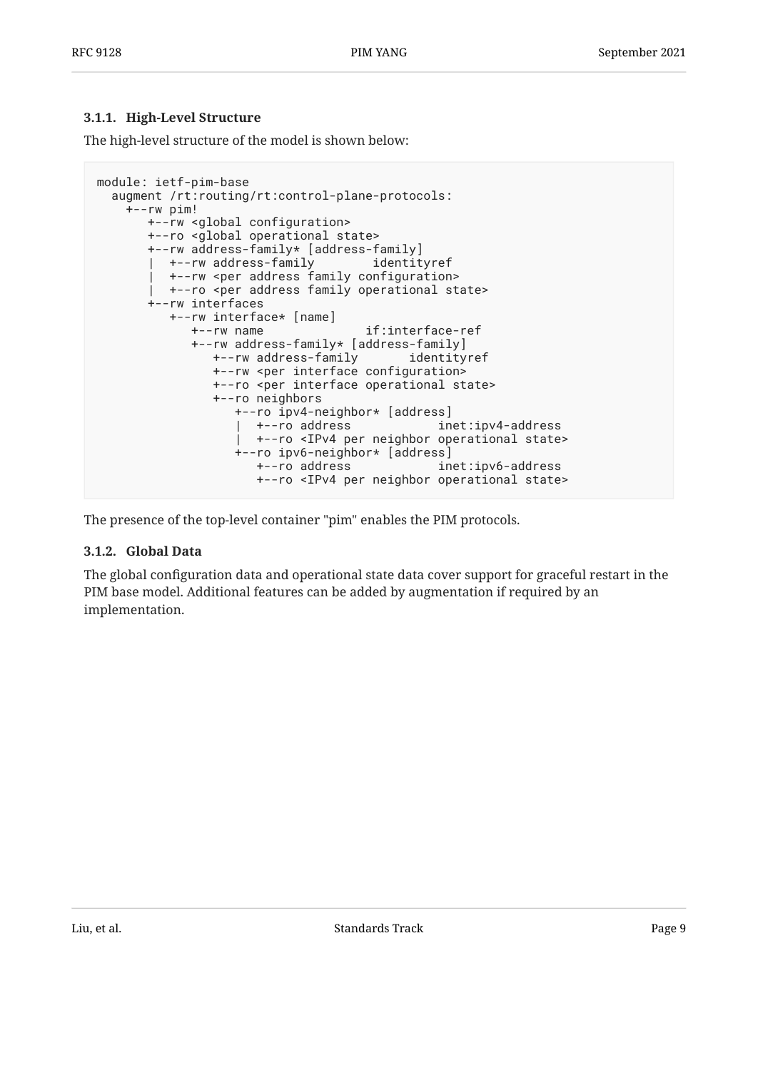#### <span id="page-8-0"></span>**[3.1.1. High-Level Structure](#page-8-0)**

The high-level structure of the model is shown below:

```
module: ietf-pim-base
   augment /rt:routing/rt:control-plane-protocols:
     +--rw pim!
       +--rw <global configuration>
       +--ro <global operational state>
        +--rw address-family* [address-family]
          | +--rw address-family identityref
          | +--rw <per address family configuration>
          | +--ro <per address family operational state>
        +--rw interfaces
           +--rw interface* [name]
             +--rw name if:interface-ref
              +--rw address-family* [address-family]
                +--rw address-family identityref
                +--rw <per interface configuration>
                 +--ro <per interface operational state>
                 +--ro neighbors
                    +--ro ipv4-neighbor* [address]
                                               inet:ipv4-address
                    | +--ro <IPv4 per neighbor operational state>
                    +--ro ipv6-neighbor* [address]
                      +--ro address inet:ipv6-address
                      +--ro <IPv4 per neighbor operational state>
```
<span id="page-8-1"></span>The presence of the top-level container "pim" enables the PIM protocols.

#### **[3.1.2. Global Data](#page-8-1)**

The global configuration data and operational state data cover support for graceful restart in the PIM base model. Additional features can be added by augmentation if required by an implementation.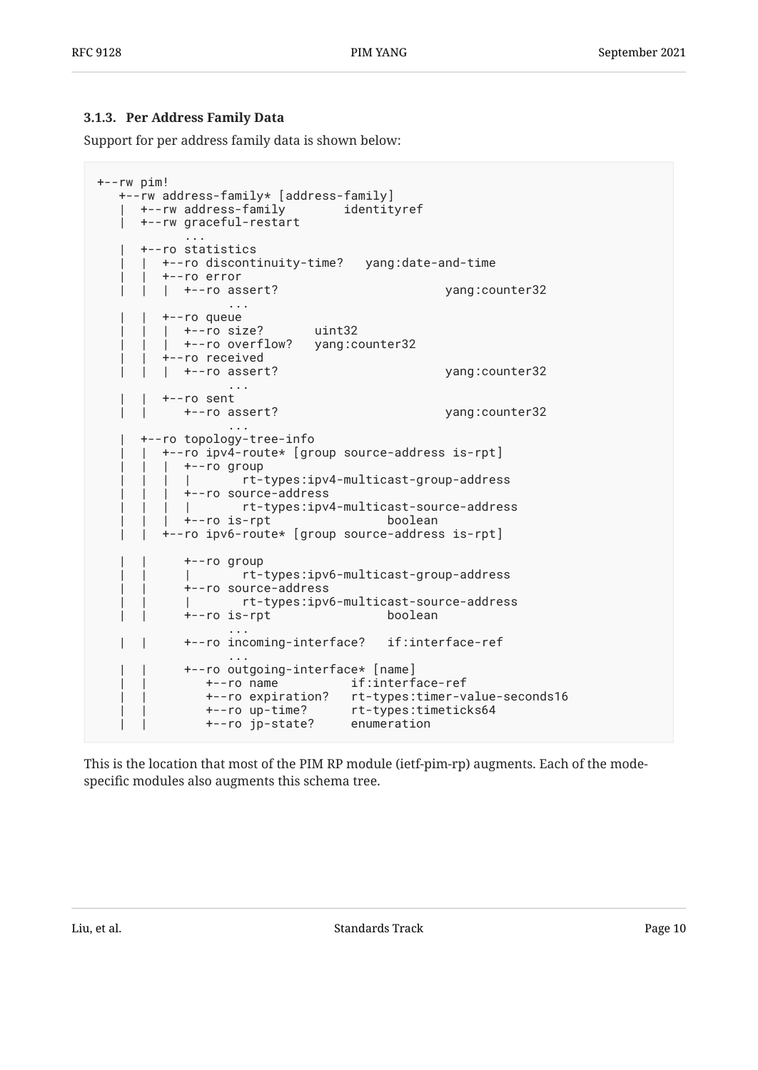#### <span id="page-9-0"></span>**[3.1.3. Per Address Family Data](#page-9-0)**

Support for per address family data is shown below:

```
+--rw pim!
   +--rw address-family* [address-family]
   | +--rw address-family identityref
   | +--rw graceful-restart
           ...
      | +--ro statistics
      | | +--ro discontinuity-time? yang:date-and-time
        | | +--ro error
       | +--ro assert? yang:counter32
 ...
         | | +--ro queue
        | +--ro size? uint32
        | +--ro overflow? yang:counter32
         | | +--ro received
        | | | +--ro assert? yang:counter32
 ...
        | | +--ro sent
           | | +--ro assert? yang:counter32
 ...
      | +--ro topology-tree-info
        | | +--ro ipv4-route* [group source-address is-rpt]
        | +--ro group
          | | | | rt-types:ipv4-multicast-group-address
           | | | +--ro source-address
          | | | | rt-types:ipv4-multicast-source-address
           | | | +--ro is-rpt boolean
         | | +--ro ipv6-route* [group source-address is-rpt]
           | | +--ro group
           | | | rt-types:ipv6-multicast-group-address
           | | +--ro source-address
           | | | rt-types:ipv6-multicast-source-address
           | | +--ro is-rpt boolean
 ...
           | | +--ro incoming-interface? if:interface-ref
 ...
           | | +--ro outgoing-interface* [name]
             | | +--ro name if:interface-ref
              | | +--ro expiration? rt-types:timer-value-seconds16
 | | +--ro up-time? rt-types:timeticks64
 | | +--ro jp-state? enumeration
```
This is the location that most of the PIM RP module (ietf-pim-rp) augments. Each of the modespecific modules also augments this schema tree.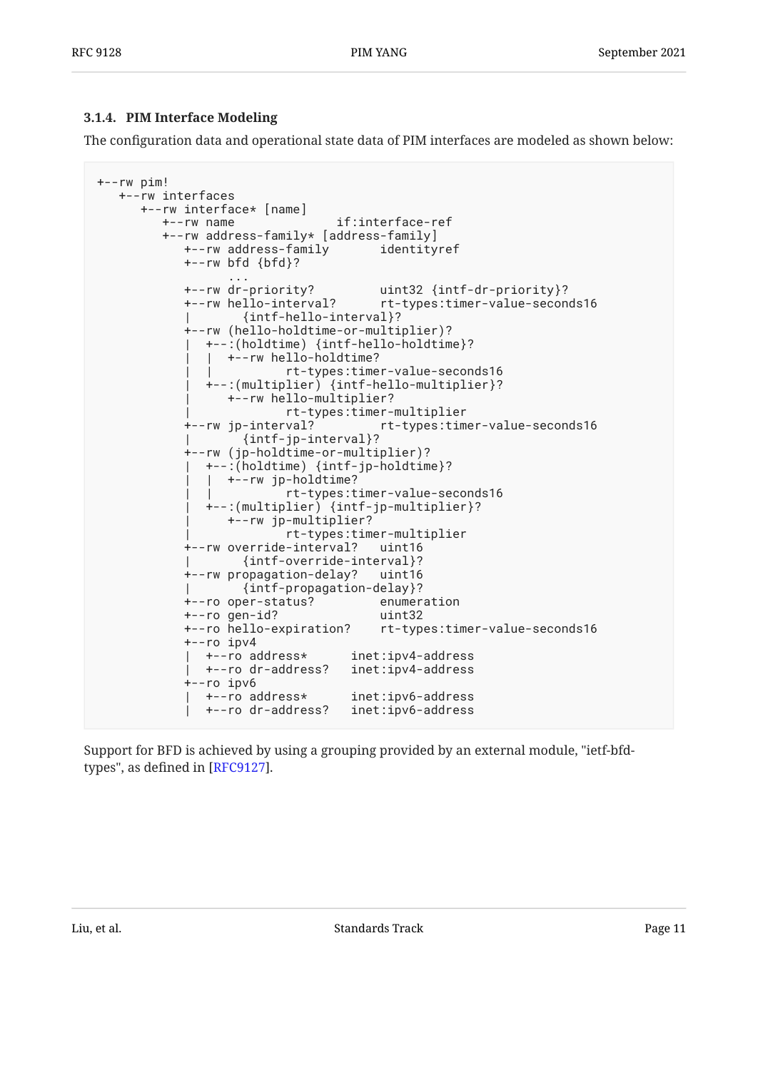#### <span id="page-10-0"></span>**[3.1.4. PIM Interface Modeling](#page-10-0)**

The configuration data and operational state data of PIM interfaces are modeled as shown below:

```
+--rw pim!
    +--rw interfaces
      +--rw interface* [name]
         +--rw name if:interface-ref
         +--rw address-family* [address-family]
            +--rw address-family identityref
            +--rw bfd {bfd}?
 ...
             +--rw dr-priority? uint32 {intf-dr-priority}?
                                     rt-types:timer-value-seconds16
                     | {intf-hello-interval}?
             +--rw (hello-holdtime-or-multiplier)?
               | +--:(holdtime) {intf-hello-holdtime}?
                 | | +--rw hello-holdtime?
                          | | rt-types:timer-value-seconds16
               | +--:(multiplier) {intf-hello-multiplier}?
                  | +--rw hello-multiplier?
                          | rt-types:timer-multiplier
             +--rw jp-interval? rt-types:timer-value-seconds16
                     | {intf-jp-interval}?
             +--rw (jp-holdtime-or-multiplier)?
               | +--:(holdtime) {intf-jp-holdtime}?
                | | +--rw jp-holdtime?
                           | | rt-types:timer-value-seconds16
               | +--:(multiplier) {intf-jp-multiplier}?
                  | +--rw jp-multiplier?
                           | rt-types:timer-multiplier
             +--rw override-interval? uint16
                    | {intf-override-interval}?
             +--rw propagation-delay? uint16
                    | {intf-propagation-delay}?
             +--ro oper-status? enumeration
             +--ro gen-id? uint32
             +--ro hello-expiration? rt-types:timer-value-seconds16
             +--ro ipv4
               | +--ro address* inet:ipv4-address
               | +--ro dr-address? inet:ipv4-address
             +--ro ipv6
              | +--ro address* inet:ipv6-address
               | +--ro dr-address? inet:ipv6-address
```
Support for BFD is achieved by using a grouping provided by an external module, "ietf-bfdtypes", as defined in  $[RFC9127]$ .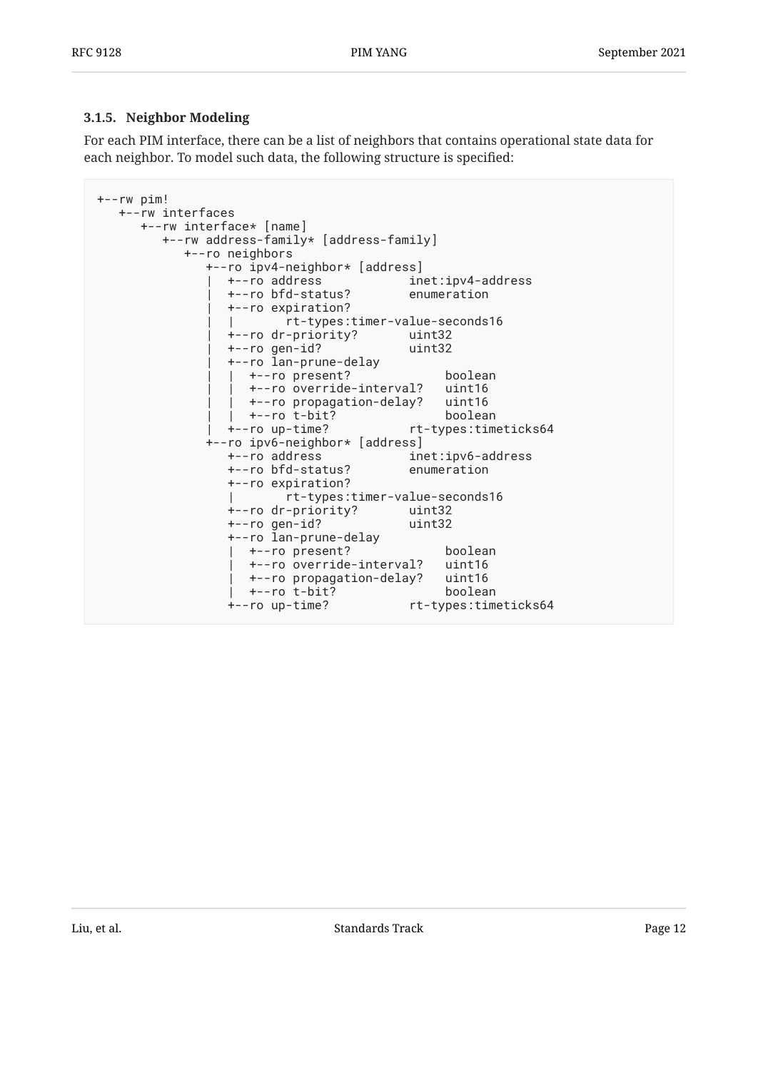#### <span id="page-11-0"></span>**[3.1.5. Neighbor Modeling](#page-11-0)**

For each PIM interface, there can be a list of neighbors that contains operational state data for each neighbor. To model such data, the following structure is specified:

```
+--rw pim!
   +--rw interfaces
      +--rw interface* [name]
         +--rw address-family* [address-family]
           +--ro neighbors
              +--ro ipv4-neighbor* [address]
                | +--ro address inet:ipv4-address
                 | +--ro bfd-status? enumeration
                 | +--ro expiration?
                        | | rt-types:timer-value-seconds16
                 | +--ro dr-priority? uint32
                 | +--ro gen-id? uint32
                 | +--ro lan-prune-delay
                | +--ro present? boolean
                   | | +--ro override-interval? uint16
                 | | +--ro propagation-delay? uint16
                 | | +--ro t-bit? boolean
                 | +--ro up-time? rt-types:timeticks64
              +--ro ipv6-neighbor* [address]
                 +--ro address inet:ipv6-address
                 +--ro bfd-status? enumeration
                 +--ro expiration?
                        | rt-types:timer-value-seconds16
                 +--ro dr-priority? uint32
                 +--ro gen-id? uint32
                 +--ro lan-prune-delay
                 | +--ro present? boolean
                  +--ro override-interval?
                   | +--ro propagation-delay? uint16
                   | +--ro t-bit? boolean
                 +--ro up-time? rt-types:timeticks64
```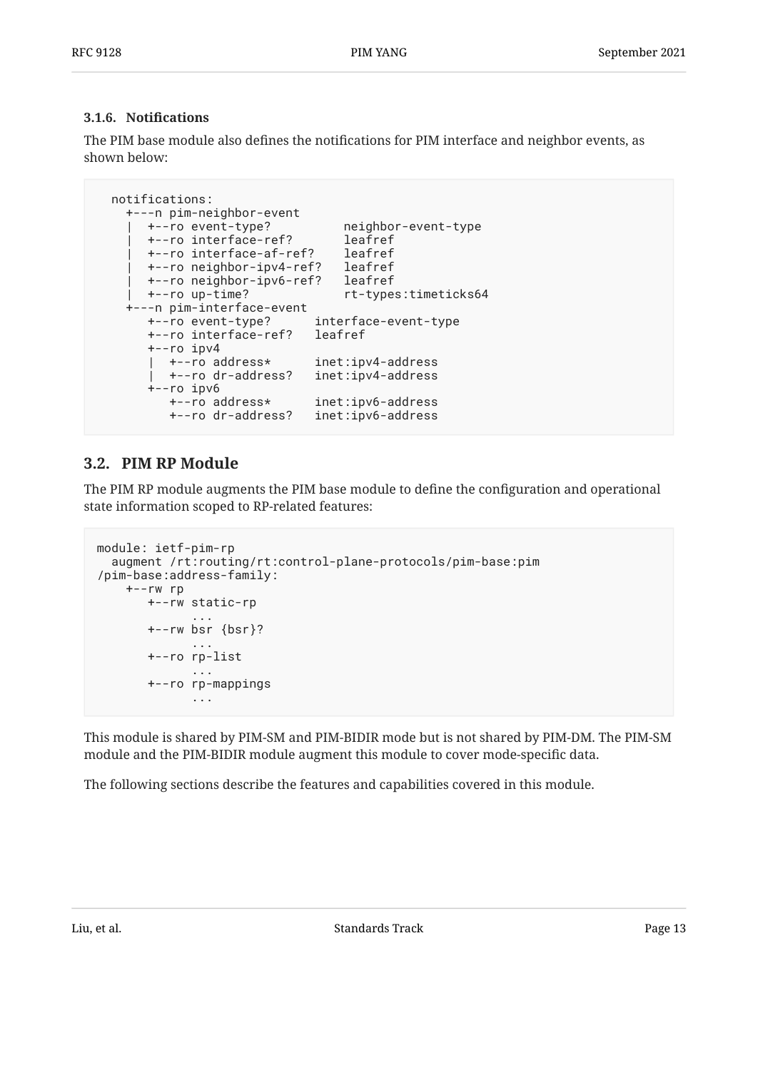#### <span id="page-12-0"></span>**[3.1.6.](#page-12-0) Notifi[cations](#page-12-0)**

The PIM base module also defines the notifications for PIM interface and neighbor events, as shown below:

```
 notifications:
     +---n pim-neighbor-event
      | +--ro event-type? neighbor-event-type
     leagnbo | יאני ייניי -<br>| +--ro interface-ref?     leafref<br>| leafref     --ro interface-af-ref?   leafref
      +--ro interface-af-ref?
      | +--ro neighbor-ipv4-ref? leafref
       | +--ro neighbor-ipv6-ref? leafref
     | +--ro up-time? rt-types:timeticks64
     +---n pim-interface-event
 +--ro event-type? interface-event-type
 +--ro interface-ref? leafref
        +--ro ipv4
        | +--ro address* inet:ipv4-address
          | +--ro dr-address? inet:ipv4-address
        +--ro ipv6
                               +--ro address* inet:ipv6-address
           +--ro dr-address? inet:ipv6-address
```
#### <span id="page-12-1"></span>**[3.2. PIM RP Module](#page-12-1)**

The PIM RP module augments the PIM base module to define the configuration and operational state information scoped to RP-related features:

```
module: ietf-pim-rp
  augment /rt:routing/rt:control-plane-protocols/pim-base:pim
/pim-base:address-family:
    +--rw rp
      +--rw static-rp
 ...
      +--rw bsr {bsr}?
 ...
      +--ro rp-list
 ...
      +--ro rp-mappings
 ...
```
This module is shared by PIM-SM and PIM-BIDIR mode but is not shared by PIM-DM. The PIM-SM module and the PIM-BIDIR module augment this module to cover mode-specific data.

The following sections describe the features and capabilities covered in this module.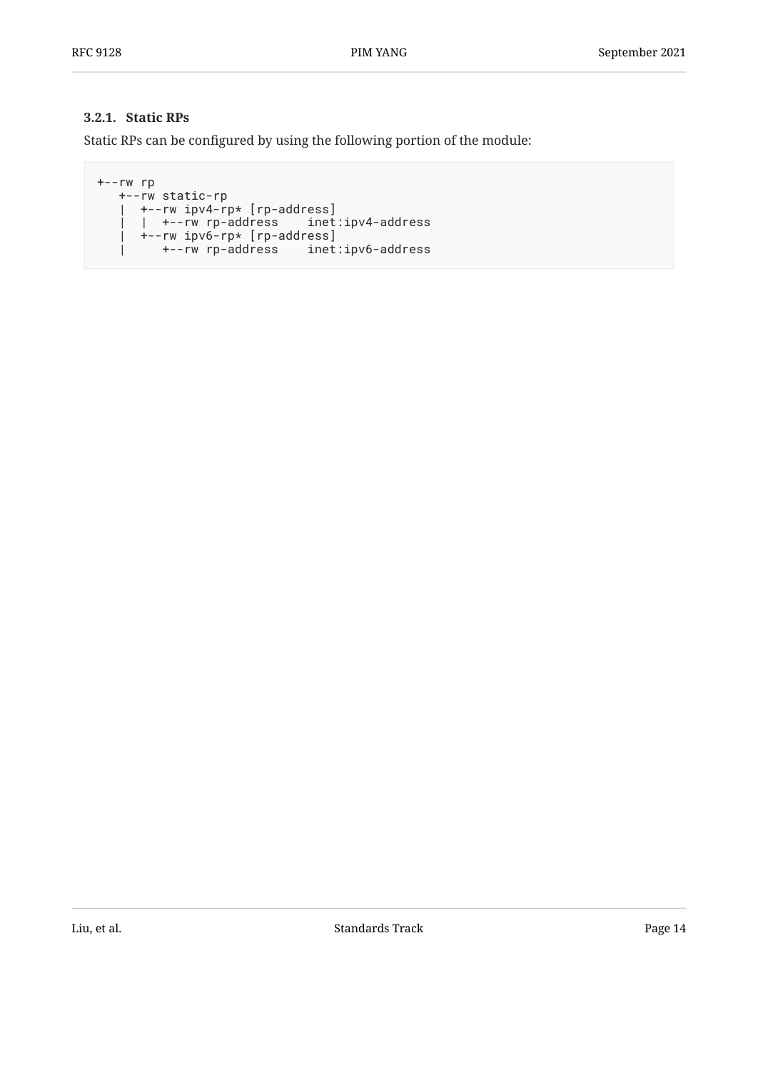#### <span id="page-13-0"></span>**[3.2.1. Static RPs](#page-13-0)**

Static RPs can be configured by using the following portion of the module:

```
+--rw rp
   +--rw static-rp
    | +--rw ipv4-rp* [rp-address]
     | | +--rw rp-address inet:ipv4-address
      | +--rw ipv6-rp* [rp-address]
    | +--rw rp-address inet:ipv6-address
```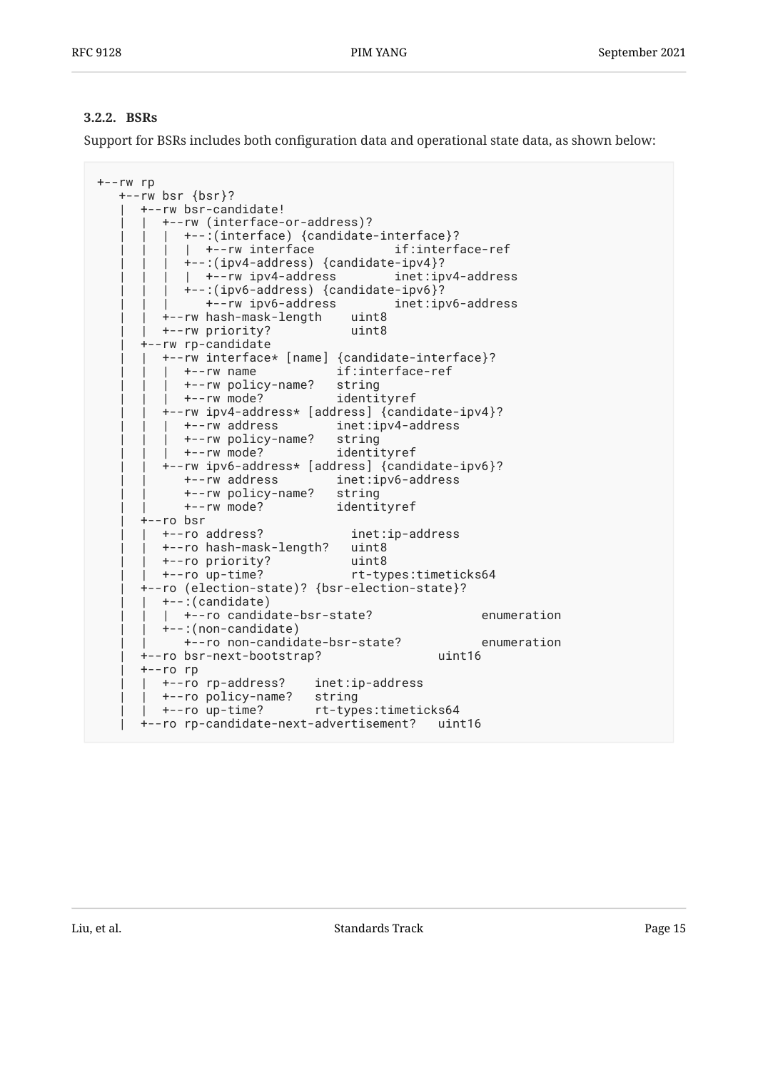#### <span id="page-14-0"></span>**[3.2.2. BSRs](#page-14-0)**

Support for BSRs includes both configuration data and operational state data, as shown below:

```
+--rw rp
    +--rw bsr {bsr}?
      | +--rw bsr-candidate!
         | | +--rw (interface-or-address)?
         | +--:(interface) {candidate-interface}?
            | +--rw interface if:interface-ref
             | | | +--:(ipv4-address) {candidate-ipv4}?
            | +--rw ipv4-address inet:ipv4-address
             | | | +--:(ipv6-address) {candidate-ipv6}?
               | | | +--rw ipv6-address inet:ipv6-address
          | | +--rw hash-mask-length uint8
         | | +--rw priority? uint8
       | +--rw rp-candidate
         | | +--rw interface* [name] {candidate-interface}?
            | | | +--rw name if:interface-ref
            | | | +--rw policy-name? string
            | | | +--rw mode? identityref
          | | +--rw ipv4-address* [address] {candidate-ipv4}?
            | | | +--rw address inet:ipv4-address
            | | | +--rw policy-name? string
         | +--rw mode?
          | | +--rw ipv6-address* [address] {candidate-ipv6}?
            | | +--rw address inet:ipv6-address
            | | +--rw policy-name? string
             | | +--rw mode? identityref
       | +--ro bsr
         | | +--ro address? inet:ip-address
          | | +--ro hash-mask-length? uint8
        +--ro priority?
         | | +--ro up-time? rt-types:timeticks64
       | +--ro (election-state)? {bsr-election-state}?
        | | +--:(candidate)
          | | | +--ro candidate-bsr-state? enumeration
          | | +--:(non-candidate)
            | | +--ro non-candidate-bsr-state? enumeration
      | +--ro bsr-next-bootstrap? uint16
      | +--ro rp
        | | +--ro rp-address? inet:ip-address
        | | +--ro policy-name? string
        | | +--ro up-time? rt-types:timeticks64
      | +--ro rp-candidate-next-advertisement? uint16
```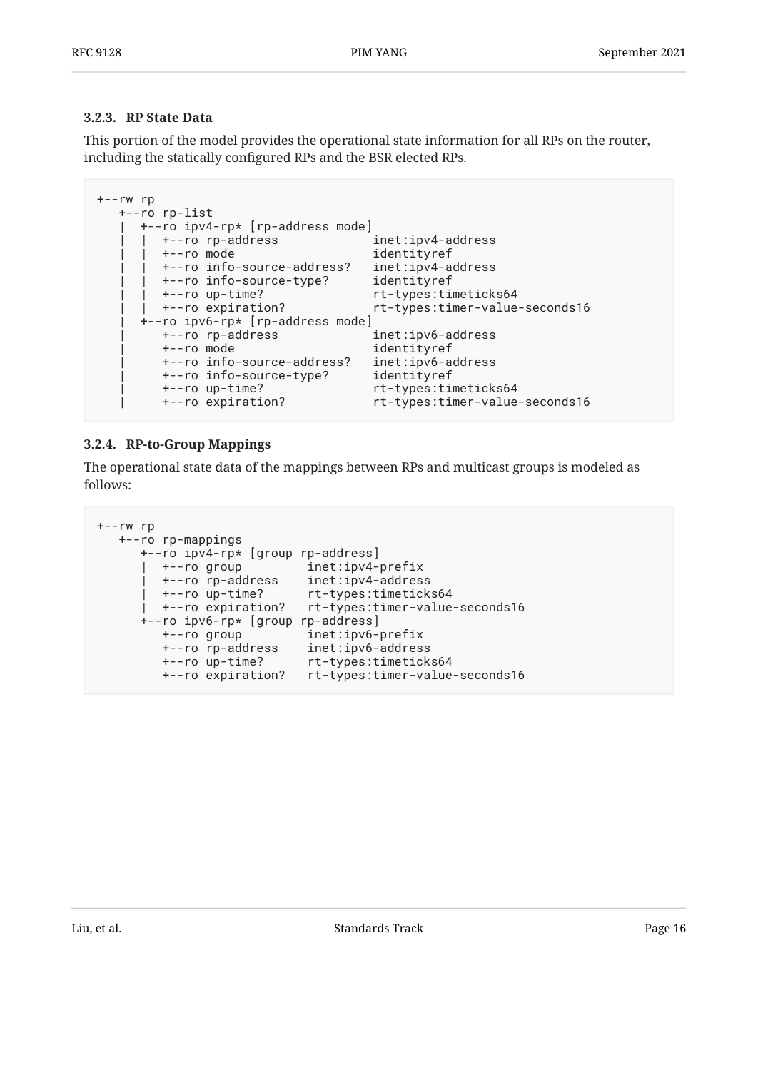#### <span id="page-15-0"></span>**[3.2.3. RP State Data](#page-15-0)**

This portion of the model provides the operational state information for all RPs on the router, including the statically configured RPs and the BSR elected RPs.

```
+--rw rp
   +--ro rp-list
     | +--ro ipv4-rp* [rp-address mode]
      | | +--ro rp-address inet:ipv4-address
       | | +--ro mode identityref
       | | +--ro info-source-address? inet:ipv4-address
       | | +--ro info-source-type? identityref
       | | +--ro up-time? rt-types:timeticks64
      | | +--ro expiration? rt-types:timer-value-seconds16
      | +--ro ipv6-rp* [rp-address mode]
        | +--ro rp-address inet:ipv6-address
 | +--ro mode identityref
 | +--ro info-source-address? inet:ipv6-address
 | +--ro info-source-type? identityref
 | +--ro up-time? rt-types:timeticks64
        | +--ro expiration? rt-types:timer-value-seconds16
```
#### <span id="page-15-1"></span>**[3.2.4. RP-to-Group Mappings](#page-15-1)**

The operational state data of the mappings between RPs and multicast groups is modeled as follows:

```
+--rw rp
   +--ro rp-mappings
     +--ro ipv4-rp* [group rp-address]
 | +--ro group inet:ipv4-prefix
 | +--ro rp-address inet:ipv4-address
 | +--ro up-time? rt-types:timeticks64
 | +--ro expiration? rt-types:timer-value-seconds16
      +--ro ipv6-rp* [group rp-address]
 +--ro group inet:ipv6-prefix
 +--ro rp-address inet:ipv6-address
 +--ro up-time? rt-types:timeticks64
 +--ro expiration? rt-types:timer-value-seconds16
```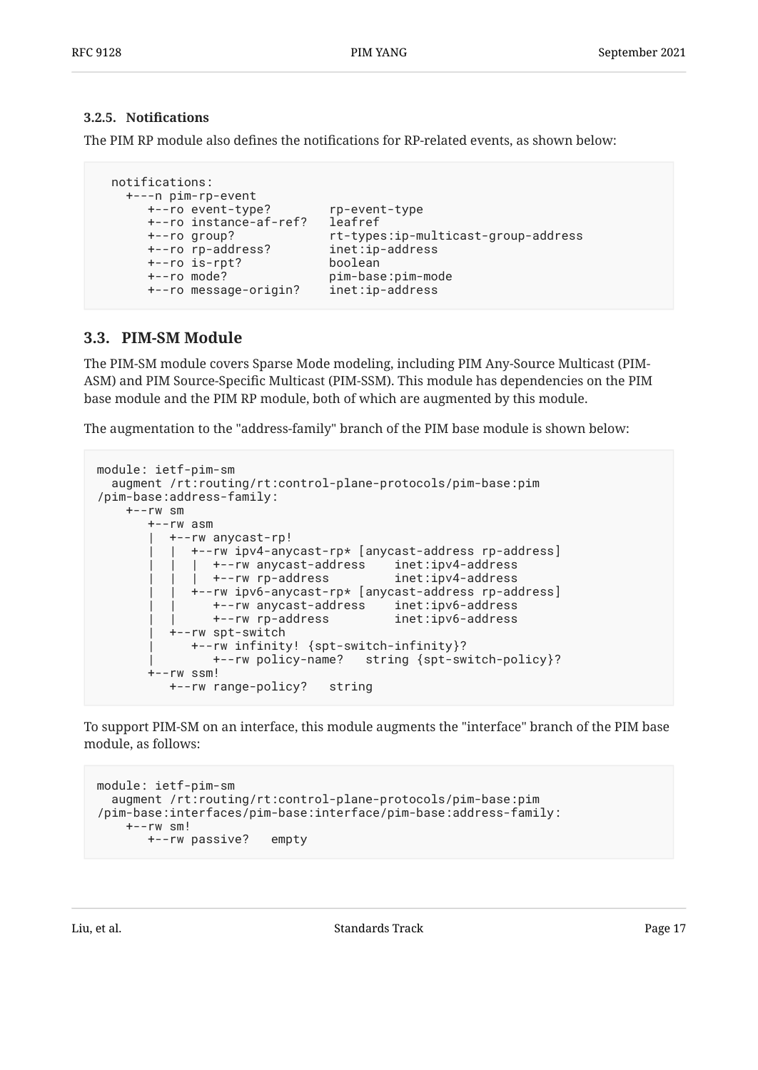#### <span id="page-16-0"></span>**[3.2.5.](#page-16-0) Notifi[cations](#page-16-0)**

The PIM RP module also defines the notifications for RP-related events, as shown below:

```
 notifications:
   +---n pim-rp-event
 +--ro event-type? rp-event-type
 +--ro instance-af-ref? leafref
 +--ro group? rt-types:ip-multicast-group-address
 +--ro rp-address? inet:ip-address
      +--ro is-rpt? boolean
 +--ro mode? pim-base:pim-mode
 +--ro message-origin? inet:ip-address
```
#### <span id="page-16-1"></span>**[3.3. PIM-SM Module](#page-16-1)**

The PIM-SM module covers Sparse Mode modeling, including PIM Any-Source Multicast (PIM-ASM) and PIM Source-Specific Multicast (PIM-SSM). This module has dependencies on the PIM base module and the PIM RP module, both of which are augmented by this module.

The augmentation to the "address-family" branch of the PIM base module is shown below:

```
module: ietf-pim-sm
   augment /rt:routing/rt:control-plane-protocols/pim-base:pim
/pim-base:address-family:
    +--rw sm
       +--rw asm
           | +--rw anycast-rp!
             | | +--rw ipv4-anycast-rp* [anycast-address rp-address]
             | | | +--rw anycast-address inet:ipv4-address
              | | | +--rw rp-address inet:ipv4-address
              | | +--rw ipv6-anycast-rp* [anycast-address rp-address]
 | | +--rw anycast-address inet:ipv6-address
 | | +--rw rp-address inet:ipv6-address
           | +--rw spt-switch
             | +--rw infinity! {spt-switch-infinity}?
                | +--rw policy-name? string {spt-switch-policy}?
        +--rw ssm!
          +--rw range-policy? string
```
To support PIM-SM on an interface, this module augments the "interface" branch of the PIM base module, as follows:

```
module: ietf-pim-sm
   augment /rt:routing/rt:control-plane-protocols/pim-base:pim
/pim-base:interfaces/pim-base:interface/pim-base:address-family:
    +--rw sm!
        +--rw passive? empty
```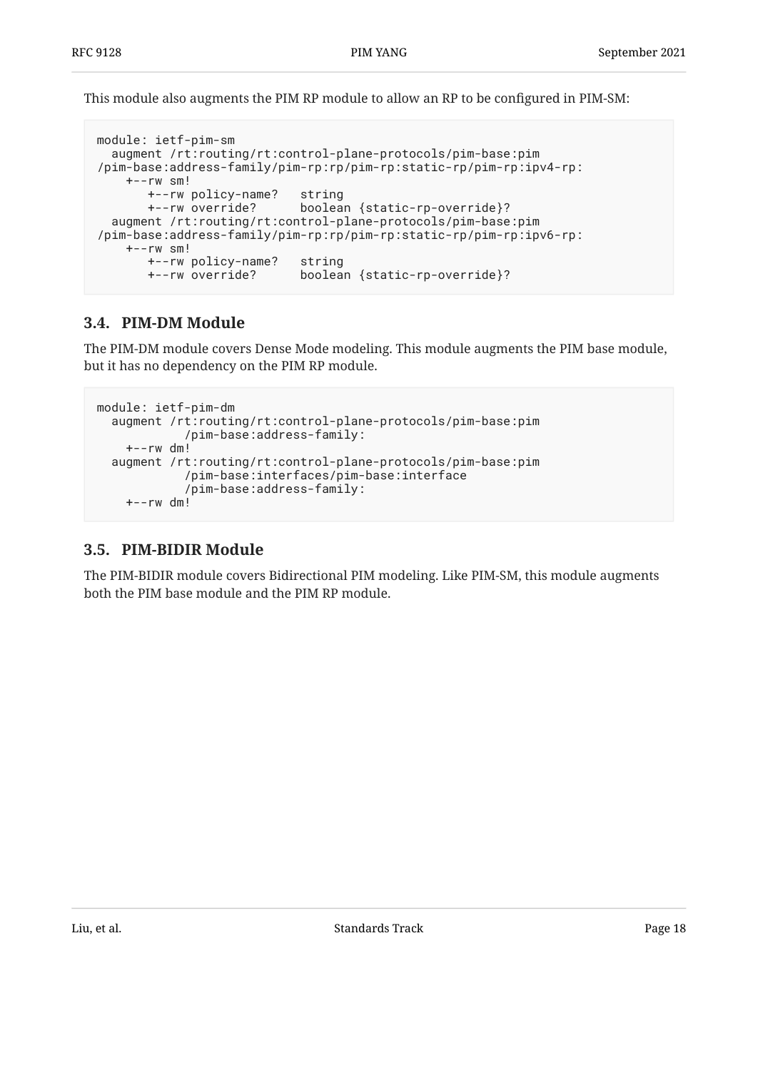This module also augments the PIM RP module to allow an RP to be configured in PIM-SM:

```
module: ietf-pim-sm
   augment /rt:routing/rt:control-plane-protocols/pim-base:pim
/pim-base:address-family/pim-rp:rp/pim-rp:static-rp/pim-rp:ipv4-rp:
     +--rw sm!
       +--rw policy-name? string
       +--rw override? boolean {static-rp-override}?
   augment /rt:routing/rt:control-plane-protocols/pim-base:pim
/pim-base:address-family/pim-rp:rp/pim-rp:static-rp/pim-rp:ipv6-rp:
     +--rw sm!
       +--rw policy-name? string
       +--rw override? boolean {static-rp-override}?
```
## <span id="page-17-0"></span>**[3.4. PIM-DM Module](#page-17-0)**

The PIM-DM module covers Dense Mode modeling. This module augments the PIM base module, but it has no dependency on the PIM RP module.

```
module: ietf-pim-dm
   augment /rt:routing/rt:control-plane-protocols/pim-base:pim
             /pim-base:address-family:
    +--rw dm! augment /rt:routing/rt:control-plane-protocols/pim-base:pim
             /pim-base:interfaces/pim-base:interface
             /pim-base:address-family:
     +--rw dm!
```
#### <span id="page-17-1"></span>**[3.5. PIM-BIDIR Module](#page-17-1)**

The PIM-BIDIR module covers Bidirectional PIM modeling. Like PIM-SM, this module augments both the PIM base module and the PIM RP module.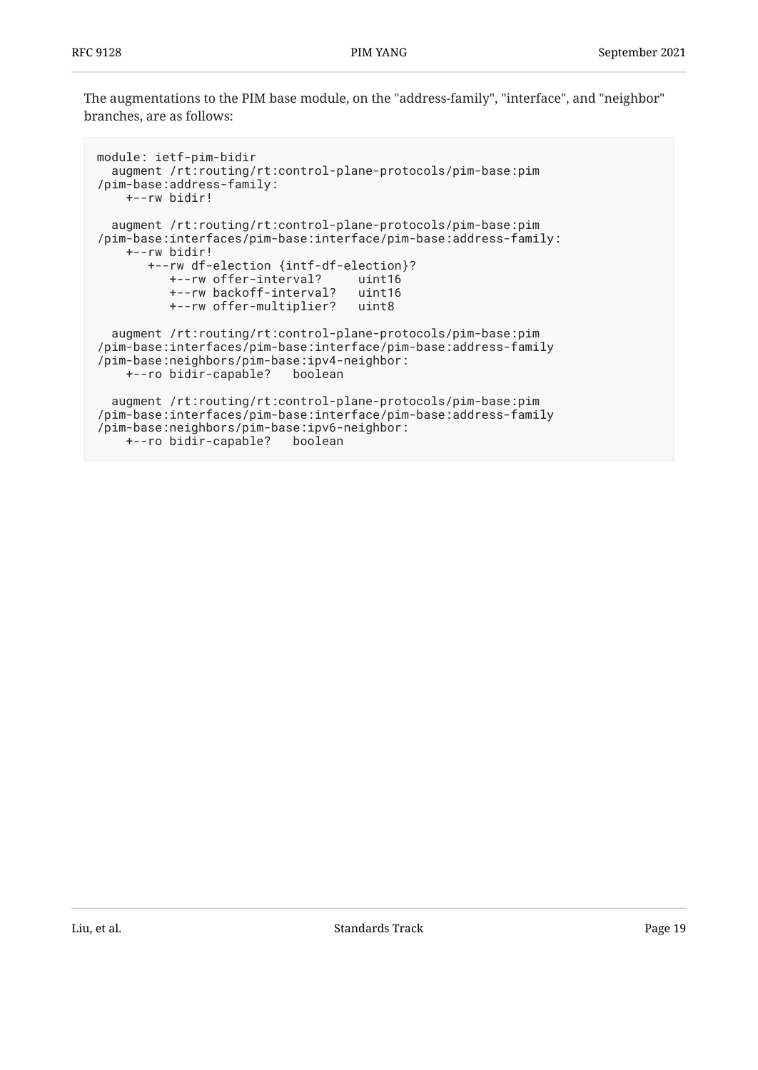The augmentations to the PIM base module, on the "address-family", "interface", and "neighbor" branches, are as follows:

```
module: ietf-pim-bidir
   augment /rt:routing/rt:control-plane-protocols/pim-base:pim
/pim-base:address-family:
    +--rw bidir!
   augment /rt:routing/rt:control-plane-protocols/pim-base:pim
/pim-base:interfaces/pim-base:interface/pim-base:address-family:
     +--rw bidir!
        +--rw df-election {intf-df-election}?
           +--rw offer-interval? uint16
           +--rw backoff-interval? uint16
           +--rw offer-multiplier? uint8
   augment /rt:routing/rt:control-plane-protocols/pim-base:pim
/pim-base:interfaces/pim-base:interface/pim-base:address-family
/pim-base:neighbors/pim-base:ipv4-neighbor:
     +--ro bidir-capable? boolean
   augment /rt:routing/rt:control-plane-protocols/pim-base:pim
/pim-base:interfaces/pim-base:interface/pim-base:address-family
/pim-base:neighbors/pim-base:ipv6-neighbor:
    +--ro bidir-capable? boolean
```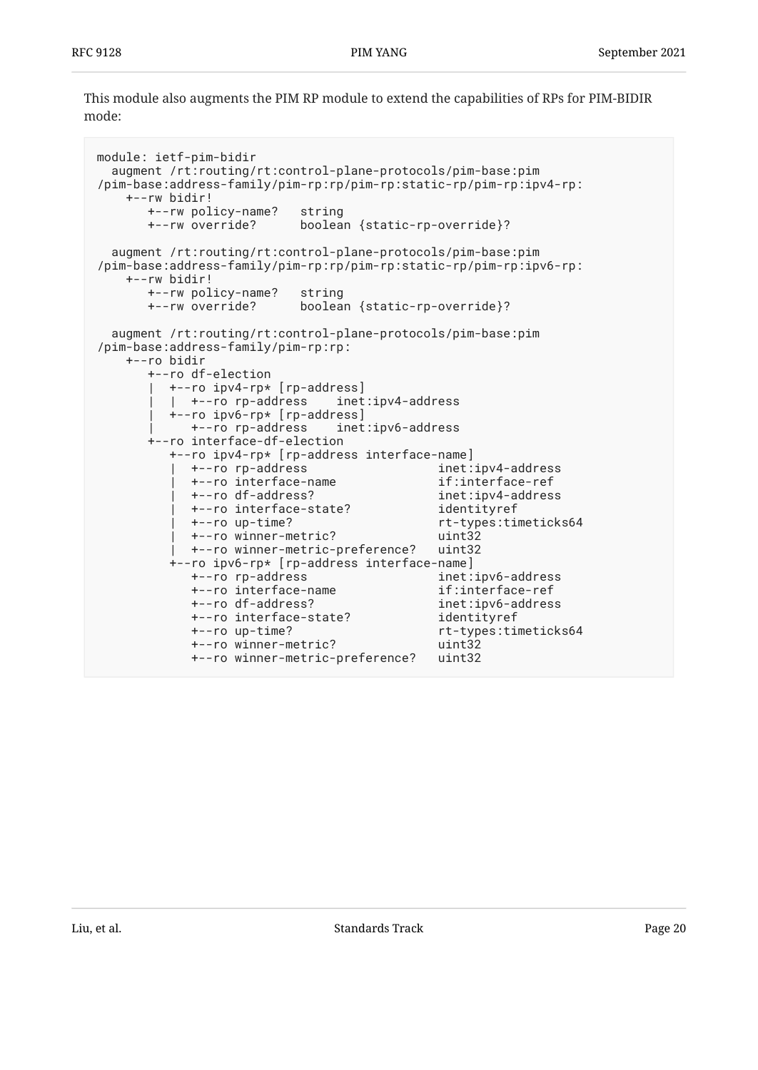This module also augments the PIM RP module to extend the capabilities of RPs for PIM-BIDIR mode:

```
module: ietf-pim-bidir
  augment /rt:routing/rt:control-plane-protocols/pim-base:pim
/pim-base:address-family/pim-rp:rp/pim-rp:static-rp/pim-rp:ipv4-rp:
    +--rw bidir!
       +--rw policy-name? string
       +--rw override? boolean {static-rp-override}?
  augment /rt:routing/rt:control-plane-protocols/pim-base:pim
/pim-base:address-family/pim-rp:rp/pim-rp:static-rp/pim-rp:ipv6-rp:
    +--rw bidir!
       +--rw policy-name? string
       +--rw override? boolean {static-rp-override}?
  augment /rt:routing/rt:control-plane-protocols/pim-base:pim
/pim-base:address-family/pim-rp:rp:
    +--ro bidir
       +--ro df-election
         | +--ro ipv4-rp* [rp-address]
          | | +--ro rp-address inet:ipv4-address
          | +--ro ipv6-rp* [rp-address]
            | +--ro rp-address inet:ipv6-address
       +--ro interface-df-election
          +--ro ipv4-rp* [rp-address interface-name]
            | +--ro rp-address inet:ipv4-address
            | +--ro interface-name if:interface-ref
            | +--ro df-address? inet:ipv4-address
            | +--ro interface-state? identityref
            | +--ro up-time? rt-types:timeticks64
            | +--ro winner-metric? uint32
            | +--ro winner-metric-preference? uint32
          +--ro ipv6-rp* [rp-address interface-name]
            +--ro rp-address inet:ipv6-address
            +--ro interface-name if:interface-ref
                                           inet:ipv6-address
            +--ro interface-state? identityref
            +--ro up-time? rt-types:timeticks64
            +--ro winner-metric? uint32
            +--ro winner-metric-preference? uint32
```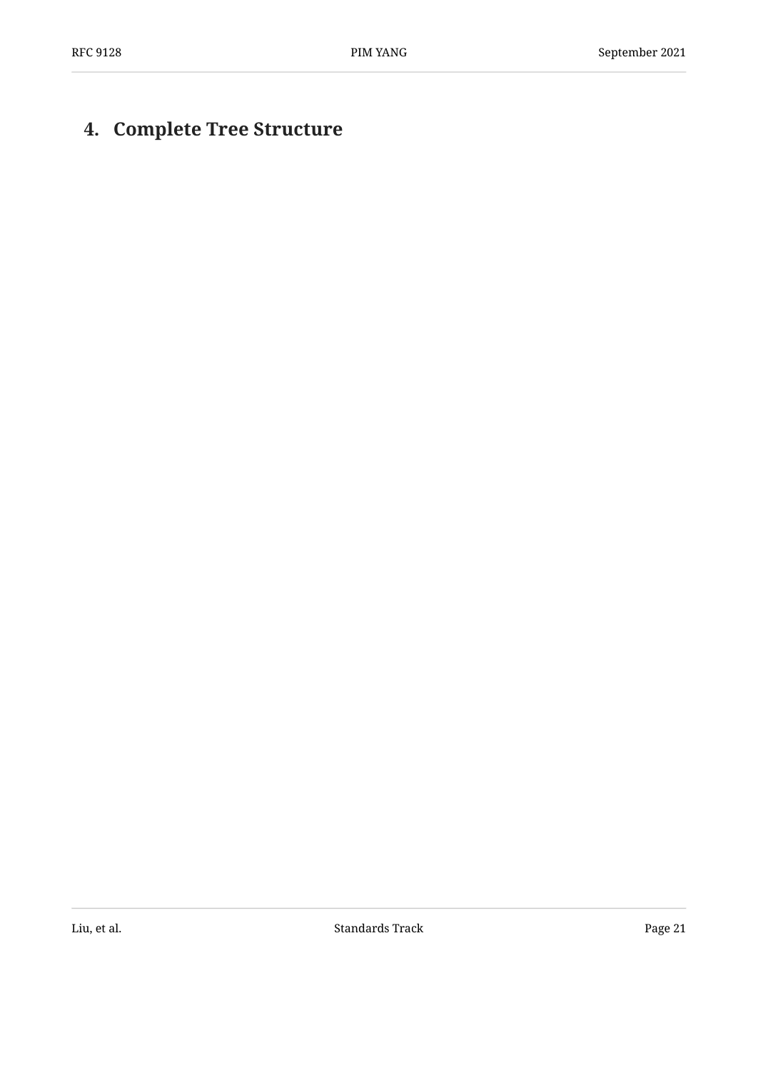# <span id="page-20-0"></span>**[4. Complete Tree Structure](#page-20-0)**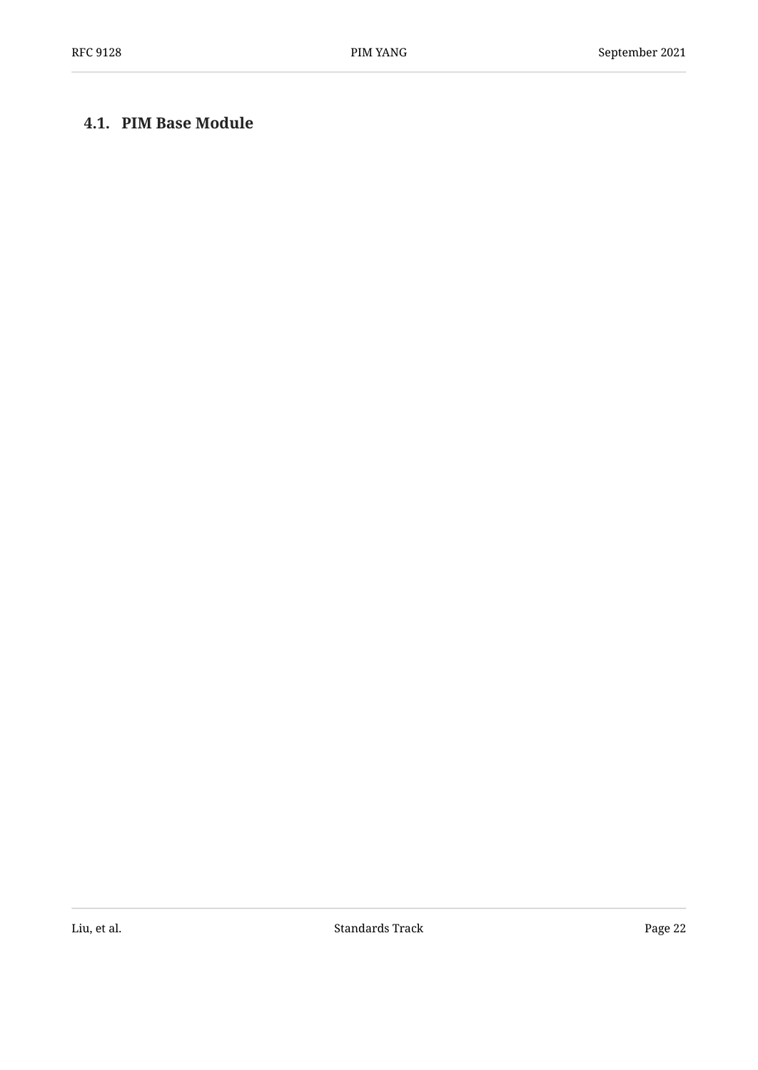## <span id="page-21-0"></span>**[4.1. PIM Base Module](#page-21-0)**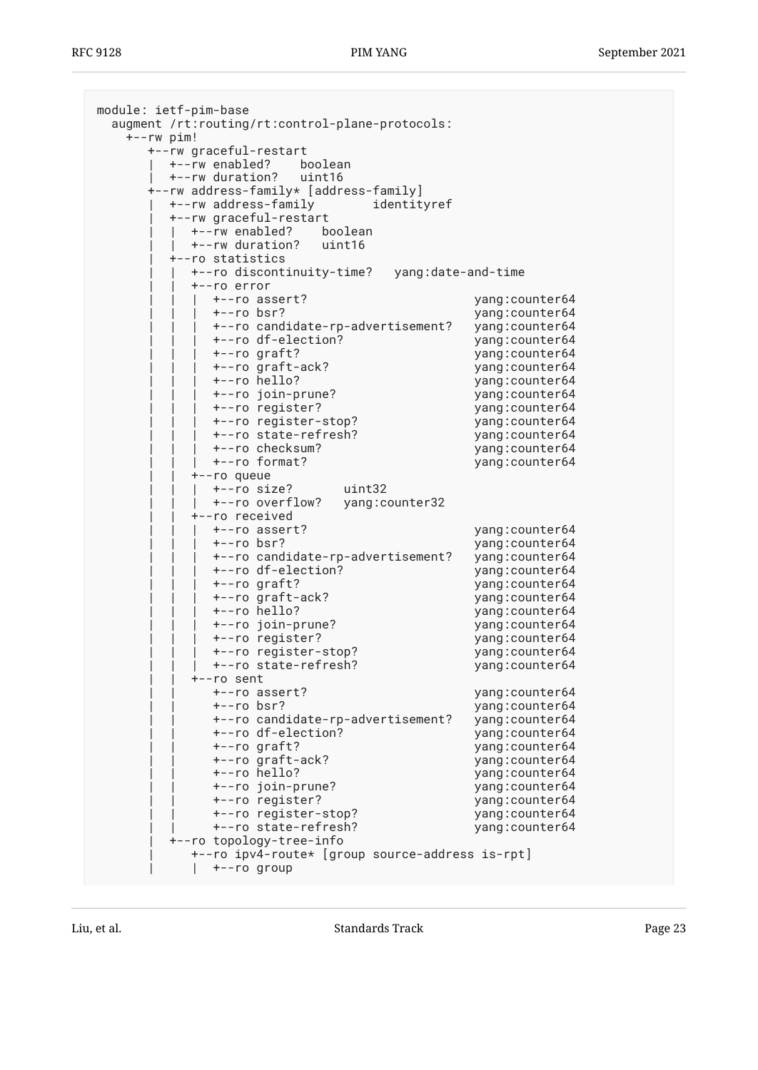| module: ietf-pim-base<br>augment /rt:routing/rt:control-plane-protocols: |                                    |
|--------------------------------------------------------------------------|------------------------------------|
| +--rw pim!<br>+--rw graceful-restart                                     |                                    |
| +--rw enabled? boolean                                                   |                                    |
| +--rw duration? uint16                                                   |                                    |
| +--rw address-family* [address-family]                                   |                                    |
| +--rw address-family<br>identityref                                      |                                    |
| +--rw graceful-restart                                                   |                                    |
| +--rw enabled? boolean                                                   |                                    |
| +--rw duration? uint16                                                   |                                    |
| +--ro statistics                                                         |                                    |
| +--ro discontinuity-time? yang:date-and-time                             |                                    |
| +--ro error                                                              |                                    |
| +--ro assert?                                                            | yang:counter64                     |
| +--ro bsr?                                                               | yang: counter64                    |
| +--ro candidate-rp-advertisement?                                        | yang: counter64                    |
| +--ro df-election?                                                       | yang: counter64                    |
| +--ro graft?                                                             | yang: counter64                    |
| +--ro graft-ack?                                                         | yang: counter64                    |
| +--ro hello?                                                             | yang: counter64                    |
| +--ro join-prune?                                                        | yang: counter64                    |
| +--ro register?                                                          | yang: counter64                    |
| +--ro register-stop?                                                     | yang: counter64                    |
| +--ro state-refresh?                                                     | yang: counter64                    |
| +--ro checksum?                                                          | yang: counter64                    |
| +--ro format?                                                            | yang: counter64                    |
| +--ro queue                                                              |                                    |
| uint32<br>+--ro size?<br>+--ro overflow?                                 |                                    |
| yang: counter32<br>+--ro received                                        |                                    |
| +--ro assert?                                                            | yang:counter64                     |
| +--ro bsr?                                                               | yang: counter64                    |
| +--ro candidate-rp-advertisement?                                        | yang: counter64                    |
| +--ro df-election?                                                       | yang: counter64                    |
| +--ro graft?                                                             | yang: counter64                    |
| +--ro graft-ack?                                                         | yang: counter64                    |
| +--ro hello?                                                             | yang:counter64                     |
| +--ro join-prune?                                                        | yang: counter64                    |
| +--ro register?                                                          | yang: counter64                    |
| +--ro register-stop?                                                     | yang: counter64                    |
| +--ro state-refresh?                                                     | yang: counter64                    |
| +--ro sent                                                               |                                    |
| +--ro assert?                                                            | yang:counter64                     |
| +--ro bsr?                                                               | yang: counter64                    |
| +--ro candidate-rp-advertisement?                                        | yang: counter64                    |
| +--ro df-election?                                                       | yang: counter64                    |
| +--ro graft?                                                             | yang: counter64                    |
| +--ro graft-ack?                                                         | yang: counter64                    |
| +--ro hello?                                                             | yang: counter64                    |
| +--ro join-prune?                                                        | yang: counter64                    |
| +--ro register?                                                          | yang: counter64                    |
| +--ro register-stop?<br>+--ro state-refresh?                             | yang: counter64<br>yang: counter64 |
| +--ro topology-tree-info                                                 |                                    |
| +--ro ipv4-route* [group source-address is-rpt]                          |                                    |
| +--ro group                                                              |                                    |
|                                                                          |                                    |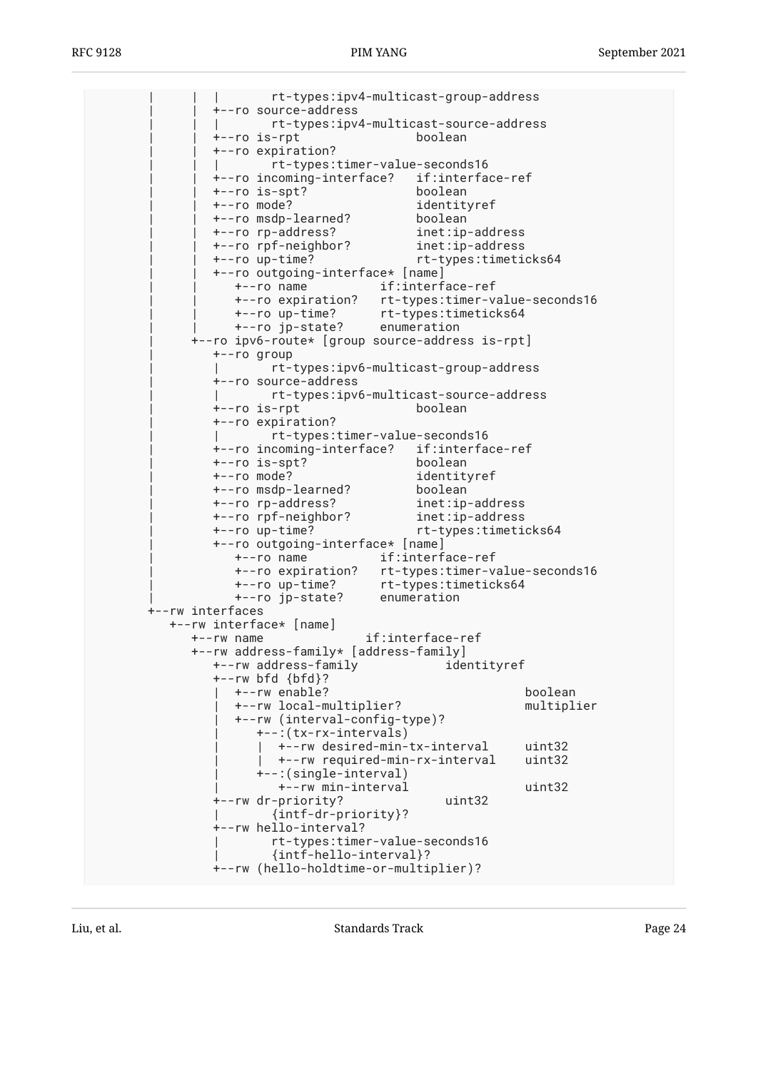| | | rt-types:ipv4-multicast-group-address | | +--ro source-address | | | rt-types:ipv4-multicast-source-address | | +--ro is-rpt boolean | | +--ro expiration? | | | rt-types:timer-value-seconds16 | | +--ro incoming-interface? if:interface-ref | | +--ro is-spt? boolean | | +--ro mode? identityref | | +--ro msdp-learned? boolean | | +--ro rp-address? inet:ip-address | | +--ro rpf-neighbor? inet:ip-address | | +--ro up-time? rt-types:timeticks64 | | +--ro outgoing-interface\* [name] | | +--ro name if:interface-ref | | +--ro expiration? rt-types:timer-value-seconds16 | | +--ro up-time? rt-types:timeticks64 | | +--ro jp-state? enumeration | +--ro ipv6-route\* [group source-address is-rpt] | +--ro group | | rt-types:ipv6-multicast-group-address | +--ro source-address | | rt-types:ipv6-multicast-source-address | +--ro is-rpt boolean | +--ro expiration? | | rt-types:timer-value-seconds16 | +--ro incoming-interface? if:interface-ref  $+--ro$  is-spt? | +--ro mode? identityref +--ro msdp-learned? | +--ro rp-address? inet:ip-address | +--ro rpf-neighbor? inet:ip-address | +--ro up-time? rt-types:timeticks64 | +--ro outgoing-interface\* [name] | +--ro name if:interface-ref | +--ro expiration? rt-types:timer-value-seconds16 | +--ro up-time? rt-types:timeticks64 | +--ro jp-state? enumeration +--rw interfaces +--rw interface\* [name] +--rw name if:interface-ref +--rw address-family\* [address-family] +--rw address-family identityref +--rw bfd {bfd}? | +--rw enable? boolean | +--rw local-multiplier? multiplier | +--rw (interval-config-type)? | +--:(tx-rx-intervals) | | +--rw desired-min-tx-interval uint32 +--rw required-min-rx-interval | +--:(single-interval) | +--rw min-interval uint32 +--rw dr-priority? uint32 | {intf-dr-priority}? +--rw hello-interval? | rt-types:timer-value-seconds16 | {intf-hello-interval}? +--rw (hello-holdtime-or-multiplier)?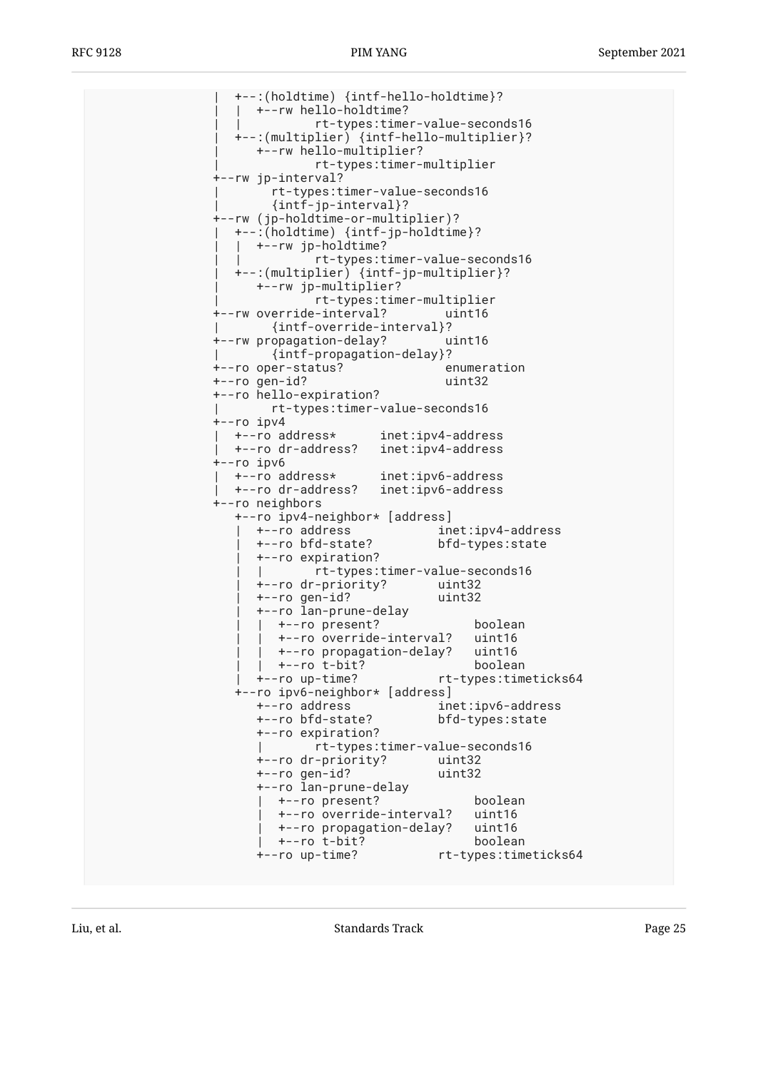| +--:(holdtime) {intf-hello-holdtime}? | | +--rw hello-holdtime? | | rt-types:timer-value-seconds16 | +--:(multiplier) {intf-hello-multiplier}? | +--rw hello-multiplier? | rt-types:timer-multiplier +--rw jp-interval? | rt-types:timer-value-seconds16 | {intf-jp-interval}? +--rw (jp-holdtime-or-multiplier)? | +--:(holdtime) {intf-jp-holdtime}? | +--rw jp-holdtime? | | rt-types:timer-value-seconds16 | +--:(multiplier) {intf-jp-multiplier}? | +--rw jp-multiplier? | rt-types:timer-multiplier +--rw override-interval? uint16 | {intf-override-interval}? +--rw propagation-delay? uint16 | {intf-propagation-delay}? +--ro oper-status? enumeration +--ro gen-id? uint32 +--ro hello-expiration? | rt-types:timer-value-seconds16 +--ro ipv4 | +--ro address\* inet:ipv4-address | +--ro dr-address? inet:ipv4-address +--ro ipv6 | +--ro address\* inet:ipv6-address | +--ro dr-address? inet:ipv6-address +--ro neighbors +--ro ipv4-neighbor\* [address] | +--ro address inet:ipv4-address | +--ro bfd-state? bfd-types:state | +--ro expiration? | | rt-types:timer-value-seconds16 | +--ro dr-priority? uint32 | +--ro gen-id? uint32 | +--ro lan-prune-delay | | +--ro present? boolean | | +--ro override-interval? uint16 | | +--ro propagation-delay? uint16 | | +--ro t-bit? boolean | +--ro up-time? rt-types:timeticks64 +--ro ipv6-neighbor\* [address] +--ro address inet:ipv6-address +--ro bfd-state? bfd-types:state +--ro expiration? | rt-types:timer-value-seconds16 +--ro dr-priority? +--ro gen-id? uint32 +--ro lan-prune-delay | +--ro present? boolean | +--ro override-interval? uint16 | +--ro propagation-delay? uint16 | +--ro t-bit? boolean +--ro up-time? rt-types:timeticks64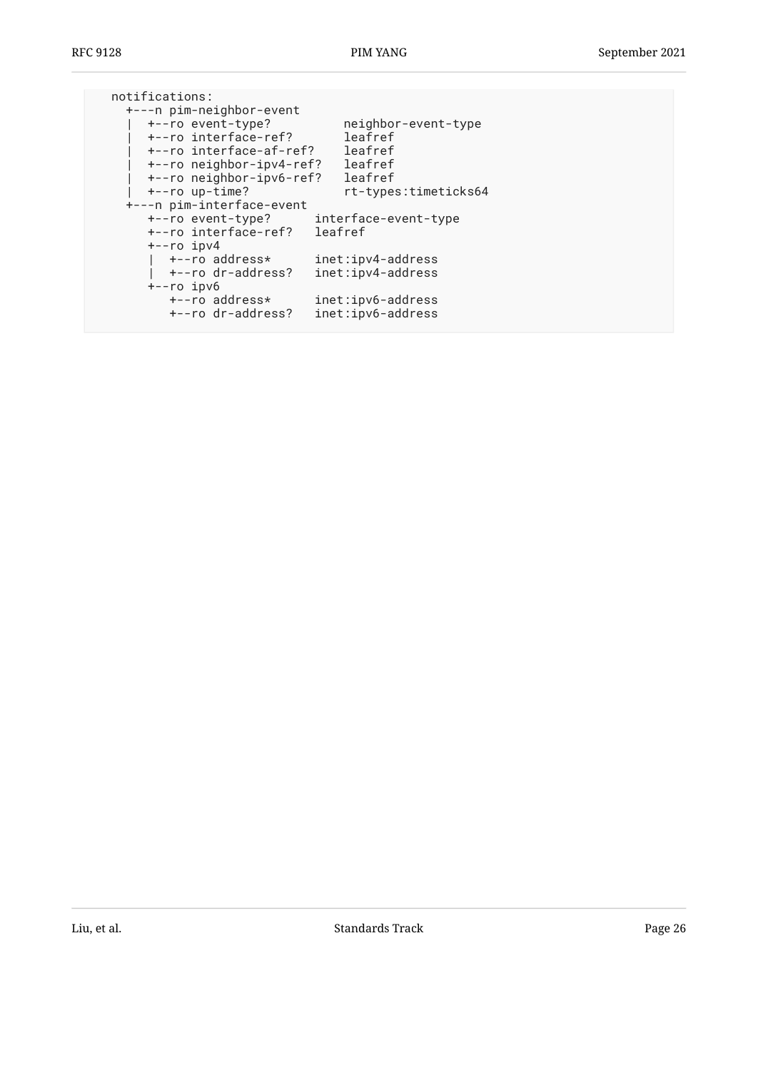| rt-types:timeticks64 |
|----------------------|
|                      |
|                      |
|                      |
|                      |
|                      |
|                      |
|                      |
|                      |
|                      |
|                      |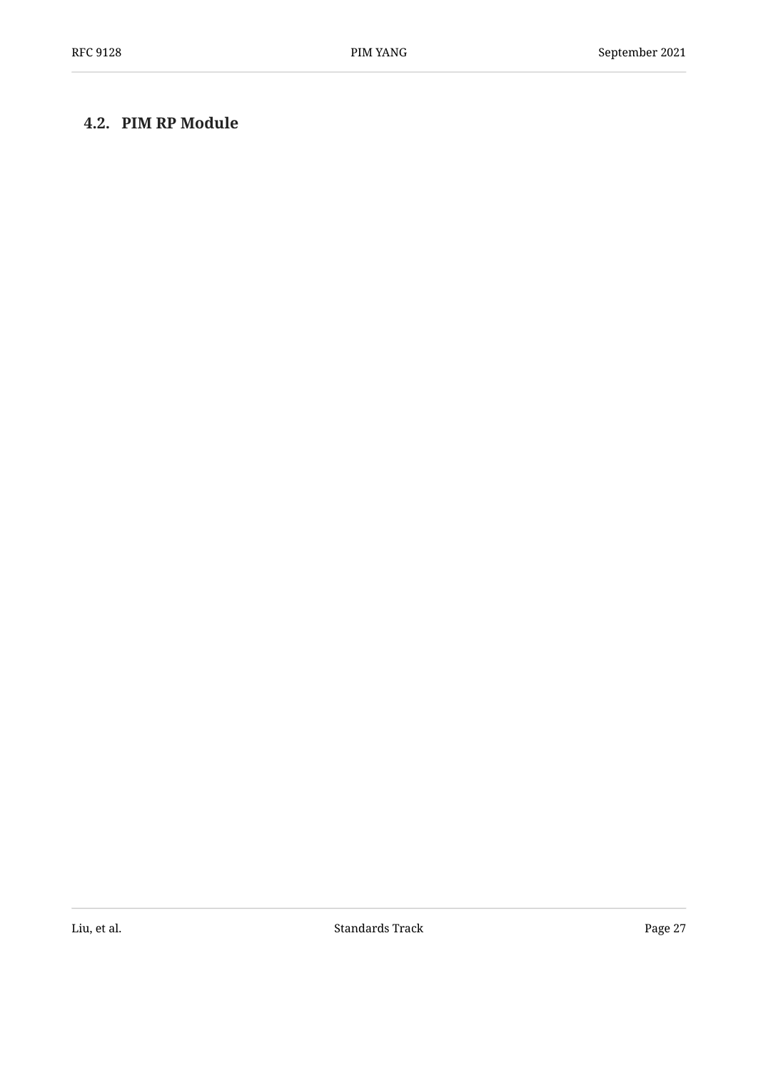## <span id="page-26-0"></span>**[4.2. PIM RP Module](#page-26-0)**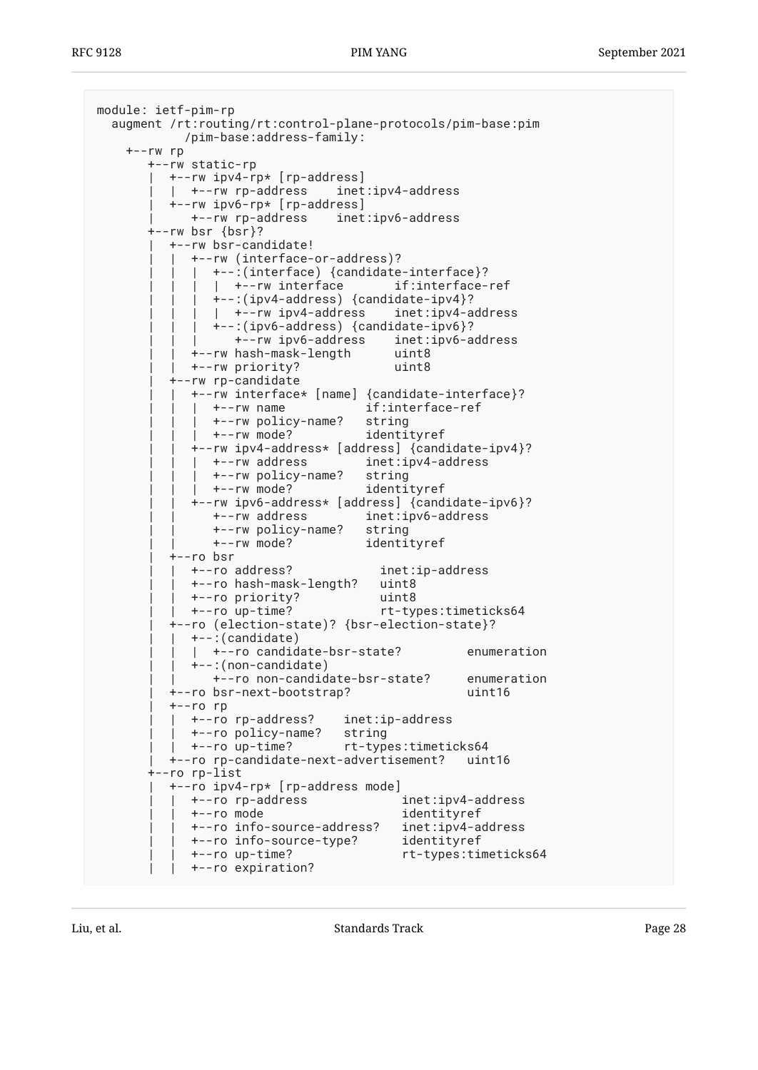```
module: ietf-pim-rp
   augment /rt:routing/rt:control-plane-protocols/pim-base:pim
             /pim-base:address-family:
     +--rw rp
        +--rw static-rp
          | +--rw ipv4-rp* [rp-address]
           | | +--rw rp-address inet:ipv4-address
           | +--rw ipv6-rp* [rp-address]
              | +--rw rp-address inet:ipv6-address
        +--rw bsr {bsr}?
           | +--rw bsr-candidate!
             | | +--rw (interface-or-address)?
             | +-:(interface) {candidate-interface}?
                | +--rw interface if:interface-ref
                 | | | +--:(ipv4-address) {candidate-ipv4}?
                | +--rw ipv4-address inet:ipv4-address
                 | | | +--:(ipv6-address) {candidate-ipv6}?
                   | | | +--rw ipv6-address inet:ipv6-address
              | | +--rw hash-mask-length uint8
              | | +--rw priority? uint8
           | +--rw rp-candidate
              | | +--rw interface* [name] {candidate-interface}?
                | | | +--rw name if:interface-ref
                | | | +--rw policy-name? string
                | | | +--rw mode? identityref
              | | +--rw ipv4-address* [address] {candidate-ipv4}?
                | | | +--rw address inet:ipv4-address
               +--rw policy-name? string
                | | | +--rw mode? identityref
              | | +--rw ipv6-address* [address] {candidate-ipv6}?
                 | | +--rw address inet:ipv6-address
                 | | +--rw policy-name? string
                 | | +--rw mode? identityref
          +--ro bsr
             | | +--ro address? inet:ip-address
              | | +--ro hash-mask-length? uint8
             | | +--ro priority? uint8
                                        | | +--ro up-time? rt-types:timeticks64
           | +--ro (election-state)? {bsr-election-state}?
             | | +--:(candidate)
             | +--ro candidate-bsr-state? enumeration
              | | +--:(non-candidate)
                 | | +--ro non-candidate-bsr-state? enumeration
           | +--ro bsr-next-bootstrap? uint16
           | +--ro rp
              | | +--ro rp-address? inet:ip-address
            +--ro policy-name?
             | | +--ro up-time? rt-types:timeticks64
           | +--ro rp-candidate-next-advertisement? uint16
        +--ro rp-list
           | +--ro ipv4-rp* [rp-address mode]
             | | +--ro rp-address inet:ipv4-address
             | | +--ro mode identityref
              | | +--ro info-source-address? inet:ipv4-address
              | | +--ro info-source-type? identityref
              | | +--ro up-time? rt-types:timeticks64
             | | +--ro expiration?
```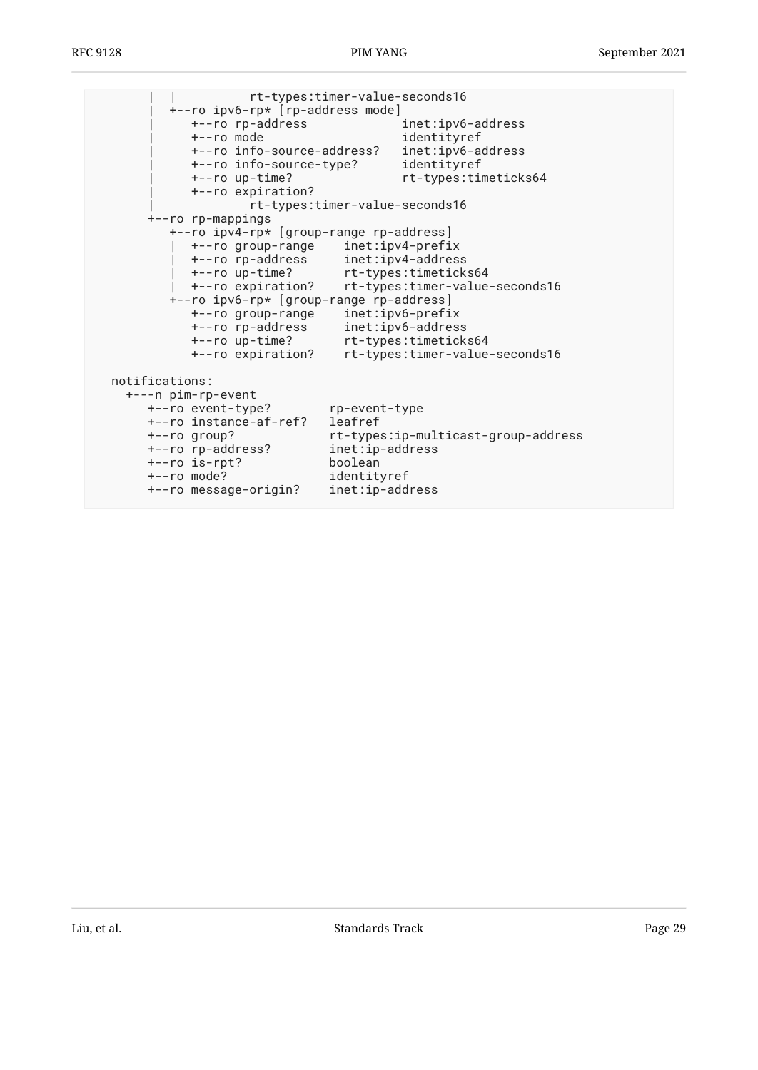| | rt-types:timer-value-seconds16 | +--ro ipv6-rp\* [rp-address mode] | +--ro rp-address inet:ipv6-address | +--ro mode identityref | +--ro info-source-address? inet:ipv6-address | +--ro info-source-type? identityref | +--ro up-time? rt-types:timeticks64 | +--ro expiration? | rt-types:timer-value-seconds16 +--ro rp-mappings +--ro ipv4-rp\* [group-range rp-address] | +--ro group-range inet:ipv4-prefix | +--ro rp-address inet:ipv4-address | +--ro up-time? rt-types:timeticks64 | +--ro expiration? rt-types:timer-value-seconds16 +--ro ipv6-rp\* [group-range rp-address] +--ro group-range inet:ipv6-prefix +--ro rp-address inet:ipv6-address +--ro up-time? rt-types:timeticks64 +--ro expiration? rt-types:timer-value-seconds16 notifications: +---n pim-rp-event +--ro event-type? rp-event-type +--ro instance-af-ref? leafref +--ro group? rt-types:ip-multicast-group-address +--ro rp-address? inet:ip-address +--ro is-rpt? boolean +--ro mode? identityref +--ro message-origin? inet:ip-address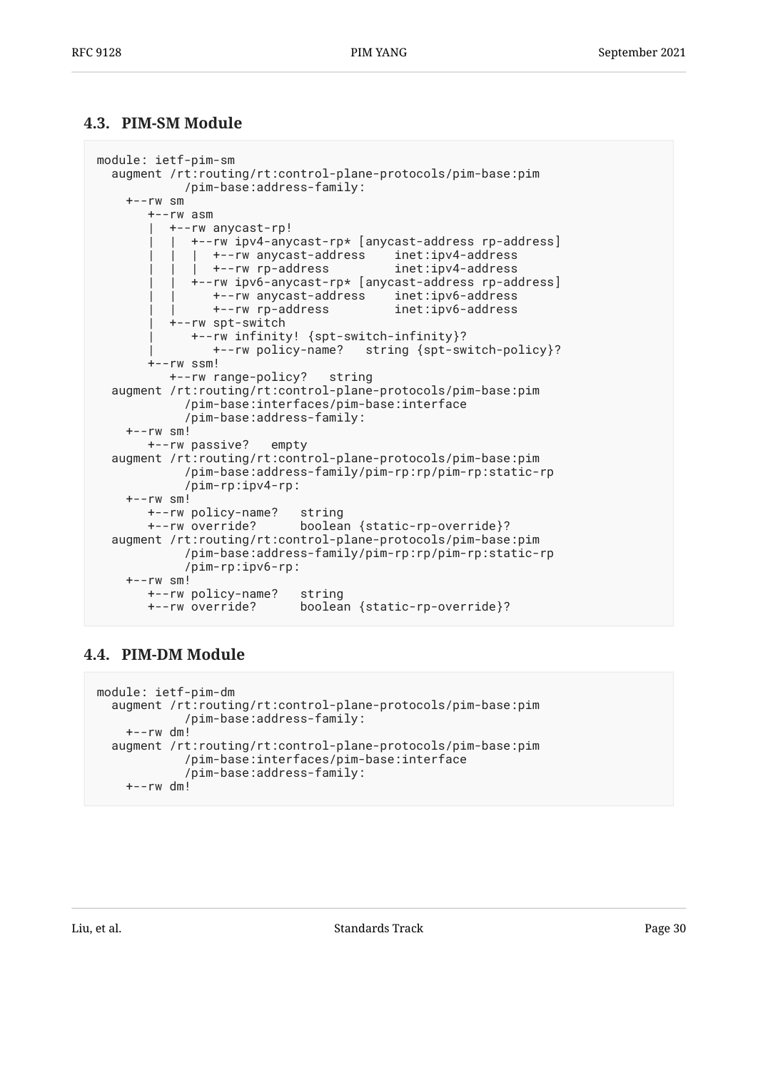### <span id="page-29-0"></span>**[4.3. PIM-SM Module](#page-29-0)**

```
module: ietf-pim-sm
   augment /rt:routing/rt:control-plane-protocols/pim-base:pim
             /pim-base:address-family:
    +--rw sm
        +--rw asm
           | +--rw anycast-rp!
              | | +--rw ipv4-anycast-rp* [anycast-address rp-address]
                | | | +--rw anycast-address inet:ipv4-address
               +--rw rp-address
              | | +--rw ipv6-anycast-rp* [anycast-address rp-address]
                 | | +--rw anycast-address inet:ipv6-address
                 | | +--rw rp-address inet:ipv6-address
           | +--rw spt-switch
              | +--rw infinity! {spt-switch-infinity}?
                                    string {spt-switch-policy}?
        +--rw ssm!
           +--rw range-policy? string
   augment /rt:routing/rt:control-plane-protocols/pim-base:pim
             /pim-base:interfaces/pim-base:interface
             /pim-base:address-family:
    +--rw sm!
        +--rw passive? empty
   augment /rt:routing/rt:control-plane-protocols/pim-base:pim
             /pim-base:address-family/pim-rp:rp/pim-rp:static-rp
             /pim-rp:ipv4-rp:
     +--rw sm!
        +--rw policy-name? string
        +--rw override? boolean {static-rp-override}?
   augment /rt:routing/rt:control-plane-protocols/pim-base:pim
             /pim-base:address-family/pim-rp:rp/pim-rp:static-rp
             /pim-rp:ipv6-rp:
     +--rw sm!
        +--rw policy-name? string
        +--rw override? boolean {static-rp-override}?
```
## <span id="page-29-1"></span>**[4.4. PIM-DM Module](#page-29-1)**

```
module: ietf-pim-dm
   augment /rt:routing/rt:control-plane-protocols/pim-base:pim
             /pim-base:address-family:
     +--rw dm!
   augment /rt:routing/rt:control-plane-protocols/pim-base:pim
             /pim-base:interfaces/pim-base:interface
             /pim-base:address-family:
    +--rw dm!
```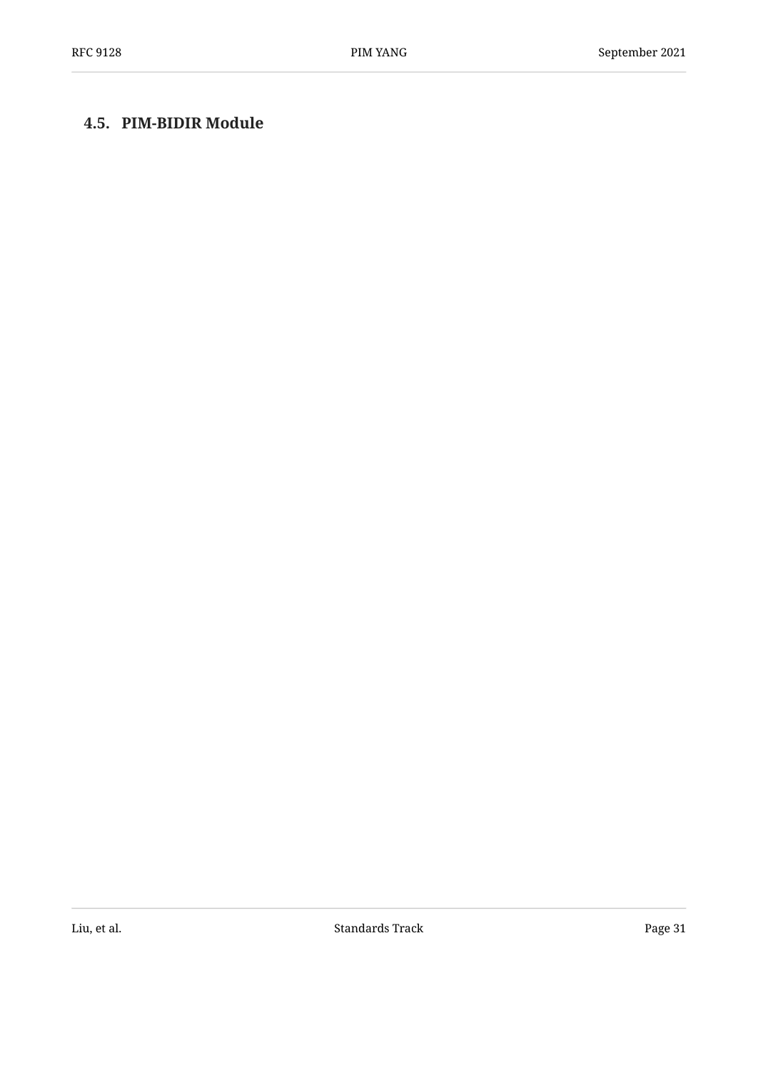## <span id="page-30-0"></span>**[4.5. PIM-BIDIR Module](#page-30-0)**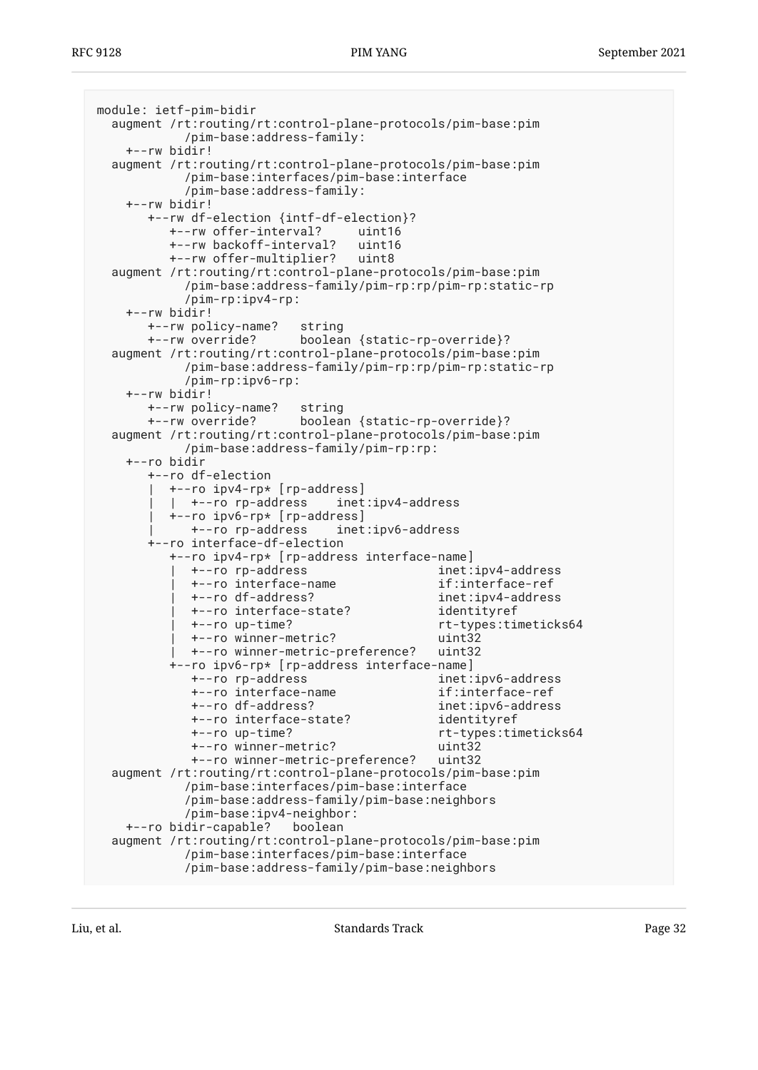```
module: ietf-pim-bidir
  augment /rt:routing/rt:control-plane-protocols/pim-base:pim
            /pim-base:address-family:
    +--rw bidir!
  augment /rt:routing/rt:control-plane-protocols/pim-base:pim
            /pim-base:interfaces/pim-base:interface
            /pim-base:address-family:
    +--rw bidir!
       +--rw df-election {intf-df-election}?
          +--rw offer-interval? uint16
          +--rw backoff-interval? uint16
          +--rw offer-multiplier? uint8
  augment /rt:routing/rt:control-plane-protocols/pim-base:pim
            /pim-base:address-family/pim-rp:rp/pim-rp:static-rp
            /pim-rp:ipv4-rp:
    +--rw bidir!
       +--rw policy-name? string
       +--rw override? boolean {static-rp-override}?
  augment /rt:routing/rt:control-plane-protocols/pim-base:pim
            /pim-base:address-family/pim-rp:rp/pim-rp:static-rp
            /pim-rp:ipv6-rp:
    +--rw bidir!
       +--rw policy-name? string
       +--rw override? boolean {static-rp-override}?
  augment /rt:routing/rt:control-plane-protocols/pim-base:pim
            /pim-base:address-family/pim-rp:rp:
    +--ro bidir
       +--ro df-election
          | +--ro ipv4-rp* [rp-address]
          | | +--ro rp-address inet:ipv4-address
          | +--ro ipv6-rp* [rp-address]
             | +--ro rp-address inet:ipv6-address
       +--ro interface-df-election
          +--ro ipv4-rp* [rp-address interface-name]
            | +--ro rp-address inet:ipv4-address
             | +--ro interface-name if:interface-ref
             | +--ro df-address? inet:ipv4-address
             | +--ro interface-state? identityref
             | +--ro up-time? rt-types:timeticks64
            | +--ro winner-metric? uint32
            | +--ro winner-metric-preference? uint32
          +--ro ipv6-rp* [rp-address interface-name]
             +--ro rp-address inet:ipv6-address
             +--ro interface-name if:interface-ref
             +--ro df-address? inet:ipv6-address
             +--ro interface-state? identityref
             +--ro up-time? rt-types:timeticks64
             +--ro winner-metric? uint32
             +--ro winner-metric-preference? uint32
  augment /rt:routing/rt:control-plane-protocols/pim-base:pim
            /pim-base:interfaces/pim-base:interface
            /pim-base:address-family/pim-base:neighbors
            /pim-base:ipv4-neighbor:
   +--ro bidir-capable?
  augment /rt:routing/rt:control-plane-protocols/pim-base:pim
            /pim-base:interfaces/pim-base:interface
            /pim-base:address-family/pim-base:neighbors
```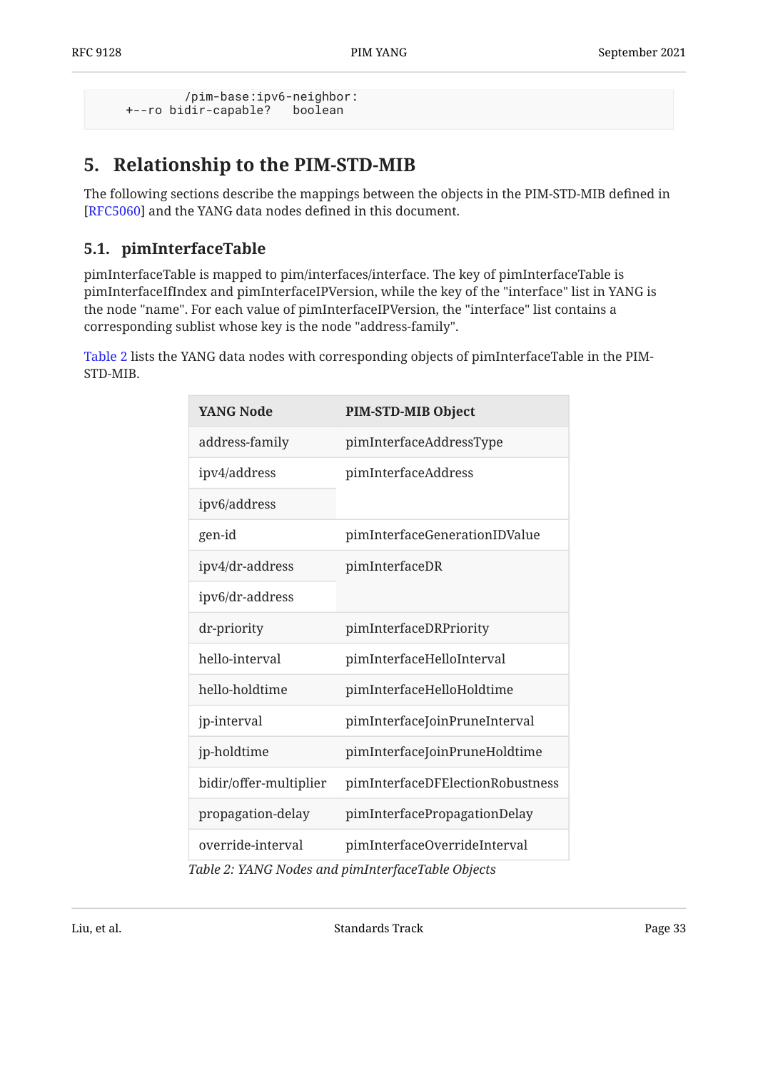```
 /pim-base:ipv6-neighbor:
 +--ro bidir-capable? boolean
```
## <span id="page-32-0"></span>**[5. Relationship to the PIM-STD-MIB](#page-32-0)**

The following sections describe the mappings between the objects in the PIM-STD-MIB defined in [[RFC5060\]](#page-96-10) and the YANG data nodes defined in this document.

## <span id="page-32-1"></span>**[5.1. pimInterfaceTable](#page-32-1)**

pimInterfaceTable is mapped to pim/interfaces/interface. The key of pimInterfaceTable is pimInterfaceIfIndex and pimInterfaceIPVersion, while the key of the "interface" list in YANG is the node "name". For each value of pimInterfaceIPVersion, the "interface" list contains a corresponding sublist whose key is the node "address-family".

<span id="page-32-2"></span>[Table 2](#page-32-2) lists the YANG data nodes with corresponding objects of pimInterfaceTable in the PIM-STD-MIB.

<span id="page-32-3"></span>

| <b>YANG Node</b>       | PIM-STD-MIB Object                                                                          |
|------------------------|---------------------------------------------------------------------------------------------|
| address-family         | pimInterfaceAddressType                                                                     |
| ipv4/address           | pimInterfaceAddress                                                                         |
| ipv6/address           |                                                                                             |
| gen-id                 | pimInterfaceGenerationIDValue                                                               |
| ipv4/dr-address        | pimInterfaceDR                                                                              |
| ipv6/dr-address        |                                                                                             |
| dr-priority            | pimInterfaceDRPriority                                                                      |
| hello-interval         | pimInterfaceHelloInterval                                                                   |
| hello-holdtime         | pimInterfaceHelloHoldtime                                                                   |
| jp-interval            | pimInterfaceJoinPruneInterval                                                               |
| jp-holdtime            | pimInterfaceJoinPruneHoldtime                                                               |
| bidir/offer-multiplier | pimInterfaceDFElectionRobustness                                                            |
| propagation-delay      | pimInterfacePropagationDelay                                                                |
| override-interval      | pimInterfaceOverrideInterval<br>$T_6$ ble 2. WAMC Modes and nim Interface $T_6$ ble Objects |

*[Table 2](#page-32-3): [YANG Nodes and pimInterfaceTable Objects](#page-32-2)*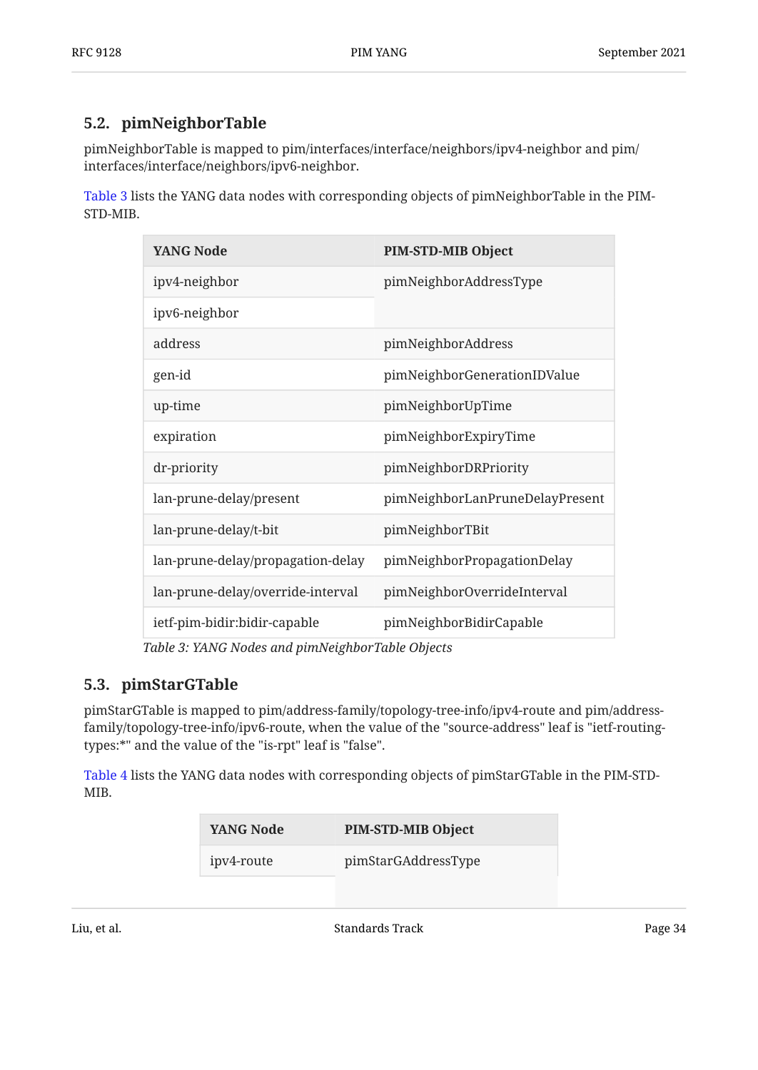## <span id="page-33-0"></span>**[5.2. pimNeighborTable](#page-33-0)**

pimNeighborTable is mapped to pim/interfaces/interface/neighbors/ipv4-neighbor and pim/ interfaces/interface/neighbors/ipv6-neighbor.

<span id="page-33-2"></span>[Table 3](#page-33-2) lists the YANG data nodes with corresponding objects of pimNeighborTable in the PIM-STD-MIB.

<span id="page-33-3"></span>

| <b>YANG Node</b>                  | <b>PIM-STD-MIB Object</b>       |
|-----------------------------------|---------------------------------|
| ipv4-neighbor                     | pimNeighborAddressType          |
| ipv6-neighbor                     |                                 |
| address                           | pimNeighborAddress              |
| gen-id                            | pimNeighborGenerationIDValue    |
| up-time                           | pimNeighborUpTime               |
| expiration                        | pimNeighborExpiryTime           |
| dr-priority                       | pimNeighborDRPriority           |
| lan-prune-delay/present           | pimNeighborLanPruneDelayPresent |
| lan-prune-delay/t-bit             | pimNeighborTBit                 |
| lan-prune-delay/propagation-delay | pimNeighborPropagationDelay     |
| lan-prune-delay/override-interval | pimNeighborOverrideInterval     |
| ietf-pim-bidir:bidir-capable      | pimNeighborBidirCapable         |

*[Table 3](#page-33-3): [YANG Nodes and pimNeighborTable Objects](#page-33-2)* 

## <span id="page-33-1"></span>**[5.3. pimStarGTable](#page-33-1)**

pimStarGTable is mapped to pim/address-family/topology-tree-info/ipv4-route and pim/addressfamily/topology-tree-info/ipv6-route, when the value of the "source-address" leaf is "ietf-routingtypes:\*" and the value of the "is-rpt" leaf is "false".

<span id="page-33-4"></span>[Table 4](#page-33-4) lists the YANG data nodes with corresponding objects of pimStarGTable in the PIM-STD-MIB.

<span id="page-33-5"></span>

| YANG Node  | <b>PIM-STD-MIB Object</b> |
|------------|---------------------------|
| ipv4-route | pimStarGAddressType       |
|            |                           |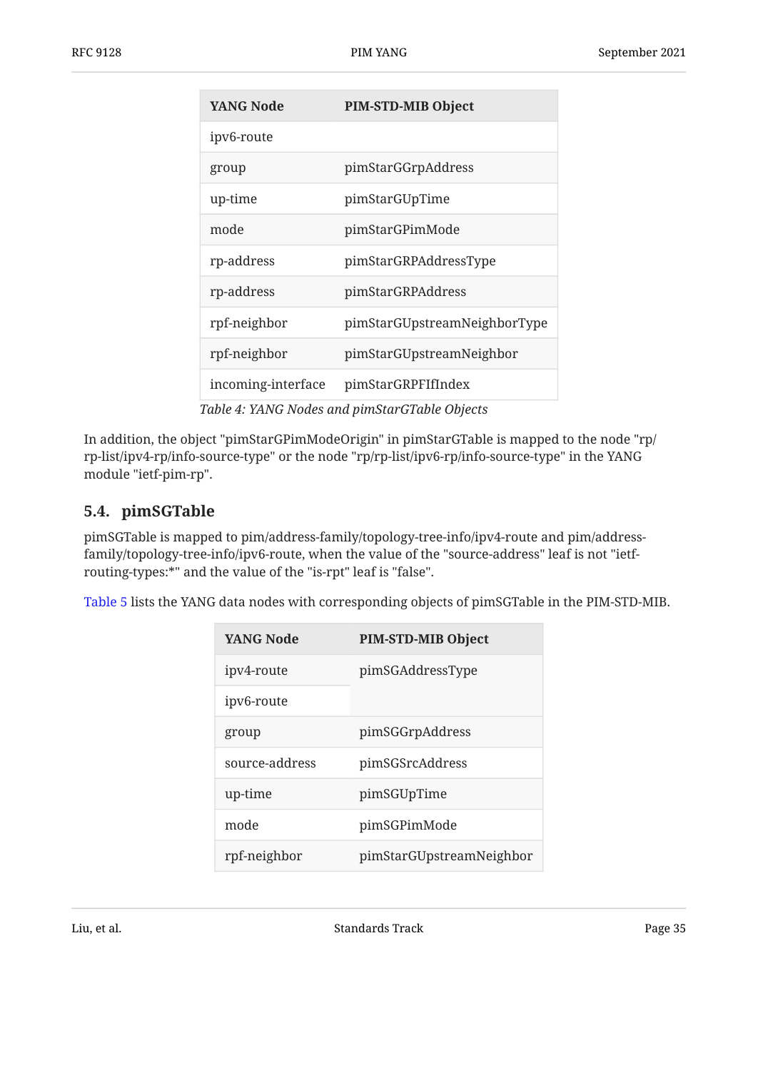| <b>YANG Node</b>   | <b>PIM-STD-MIB Object</b>                     |
|--------------------|-----------------------------------------------|
| ipv6-route         |                                               |
| group              | pimStarGGrpAddress                            |
| up-time            | pimStarGUpTime                                |
| mode               | pimStarGPimMode                               |
| rp-address         | pimStarGRPAddressType                         |
| rp-address         | pimStarGRPAddress                             |
| rpf-neighbor       | pimStarGUpstreamNeighborType                  |
| rpf-neighbor       | pimStarGUpstreamNeighbor                      |
| incoming-interface | pimStarGRPFIfIndex                            |
|                    | Table 4: YANG Nodes and pimStarGTable Objects |

In addition, the object "pimStarGPimModeOrigin" in pimStarGTable is mapped to the node "rp/ rp-list/ipv4-rp/info-source-type" or the node "rp/rp-list/ipv6-rp/info-source-type" in the YANG module "ietf-pim-rp".

## <span id="page-34-0"></span>**[5.4. pimSGTable](#page-34-0)**

pimSGTable is mapped to pim/address-family/topology-tree-info/ipv4-route and pim/addressfamily/topology-tree-info/ipv6-route, when the value of the "source-address" leaf is not "ietfrouting-types:\*" and the value of the "is-rpt" leaf is "false".

<span id="page-34-1"></span>[Table 5](#page-34-1) lists the YANG data nodes with corresponding objects of pimSGTable in the PIM-STD-MIB.

<span id="page-34-2"></span>

| <b>YANG Node</b> | <b>PIM-STD-MIB Object</b> |
|------------------|---------------------------|
| ipv4-route       | pimSGAddressType          |
| ipv6-route       |                           |
| group            | pimSGGrpAddress           |
| source-address   | pimSGSrcAddress           |
| up-time          | pimSGUpTime               |
| mode             | pimSGPimMode              |
| rpf-neighbor     | pimStarGUpstreamNeighbor  |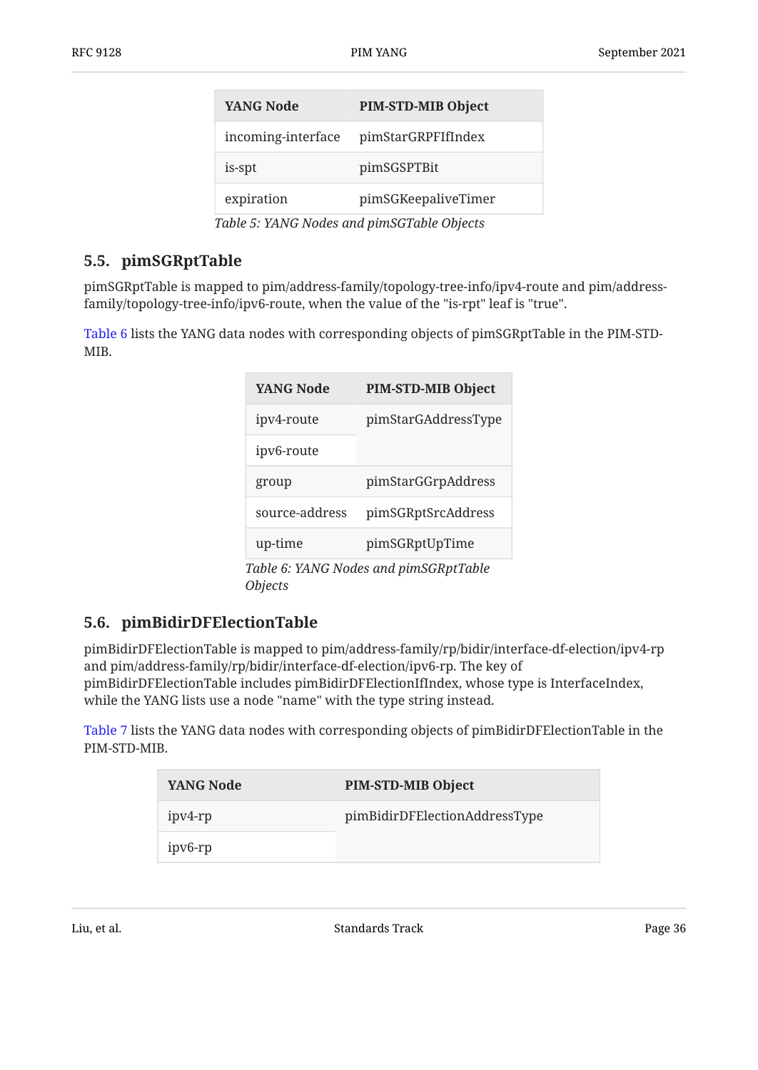| <b>PIM-STD-MIB Object</b> |
|---------------------------|
| pimStarGRPFIfIndex        |
| pimSGSPTBit               |
| pimSGKeepaliveTimer       |
|                           |

*[Table 5](#page-34-2): [YANG Nodes and pimSGTable Objects](#page-34-1)* 

## <span id="page-35-0"></span>**[5.5. pimSGRptTable](#page-35-0)**

pimSGRptTable is mapped to pim/address-family/topology-tree-info/ipv4-route and pim/addressfamily/topology-tree-info/ipv6-route, when the value of the "is-rpt" leaf is "true".

<span id="page-35-2"></span>[Table 6](#page-35-2) lists the YANG data nodes with corresponding objects of pimSGRptTable in the PIM-STD-MIB.

<span id="page-35-3"></span>

| <b>YANG Node</b> | <b>PIM-STD-MIB Object</b>             |
|------------------|---------------------------------------|
| ipv4-route       | pimStarGAddressType                   |
| ipv6-route       |                                       |
| group            | pimStarGGrpAddress                    |
| source-address   | pimSGRptSrcAddress                    |
| up-time          | pimSGRptUpTime                        |
|                  | Table 6: YANG Nodes and pimSGRptTable |

<span id="page-35-1"></span>**[5.6. pimBidirDFElectionTable](#page-35-1)** 

*[Objects](#page-35-2)* 

pimBidirDFElectionTable is mapped to pim/address-family/rp/bidir/interface-df-election/ipv4-rp and pim/address-family/rp/bidir/interface-df-election/ipv6-rp. The key of pimBidirDFElectionTable includes pimBidirDFElectionIfIndex, whose type is InterfaceIndex, while the YANG lists use a node "name" with the type string instead.

<span id="page-35-4"></span>[Table 7](#page-35-4) lists the YANG data nodes with corresponding objects of pimBidirDFElectionTable in the PIM-STD-MIB.

| YANG Node | <b>PIM-STD-MIB Object</b>     |
|-----------|-------------------------------|
| ipv4-rp   | pimBidirDFElectionAddressType |
| ipv6-rp   |                               |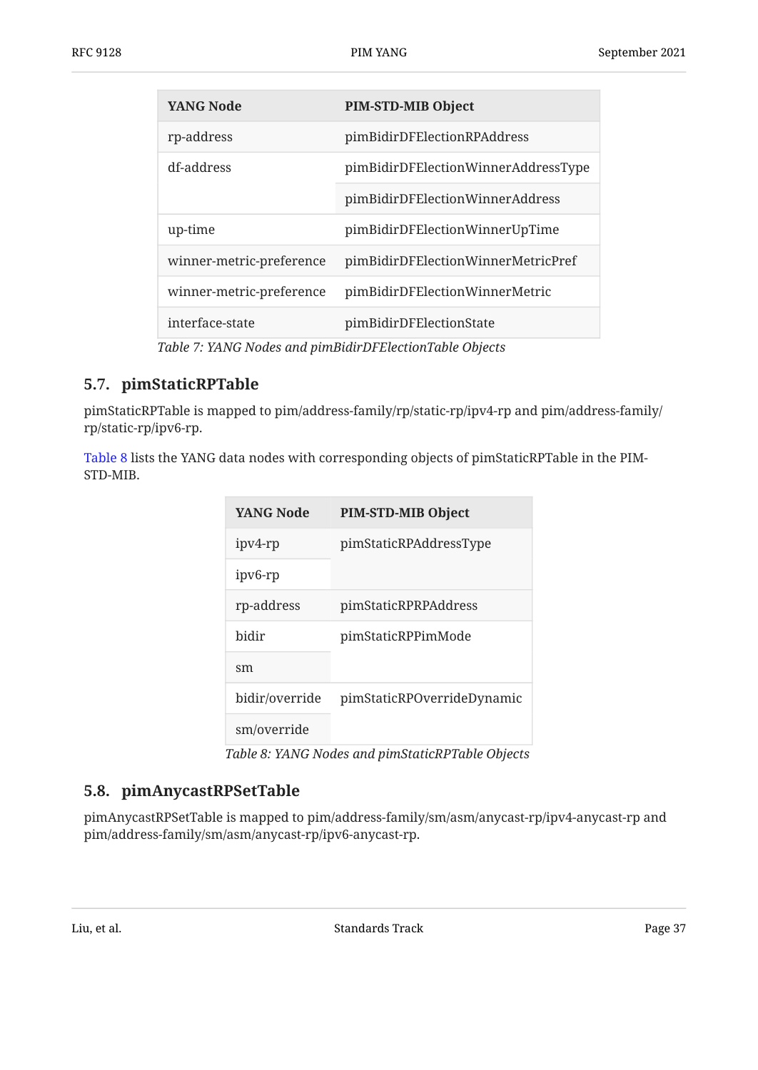| <b>YANG Node</b>         | PIM-STD-MIB Object                  |
|--------------------------|-------------------------------------|
| rp-address               | pimBidirDFElectionRPAddress         |
| df-address               | pimBidirDFElectionWinnerAddressType |
|                          | pimBidirDFElectionWinnerAddress     |
| up-time                  | pimBidirDFElectionWinnerUpTime      |
| winner-metric-preference | pimBidirDFElectionWinnerMetricPref  |
| winner-metric-preference | pimBidirDFElectionWinnerMetric      |
| interface-state          | pimBidirDFElectionState             |

*[Table 7](#page-35-0): [YANG Nodes and pimBidirDFElectionTable Objects](#page-35-1)* 

### <span id="page-36-0"></span>**[5.7. pimStaticRPTable](#page-36-0)**

pimStaticRPTable is mapped to pim/address-family/rp/static-rp/ipv4-rp and pim/address-family/ rp/static-rp/ipv6-rp.

<span id="page-36-1"></span>[Table 8](#page-36-1) lists the YANG data nodes with corresponding objects of pimStaticRPTable in the PIM-STD-MIB.

<span id="page-36-2"></span>

| <b>YANG Node</b> | <b>PIM-STD-MIB Object</b>  |
|------------------|----------------------------|
| ipv4-rp          | pimStaticRPAddressType     |
| ipv6-rp          |                            |
| rp-address       | pimStaticRPRPAddress       |
| hidir            | pimStaticRPPimMode         |
| $\rm sm$         |                            |
| bidir/override   | pimStaticRPOverrideDynamic |
| sm/override      |                            |

*[Table 8](#page-36-2): [YANG Nodes and pimStaticRPTable Objects](#page-36-1)* 

#### <span id="page-36-3"></span>**[5.8. pimAnycastRPSetTable](#page-36-3)**

pimAnycastRPSetTable is mapped to pim/address-family/sm/asm/anycast-rp/ipv4-anycast-rp and pim/address-family/sm/asm/anycast-rp/ipv6-anycast-rp.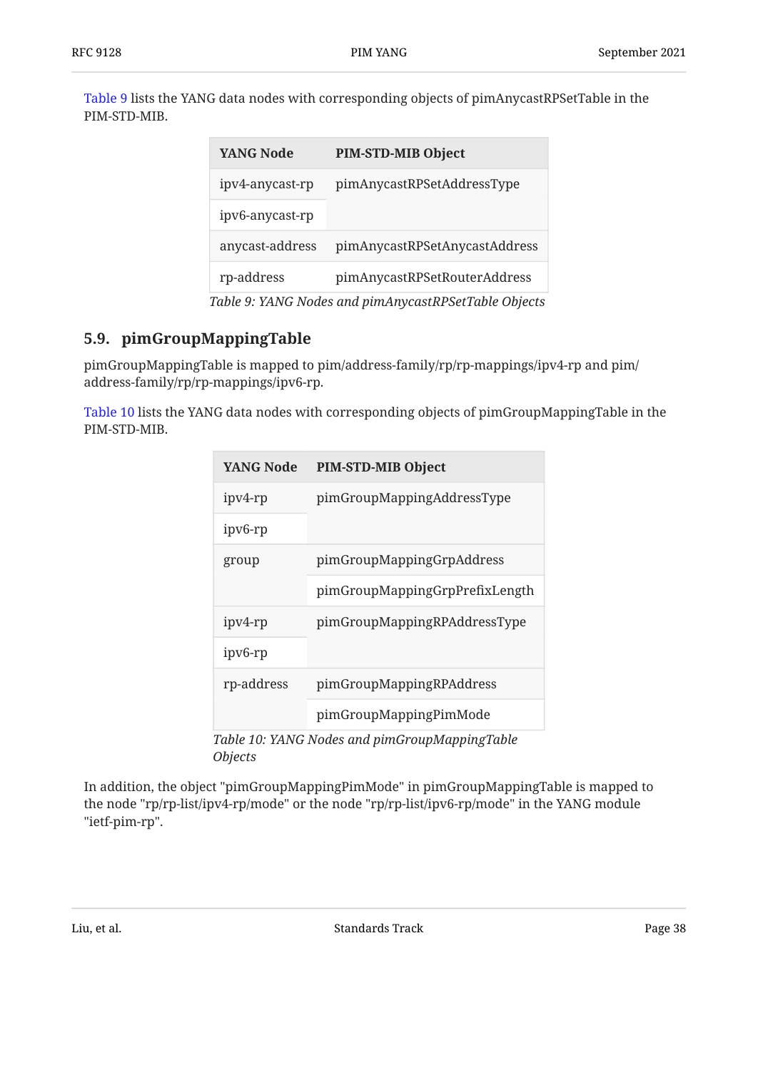<span id="page-37-0"></span>[Table 9](#page-37-0) lists the YANG data nodes with corresponding objects of pimAnycastRPSetTable in the PIM-STD-MIB.

<span id="page-37-1"></span>

| <b>YANG Node</b> | <b>PIM-STD-MIB Object</b>     |
|------------------|-------------------------------|
| ipv4-anycast-rp  | pimAnycastRPSetAddressType    |
| ipv6-anycast-rp  |                               |
| anycast-address  | pimAnycastRPSetAnycastAddress |
| rp-address       | pimAnycastRPSetRouterAddress  |
|                  |                               |

*[Table 9](#page-37-1): [YANG Nodes and pimAnycastRPSetTable Objects](#page-37-0)* 

# <span id="page-37-2"></span>**[5.9. pimGroupMappingTable](#page-37-2)**

pimGroupMappingTable is mapped to pim/address-family/rp/rp-mappings/ipv4-rp and pim/ address-family/rp/rp-mappings/ipv6-rp.

<span id="page-37-3"></span>[Table 10](#page-37-3) lists the YANG data nodes with corresponding objects of pimGroupMappingTable in the PIM-STD-MIB.

<span id="page-37-4"></span>

| YANG Node                                     | <b>PIM-STD-MIB Object</b>      |  |
|-----------------------------------------------|--------------------------------|--|
| ipv4-rp                                       | pimGroupMappingAddressType     |  |
| ipv6-rp                                       |                                |  |
| group                                         | pimGroupMappingGrpAddress      |  |
|                                               | pimGroupMappingGrpPrefixLength |  |
| ipv4-rp                                       | pimGroupMappingRPAddressType   |  |
| ipv6-rp                                       |                                |  |
| rp-address                                    | pimGroupMappingRPAddress       |  |
|                                               | pimGroupMappingPimMode         |  |
| Table 10: VANC Nodes and nimCrounManningTable |                                |  |

*[Table 10](#page-37-4): [YANG Nodes and pimGroupMappingTable](#page-37-3) [Objects](#page-37-3)* 

In addition, the object "pimGroupMappingPimMode" in pimGroupMappingTable is mapped to the node "rp/rp-list/ipv4-rp/mode" or the node "rp/rp-list/ipv6-rp/mode" in the YANG module "ietf‑pim‑rp".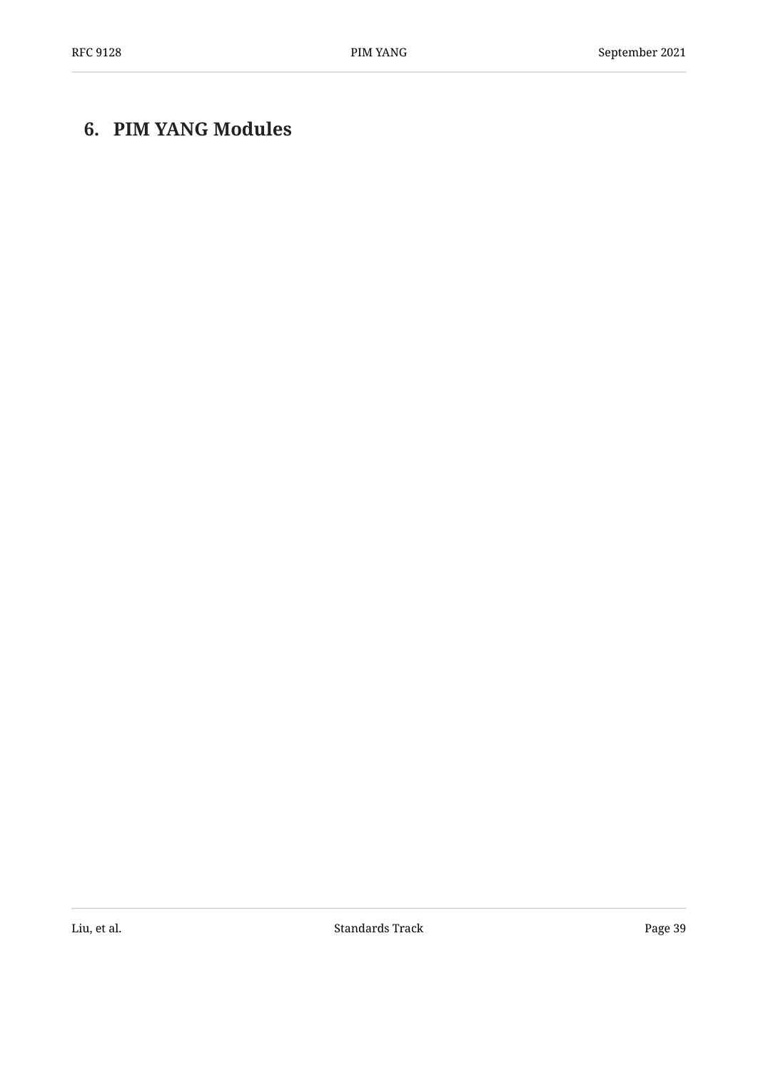# <span id="page-38-0"></span>**[6. PIM YANG Modules](#page-38-0)**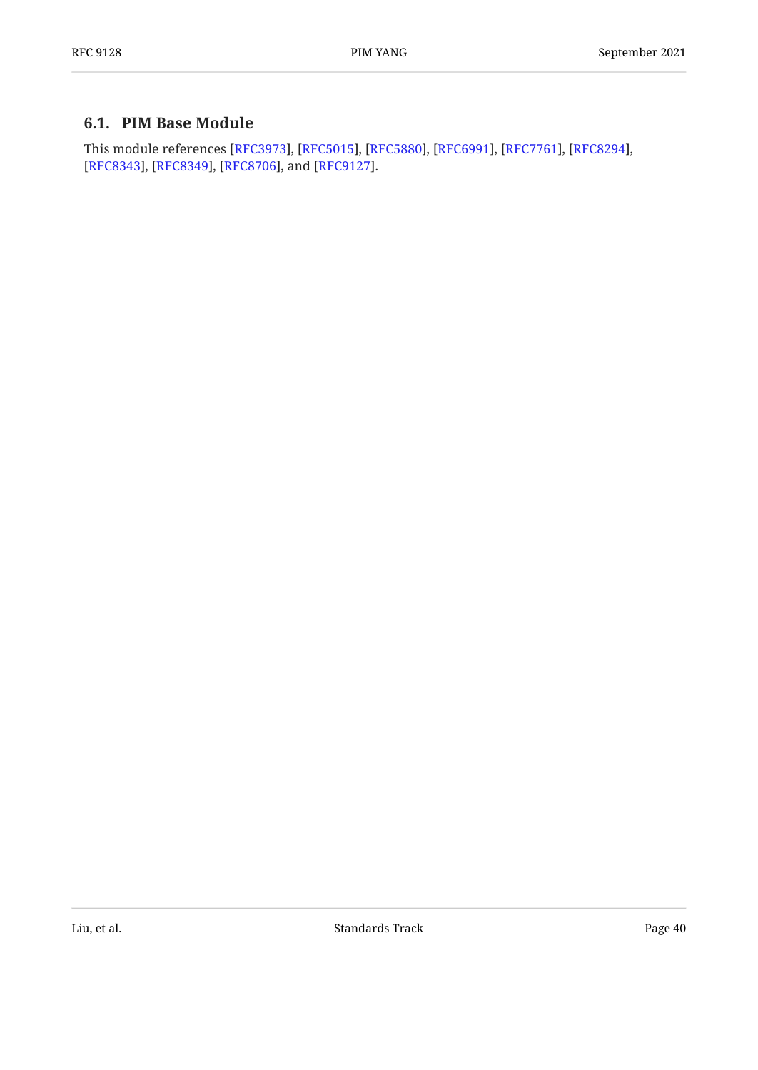## <span id="page-39-0"></span>**[6.1. PIM Base Module](#page-39-0)**

This module references [RFC3973], [RFC5015], [RFC5880], [RFC6991], [RFC7761], [RFC8294], [[RFC8343\]](#page-97-2), [RFC8349], [RFC8706], and [RFC9127].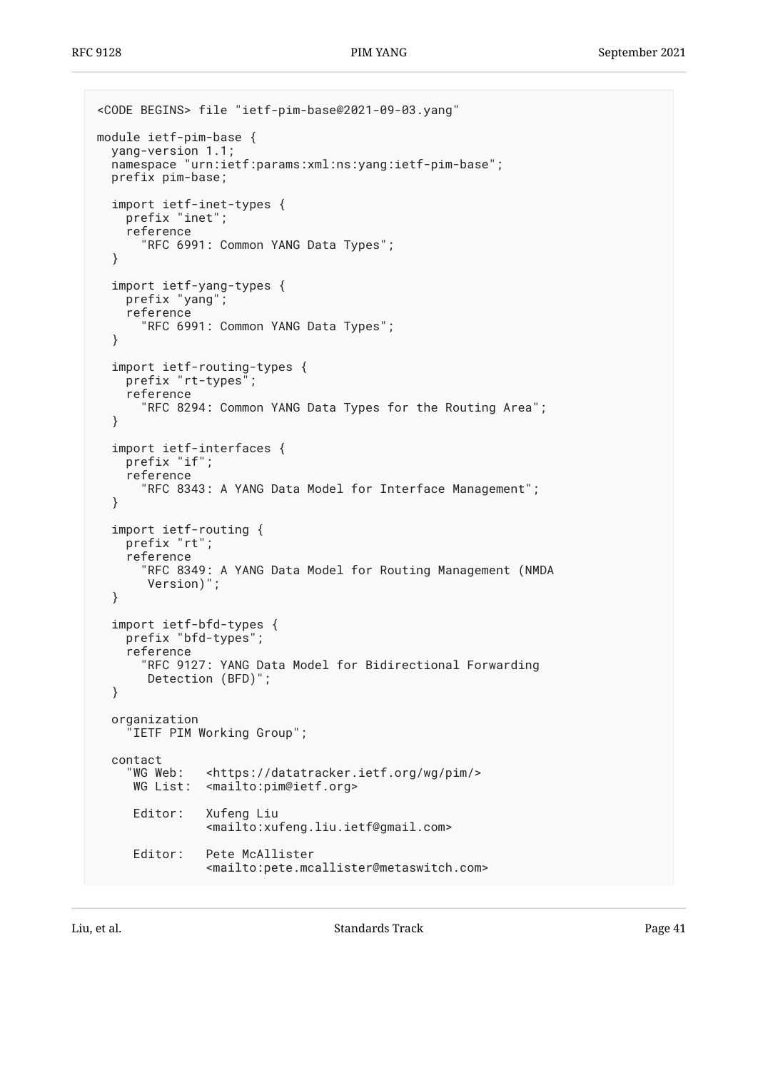```
<CODE BEGINS> file "ietf-pim-base@2021-09-03.yang"
module ietf-pim-base {
  yang-version 1.1;
   namespace "urn:ietf:params:xml:ns:yang:ietf-pim-base";
   prefix pim-base;
   import ietf-inet-types {
     prefix "inet";
     reference
       "RFC 6991: Common YANG Data Types";
   }
   import ietf-yang-types {
     prefix "yang";
     reference
       "RFC 6991: Common YANG Data Types";
   }
   import ietf-routing-types {
     prefix "rt-types";
     reference
       "RFC 8294: Common YANG Data Types for the Routing Area";
   }
   import ietf-interfaces {
     prefix "if";
     reference
       "RFC 8343: A YANG Data Model for Interface Management";
   }
   import ietf-routing {
     prefix "rt";
     reference
       "RFC 8349: A YANG Data Model for Routing Management (NMDA
        Version)";
   }
   import ietf-bfd-types {
     prefix "bfd-types";
     reference
       "RFC 9127: YANG Data Model for Bidirectional Forwarding
        Detection (BFD)";
   }
   organization
     "IETF PIM Working Group";
   contact
     "WG Web: <https://datatracker.ietf.org/wg/pim/>
      WG List: <mailto:pim@ietf.org>
      Editor: Xufeng Liu
                 <mailto:xufeng.liu.ietf@gmail.com>
      Editor: Pete McAllister
                <mailto:pete.mcallister@metaswitch.com>
```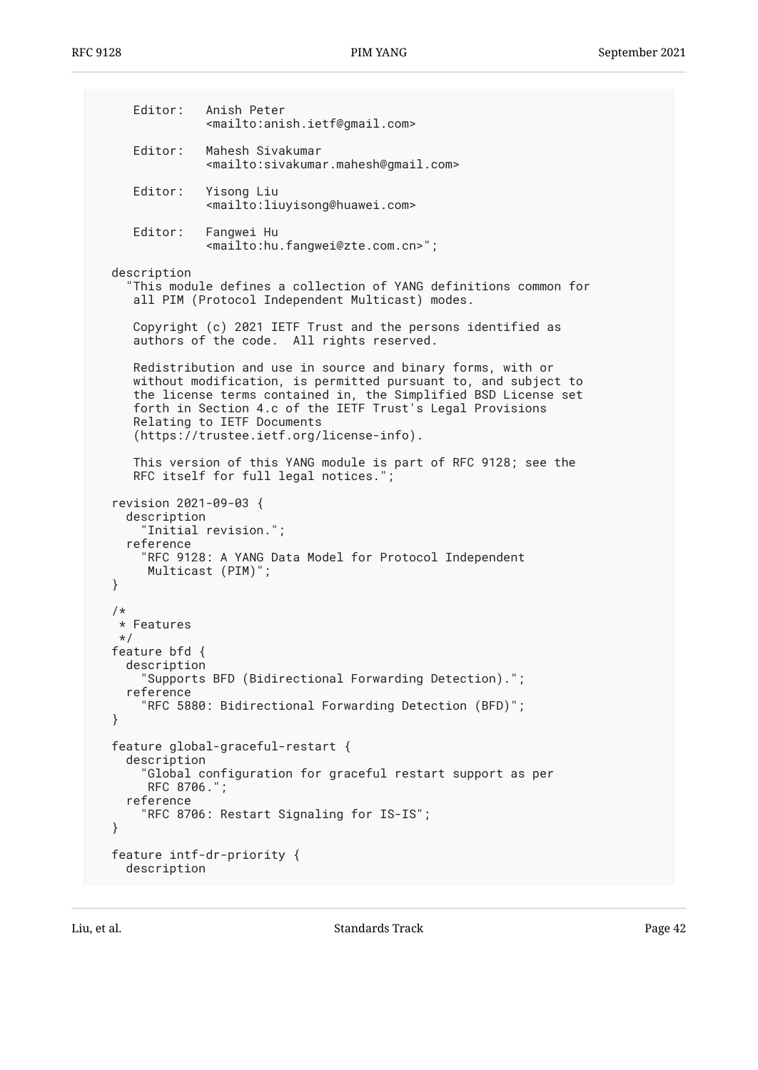Editor: Anish Peter <mailto:anish.ietf@gmail.com> Editor: Mahesh Sivakumar <mailto:sivakumar.mahesh@gmail.com> Editor: Yisong Liu <mailto:liuyisong@huawei.com> Editor: Fangwei Hu <mailto:hu.fangwei@zte.com.cn>"; description "This module defines a collection of YANG definitions common for all PIM (Protocol Independent Multicast) modes. Copyright (c) 2021 IETF Trust and the persons identified as authors of the code. All rights reserved. Redistribution and use in source and binary forms, with or without modification, is permitted pursuant to, and subject to the license terms contained in, the Simplified BSD License set forth in Section 4.c of the IETF Trust's Legal Provisions Relating to IETF Documents (https://trustee.ietf.org/license-info). This version of this YANG module is part of RFC 9128; see the RFC itself for full legal notices."; revision 2021-09-03 { description "Initial revision."; reference "RFC 9128: A YANG Data Model for Protocol Independent Multicast (PIM)"; } /\* \* Features \*/ feature bfd { description "Supports BFD (Bidirectional Forwarding Detection)."; reference "RFC 5880: Bidirectional Forwarding Detection (BFD)"; } feature global-graceful-restart { description "Global configuration for graceful restart support as per RFC 8706."; reference "RFC 8706: Restart Signaling for IS-IS"; } feature intf-dr-priority { description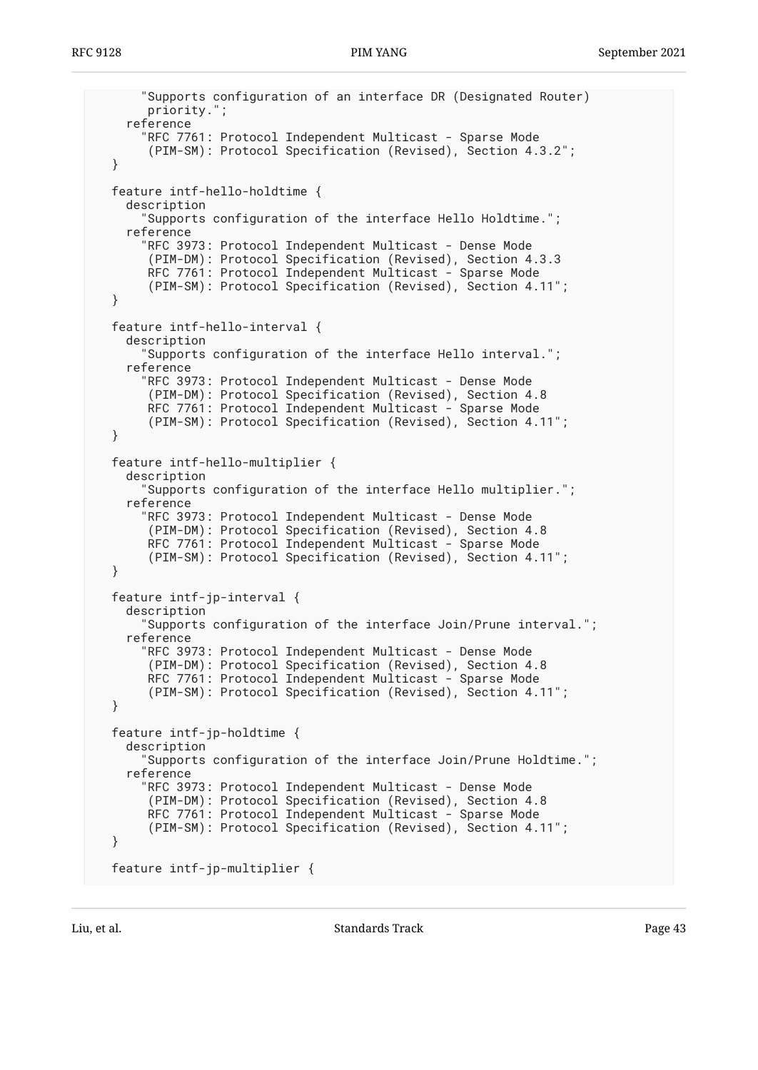```
 "Supports configuration of an interface DR (Designated Router)
      priority.";
   reference
     "RFC 7761: Protocol Independent Multicast - Sparse Mode
      (PIM-SM): Protocol Specification (Revised), Section 4.3.2";
 }
 feature intf-hello-holdtime {
   description
     "Supports configuration of the interface Hello Holdtime.";
   reference
     "RFC 3973: Protocol Independent Multicast - Dense Mode
      (PIM-DM): Protocol Specification (Revised), Section 4.3.3
      RFC 7761: Protocol Independent Multicast - Sparse Mode
      (PIM-SM): Protocol Specification (Revised), Section 4.11";
 }
 feature intf-hello-interval {
   description
     "Supports configuration of the interface Hello interval.";
   reference
     "RFC 3973: Protocol Independent Multicast - Dense Mode
      (PIM-DM): Protocol Specification (Revised), Section 4.8
      RFC 7761: Protocol Independent Multicast - Sparse Mode
      (PIM-SM): Protocol Specification (Revised), Section 4.11";
 }
 feature intf-hello-multiplier {
   description
     "Supports configuration of the interface Hello multiplier.";
   reference
     "RFC 3973: Protocol Independent Multicast - Dense Mode
      (PIM-DM): Protocol Specification (Revised), Section 4.8
      RFC 7761: Protocol Independent Multicast - Sparse Mode
      (PIM-SM): Protocol Specification (Revised), Section 4.11";
 }
 feature intf-jp-interval {
   description
     "Supports configuration of the interface Join/Prune interval.";
   reference
     "RFC 3973: Protocol Independent Multicast - Dense Mode
      (PIM-DM): Protocol Specification (Revised), Section 4.8
     RFC 7761: Protocol Independent Multicast - Sparse Mode
      (PIM-SM): Protocol Specification (Revised), Section 4.11";
 }
 feature intf-jp-holdtime {
   description
     "Supports configuration of the interface Join/Prune Holdtime.";
   reference
     "RFC 3973: Protocol Independent Multicast - Dense Mode
      (PIM-DM): Protocol Specification (Revised), Section 4.8
      RFC 7761: Protocol Independent Multicast - Sparse Mode
      (PIM-SM): Protocol Specification (Revised), Section 4.11";
 }
 feature intf-jp-multiplier {
```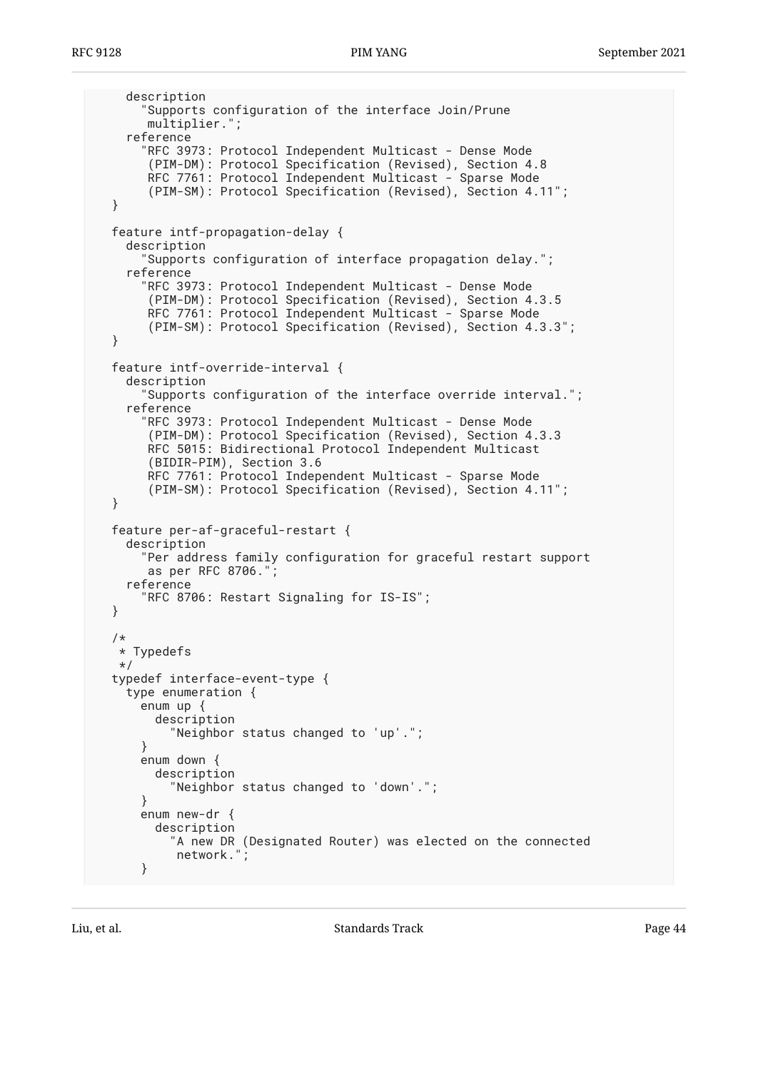```
 description
     "Supports configuration of the interface Join/Prune
      multiplier.";
   reference
     "RFC 3973: Protocol Independent Multicast - Dense Mode
      (PIM-DM): Protocol Specification (Revised), Section 4.8
      RFC 7761: Protocol Independent Multicast - Sparse Mode
      (PIM-SM): Protocol Specification (Revised), Section 4.11";
 }
 feature intf-propagation-delay {
   description
     "Supports configuration of interface propagation delay.";
   reference
     "RFC 3973: Protocol Independent Multicast - Dense Mode
      (PIM-DM): Protocol Specification (Revised), Section 4.3.5
      RFC 7761: Protocol Independent Multicast - Sparse Mode
      (PIM-SM): Protocol Specification (Revised), Section 4.3.3";
 }
 feature intf-override-interval {
   description
     "Supports configuration of the interface override interval.";
   reference
     "RFC 3973: Protocol Independent Multicast - Dense Mode
      (PIM-DM): Protocol Specification (Revised), Section 4.3.3
      RFC 5015: Bidirectional Protocol Independent Multicast
      (BIDIR-PIM), Section 3.6
      RFC 7761: Protocol Independent Multicast - Sparse Mode
      (PIM-SM): Protocol Specification (Revised), Section 4.11";
 }
 feature per-af-graceful-restart {
   description
     "Per address family configuration for graceful restart support
      as per RFC 8706.";
   reference
     "RFC 8706: Restart Signaling for IS-IS";
 }
 /*
  * Typedefs
  */
 typedef interface-event-type {
   type enumeration {
     enum up {
       description
         "Neighbor status changed to 'up'.";
     }
     enum down {
       description
         "Neighbor status changed to 'down'.";
     }
     enum new-dr {
       description
        "A new DR (Designated Router) was elected on the connected
         network.
     }
```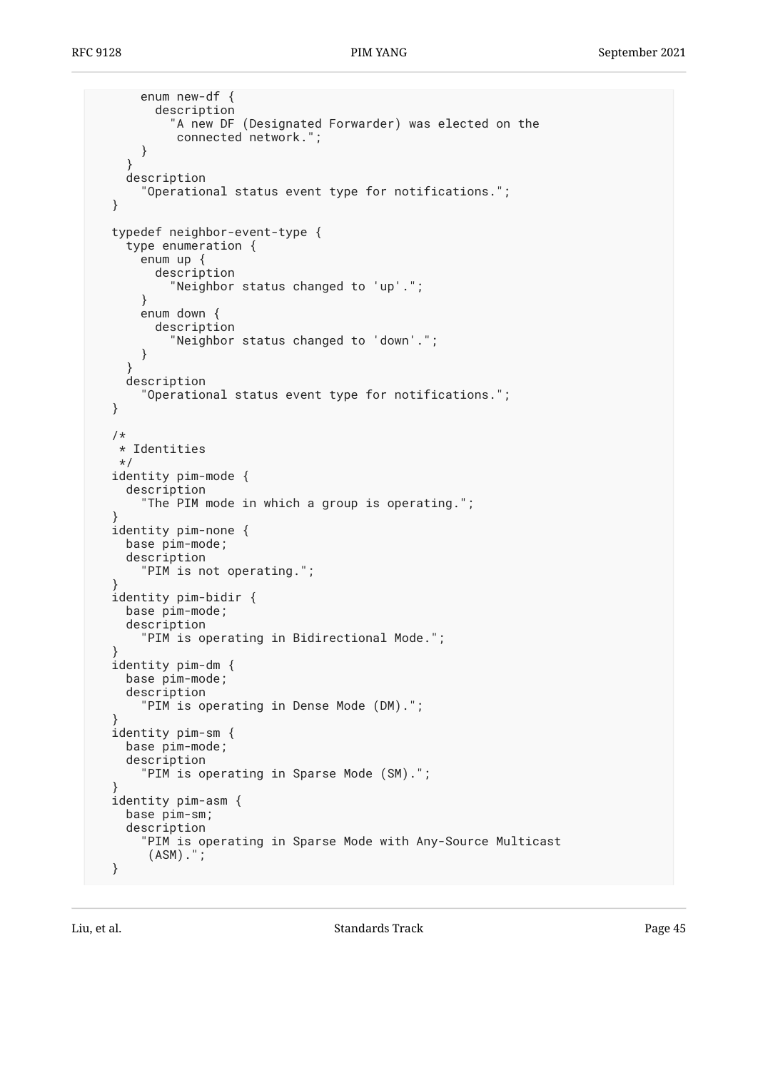```
 enum new-df {
         description
            "A new DF (Designated Forwarder) was elected on the
            connected network.";
       }
     }
     description
       "Operational status event type for notifications.";
  }
  typedef neighbor-event-type {
     type enumeration {
       enum up {
         description
           "Neighbor status changed to 'up'.";
       }
       enum down {
         description
           "Neighbor status changed to 'down'.";
       }
     }
    description
       "Operational status event type for notifications.";
  }
   /*
    * Identities
   */
  identity pim-mode {
     description
       "The PIM mode in which a group is operating.";
 }
  identity pim-none {
    base pim-mode;
     description
       "PIM is not operating.";
 }
  identity pim-bidir {
    base pim-mode;
     description
       "PIM is operating in Bidirectional Mode.";
 }
  identity pim-dm {
     base pim-mode;
     description
       "PIM is operating in Dense Mode (DM).";
 }
  identity pim-sm {
    base pim-mode;
     description
       "PIM is operating in Sparse Mode (SM).";
 }
  identity pim-asm {
     base pim-sm;
     description
       "PIM is operating in Sparse Mode with Any-Source Multicast
        (ASM).";
  }
```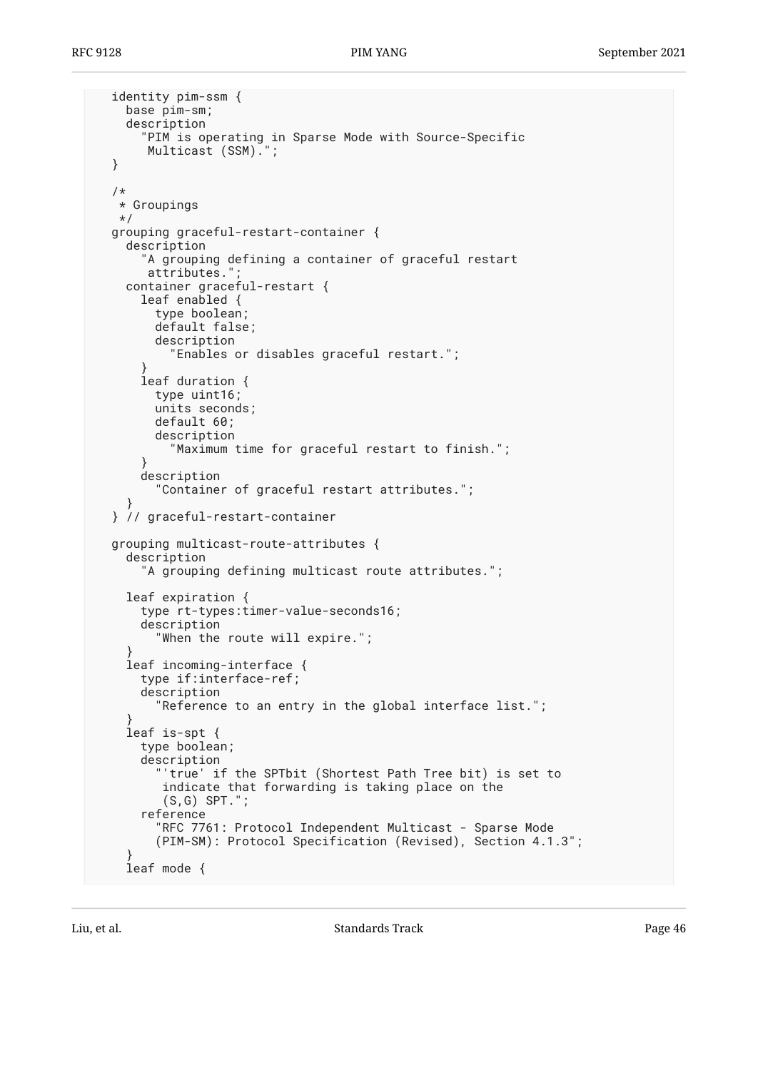```
 identity pim-ssm {
     base pim-sm;
     description
       "PIM is operating in Sparse Mode with Source-Specific
       Multicast (SSM).";
  }
  /*
   * Groupings
   */
  grouping graceful-restart-container {
    description
       "A grouping defining a container of graceful restart
      attributes."
     container graceful-restart {
      leaf enabled {
         type boolean;
         default false;
         description
           "Enables or disables graceful restart.";
 }
      leaf duration {
         type uint16;
         units seconds;
         default 60;
         description
           "Maximum time for graceful restart to finish.";
       }
      description
         "Container of graceful restart attributes.";
 }
  } // graceful-restart-container
  grouping multicast-route-attributes {
     description
       "A grouping defining multicast route attributes.";
    leaf expiration {
      type rt-types:timer-value-seconds16;
      description
         "When the route will expire.";
 }
     leaf incoming-interface {
      type if:interface-ref;
      description
         "Reference to an entry in the global interface list.";
 }
     leaf is-spt {
      type boolean;
      description
         "'true' if the SPTbit (Shortest Path Tree bit) is set to
          indicate that forwarding is taking place on the
          (S,G) SPT.";
       reference
 "RFC 7761: Protocol Independent Multicast - Sparse Mode
 (PIM-SM): Protocol Specification (Revised), Section 4.1.3";
 }
     leaf mode {
```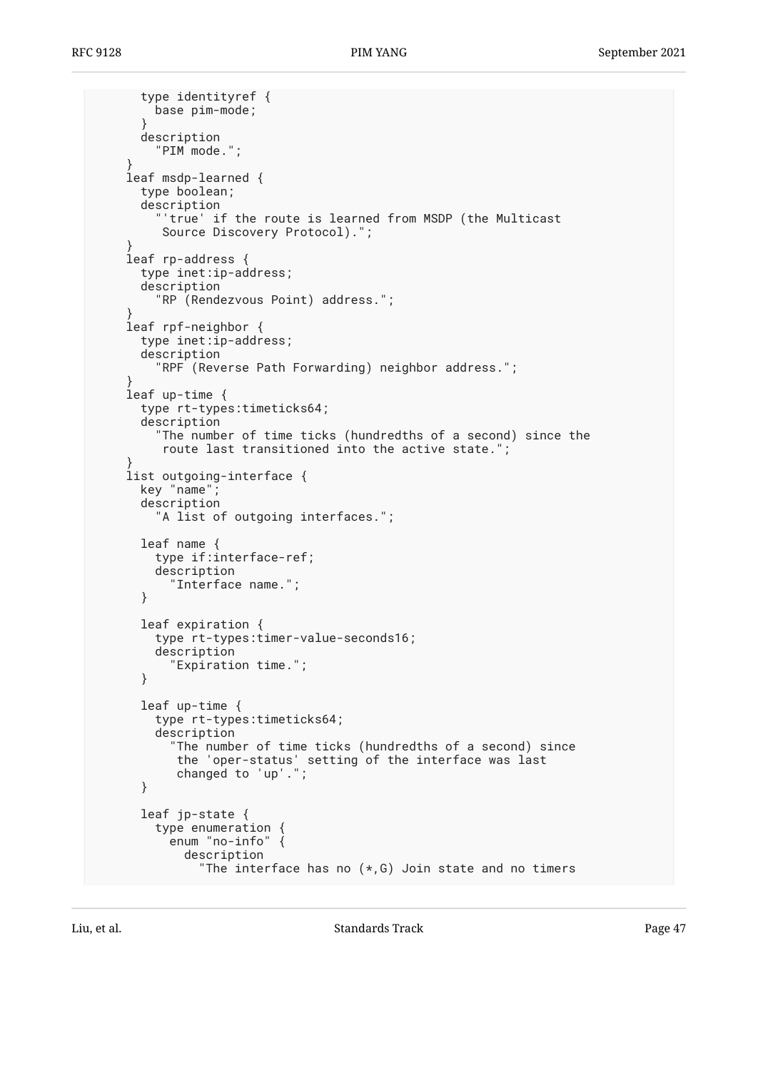```
 type identityref {
         base pim-mode;
       }
      description
         "PIM mode.";
 }
     leaf msdp-learned {
      type boolean;
       description
         "'true' if the route is learned from MSDP (the Multicast
          Source Discovery Protocol).";
 }
     leaf rp-address {
      type inet:ip-address;
      description
         "RP (Rendezvous Point) address.";
 }
     leaf rpf-neighbor {
      type inet:ip-address;
      description
         "RPF (Reverse Path Forwarding) neighbor address.";
 }
    leaf up-time {
      type rt-types:timeticks64;
      description
         "The number of time ticks (hundredths of a second) since the
          route last transitioned into the active state.";
 }
     list outgoing-interface {
      key "name";
      description
         "A list of outgoing interfaces.";
      leaf name {
         type if:interface-ref;
         description
           "Interface name.";
       }
      leaf expiration {
         type rt-types:timer-value-seconds16;
         description
           "Expiration time.";
       }
      leaf up-time {
         type rt-types:timeticks64;
         description
           "The number of time ticks (hundredths of a second) since
 the 'oper-status' setting of the interface was last
 changed to 'up'.";
       }
      leaf jp-state {
         type enumeration {
           enum "no-info" {
             description
              "The interface has no (*, G) Join state and no timers
```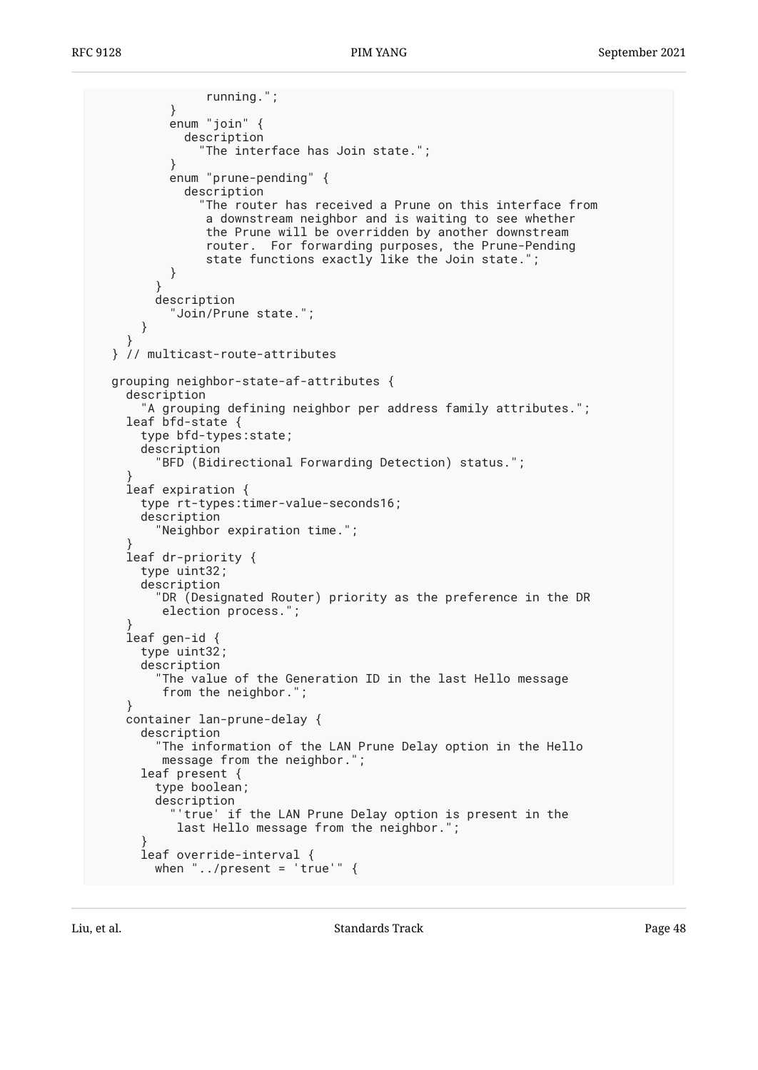running."; } enum "join" { description "The interface has Join state."; } enum "prune-pending" { description "The router has received a Prune on this interface from a downstream neighbor and is waiting to see whether the Prune will be overridden by another downstream router. For forwarding purposes, the Prune-Pending state functions exactly like the Join state."; } } description "Join/Prune state."; } } } // multicast-route-attributes grouping neighbor-state-af-attributes { description "A grouping defining neighbor per address family attributes."; leaf bfd-state { type bfd-types:state; description "BFD (Bidirectional Forwarding Detection) status."; } leaf expiration { type rt-types:timer-value-seconds16; description "Neighbor expiration time."; } leaf dr-priority { type uint32; description "DR (Designated Router) priority as the preference in the DR election process."; } leaf gen-id { type uint32; description "The value of the Generation ID in the last Hello message from the neighbor."; } container lan-prune-delay { description "The information of the LAN Prune Delay option in the Hello message from the neighbor."; leaf present { type boolean; description "'true' if the LAN Prune Delay option is present in the last Hello message from the neighbor."; } leaf override-interval { when "../present = 'true'"  $\{$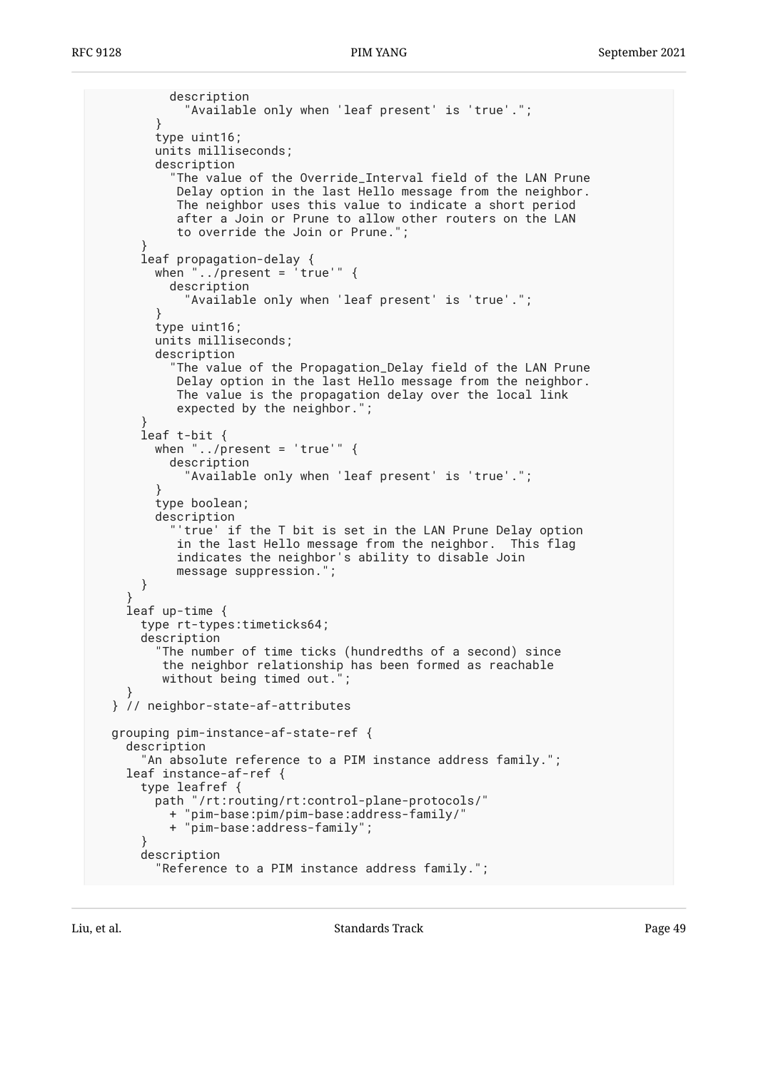```
 description
             "Available only when 'leaf present' is 'true'.";
         }
        type uint16;
        units milliseconds;
         description
           "The value of the Override_Interval field of the LAN Prune
            Delay option in the last Hello message from the neighbor.
            The neighbor uses this value to indicate a short period
            after a Join or Prune to allow other routers on the LAN
            to override the Join or Prune.";
 }
       leaf propagation-delay {
       when \ldots/present = \lceiltrue'" {
           description
             "Available only when 'leaf present' is 'true'.";
 }
        type uint16;
        units milliseconds;
        description
           "The value of the Propagation_Delay field of the LAN Prune
           Delay option in the last Hello message from the neighbor.
            The value is the propagation delay over the local link
            expected by the neighbor.";
 }
       leaf t-bit {
       when "../present = 'true'" \{ description
             "Available only when 'leaf present' is 'true'.";
 }
        type boolean;
         description
           "'true' if the T bit is set in the LAN Prune Delay option
            in the last Hello message from the neighbor. This flag
            indicates the neighbor's ability to disable Join
            message suppression.";
      }
 }
     leaf up-time {
      type rt-types:timeticks64;
       description
         "The number of time ticks (hundredths of a second) since
          the neighbor relationship has been formed as reachable
          without being timed out.";
 }
  } // neighbor-state-af-attributes
  grouping pim-instance-af-state-ref {
     description
       "An absolute reference to a PIM instance address family.";
     leaf instance-af-ref {
       type leafref {
         path "/rt:routing/rt:control-plane-protocols/"
           + "pim-base:pim/pim-base:address-family/"
           + "pim-base:address-family";
 }
       description
         "Reference to a PIM instance address family.";
```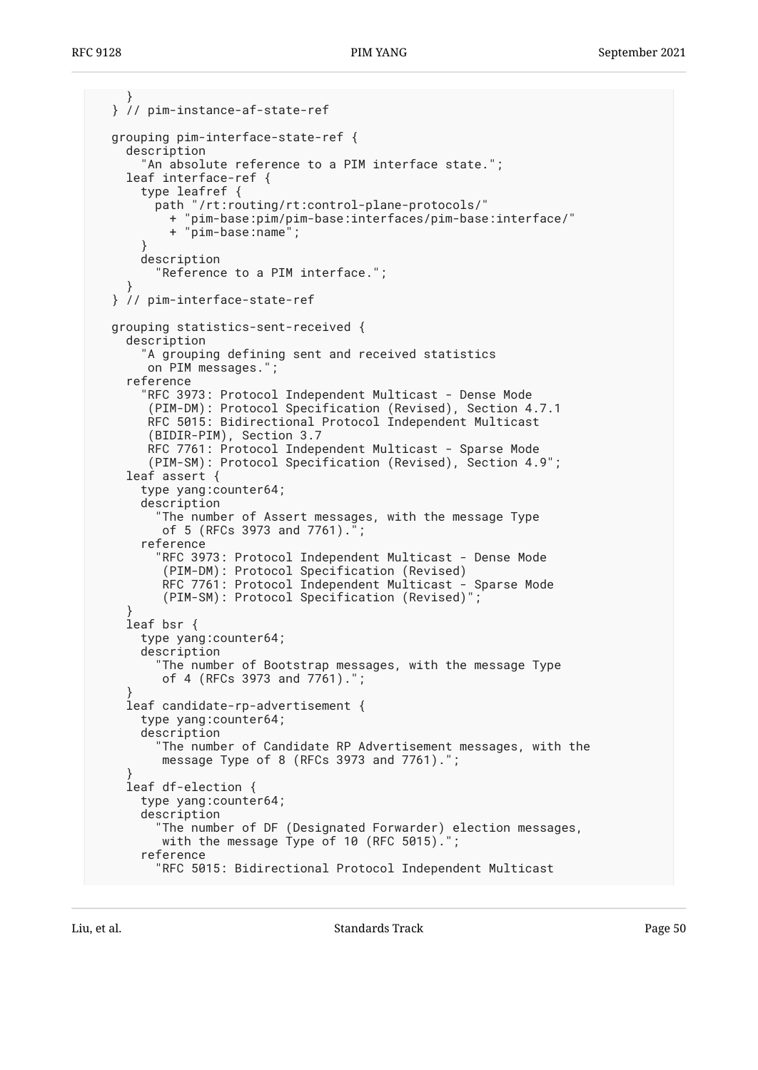```
 }
  } // pim-instance-af-state-ref
  grouping pim-interface-state-ref {
     description
      'An absolute reference to a PIM interface state.";
     leaf interface-ref {
       type leafref {
         path "/rt:routing/rt:control-plane-protocols/"
           + "pim-base:pim/pim-base:interfaces/pim-base:interface/"
           + "pim-base:name";
 }
       description
         "Reference to a PIM interface.";
 }
  } // pim-interface-state-ref
  grouping statistics-sent-received {
     description
       "A grouping defining sent and received statistics
       on PIM messages.";
     reference
       "RFC 3973: Protocol Independent Multicast - Dense Mode
        (PIM-DM): Protocol Specification (Revised), Section 4.7.1
       RFC 5015: Bidirectional Protocol Independent Multicast
        (BIDIR-PIM), Section 3.7
       RFC 7761: Protocol Independent Multicast - Sparse Mode
        (PIM-SM): Protocol Specification (Revised), Section 4.9";
     leaf assert {
      type yang:counter64;
       description
         "The number of Assert messages, with the message Type
          of 5 (RFCs 3973 and 7761).";
       reference
         "RFC 3973: Protocol Independent Multicast - Dense Mode
          (PIM-DM): Protocol Specification (Revised)
          RFC 7761: Protocol Independent Multicast - Sparse Mode
          (PIM-SM): Protocol Specification (Revised)";
 }
     leaf bsr {
      type yang:counter64;
       description
         "The number of Bootstrap messages, with the message Type
          of 4 (RFCs 3973 and 7761).";
 }
     leaf candidate-rp-advertisement {
      type yang:counter64;
      description
         "The number of Candidate RP Advertisement messages, with the
         message Type of 8 (RFCs 3973 and 7761).";
 }
     leaf df-election {
      type yang:counter64;
      description
         "The number of DF (Designated Forwarder) election messages,
          with the message Type of 10 (RFC 5015).";
       reference
         "RFC 5015: Bidirectional Protocol Independent Multicast
```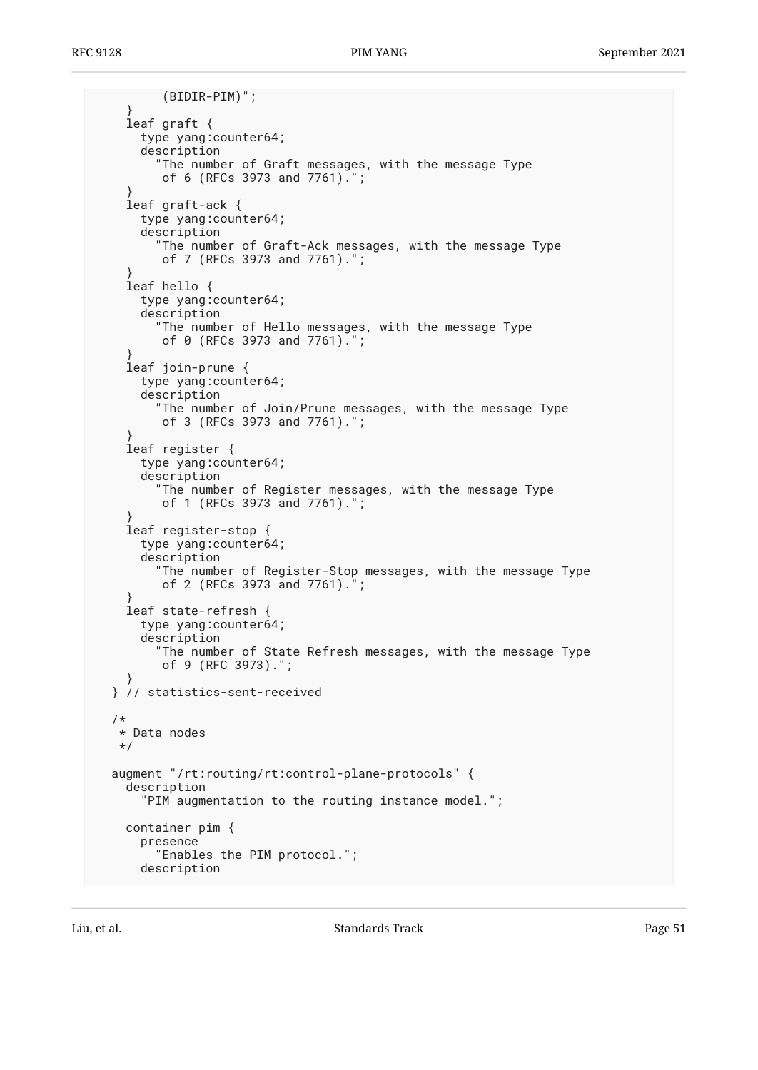```
 (BIDIR-PIM)";
     }
     leaf graft {
      type yang:counter64;
       description
         "The number of Graft messages, with the message Type
          of 6 (RFCs 3973 and 7761).";
 }
     leaf graft-ack {
       type yang:counter64;
       description
         "The number of Graft-Ack messages, with the message Type
          of 7 (RFCs 3973 and 7761).";
 }
     leaf hello {
       type yang:counter64;
       description
        "The number of Hello messages, with the message Type
          of 0 (RFCs 3973 and 7761).";
 }
     leaf join-prune {
       type yang:counter64;
       description
         "The number of Join/Prune messages, with the message Type
          of 3 (RFCs 3973 and 7761).";
 }
     leaf register {
      type yang:counter64;
       description
         "The number of Register messages, with the message Type
          of 1 (RFCs 3973 and 7761).";
 }
     leaf register-stop {
      type yang:counter64;
       description
         "The number of Register-Stop messages, with the message Type
         of 2 (RFCs 3973 and 7761).
 }
     leaf state-refresh {
      type yang:counter64;
       description
         "The number of State Refresh messages, with the message Type
          of 9 (RFC 3973).";
 }
  } // statistics-sent-received
  /*
   * Data nodes
   */
  augment "/rt:routing/rt:control-plane-protocols" {
     description
       "PIM augmentation to the routing instance model.";
    container pim {
       presence
         "Enables the PIM protocol.";
       description
```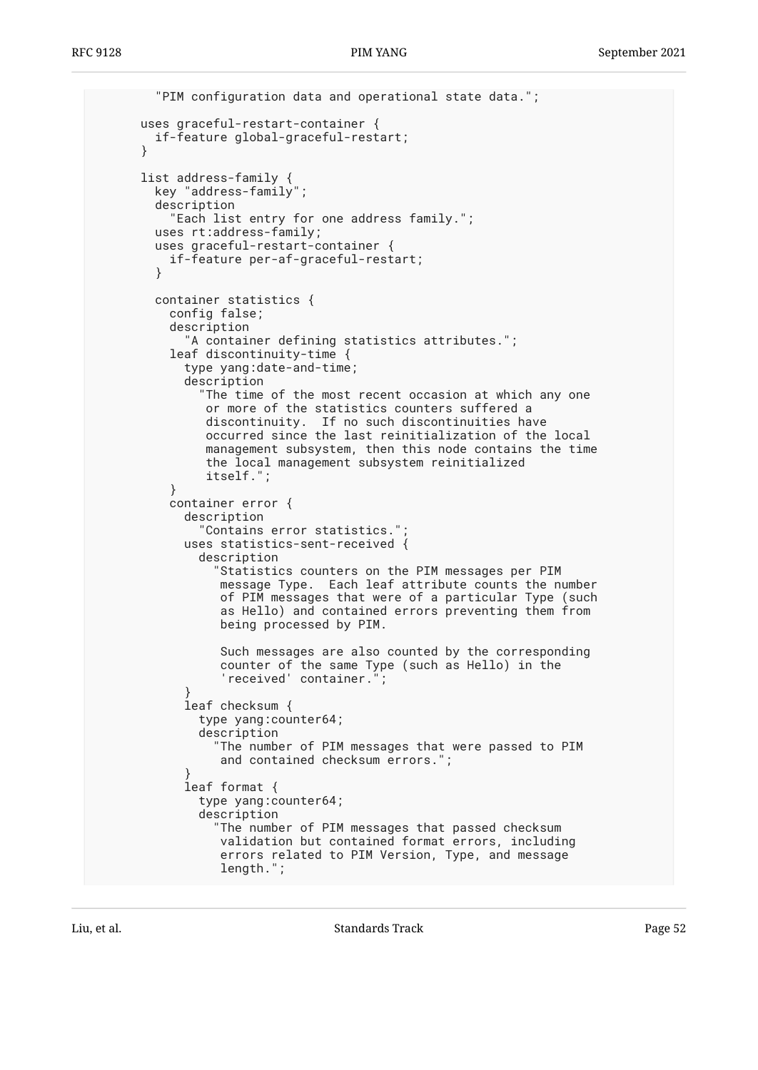```
 "PIM configuration data and operational state data.";
       uses graceful-restart-container {
         if-feature global-graceful-restart;
 }
       list address-family {
        key "address-family";
        description
           "Each list entry for one address family.";
        uses rt:address-family;
         uses graceful-restart-container {
          if-feature per-af-graceful-restart;
         }
        container statistics {
           config false;
           description
             "A container defining statistics attributes.";
           leaf discontinuity-time {
             type yang:date-and-time;
             description
               "The time of the most recent occasion at which any one
                or more of the statistics counters suffered a
                discontinuity. If no such discontinuities have
                occurred since the last reinitialization of the local
                management subsystem, then this node contains the time
                the local management subsystem reinitialized
                itself.";
 }
           container error {
             description
               "Contains error statistics.";
             uses statistics-sent-received {
               description
                  "Statistics counters on the PIM messages per PIM
                  message Type. Each leaf attribute counts the number
                  of PIM messages that were of a particular Type (such
                  as Hello) and contained errors preventing them from
                  being processed by PIM.
                  Such messages are also counted by the corresponding
                  counter of the same Type (such as Hello) in the
                 'received' container.";
 }
             leaf checksum {
               type yang:counter64;
               description
                 "The number of PIM messages that were passed to PIM
                  and contained checksum errors.";
 }
             leaf format {
               type yang:counter64;
               description
                 "The number of PIM messages that passed checksum
                  validation but contained format errors, including
                  errors related to PIM Version, Type, and message
                  length.";
```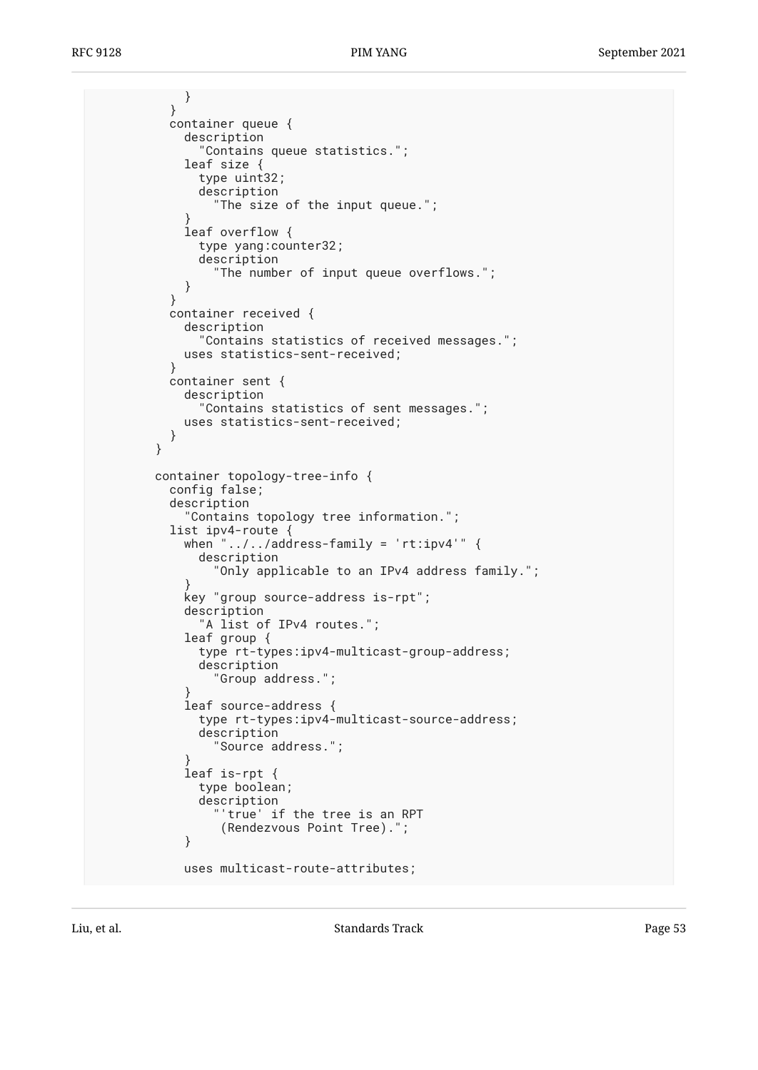} } container queue { description "Contains queue statistics."; leaf size { type uint32; description "The size of the input queue."; } leaf overflow { type yang:counter32; description "The number of input queue overflows."; } } container received { description "Contains statistics of received messages."; uses statistics-sent-received; } container sent { description "Contains statistics of sent messages."; uses statistics-sent-received; } } container topology-tree-info { config false; description "Contains topology tree information."; list ipv4-route { when  $"$ ../../address-family =  $'$ rt:ipv4'" { description "Only applicable to an IPv4 address family."; } key "group source-address is-rpt"; description "A list of IPv4 routes."; leaf group { type rt-types:ipv4-multicast-group-address; description "Group address."; } leaf source-address { type rt-types:ipv4-multicast-source-address; description "Source address."; } leaf is-rpt { type boolean; description "'true' if the tree is an RPT (Rendezvous Point Tree)."; } uses multicast-route-attributes;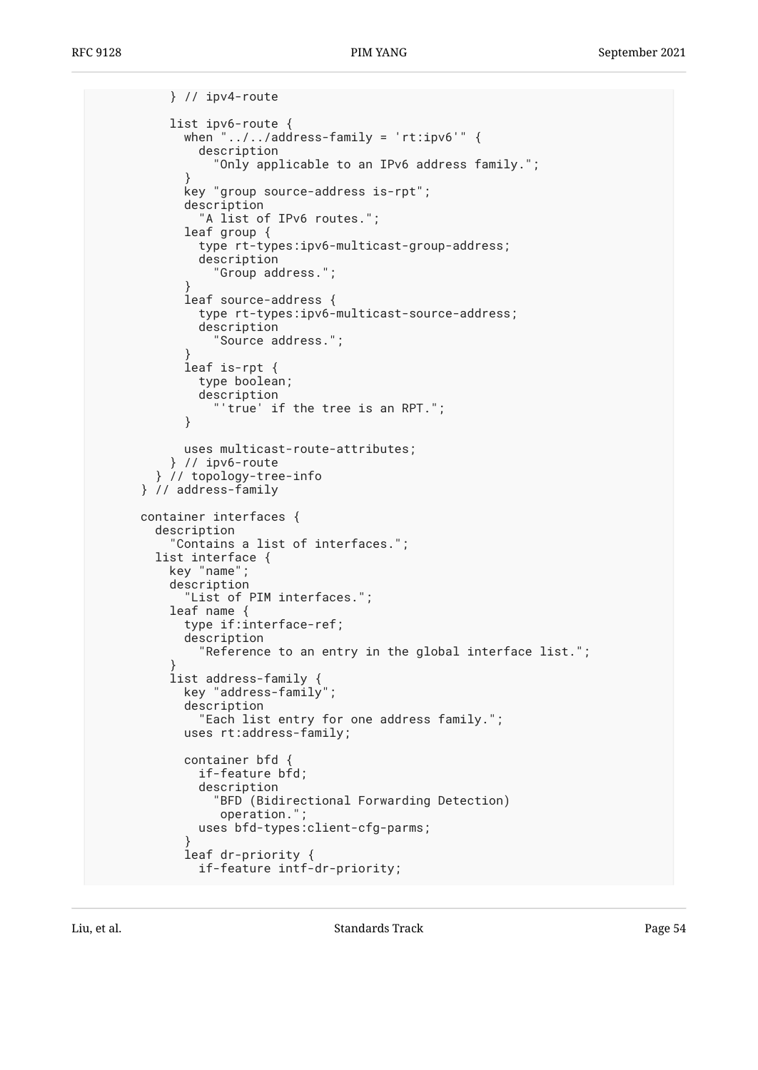```
 } // ipv4-route
          list ipv6-route {
            when "../../address-family = 'rt:ipv6'" {
               description
                 "Only applicable to an IPv6 address family.";
 }
            key "group source-address is-rpt";
            description
               "A list of IPv6 routes.";
            leaf group {
               type rt-types:ipv6-multicast-group-address;
               description
                "Group address.";
 }
            leaf source-address {
              type rt-types:ipv6-multicast-source-address;
              description
                "Source address.";
 }
            leaf is-rpt {
              type boolean;
               description
            "'true' if the tree is an RPT.";
 }
            uses multicast-route-attributes;
           } // ipv6-route
         } // topology-tree-info
      } // address-family
      container interfaces {
        description
           "Contains a list of interfaces.";
        list interface {
          key "name";
          description
             "List of PIM interfaces.";
          leaf name {
            type if:interface-ref;
            description
               "Reference to an entry in the global interface list.";
 }
          list address-family {
            key "address-family";
            description
               "Each list entry for one address family.";
            uses rt:address-family;
            container bfd {
              if-feature bfd;
               description
                 "BFD (Bidirectional Forwarding Detection)
                 operation.";
              uses bfd-types:client-cfg-parms;
 }
            leaf dr-priority {
              if-feature intf-dr-priority;
```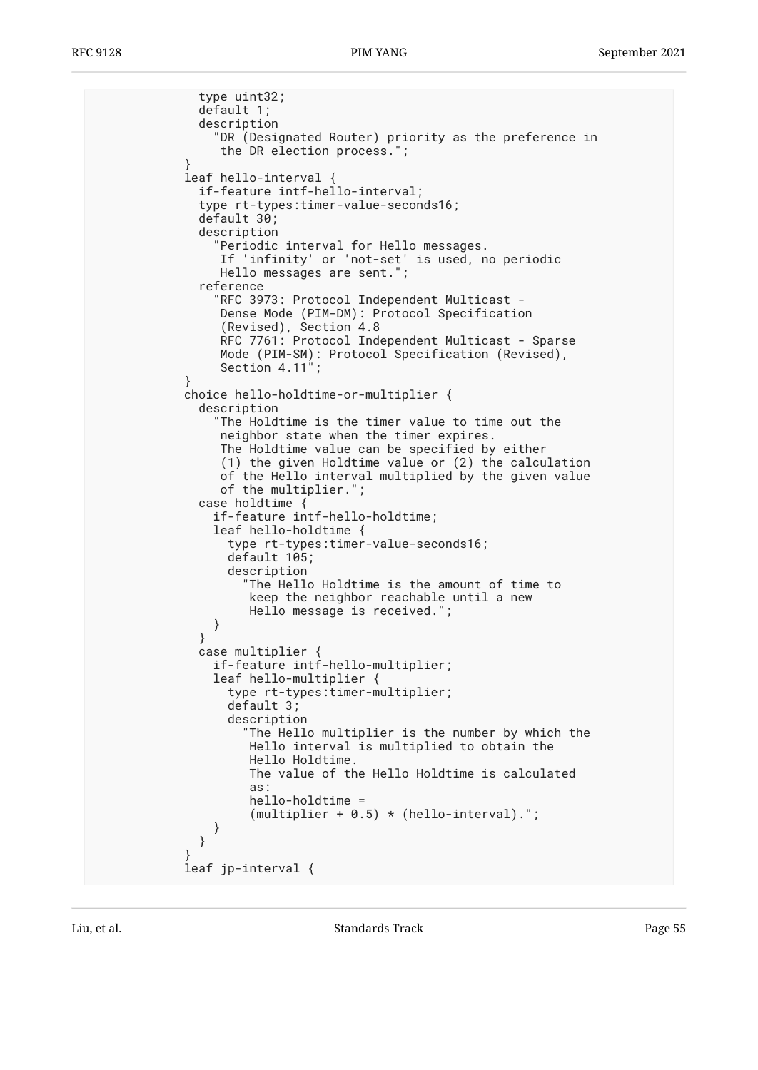```
 type uint32;
              default 1;
              description
                "DR (Designated Router) priority as the preference in
                 the DR election process.";
 }
            leaf hello-interval {
              if-feature intf-hello-interval;
              type rt-types:timer-value-seconds16;
              default 30;
              description
                "Periodic interval for Hello messages.
                 If 'infinity' or 'not-set' is used, no periodic
                 Hello messages are sent.";
              reference
                "RFC 3973: Protocol Independent Multicast -
 Dense Mode (PIM-DM): Protocol Specification
 (Revised), Section 4.8
                 RFC 7761: Protocol Independent Multicast - Sparse
                 Mode (PIM-SM): Protocol Specification (Revised),
                Section 4.11";
 }
            choice hello-holdtime-or-multiplier {
              description
                "The Holdtime is the timer value to time out the
                 neighbor state when the timer expires.
                 The Holdtime value can be specified by either
                 (1) the given Holdtime value or (2) the calculation
                 of the Hello interval multiplied by the given value
                 of the multiplier.";
              case holdtime {
                if-feature intf-hello-holdtime;
                leaf hello-holdtime {
                  type rt-types:timer-value-seconds16;
                  default 105;
                  description
                    "The Hello Holdtime is the amount of time to
                     keep the neighbor reachable until a new
               Hello message is received.";<br>}
 }
 }
              case multiplier {
                if-feature intf-hello-multiplier;
                leaf hello-multiplier {
                  type rt-types:timer-multiplier;
                  default 3;
                  description
                    "The Hello multiplier is the number by which the
                     Hello interval is multiplied to obtain the
                     Hello Holdtime.
                     The value of the Hello Holdtime is calculated
as: as: as: as: as:
                     hello-holdtime =
                    (multiplier + 0.5) * (hello-interval). }
 }
 }
            leaf jp-interval {
```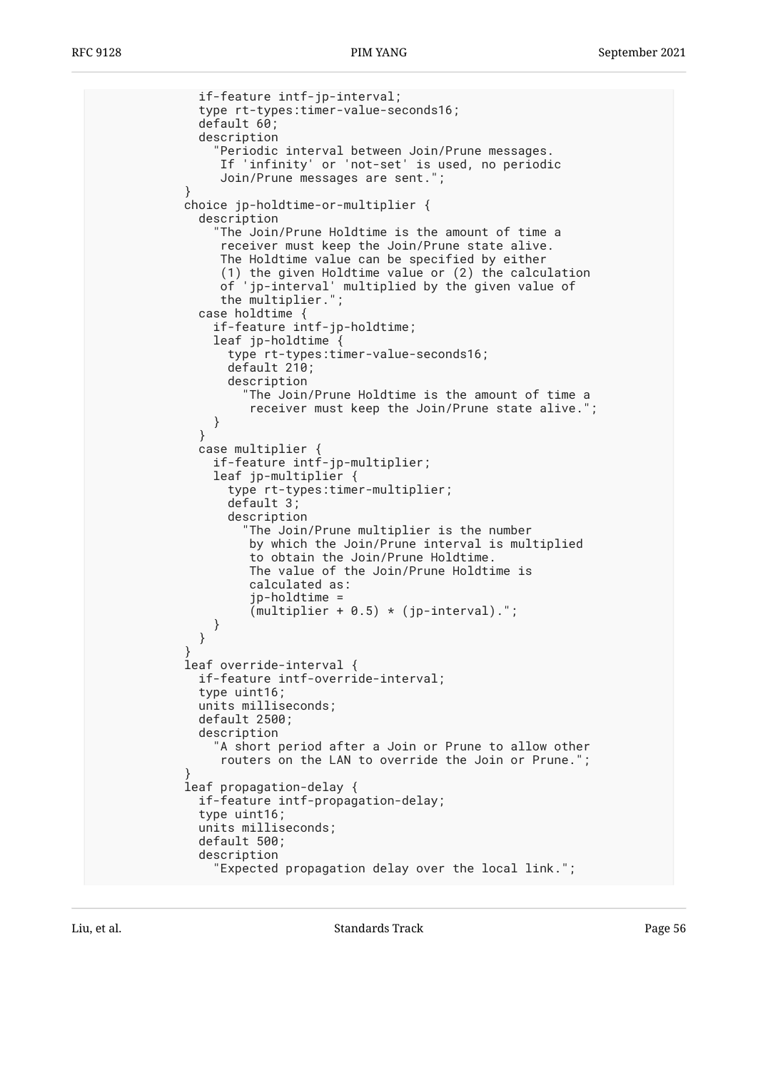```
 if-feature intf-jp-interval;
              type rt-types:timer-value-seconds16;
              default 60;
              description
 "Periodic interval between Join/Prune messages.
 If 'infinity' or 'not-set' is used, no periodic
                 Join/Prune messages are sent.";
 }
            choice jp-holdtime-or-multiplier {
              description
                "The Join/Prune Holdtime is the amount of time a
                 receiver must keep the Join/Prune state alive.
                 The Holdtime value can be specified by either
                 (1) the given Holdtime value or (2) the calculation
                 of 'jp-interval' multiplied by the given value of
                 the multiplier.";
              case holdtime {
                if-feature intf-jp-holdtime;
                leaf jp-holdtime {
                  type rt-types:timer-value-seconds16;
                  default 210;
                  description
                    "The Join/Prune Holdtime is the amount of time a
                     receiver must keep the Join/Prune state alive.";
 }
 }
              case multiplier {
                if-feature intf-jp-multiplier;
                leaf jp-multiplier {
                  type rt-types:timer-multiplier;
                  default 3;
                  description
                    "The Join/Prune multiplier is the number
                     by which the Join/Prune interval is multiplied
                     to obtain the Join/Prune Holdtime.
                     The value of the Join/Prune Holdtime is
                     calculated as:
                     jp-holdtime =
               (multiplier + 0.5) * (jp-interval).";
 }
 }
 }
            leaf override-interval {
              if-feature intf-override-interval;
              type uint16;
              units milliseconds;
              default 2500;
              description
                "A short period after a Join or Prune to allow other
                 routers on the LAN to override the Join or Prune.";
 }
            leaf propagation-delay {
              if-feature intf-propagation-delay;
              type uint16;
              units milliseconds;
              default 500;
              description
                "Expected propagation delay over the local link.";
```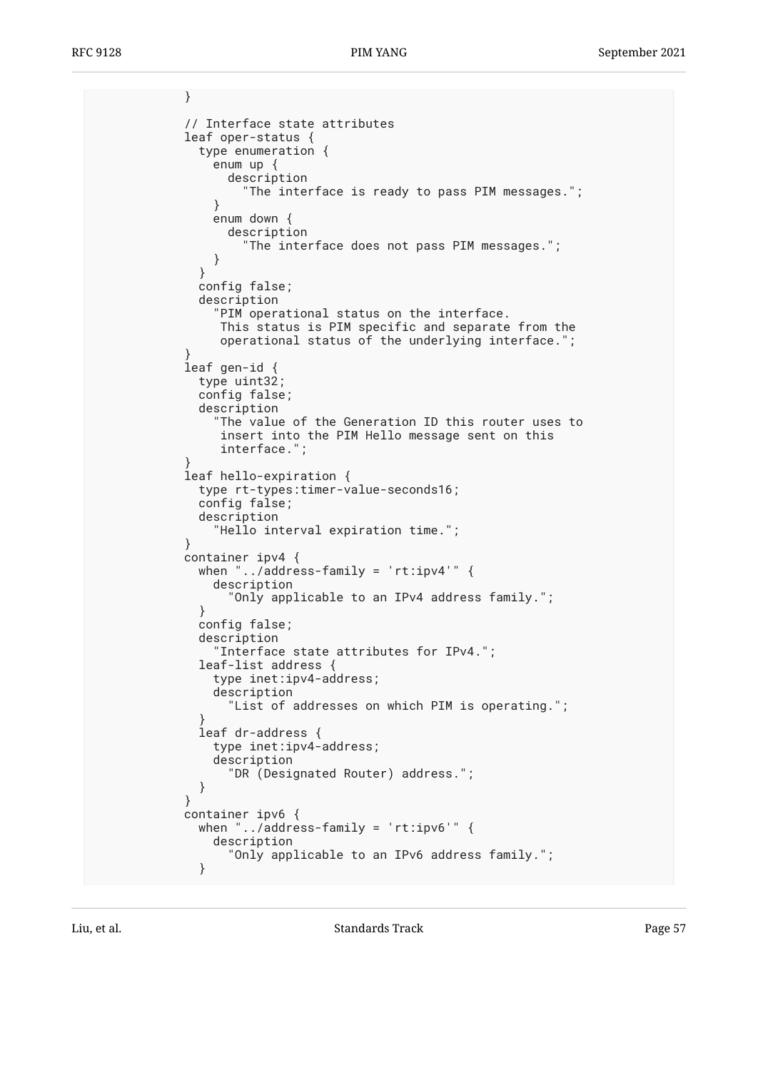```
 }
            // Interface state attributes
            leaf oper-status {
              type enumeration {
               enum up {
                 description
                    "The interface is ready to pass PIM messages.";
 }
               enum down {
                 description
                    "The interface does not pass PIM messages.";
 }
 }
              config false;
              description
                "PIM operational status on the interface.
                This status is PIM specific and separate from the
                operational status of the underlying interface.";
 }
            leaf gen-id {
              type uint32;
              config false;
              description
                "The value of the Generation ID this router uses to
                insert into the PIM Hello message sent on this
                interface.";
 }
            leaf hello-expiration {
              type rt-types:timer-value-seconds16;
              config false;
              description
                "Hello interval expiration time.";
 }
            container ipv4 {
             when "../address-family = 'rt:ipv4'" {
               description
                  "Only applicable to an IPv4 address family.";
 }
              config false;
              description
                "Interface state attributes for IPv4.";
              leaf-list address {
               type inet:ipv4-address;
               description
                  "List of addresses on which PIM is operating.";
 }
              leaf dr-address {
               type inet:ipv4-address;
               description
                  "DR (Designated Router) address.";
 }
 }
            container ipv6 {
             when "../address-family = 'rt:ipv6'" {
               description
                  "Only applicable to an IPv6 address family.";
 }
```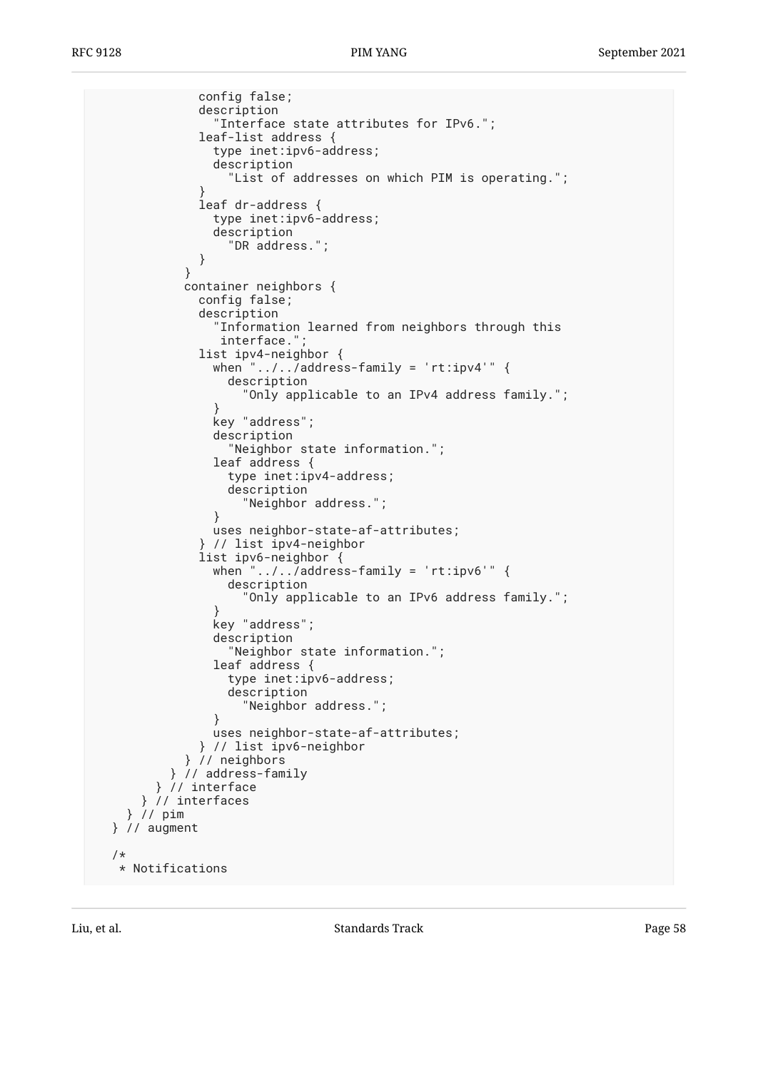```
 config false;
              description
                 "Interface state attributes for IPv6.";
              leaf-list address {
                type inet:ipv6-address;
                description
                   "List of addresses on which PIM is operating.";
 }
              leaf dr-address {
                type inet:ipv6-address;
                description
                  "DR address.";
 }
 }
            container neighbors {
              config false;
              description
                "Information learned from neighbors through this
                interface."
              list ipv4-neighbor {
               when "\ldots, address-family = 'rt:ipv4'" {
                  description
                    "Only applicable to an IPv4 address family.";
 }
                key "address";
                description
                   "Neighbor state information.";
                leaf address {
                  type inet:ipv4-address;
                  description
                    "Neighbor address.";
 }
                uses neighbor-state-af-attributes;
               } // list ipv4-neighbor
              list ipv6-neighbor {
               when "\ldots, address-family = 'rt:ipv6'" {
                  description
                    "Only applicable to an IPv6 address family.";
 }
                key "address";
                description
                  "Neighbor state information.";
                leaf address {
                  type inet:ipv6-address;
                  description
                     "Neighbor address.";
 }
                uses neighbor-state-af-attributes;
              } // list ipv6-neighbor
            } // neighbors
          } // address-family
        } // interface
      } // interfaces
    } // pim
  } // augment
  /*
   * Notifications
```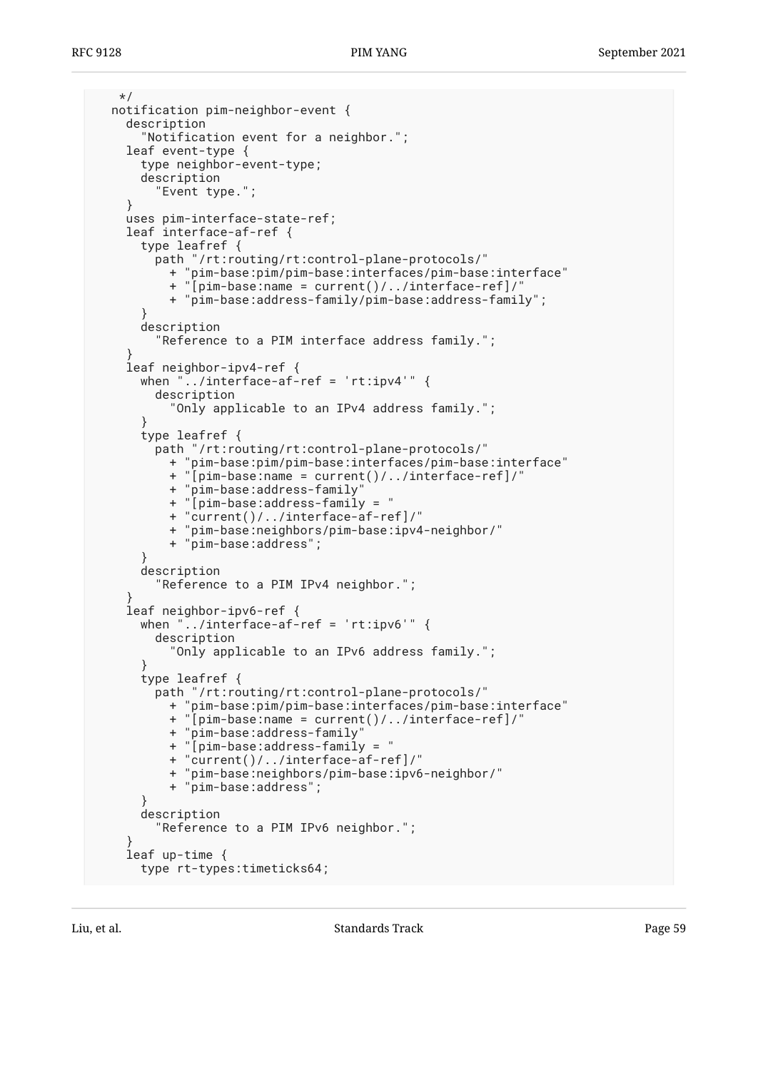```
 */
  notification pim-neighbor-event {
     description
       "Notification event for a neighbor.";
     leaf event-type {
       type neighbor-event-type;
       description
         "Event type.";
     }
     uses pim-interface-state-ref;
     leaf interface-af-ref {
      type leafref {
         path "/rt:routing/rt:control-plane-protocols/"
           + "pim-base:pim/pim-base:interfaces/pim-base:interface"
           + "[pim-base:name = current()/../interface-ref]/"
           + "pim-base:address-family/pim-base:address-family";
 }
      description
         "Reference to a PIM interface address family.";
 }
     leaf neighbor-ipv4-ref {
     when "../interface-af-ref = 'rt:ipv4'" {
         description
           "Only applicable to an IPv4 address family.";
 }
       type leafref {
         path "/rt:routing/rt:control-plane-protocols/"
           + "pim-base:pim/pim-base:interfaces/pim-base:interface"
           + "[pim-base:name = current()/../interface-ref]/"
           + "pim-base:address-family"
           + "[pim-base:address-family = "
           + "current()/../interface-af-ref]/"
           + "pim-base:neighbors/pim-base:ipv4-neighbor/"
           + "pim-base:address";
 }
       description
         "Reference to a PIM IPv4 neighbor.";
 }
     leaf neighbor-ipv6-ref {
     when "../interface-af-ref = 'rt:ipv6'" {
        description
           "Only applicable to an IPv6 address family.";
 }
       type leafref {
         path "/rt:routing/rt:control-plane-protocols/"
           + "pim-base:pim/pim-base:interfaces/pim-base:interface"
           + "[pim-base:name = current()/../interface-ref]/"
           + "pim-base:address-family"
           + "[pim-base:address-family = "
           + "current()/../interface-af-ref]/"
           + "pim-base:neighbors/pim-base:ipv6-neighbor/"
           + "pim-base:address";
 }
      description
         "Reference to a PIM IPv6 neighbor.";
 }
     leaf up-time {
      type rt-types:timeticks64;
```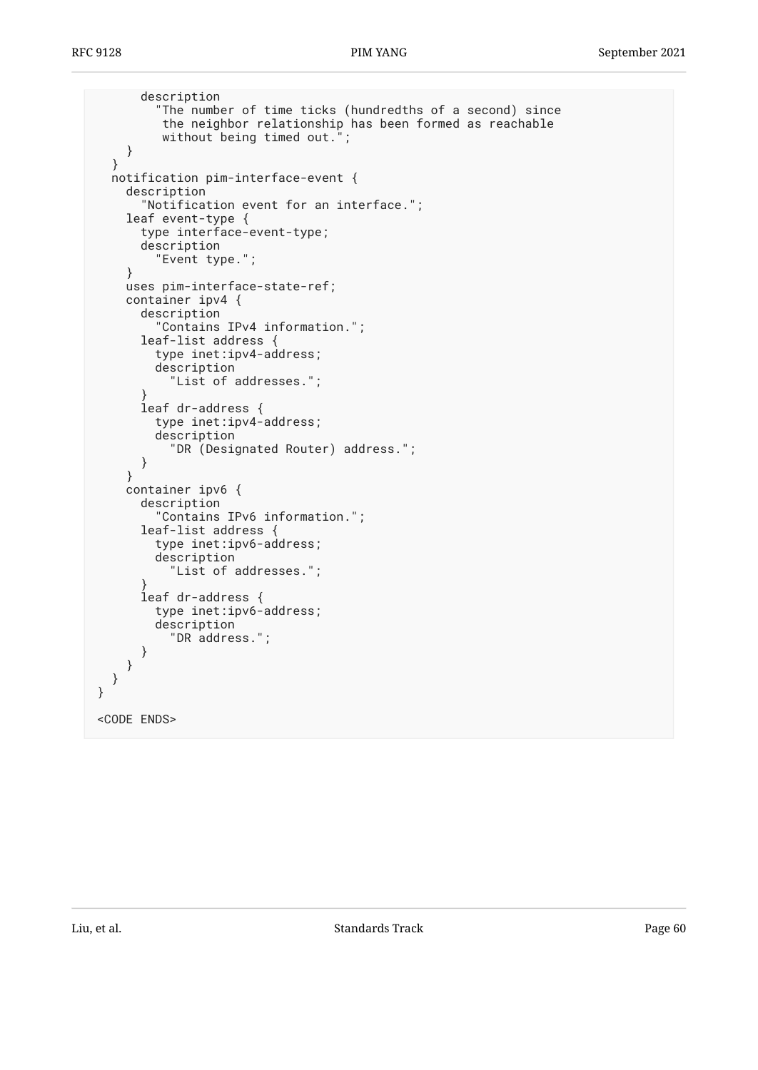```
 description
          "The number of time ticks (hundredths of a second) since
          the neighbor relationship has been formed as reachable
          without being timed out.";
     }
   }
   notification pim-interface-event {
     description
       "Notification event for an interface.";
     leaf event-type {
       type interface-event-type;
       description
          "Event type.";
     }
     uses pim-interface-state-ref;
     container ipv4 {
       description
          "Contains IPv4 information.";
       leaf-list address {
         type inet:ipv4-address;
         description
            "List of addresses.";
       }
       leaf dr-address {
         type inet:ipv4-address;
         description
            "DR (Designated Router) address.";
       }
     }
     container ipv6 {
       description
          "Contains IPv6 information.";
       leaf-list address {
         type inet:ipv6-address;
         description
            "List of addresses.";
 }
       leaf dr-address {
         type inet:ipv6-address;
         description
            "DR address.";
       }
     }
   }
}
<CODE ENDS>
```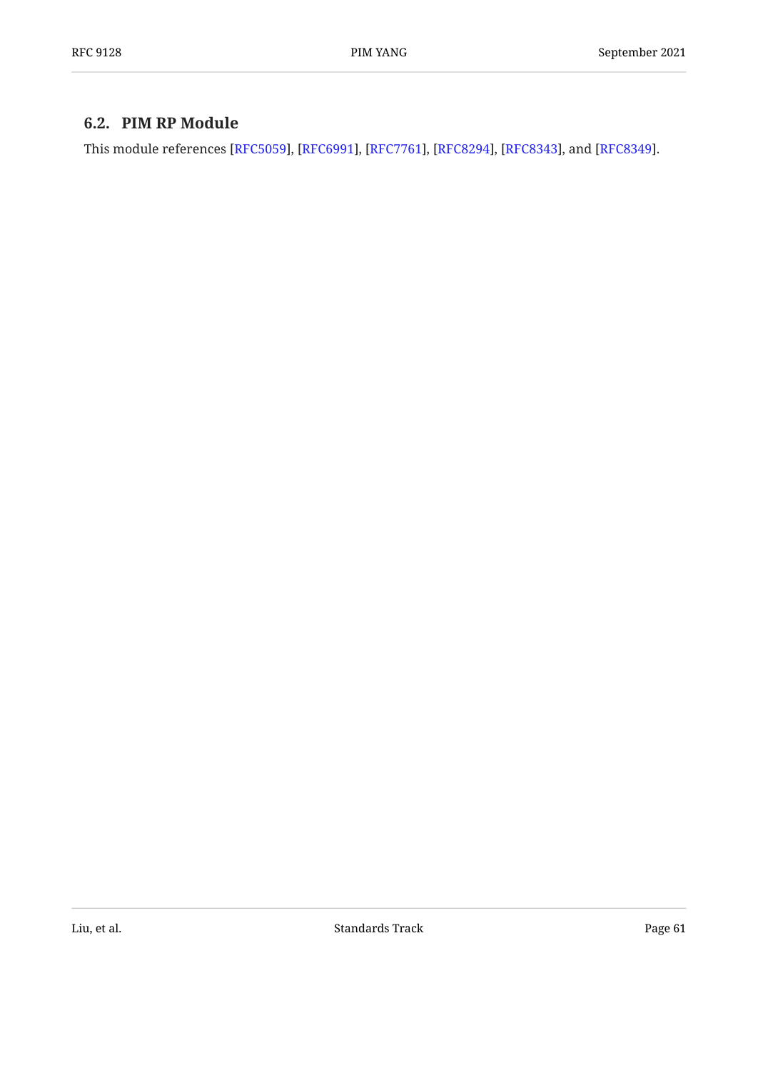# <span id="page-60-0"></span>**[6.2. PIM RP Module](#page-60-0)**

This module references [\[RFC5059](#page-96-3)], [\[RFC6991](#page-96-2)], [[RFC7761\]](#page-97-0), [[RFC8294\]](#page-97-1), [\[RFC8343](#page-97-2)], and [\[RFC8349](#page-97-3)].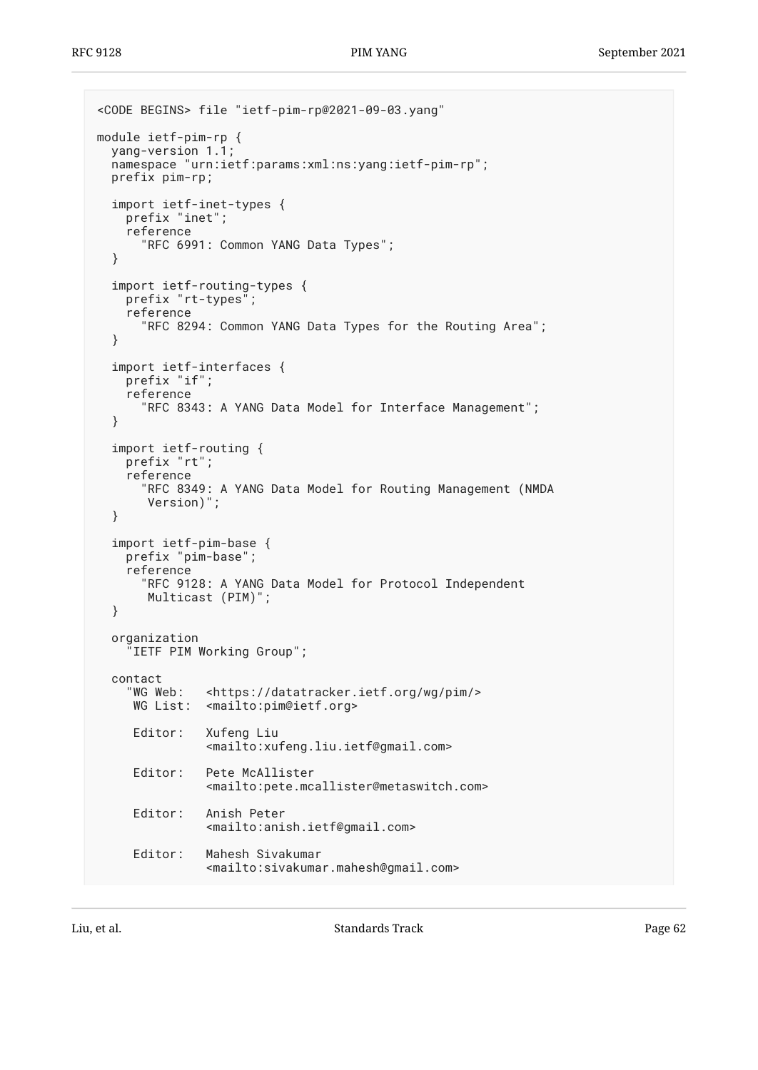```
<CODE BEGINS> file "ietf-pim-rp@2021-09-03.yang"
module ietf-pim-rp {
   yang-version 1.1;
   namespace "urn:ietf:params:xml:ns:yang:ietf-pim-rp";
   prefix pim-rp;
   import ietf-inet-types {
     prefix "inet";
     reference
       "RFC 6991: Common YANG Data Types";
   }
 import ietf-routing-types {
 prefix "rt-types";
     reference
       "RFC 8294: Common YANG Data Types for the Routing Area";
   }
   import ietf-interfaces {
     prefix "if";
     reference
       "RFC 8343: A YANG Data Model for Interface Management";
   }
   import ietf-routing {
     prefix "rt";
     reference
       "RFC 8349: A YANG Data Model for Routing Management (NMDA
        Version)";
   }
   import ietf-pim-base {
     prefix "pim-base";
     reference
       "RFC 9128: A YANG Data Model for Protocol Independent
        Multicast (PIM)";
   }
   organization
     "IETF PIM Working Group";
  contact<br>"WG Web:
     WG Web: <https://datatracker.ietf.org/wg/pim/><br>WG List: <mailto:pim@ietf.org>
                <mailto: pim@ietf.org>
      Editor: Xufeng Liu
                 <mailto:xufeng.liu.ietf@gmail.com>
      Editor: Pete McAllister
                 <mailto:pete.mcallister@metaswitch.com>
      Editor: Anish Peter
                 <mailto:anish.ietf@gmail.com>
      Editor: Mahesh Sivakumar
                 <mailto:sivakumar.mahesh@gmail.com>
```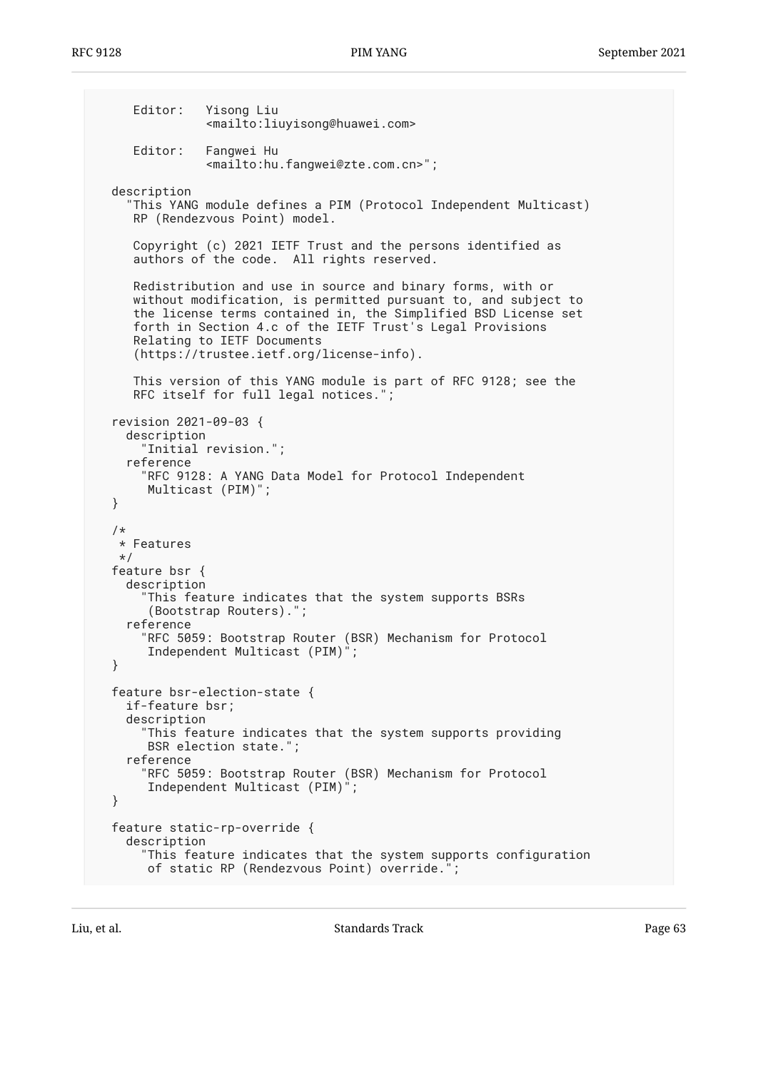Editor: Yisong Liu <mailto:liuyisong@huawei.com> Editor: Fangwei Hu <mailto:hu.fangwei@zte.com.cn>"; description "This YANG module defines a PIM (Protocol Independent Multicast) RP (Rendezvous Point) model. Copyright (c) 2021 IETF Trust and the persons identified as authors of the code. All rights reserved. Redistribution and use in source and binary forms, with or without modification, is permitted pursuant to, and subject to the license terms contained in, the Simplified BSD License set forth in Section 4.c of the IETF Trust's Legal Provisions Relating to IETF Documents (https://trustee.ietf.org/license-info). This version of this YANG module is part of RFC 9128; see the RFC itself for full legal notices."; revision 2021-09-03 { description "Initial revision."; reference "RFC 9128: A YANG Data Model for Protocol Independent Multicast (PIM)"; } /\* \* Features \*/ feature bsr { description "This feature indicates that the system supports BSRs (Bootstrap Routers)."; reference "RFC 5059: Bootstrap Router (BSR) Mechanism for Protocol Independent Multicast (PIM)"; } feature bsr-election-state { if-feature bsr; description "This feature indicates that the system supports providing BSR election state."; reference "RFC 5059: Bootstrap Router (BSR) Mechanism for Protocol Independent Multicast (PIM)"; } feature static-rp-override { description "This feature indicates that the system supports configuration of static RP (Rendezvous Point) override.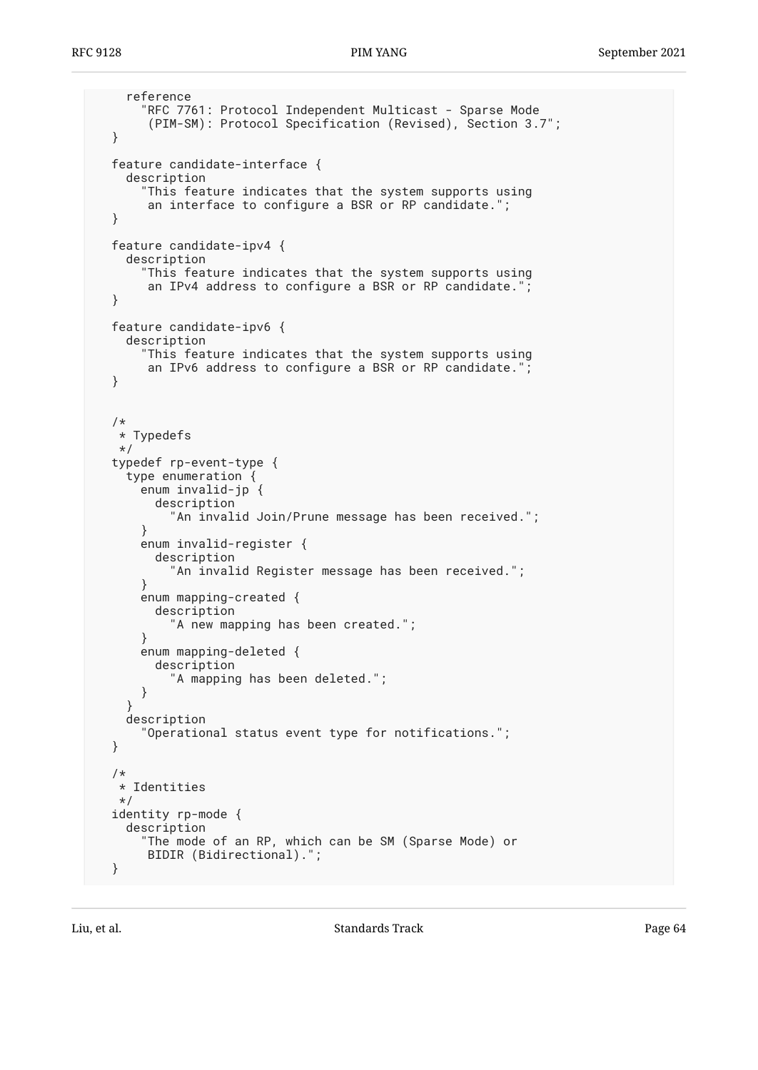```
 reference
     "RFC 7761: Protocol Independent Multicast - Sparse Mode
      (PIM-SM): Protocol Specification (Revised), Section 3.7";
 }
 feature candidate-interface {
   description
     "This feature indicates that the system supports using
      an interface to configure a BSR or RP candidate.";
 }
 feature candidate-ipv4 {
   description
     "This feature indicates that the system supports using
      an IPv4 address to configure a BSR or RP candidate.";
 }
 feature candidate-ipv6 {
   description
     "This feature indicates that the system supports using
      an IPv6 address to configure a BSR or RP candidate.";
 }
 /*
  * Typedefs
  */
 typedef rp-event-type {
   type enumeration {
     enum invalid-jp {
       description
         "An invalid Join/Prune message has been received.";
     }
     enum invalid-register {
       description
          "An invalid Register message has been received.";
     }
     enum mapping-created {
       description
         "A new mapping has been created.";
     }
     enum mapping-deleted {
       description
        "A mapping has been deleted.";
     }
   }
   description
     "Operational status event type for notifications.";
 }
 /*
  * Identities
 */
 identity rp-mode {
   description
     "The mode of an RP, which can be SM (Sparse Mode) or
      BIDIR (Bidirectional).";
 }
```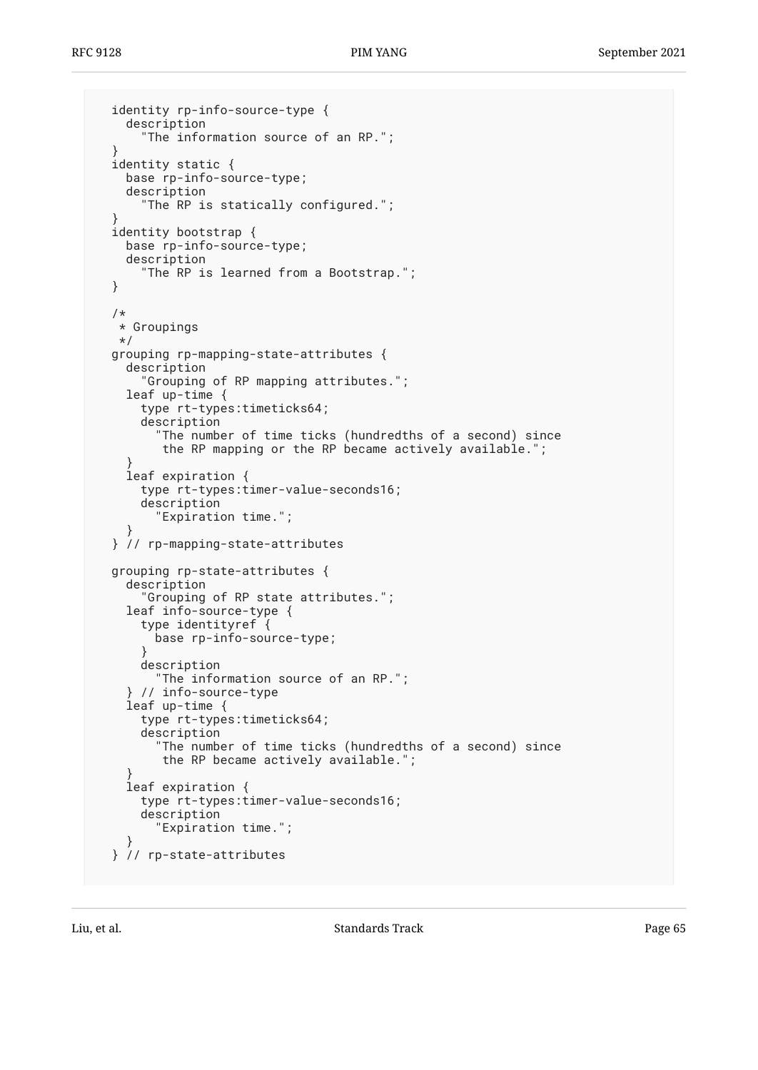```
 identity rp-info-source-type {
     description
       "The information source of an RP.";
 }
  identity static {
     base rp-info-source-type;
     description
      "The RP is statically configured.";
 }
  identity bootstrap {
    base rp-info-source-type;
    description
       "The RP is learned from a Bootstrap.";
  }
   /*
   * Groupings
   */
  grouping rp-mapping-state-attributes {
    description
       "Grouping of RP mapping attributes.";
     leaf up-time {
       type rt-types:timeticks64;
       description
          "The number of time ticks (hundredths of a second) since
          the RP mapping or the RP became actively available.";
 }
     leaf expiration {
      type rt-types:timer-value-seconds16;
      description
         "Expiration time.";
 }
  } // rp-mapping-state-attributes
  grouping rp-state-attributes {
     description
       "Grouping of RP state attributes.";
     leaf info-source-type {
       type identityref {
         base rp-info-source-type;
       }
       description
        "The information source of an RP.";
     } // info-source-type
     leaf up-time {
       type rt-types:timeticks64;
       description
         "The number of time ticks (hundredths of a second) since
          the RP became actively available.";
 }
     leaf expiration {
      type rt-types:timer-value-seconds16;
      description
         "Expiration time.";
 }
  } // rp-state-attributes
```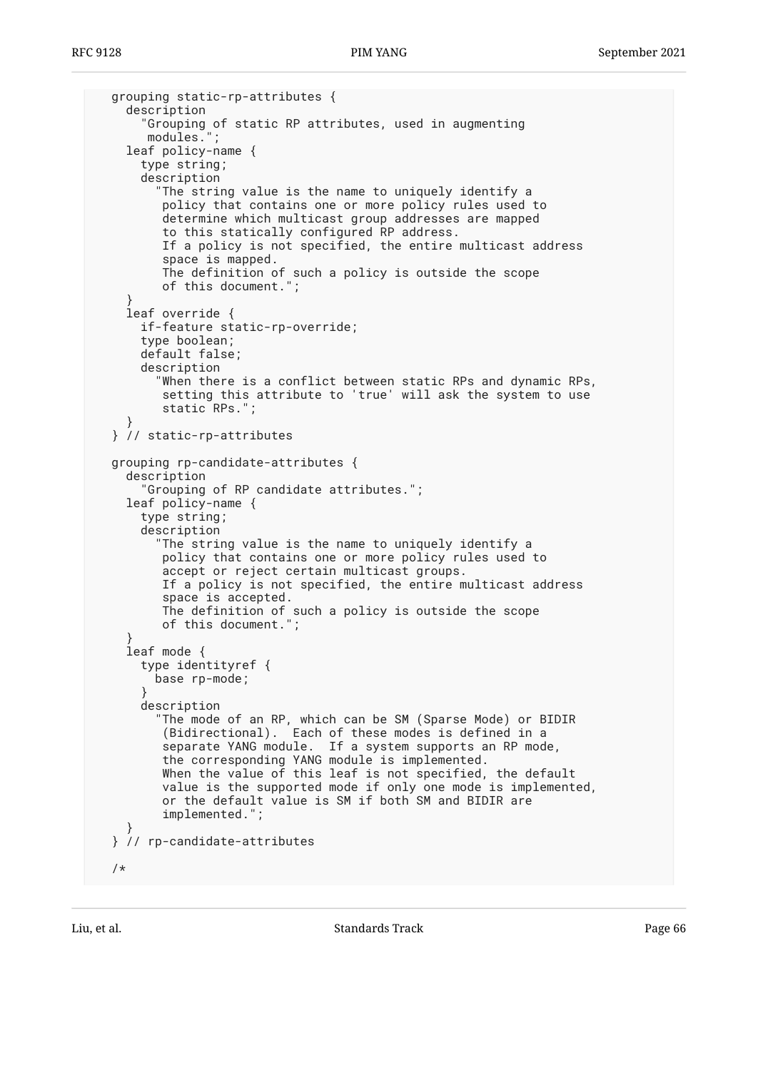```
 grouping static-rp-attributes {
    description
       "Grouping of static RP attributes, used in augmenting
       modules.";
    leaf policy-name {
       type string;
       description
        "The string value is the name to uniquely identify a
          policy that contains one or more policy rules used to
          determine which multicast group addresses are mapped
          to this statically configured RP address.
          If a policy is not specified, the entire multicast address
          space is mapped.
          The definition of such a policy is outside the scope
          of this document.";
 }
    leaf override {
      if-feature static-rp-override;
      type boolean;
      default false;
      description
         "When there is a conflict between static RPs and dynamic RPs,
          setting this attribute to 'true' will ask the system to use
          static RPs.";
 }
  } // static-rp-attributes
  grouping rp-candidate-attributes {
    description
       "Grouping of RP candidate attributes.";
    leaf policy-name {
       type string;
       description
         "The string value is the name to uniquely identify a
          policy that contains one or more policy rules used to
          accept or reject certain multicast groups.
          If a policy is not specified, the entire multicast address
          space is accepted.
          The definition of such a policy is outside the scope
          of this document.";
 }
    leaf mode {
       type identityref {
        base rp-mode;
 }
      description
 "The mode of an RP, which can be SM (Sparse Mode) or BIDIR
 (Bidirectional). Each of these modes is defined in a
          separate YANG module. If a system supports an RP mode,
          the corresponding YANG module is implemented.
         When the value of this leaf is not specified, the default
          value is the supported mode if only one mode is implemented,
          or the default value is SM if both SM and BIDIR are
          implemented.";
 }
  } // rp-candidate-attributes
  /*
```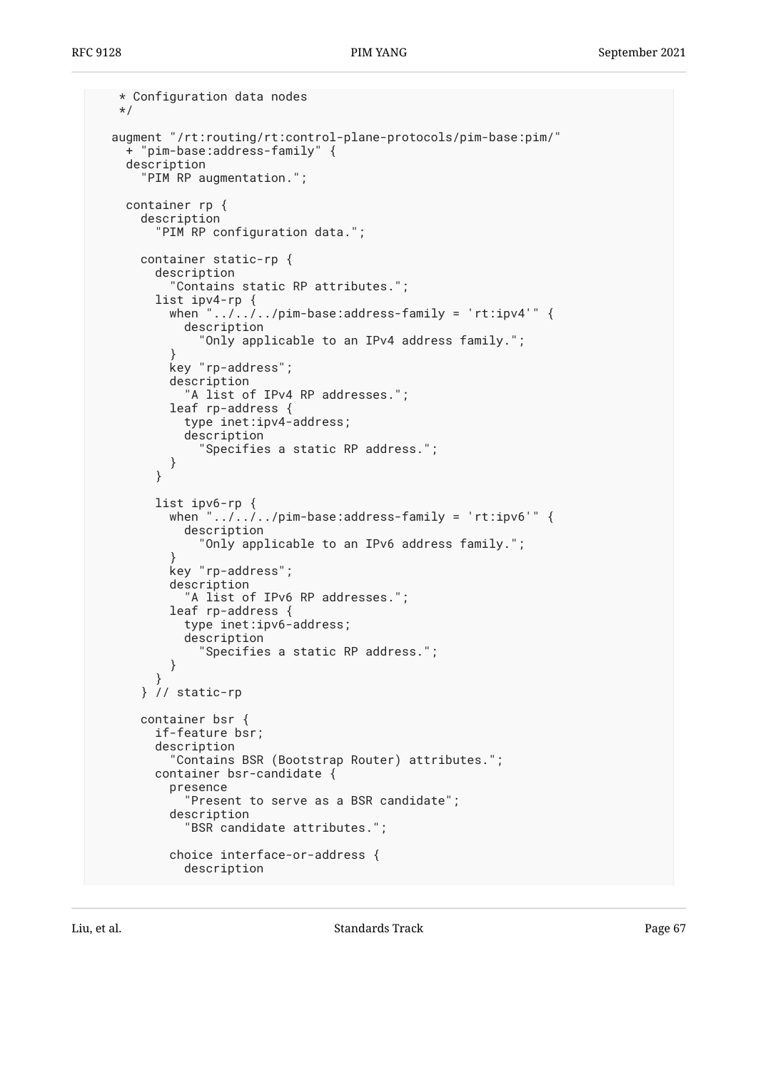```
 * Configuration data nodes
   */
  augment "/rt:routing/rt:control-plane-protocols/pim-base:pim/"
     + "pim-base:address-family" {
     description
       "PIM RP augmentation.";
     container rp {
       description
         "PIM RP configuration data.";
       container static-rp {
         description
           "Contains static RP attributes.";
         list ipv4-rp {
          when ".../.../../pim-base:address-family = 'rt:ipv4'" {
             description
               "Only applicable to an IPv4 address family.";
 }
           key "rp-address";
           description
             "A list of IPv4 RP addresses.";
           leaf rp-address {
             type inet:ipv4-address;
             description
               "Specifies a static RP address.";
 }
         }
         list ipv6-rp {
          when "\ldots, \ldots, pim-base:address-family = 'rt:ipv6'" {
             description
               "Only applicable to an IPv6 address family.";
 }
           key "rp-address";
           description
            "A list of IPv6 RP addresses.";
           leaf rp-address {
             type inet:ipv6-address;
             description
               "Specifies a static RP address.";
           }
 }
       } // static-rp
       container bsr {
         if-feature bsr;
         description
           "Contains BSR (Bootstrap Router) attributes.";
         container bsr-candidate {
           presence
             "Present to serve as a BSR candidate";
           description
             "BSR candidate attributes.";
           choice interface-or-address {
             description
```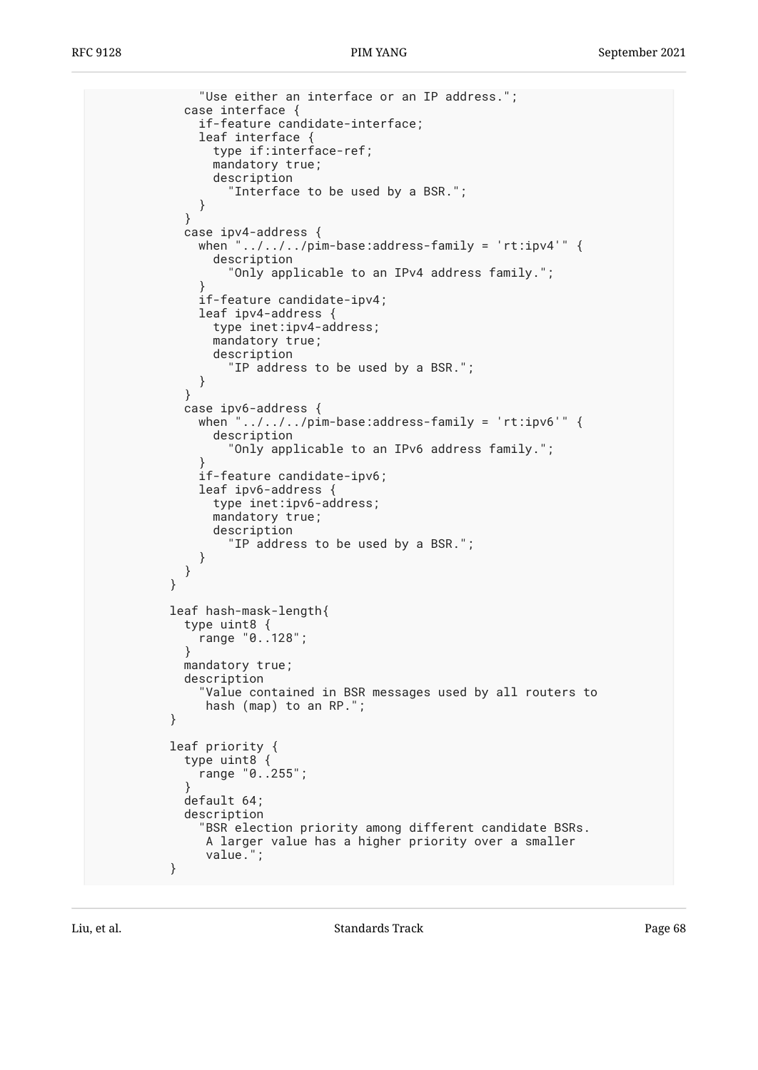```
 "Use either an interface or an IP address.";
            case interface {
              if-feature candidate-interface;
              leaf interface {
                type if:interface-ref;
                mandatory true;
                description
                  "Interface to be used by a BSR.";
 }
 }
            case ipv4-address {
             when "\ldots, ., ., pim-base: address-family = 'rt: ipv4'" {
                description
                  "Only applicable to an IPv4 address family.";
 }
              if-feature candidate-ipv4;
              leaf ipv4-address {
                type inet:ipv4-address;
                mandatory true;
                description
                  "IP address to be used by a BSR.";
 }
 }
            case ipv6-address {
             when "\ldots/\ldots/pim-base:address-family = 'rt:ipv6'" {
                description
                  "Only applicable to an IPv6 address family.";
 }
              if-feature candidate-ipv6;
              leaf ipv6-address {
                type inet:ipv6-address;
                mandatory true;
                description
                  "IP address to be used by a BSR.";
 }
 }
 }
          leaf hash-mask-length{
            type uint8 {
             range "0..128";
 }
            mandatory true;
            description
              "Value contained in BSR messages used by all routers to
               hash (map) to an RP.";
          }
          leaf priority {
            type uint8 {
              range "0..255";
 }
            default 64;
            description
              "BSR election priority among different candidate BSRs.
               A larger value has a higher priority over a smaller
               value.";
          }
```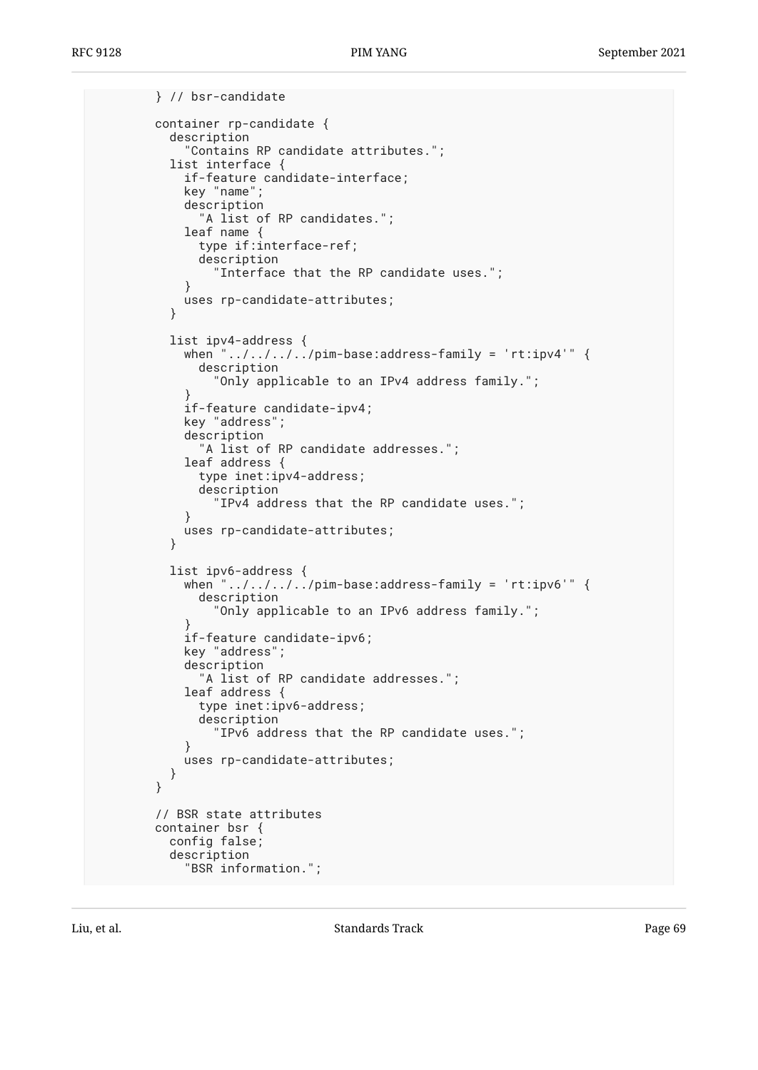```
 } // bsr-candidate
        container rp-candidate {
          description
             "Contains RP candidate attributes.";
          list interface {
            if-feature candidate-interface;
            key "name";
            description
               "A list of RP candidates.";
            leaf name {
              type if:interface-ref;
              description
                "Interface that the RP candidate uses.";
 }
            uses rp-candidate-attributes;
 }
          list ipv4-address {
           when "../../../../pim-base:address-family = 'rt:ipv4'" {
              description
                 "Only applicable to an IPv4 address family.";
 }
            if-feature candidate-ipv4;
            key "address";
            description
               "A list of RP candidate addresses.";
            leaf address {
              type inet:ipv4-address;
              description
                "IPv4 address that the RP candidate uses.";
 }
            uses rp-candidate-attributes;
          }
          list ipv6-address {
           when ".../.../.../pim-base:address-family = 'rt:ipv6'" {
              description
                 "Only applicable to an IPv6 address family.";
 }
            if-feature candidate-ipv6;
            key "address";
            description
              "A list of RP candidate addresses.";
            leaf address {
              type inet:ipv6-address;
               description
           "IPv6 address that the RP candidate uses.";<br>}
 }
            uses rp-candidate-attributes;
          }
        }
        // BSR state attributes
        container bsr {
          config false;
          description
             "BSR information.";
```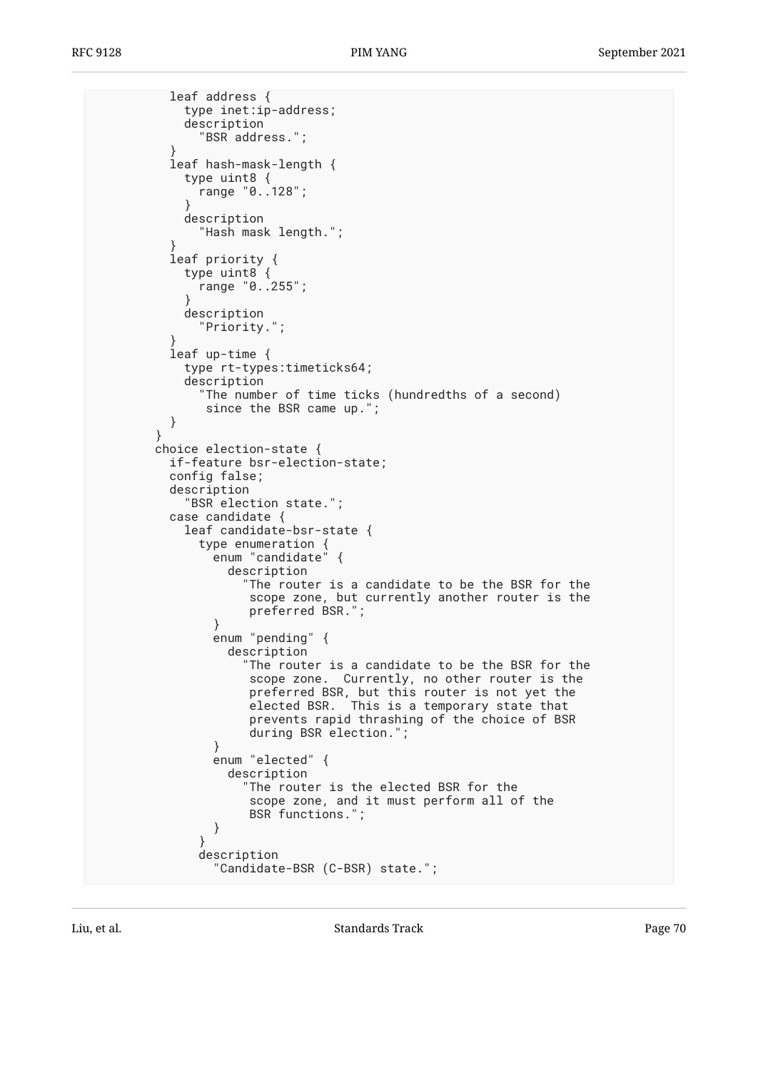```
 leaf address {
            type inet:ip-address;
            description
              "BSR address.";
 }
          leaf hash-mask-length {
            type uint8 {
              range "0..128";
 }
            description
              "Hash mask length.";
 }
          leaf priority {
            type uint8 {
             range "0..255";
 }
            description
              "Priority.";
 }
          leaf up-time {
            type rt-types:timeticks64;
            description
              "The number of time ticks (hundredths of a second)
              since the BSR came up.";
          }
 }
        choice election-state {
          if-feature bsr-election-state;
          config false;
          description
            "BSR election state.";
          case candidate {
            leaf candidate-bsr-state {
              type enumeration {
               enum "candidate" {
                 description
                   "The router is a candidate to be the BSR for the
                    scope zone, but currently another router is the
              preferred BSR.";<br>}
 }
               enum "pending" {
                 description
                   "The router is a candidate to be the BSR for the
                    scope zone. Currently, no other router is the
 preferred BSR, but this router is not yet the
 elected BSR. This is a temporary state that
                    prevents rapid thrashing of the choice of BSR
                    during BSR election.";
 }
               enum "elected" {
                 description
                   "The router is the elected BSR for the
                    scope zone, and it must perform all of the
                    BSR functions.";
 }
 }
              description
                "Candidate-BSR (C-BSR) state.";
```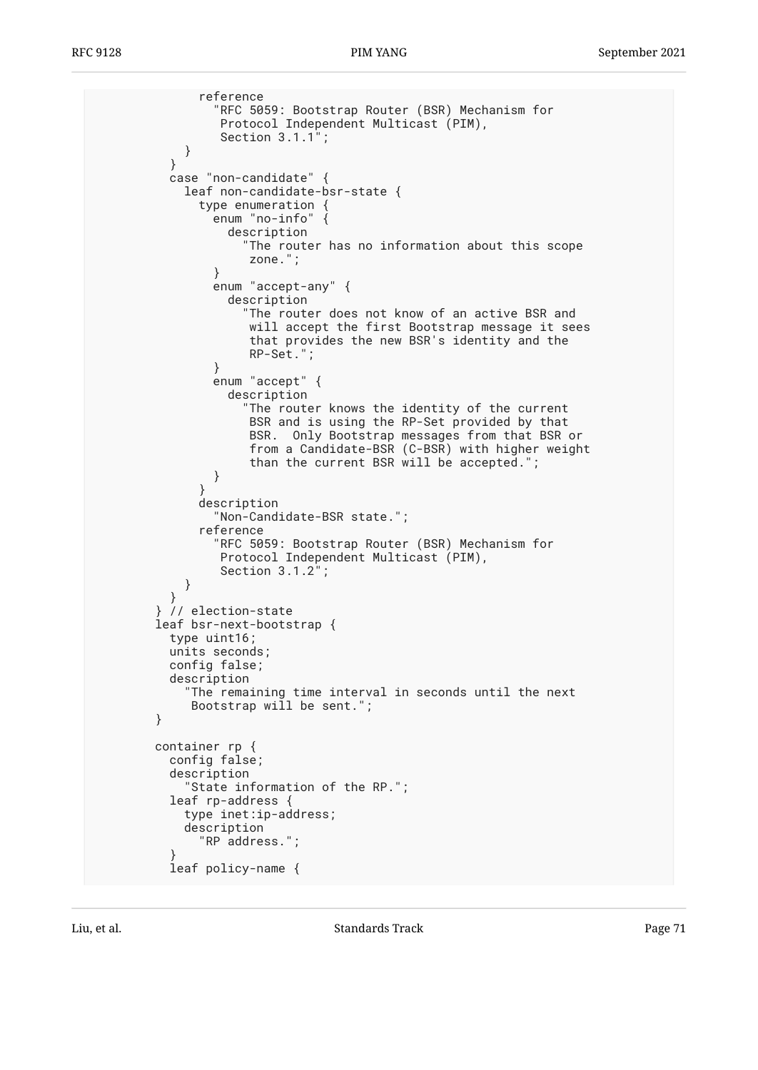```
 reference
                "RFC 5059: Bootstrap Router (BSR) Mechanism for
                 Protocol Independent Multicast (PIM),
                 Section 3.1.1";
 }
 }
          case "non-candidate" {
            leaf non-candidate-bsr-state {
              type enumeration {
               enum "no-info"
                  description
                    "The router has no information about this scope
                     zone.";
 }
                enum "accept-any" {
                  description
                     "The router does not know of an active BSR and
                     will accept the first Bootstrap message it sees
                     that provides the new BSR's identity and the
                     RP-Set.";
 }
                enum "accept" {
                  description
                    "The router knows the identity of the current
                     BSR and is using the RP-Set provided by that
                     BSR. Only Bootstrap messages from that BSR or
                     from a Candidate-BSR (C-BSR) with higher weight
                     than the current BSR will be accepted.";
 }
 }
              description
                "Non-Candidate-BSR state.";
              reference
                "RFC 5059: Bootstrap Router (BSR) Mechanism for
                 Protocol Independent Multicast (PIM),
                 Section 3.1.2";
 }
 }
        } // election-state
        leaf bsr-next-bootstrap {
          type uint16;
          units seconds;
          config false;
          description
             "The remaining time interval in seconds until the next
             Bootstrap will be sent.";
        }
        container rp {
          config false;
          description
            "State information of the RP.";
          leaf rp-address {
            type inet:ip-address;
            description
              "RP address.";
 }
          leaf policy-name {
```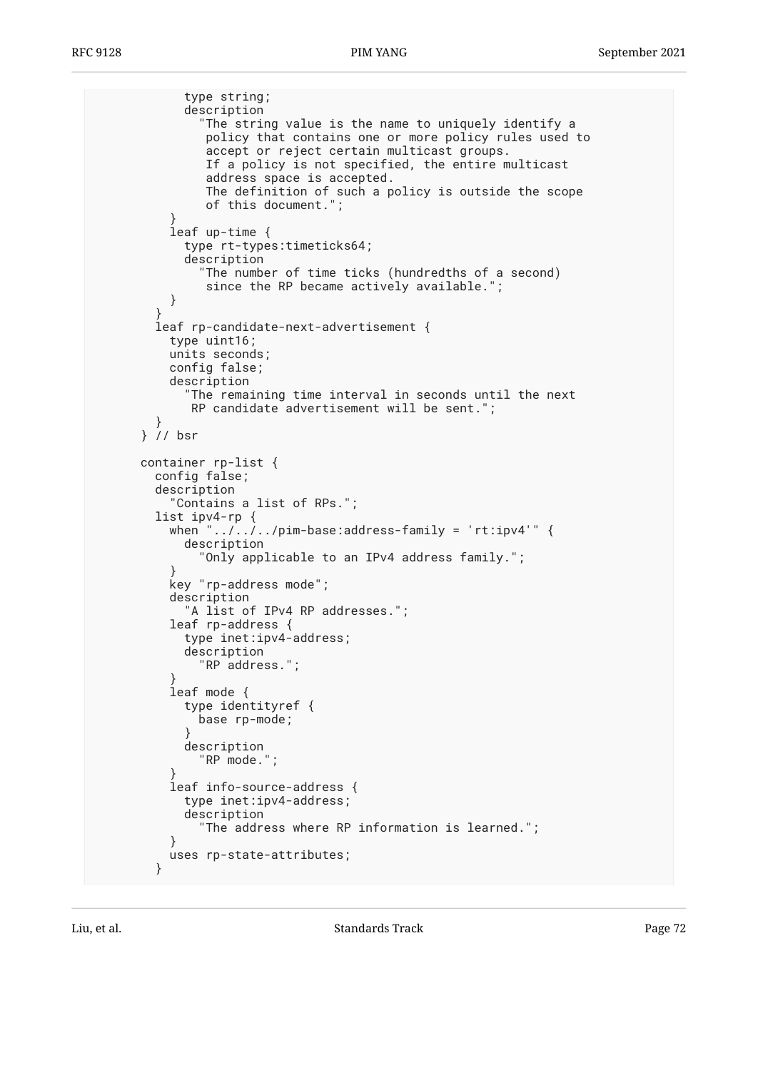```
 type string;
            description
              "The string value is the name to uniquely identify a
               policy that contains one or more policy rules used to
               accept or reject certain multicast groups.
               If a policy is not specified, the entire multicast
 address space is accepted.
 The definition of such a policy is outside the scope
               of this document.";
 }
          leaf up-time {
            type rt-types:timeticks64;
            description
              "The number of time ticks (hundredths of a second)
         since the RP became actively available.";
 }
 }
        leaf rp-candidate-next-advertisement {
          type uint16;
          units seconds;
          config false;
          description
             "The remaining time interval in seconds until the next
             RP candidate advertisement will be sent.";
        }
      } // bsr
      container rp-list {
        config false;
        description
          "Contains a list of RPs.";
        list ipv4-rp {
         when ".../.../../pim-base:address-family = 'rt:ipv4'" {
            description
              "Only applicable to an IPv4 address family.";
 }
          key "rp-address mode";
          description
           "A list of IPv4 RP addresses.";
          leaf rp-address {
            type inet:ipv4-address;
            description
              "RP address.";
 }
          leaf mode {
            type identityref {
              base rp-mode;
 }
            description
              "RP mode.";
 }
          leaf info-source-address {
            type inet:ipv4-address;
            description
              "The address where RP information is learned.";
 }
          uses rp-state-attributes;
        }
```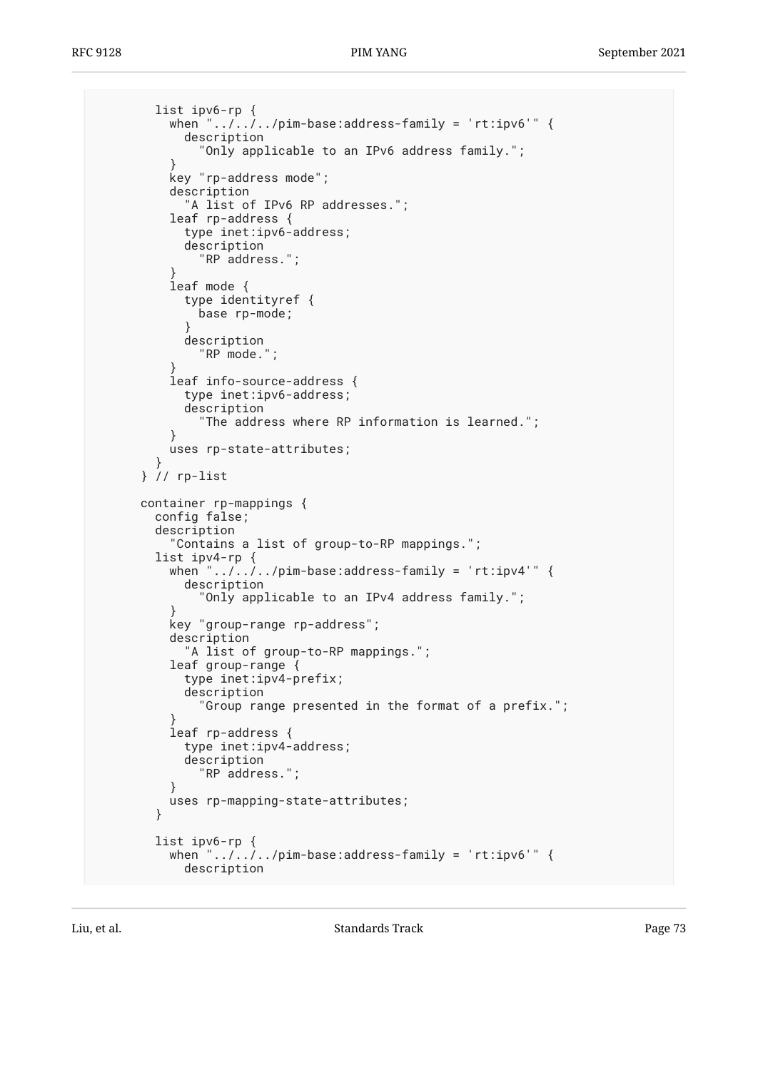```
 list ipv6-rp {
         when ".../.../pim-base:address-family = 'rt:ipv6'" {
            description
               "Only applicable to an IPv6 address family.";
 }
          key "rp-address mode";
          description
            "A list of IPv6 RP addresses.";
          leaf rp-address {
            type inet:ipv6-address;
            description
              "RP address.";
 }
          leaf mode {
            type identityref {
           base rp-mode;<br>}
 }
            description
               "RP mode.";
 }
          leaf info-source-address {
            type inet:ipv6-address;
            description
               "The address where RP information is learned.";
 }
       uses rp-state-attributes;<br>}
 }
      } // rp-list
      container rp-mappings {
        config false;
        description
          "Contains a list of group-to-RP mappings.";
        list ipv4-rp {
         when "\ldots, ..., pim-base:address-family = 'rt:ipv4'" {
            description
               "Only applicable to an IPv4 address family.";
 }
          key "group-range rp-address";
          description
            "A list of group-to-RP mappings.";
          leaf group-range {
            type inet:ipv4-prefix;
            description
               "Group range presented in the format of a prefix.";
 }
          leaf rp-address {
            type inet:ipv4-address;
            description
               "RP address.";
 }
          uses rp-mapping-state-attributes;
 }
        list ipv6-rp {
         when ".../\ldots, /pim-base:address-family = 'rt:ipv6'" {
            description
```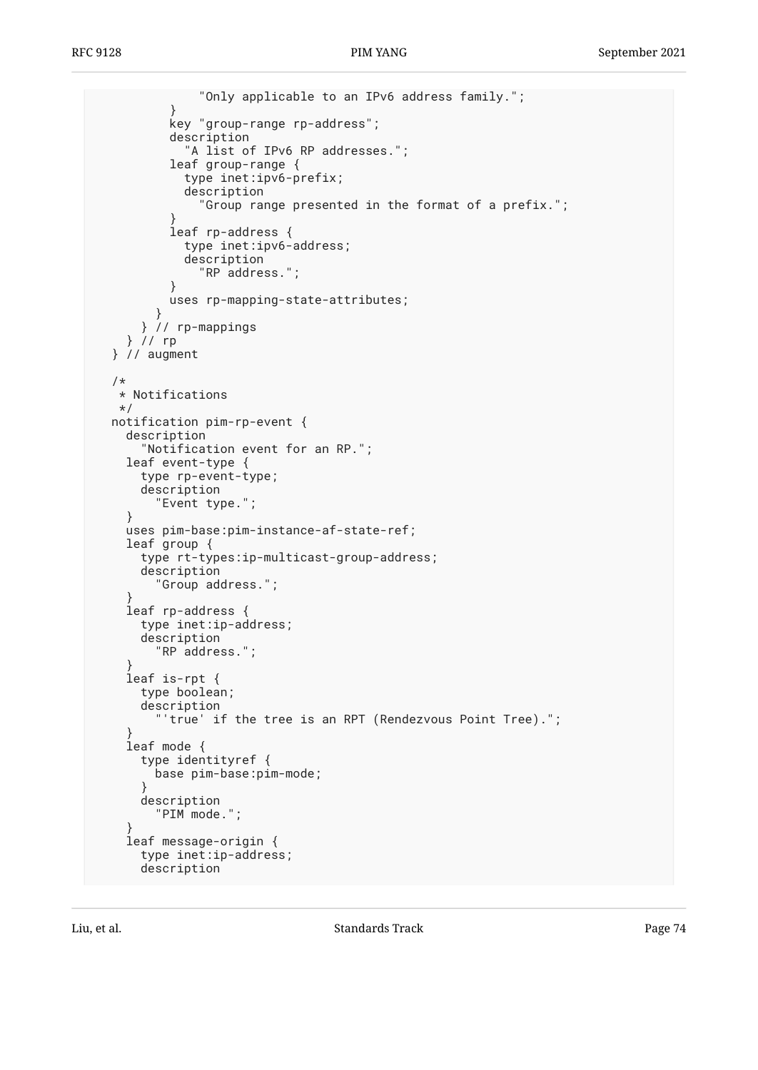```
 "Only applicable to an IPv6 address family.";
 }
           key "group-range rp-address";
           description
             "A list of IPv6 RP addresses.";
           leaf group-range {
             type inet:ipv6-prefix;
             description
               "Group range presented in the format of a prefix.";
 }
           leaf rp-address {
             type inet:ipv6-address;
             description
               "RP address.";
 }
           uses rp-mapping-state-attributes;
         }
       } // rp-mappings
    } // rp
  } // augment
  /*
   * Notifications
   */
  notification pim-rp-event {
    description
       "Notification event for an RP.";
     leaf event-type {
      type rp-event-type;
      description
         "Event type.";
     }
    uses pim-base:pim-instance-af-state-ref;
     leaf group {
      type rt-types:ip-multicast-group-address;
      description
         "Group address.";
 }
     leaf rp-address {
      type inet:ip-address;
       description
         "RP address.";
 }
     leaf is-rpt {
      type boolean;
      description
         'true' if the tree is an RPT (Rendezvous Point Tree).";
 }
     leaf mode {
       type identityref {
         base pim-base:pim-mode;
 }
      description
         "PIM mode.";
 }
     leaf message-origin {
      type inet:ip-address;
      description
```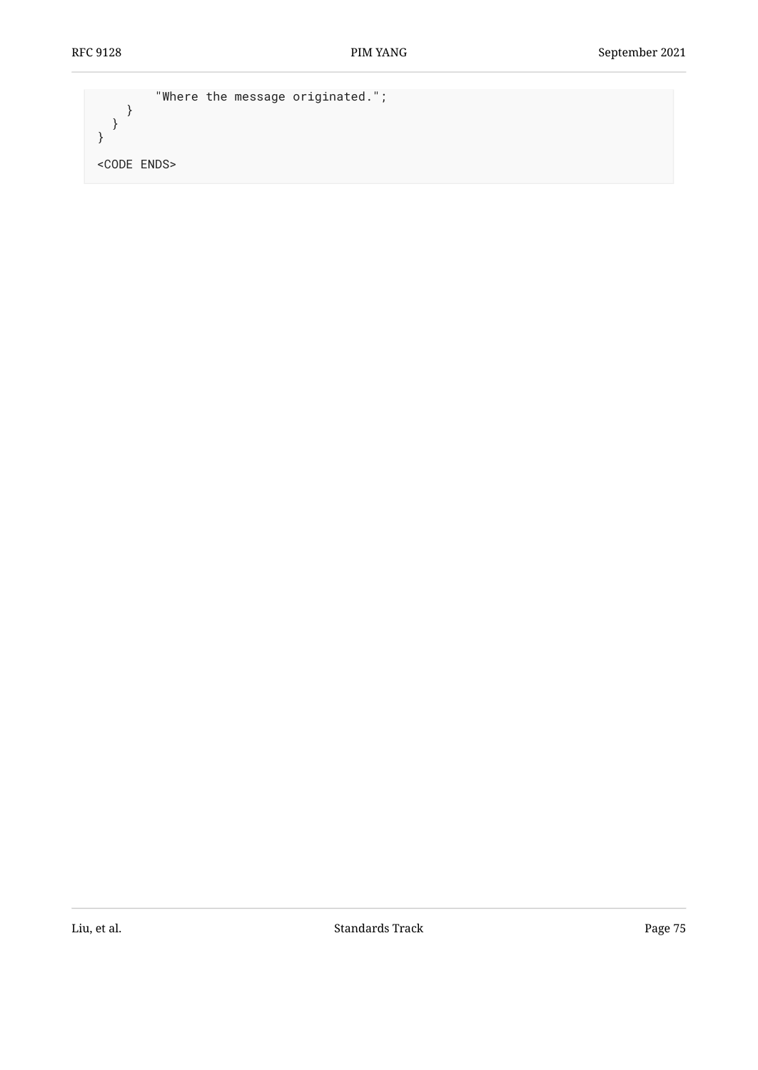```
 "Where the message originated.";
 }
 }
}
<CODE ENDS>
```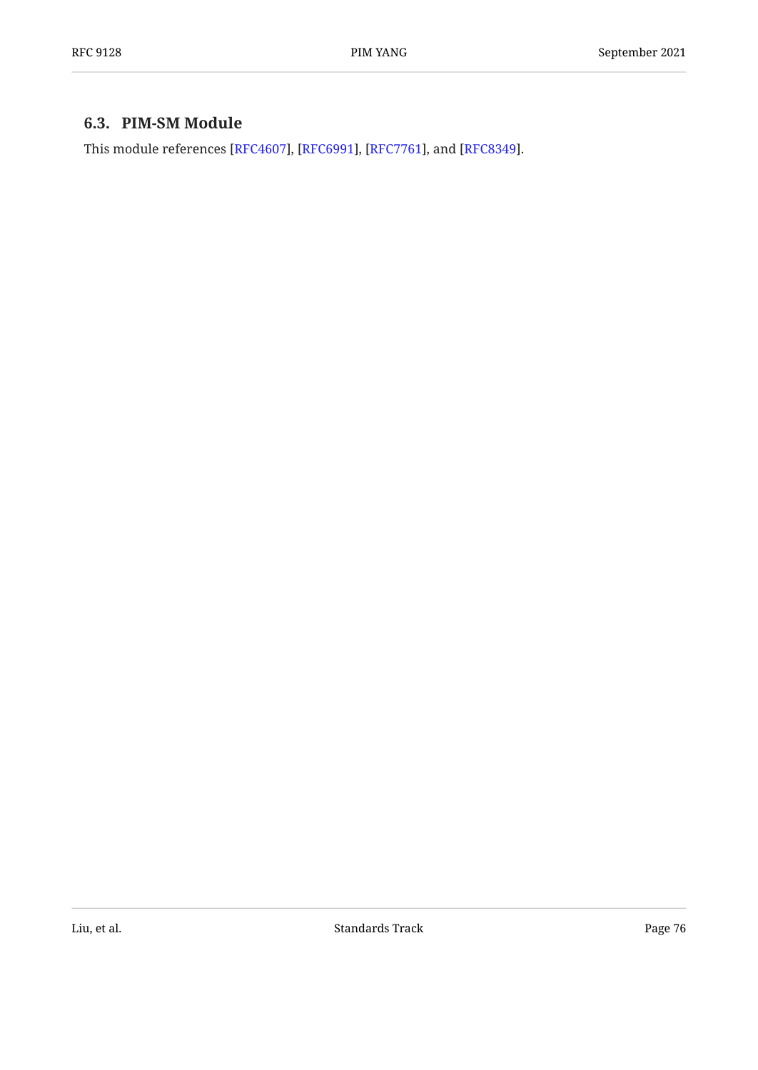### <span id="page-75-0"></span>**[6.3. PIM-SM Module](#page-75-0)**

This module references [\[RFC4607](#page-96-0)], [\[RFC6991](#page-96-1)], [[RFC7761\]](#page-97-0), and [RFC8349].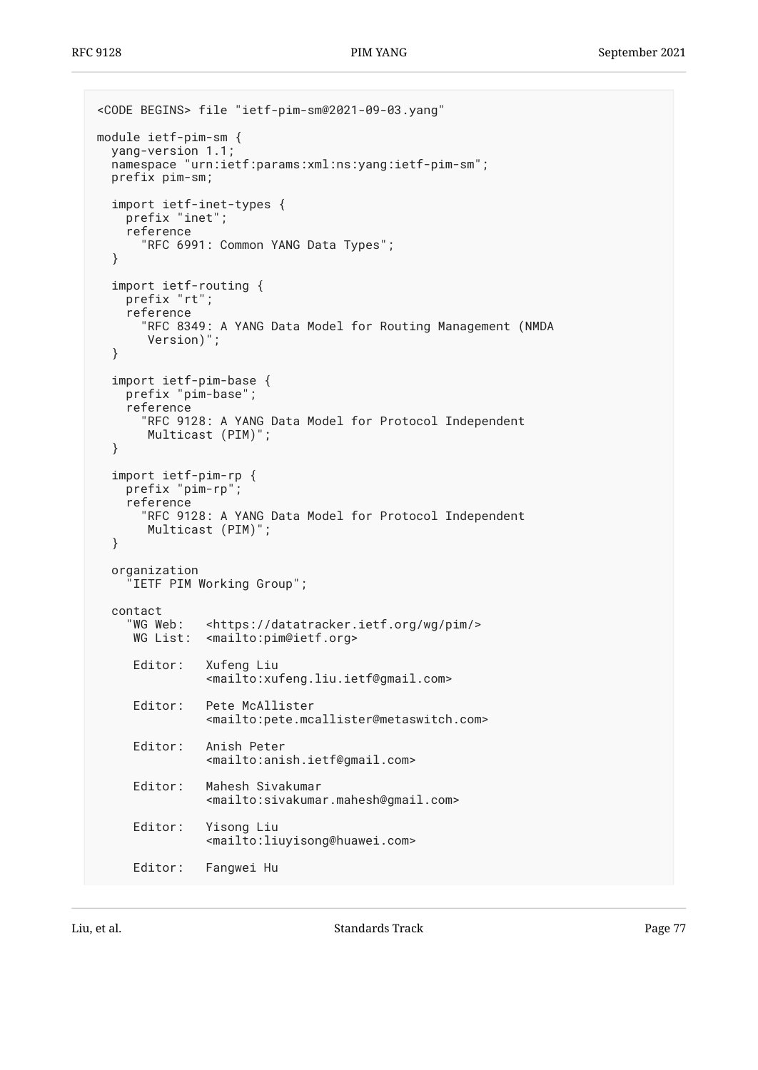```
<CODE BEGINS> file "ietf-pim-sm@2021-09-03.yang"
module ietf-pim-sm {
  yang-version 1.1;
   namespace "urn:ietf:params:xml:ns:yang:ietf-pim-sm";
   prefix pim-sm;
   import ietf-inet-types {
     prefix "inet";
     reference
       "RFC 6991: Common YANG Data Types";
   }
 import ietf-routing {
 prefix "rt";
     reference
       "RFC 8349: A YANG Data Model for Routing Management (NMDA
        Version)";
   }
   import ietf-pim-base {
     prefix "pim-base";
     reference
       "RFC 9128: A YANG Data Model for Protocol Independent
        Multicast (PIM)";
   }
   import ietf-pim-rp {
     prefix "pim-rp";
     reference
       "RFC 9128: A YANG Data Model for Protocol Independent
        Multicast (PIM)";
   }
   organization
     "IETF PIM Working Group";
  contact<br>"WG Web:
               <https://datatracker.ietf.org/wg/pim/>
      WG List: <mailto:pim@ietf.org>
      Editor: Xufeng Liu
                <mailto:xufeng.liu.ietf@gmail.com>
      Editor: Pete McAllister
                 <mailto:pete.mcallister@metaswitch.com>
      Editor: Anish Peter
                 <mailto:anish.ietf@gmail.com>
      Editor: Mahesh Sivakumar
                <mailto:sivakumar.mahesh@gmail.com>
      Editor: Yisong Liu
                 <mailto:liuyisong@huawei.com>
      Editor: Fangwei Hu
```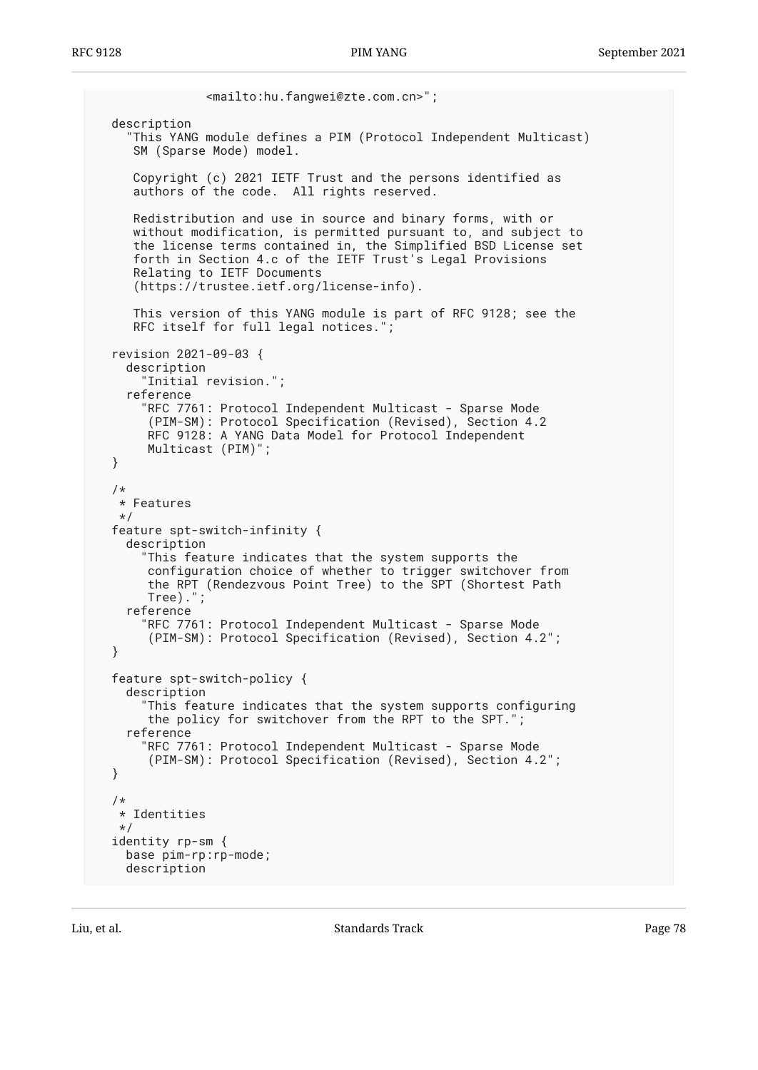```
 <mailto:hu.fangwei@zte.com.cn>";
  description
     "This YANG module defines a PIM (Protocol Independent Multicast)
     SM (Sparse Mode) model.
     Copyright (c) 2021 IETF Trust and the persons identified as
     authors of the code. All rights reserved.
     Redistribution and use in source and binary forms, with or
     without modification, is permitted pursuant to, and subject to
     the license terms contained in, the Simplified BSD License set
     forth in Section 4.c of the IETF Trust's Legal Provisions
     Relating to IETF Documents
     (https://trustee.ietf.org/license-info).
     This version of this YANG module is part of RFC 9128; see the
     RFC itself for full legal notices.";
  revision 2021-09-03 {
     description
       "Initial revision.";
     reference
       "RFC 7761: Protocol Independent Multicast - Sparse Mode
        (PIM-SM): Protocol Specification (Revised), Section 4.2
        RFC 9128: A YANG Data Model for Protocol Independent
       Multicast (PIM)";
  }
  /*
   * Features
   */
  feature spt-switch-infinity {
    description
       "This feature indicates that the system supports the
 configuration choice of whether to trigger switchover from
 the RPT (Rendezvous Point Tree) to the SPT (Shortest Path
 Tree).";
     reference
       "RFC 7761: Protocol Independent Multicast - Sparse Mode
        (PIM-SM): Protocol Specification (Revised), Section 4.2";
  }
  feature spt-switch-policy {
     description
       "This feature indicates that the system supports configuring
        the policy for switchover from the RPT to the SPT.";
     reference
       "RFC 7761: Protocol Independent Multicast - Sparse Mode
        (PIM-SM): Protocol Specification (Revised), Section 4.2";
  }
   /*
   * Identities
   */
  identity rp-sm {
    base pim-rp:rp-mode;
    description
```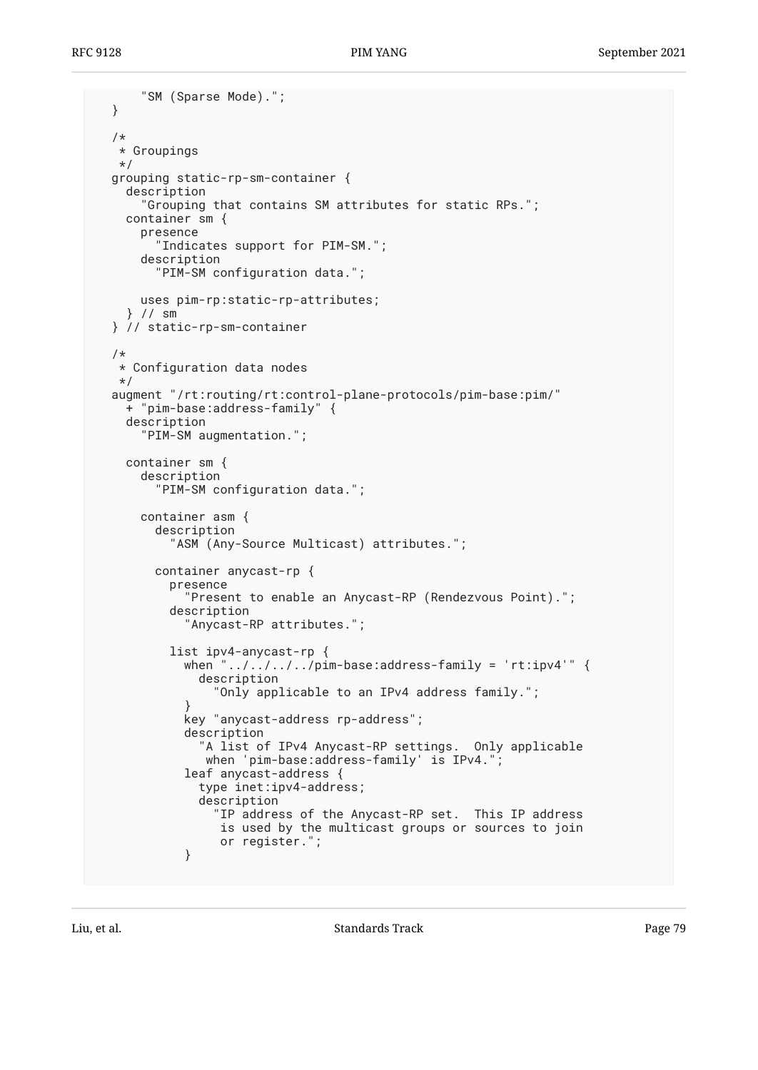```
 "SM (Sparse Mode).";
  }
  /*
   * Groupings
   */
  grouping static-rp-sm-container {
    description
       "Grouping that contains SM attributes for static RPs.";
    container sm {
      presence
         "Indicates support for PIM-SM.";
      description
         "PIM-SM configuration data.";
      uses pim-rp:static-rp-attributes;
     } // sm
  } // static-rp-sm-container
  /*
   * Configuration data nodes
   */
  augment "/rt:routing/rt:control-plane-protocols/pim-base:pim/"
    + "pim-base:address-family" {
    description
       "PIM-SM augmentation.";
     container sm {
       description
         "PIM-SM configuration data.";
      container asm {
         description
           "ASM (Any-Source Multicast) attributes.";
         container anycast-rp {
           presence
             "Present to enable an Anycast-RP (Rendezvous Point).";
           description
             "Anycast-RP attributes.";
           list ipv4-anycast-rp {
            when "../../../../pim-base:address-family = 'rt:ipv4'" {
               description
                 "Only applicable to an IPv4 address family.";
 }
             key "anycast-address rp-address";
             description
               "A list of IPv4 Anycast-RP settings. Only applicable
                when 'pim-base:address-family' is IPv4.";
             leaf anycast-address {
               type inet:ipv4-address;
               description
                 "IP address of the Anycast-RP set. This IP address
                  is used by the multicast groups or sources to join
            or register.";<br>}
 }
```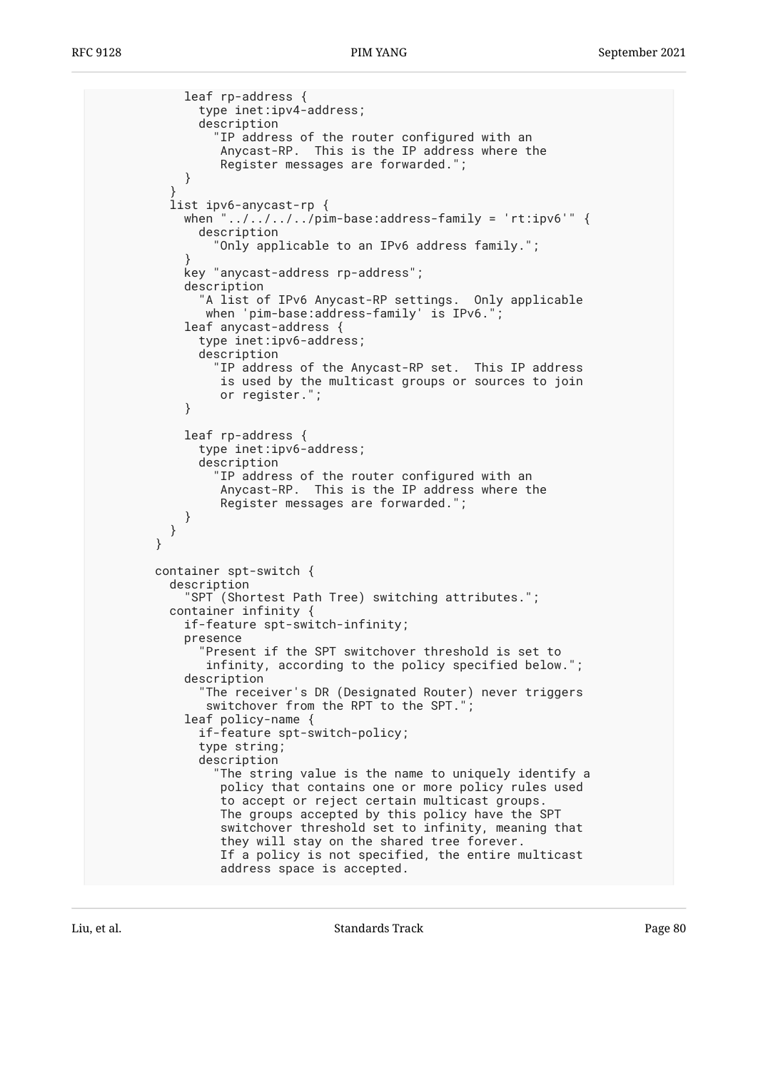```
 leaf rp-address {
               type inet:ipv4-address;
               description
                 "IP address of the router configured with an
                 Anycast-RP. This is the IP address where the
                 Register messages are forwarded.";
 }
 }
          list ipv6-anycast-rp {
            when "../../../../pim-base:address-family = 'rt:ipv6'" {
              description
                 "Only applicable to an IPv6 address family.";
 }
            key "anycast-address rp-address";
            description
               "A list of IPv6 Anycast-RP settings. Only applicable
              when 'pim-base:address-family' is IPv6.";
            leaf anycast-address {
               type inet:ipv6-address;
               description
                 "IP address of the Anycast-RP set. This IP address
                 is used by the multicast groups or sources to join
                 or register.";
 }
            leaf rp-address {
               type inet:ipv6-address;
               description
                 "IP address of the router configured with an
                 Anycast-RP. This is the IP address where the
                 Register messages are forwarded.";
 }
 }
        }
        container spt-switch {
          description
             "SPT (Shortest Path Tree) switching attributes.";
          container infinity {
            if-feature spt-switch-infinity;
            presence
               "Present if the SPT switchover threshold is set to
               infinity, according to the policy specified below.";
            description
               "The receiver's DR (Designated Router) never triggers
                switchover from the RPT to the SPT.";
            leaf policy-name {
               if-feature spt-switch-policy;
               type string;
               description
                 "The string value is the name to uniquely identify a
                 policy that contains one or more policy rules used
                 to accept or reject certain multicast groups.
                 The groups accepted by this policy have the SPT
                 switchover threshold set to infinity, meaning that
                 they will stay on the shared tree forever.
                 If a policy is not specified, the entire multicast
                 address space is accepted.
```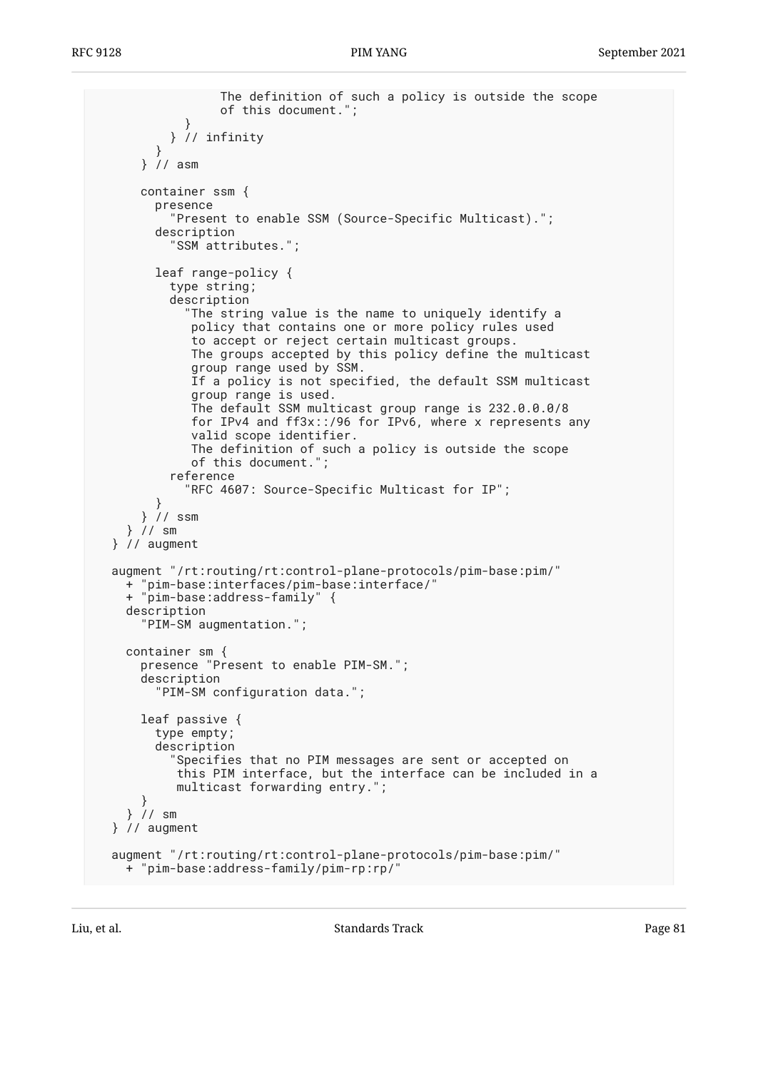```
 The definition of such a policy is outside the scope
                  of this document.";
 }
           } // infinity
         }
       } // asm
      container ssm {
         presence
           "Present to enable SSM (Source-Specific Multicast).";
         description
           "SSM attributes.";
        leaf range-policy {
           type string;
           description
             "The string value is the name to uniquely identify a
              policy that contains one or more policy rules used
              to accept or reject certain multicast groups.
              The groups accepted by this policy define the multicast
              group range used by SSM.
              If a policy is not specified, the default SSM multicast
              group range is used.
              The default SSM multicast group range is 232.0.0.0/8
              for IPv4 and ff3x::/96 for IPv6, where x represents any
              valid scope identifier.
 The definition of such a policy is outside the scope
 of this document.";
           reference
             "RFC 4607: Source-Specific Multicast for IP";
        }
      } // ssm
    } // sm
  } // augment
  augment "/rt:routing/rt:control-plane-protocols/pim-base:pim/"
 + "pim-base:interfaces/pim-base:interface/"
 + "pim-base:address-family" {
    description
       "PIM-SM augmentation.";
    container sm {
       presence "Present to enable PIM-SM.";
       description
         "PIM-SM configuration data.";
      leaf passive {
        type empty;
        description
           "Specifies that no PIM messages are sent or accepted on
            this PIM interface, but the interface can be included in a
           multicast forwarding entry.";
      }
    } // sm
  } // augment
  augment "/rt:routing/rt:control-plane-protocols/pim-base:pim/"
    + "pim-base:address-family/pim-rp:rp/"
```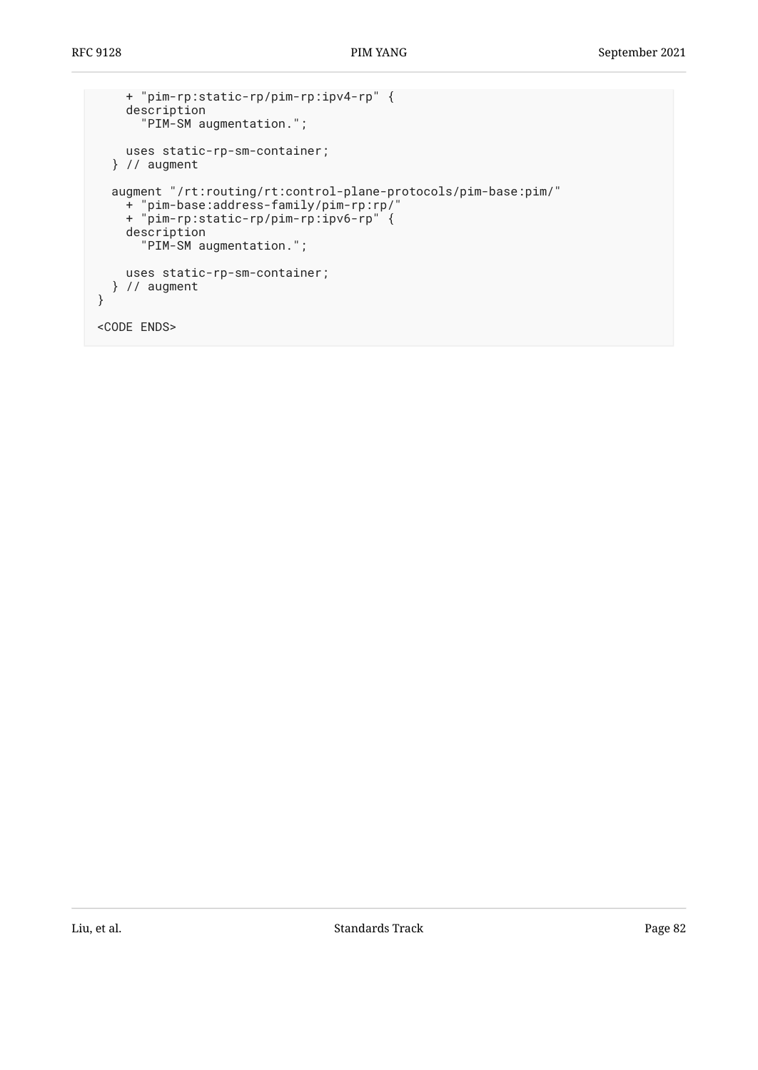```
 + "pim-rp:static-rp/pim-rp:ipv4-rp" {
     description
       "PIM-SM augmentation.";
    uses static-rp-sm-container;
   } // augment
   augment "/rt:routing/rt:control-plane-protocols/pim-base:pim/"
 + "pim-base:address-family/pim-rp:rp/"
 + "pim-rp:static-rp/pim-rp:ipv6-rp" {
     description
       "PIM-SM augmentation.";
     uses static-rp-sm-container;
  } // augment
}
<CODE ENDS>
```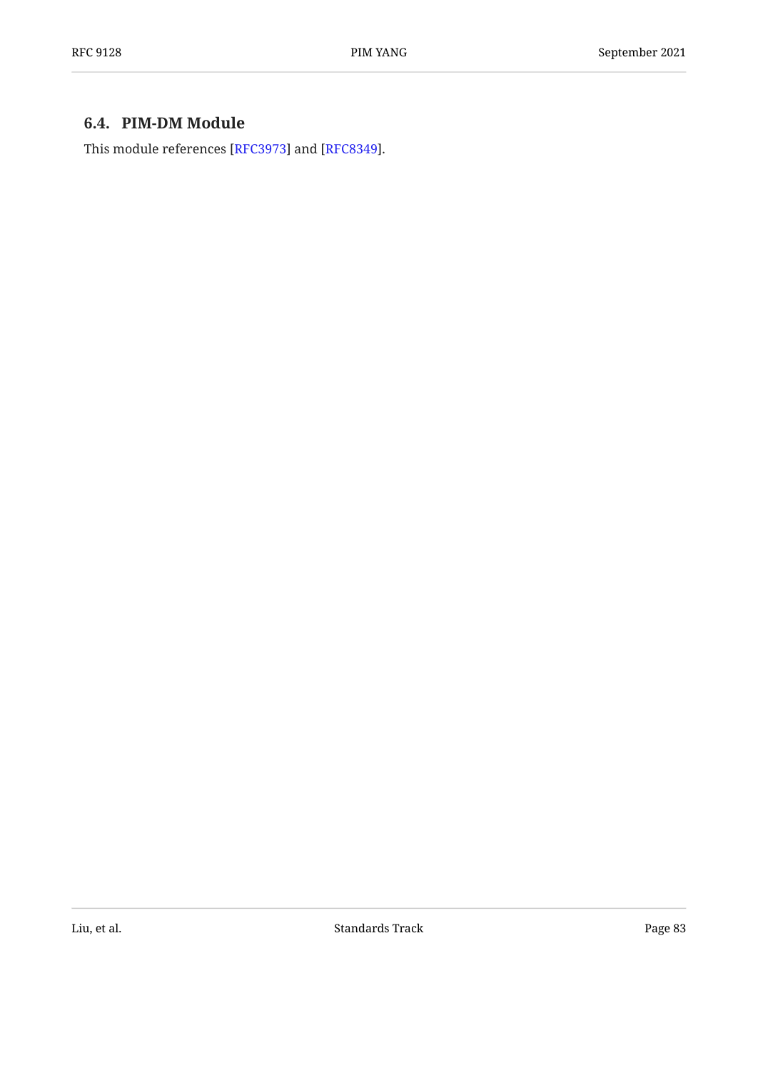### <span id="page-82-0"></span>**[6.4. PIM-DM Module](#page-82-0)**

This module references [\[RFC3973](#page-96-2)] and [[RFC8349\]](#page-97-1).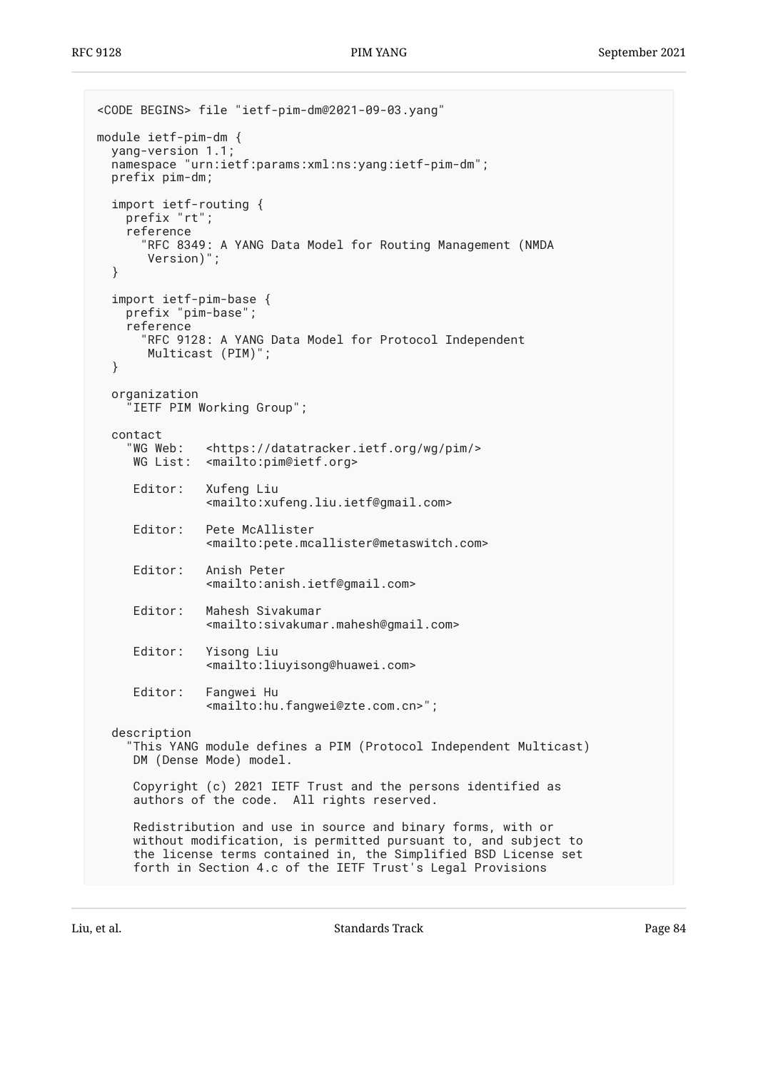```
<CODE BEGINS> file "ietf-pim-dm@2021-09-03.yang"
module ietf-pim-dm {
  yang-version 1.1;
   namespace "urn:ietf:params:xml:ns:yang:ietf-pim-dm";
   prefix pim-dm;
   import ietf-routing {
     prefix "rt";
     reference
       "RFC 8349: A YANG Data Model for Routing Management (NMDA
        Version)";
   }
   import ietf-pim-base {
     prefix "pim-base";
     reference
       "RFC 9128: A YANG Data Model for Protocol Independent
        Multicast (PIM)";
   }
   organization
      "IETF PIM Working Group";
  contact<br>"WG Web:
               <https://datatracker.ietf.org/wg/pim/>
      WG List: <mailto:pim@ietf.org>
      Editor: Xufeng Liu
                <mailto:xufeng.liu.ietf@gmail.com>
      Editor: Pete McAllister
                <mailto:pete.mcallister@metaswitch.com>
      Editor: Anish Peter
                <mailto:anish.ietf@gmail.com>
      Editor: Mahesh Sivakumar
                <mailto:sivakumar.mahesh@gmail.com>
      Editor: Yisong Liu
                <mailto:liuyisong@huawei.com>
      Editor: Fangwei Hu
                <mailto:hu.fangwei@zte.com.cn>";
   description
     "This YANG module defines a PIM (Protocol Independent Multicast)
      DM (Dense Mode) model.
      Copyright (c) 2021 IETF Trust and the persons identified as
      authors of the code. All rights reserved.
      Redistribution and use in source and binary forms, with or
      without modification, is permitted pursuant to, and subject to
      the license terms contained in, the Simplified BSD License set
      forth in Section 4.c of the IETF Trust's Legal Provisions
```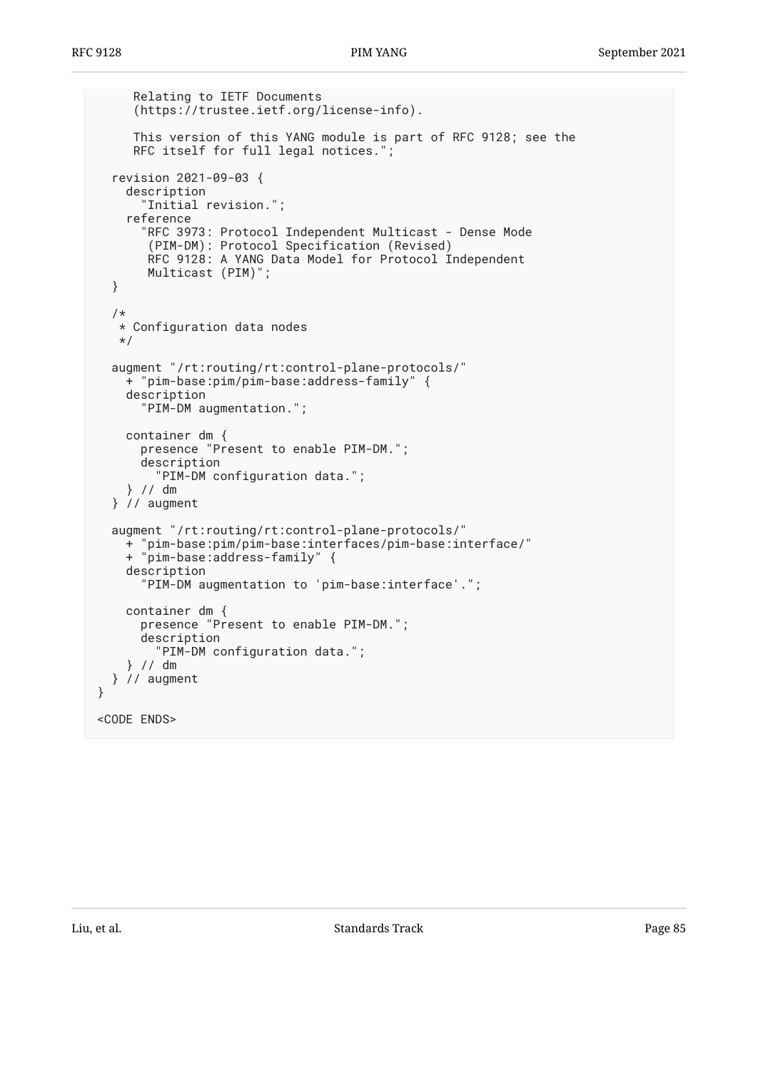```
 Relating to IETF Documents
      (https://trustee.ietf.org/license-info).
      This version of this YANG module is part of RFC 9128; see the
      RFC itself for full legal notices.";
   revision 2021-09-03 {
     description
       "Initial revision.";
     reference
       "RFC 3973: Protocol Independent Multicast - Dense Mode
        (PIM-DM): Protocol Specification (Revised)
        RFC 9128: A YANG Data Model for Protocol Independent
        Multicast (PIM)";
   }
   /*
    * Configuration data nodes
    */
   augment "/rt:routing/rt:control-plane-protocols/"
     + "pim-base:pim/pim-base:address-family" {
     description
       "PIM-DM augmentation.";
     container dm {
       presence "Present to enable PIM-DM.";
       description
         "PIM-DM configuration data.";
     } // dm
   } // augment
   augment "/rt:routing/rt:control-plane-protocols/"
     + "pim-base:pim/pim-base:interfaces/pim-base:interface/"
     + "pim-base:address-family" {
     description
       "PIM-DM augmentation to 'pim-base:interface'.";
     container dm {
       presence "Present to enable PIM-DM.";
       description
         "PIM-DM configuration data.";
     } // dm
   } // augment
}
<CODE ENDS>
```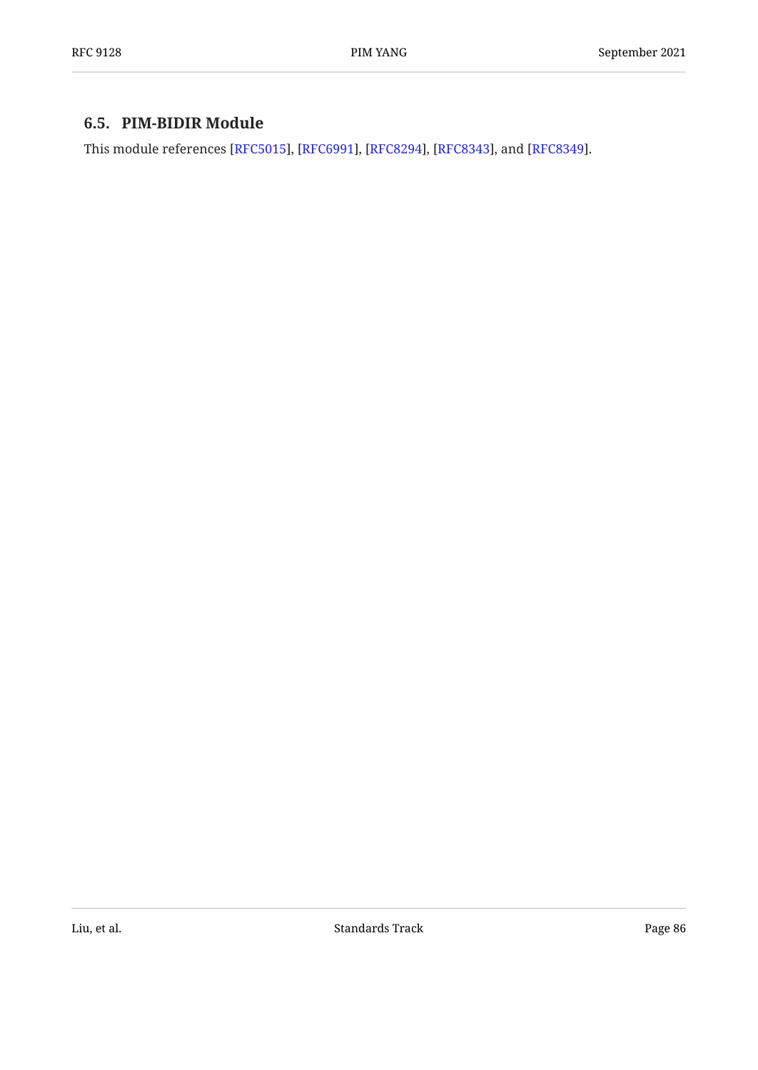### <span id="page-85-0"></span>**[6.5. PIM-BIDIR Module](#page-85-0)**

This module references [\[RFC5015](#page-96-3)], [\[RFC6991](#page-96-1)], [[RFC8294\]](#page-97-2), [RFC8343], and [RFC8349].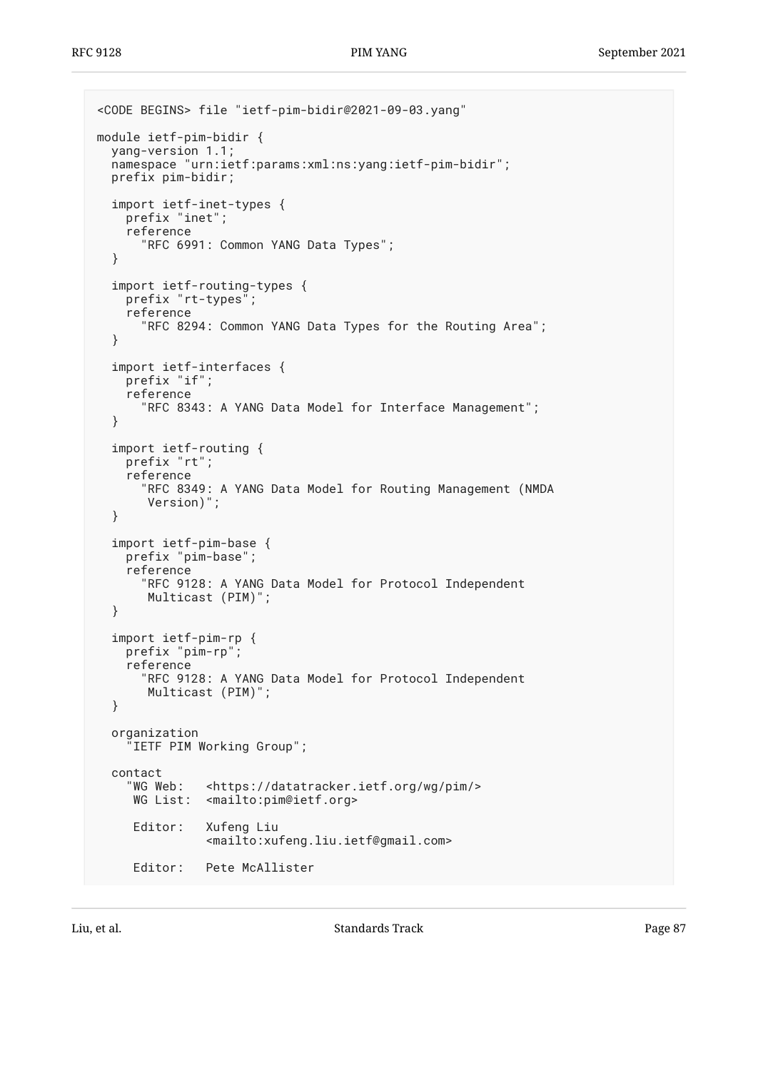```
<CODE BEGINS> file "ietf-pim-bidir@2021-09-03.yang"
module ietf-pim-bidir {
  yang-version 1.1;
   namespace "urn:ietf:params:xml:ns:yang:ietf-pim-bidir";
   prefix pim-bidir;
   import ietf-inet-types {
     prefix "inet";
     reference
       "RFC 6991: Common YANG Data Types";
   }
 import ietf-routing-types {
 prefix "rt-types";
     reference
       "RFC 8294: Common YANG Data Types for the Routing Area";
   }
   import ietf-interfaces {
     prefix "if";
     reference
       "RFC 8343: A YANG Data Model for Interface Management";
   }
   import ietf-routing {
     prefix "rt";
     reference
       "RFC 8349: A YANG Data Model for Routing Management (NMDA
        Version)";
   }
   import ietf-pim-base {
     prefix "pim-base";
     reference
       "RFC 9128: A YANG Data Model for Protocol Independent
        Multicast (PIM)";
   }
   import ietf-pim-rp {
     prefix "pim-rp";
     reference
       "RFC 9128: A YANG Data Model for Protocol Independent
        Multicast (PIM)";
   }
   organization
     "IETF PIM Working Group";
   contact
     "WG Web: <https://datatracker.ietf.org/wg/pim/>
      WG List: <mailto:pim@ietf.org>
      Editor: Xufeng Liu
                 <mailto:xufeng.liu.ietf@gmail.com>
      Editor: Pete McAllister
```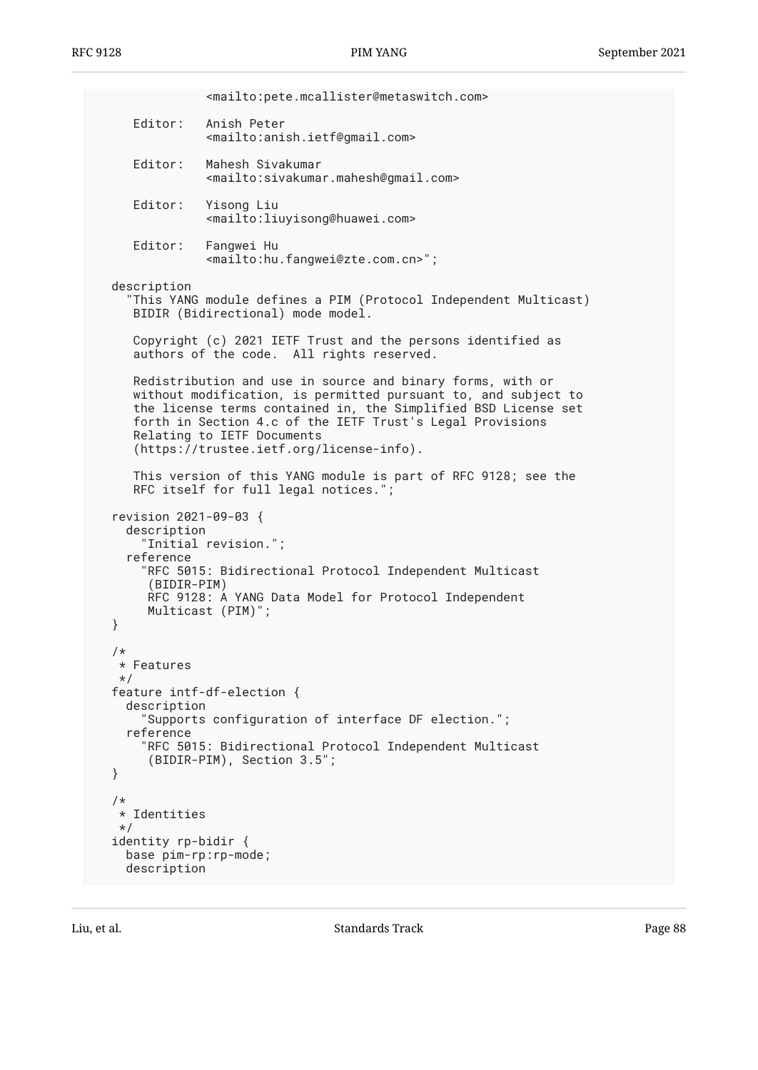<mailto:pete.mcallister@metaswitch.com> Editor: Anish Peter <mailto:anish.ietf@gmail.com> Editor: Mahesh Sivakumar <mailto:sivakumar.mahesh@gmail.com> Editor: Yisong Liu <mailto:liuyisong@huawei.com> Editor: Fangwei Hu <mailto:hu.fangwei@zte.com.cn>"; description "This YANG module defines a PIM (Protocol Independent Multicast) BIDIR (Bidirectional) mode model. Copyright (c) 2021 IETF Trust and the persons identified as authors of the code. All rights reserved. Redistribution and use in source and binary forms, with or without modification, is permitted pursuant to, and subject to the license terms contained in, the Simplified BSD License set forth in Section 4.c of the IETF Trust's Legal Provisions Relating to IETF Documents (https://trustee.ietf.org/license-info). This version of this YANG module is part of RFC 9128; see the RFC itself for full legal notices."; revision 2021-09-03 { description "Initial revision."; reference "RFC 5015: Bidirectional Protocol Independent Multicast (BIDIR-PIM) RFC 9128: A YANG Data Model for Protocol Independent Multicast (PIM)"; } /\* \* Features \*/ feature intf-df-election { description "Supports configuration of interface DF election."; reference "RFC 5015: Bidirectional Protocol Independent Multicast (BIDIR-PIM), Section 3.5"; } /\* \* Identities \*/ identity rp-bidir { base pim-rp:rp-mode; description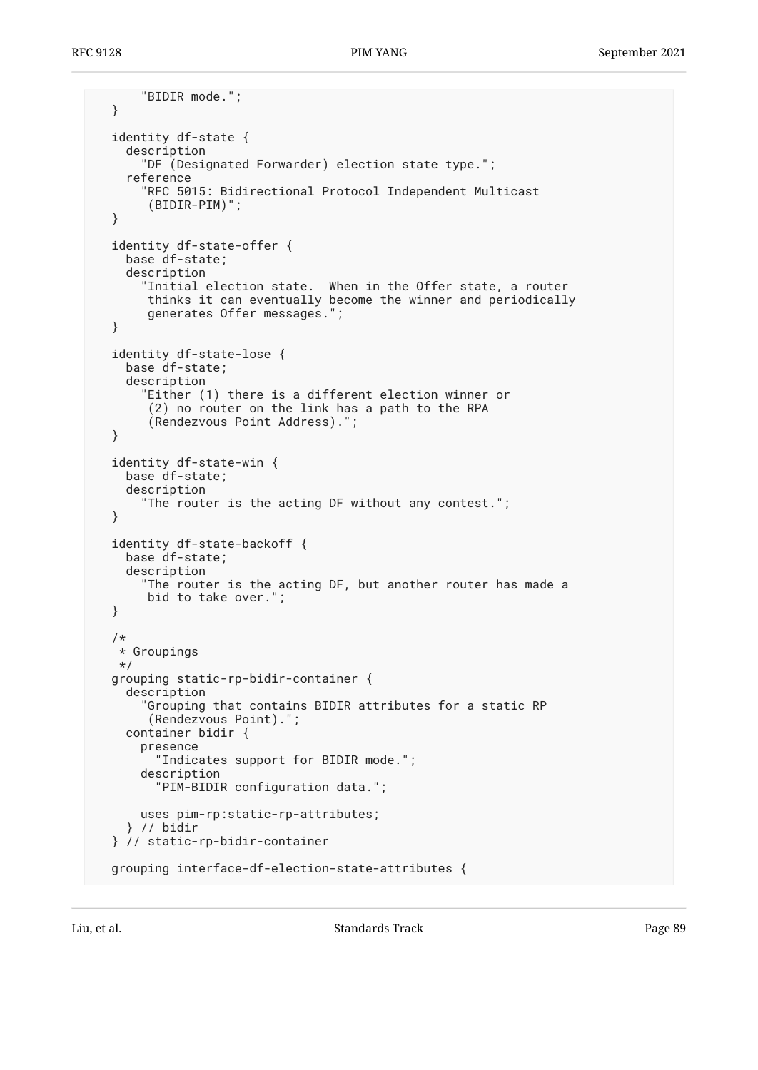```
 "BIDIR mode.";
 }
 identity df-state {
   description
     "DF (Designated Forwarder) election state type.";
   reference
     "RFC 5015: Bidirectional Protocol Independent Multicast
      (BIDIR-PIM)";
 }
 identity df-state-offer {
  base df-state;
   description
     "Initial election state. When in the Offer state, a router
      thinks it can eventually become the winner and periodically
      generates Offer messages.";
 }
 identity df-state-lose {
   base df-state;
   description
     "Either (1) there is a different election winner or
      (2) no router on the link has a path to the RPA
      (Rendezvous Point Address).";
 }
 identity df-state-win {
   base df-state;
   description
     "The router is the acting DF without any contest.";
 }
 identity df-state-backoff {
   base df-state;
   description
    "The router is the acting DF, but another router has made a
      bid to take over.";
 }
 /*
  * Groupings
 */
 grouping static-rp-bidir-container {
   description
     "Grouping that contains BIDIR attributes for a static RP
      (Rendezvous Point).";
   container bidir {
     presence
       "Indicates support for BIDIR mode.";
     description
       "PIM-BIDIR configuration data.";
     uses pim-rp:static-rp-attributes;
   } // bidir
 } // static-rp-bidir-container
 grouping interface-df-election-state-attributes {
```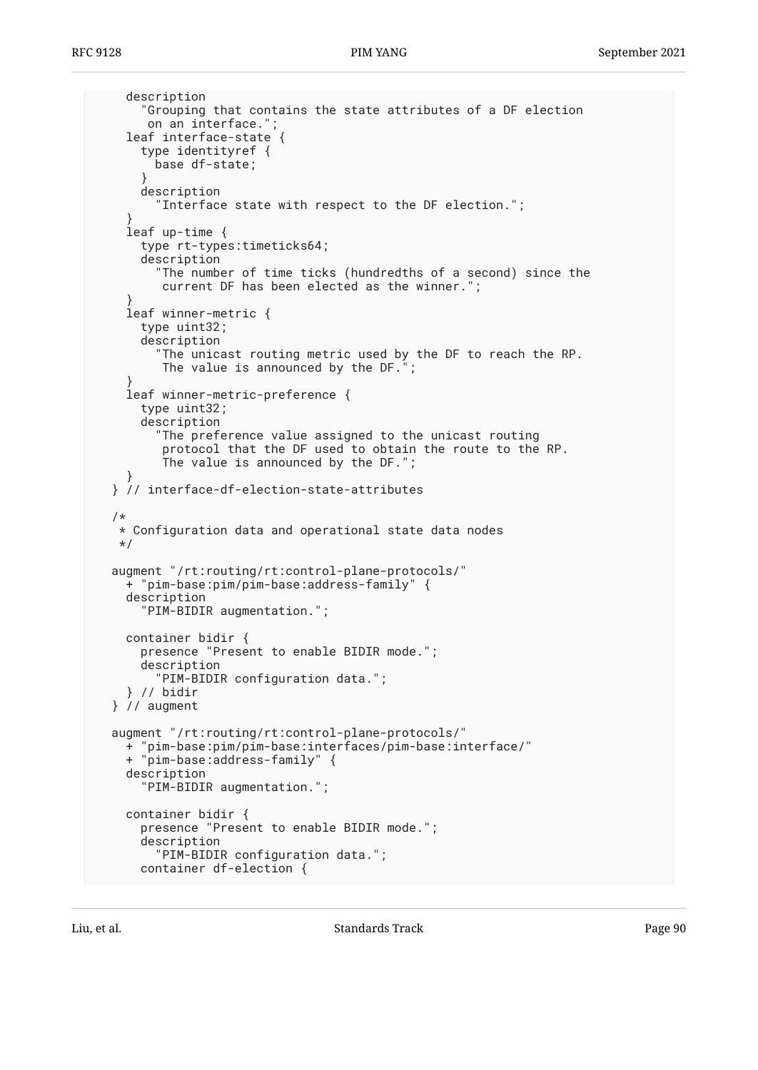```
 description
       "Grouping that contains the state attributes of a DF election
       on an interface.";
     leaf interface-state {
       type identityref {
         base df-state;
 }
      description
         "Interface state with respect to the DF election.";
 }
     leaf up-time {
      type rt-types:timeticks64;
       description
         "The number of time ticks (hundredths of a second) since the
          current DF has been elected as the winner.";
 }
     leaf winner-metric {
      type uint32;
      description
         "The unicast routing metric used by the DF to reach the RP.
         The value is announced by the DF.";
 }
     leaf winner-metric-preference {
      type uint32;
       description
         "The preference value assigned to the unicast routing
          protocol that the DF used to obtain the route to the RP.
          The value is announced by the DF.";
 }
  } // interface-df-election-state-attributes
  /*
   * Configuration data and operational state data nodes
   */
  augment "/rt:routing/rt:control-plane-protocols/"
     + "pim-base:pim/pim-base:address-family" {
     description
       "PIM-BIDIR augmentation.";
     container bidir {
      presence "Present to enable BIDIR mode.";
       description
         "PIM-BIDIR configuration data.";
     } // bidir
  } // augment
  augment "/rt:routing/rt:control-plane-protocols/"
    + "pim-base:pim/pim-base:interfaces/pim-base:interface/"
     + "pim-base:address-family" {
     description
       "PIM-BIDIR augmentation.";
    container bidir {
      presence "Present to enable BIDIR mode.";
       description
         "PIM-BIDIR configuration data.";
      container df-election {
```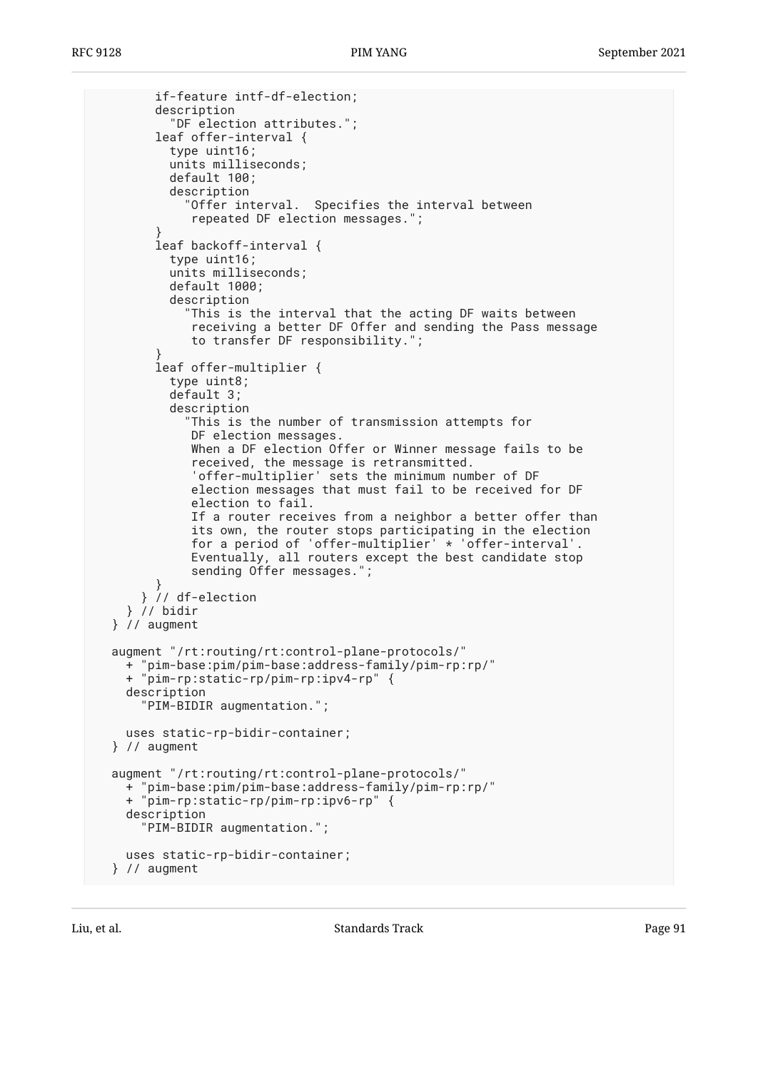```
 if-feature intf-df-election;
         description
           "DF election attributes.";
         leaf offer-interval {
           type uint16;
           units milliseconds;
           default 100;
           description
             "Offer interval. Specifies the interval between
              repeated DF election messages.";
 }
         leaf backoff-interval {
           type uint16;
           units milliseconds;
           default 1000;
           description
              "This is the interval that the acting DF waits between
              receiving a better DF Offer and sending the Pass message
              to transfer DF responsibility.";
 }
         leaf offer-multiplier {
           type uint8;
           default 3;
           description
             This is the number of transmission attempts for
              DF election messages.
              When a DF election Offer or Winner message fails to be
              received, the message is retransmitted.
              'offer-multiplier' sets the minimum number of DF
              election messages that must fail to be received for DF
              election to fail.
              If a router receives from a neighbor a better offer than
              its own, the router stops participating in the election
              for a period of 'offer-multiplier' * 'offer-interval'.
              Eventually, all routers except the best candidate stop
              sending Offer messages.";
         }
       } // df-election
     } // bidir
  } // augment
  augment "/rt:routing/rt:control-plane-protocols/"
    + "pim-base:pim/pim-base:address-family/pim-rp:rp/"
     + "pim-rp:static-rp/pim-rp:ipv4-rp" {
     description
       "PIM-BIDIR augmentation.";
     uses static-rp-bidir-container;
  } // augment
  augment "/rt:routing/rt:control-plane-protocols/"
     + "pim-base:pim/pim-base:address-family/pim-rp:rp/"
    + "pim-rp:static-rp/pim-rp:ipv6-rp" {
    description
       "PIM-BIDIR augmentation.";
     uses static-rp-bidir-container;
  } // augment
```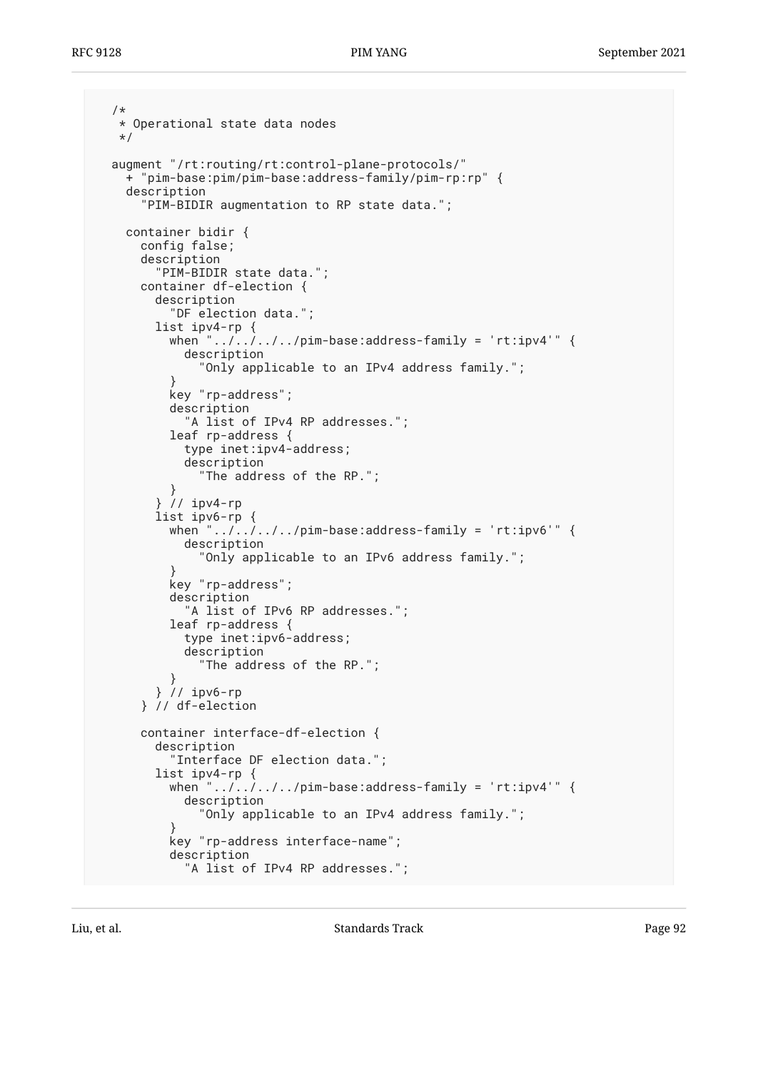```
 /*
   * Operational state data nodes
   */
  augment "/rt:routing/rt:control-plane-protocols/"
     + "pim-base:pim/pim-base:address-family/pim-rp:rp" {
     description
       "PIM-BIDIR augmentation to RP state data.";
     container bidir {
      config false;
       description
        "PIM-BIDIR state data.";
      container df-election {
        description
           "DF election data.";
        list ipv4-rp {
         when ".../.../.../pim-base:address-family = 'rt:ipv4'" {
             description
               "Only applicable to an IPv4 address family.";
 }
           key "rp-address";
           description
             "A list of IPv4 RP addresses.";
           leaf rp-address {
             type inet:ipv4-address;
             description
               "The address of the RP.";
 }
         } // ipv4-rp
        list ipv6-rp {
         when "../../../../pim-base:address-family = 'rt:ipv6'" {
             description
               "Only applicable to an IPv6 address family.";
 }
           key "rp-address";
           description
            "A list of IPv6 RP addresses.";
           leaf rp-address {
            type inet:ipv6-address;
             description
               "The address of the RP.";
 }
         } // ipv6-rp
       } // df-election
      container interface-df-election {
        description
           "Interface DF election data.";
        list ipv4-rp {
          when "\ldots, ..., .../pim-base:address-family = 'rt:ipv4'" {
             description
               "Only applicable to an IPv4 address family.";
 }
          key "rp-address interface-name";
           description
             "A list of IPv4 RP addresses.";
```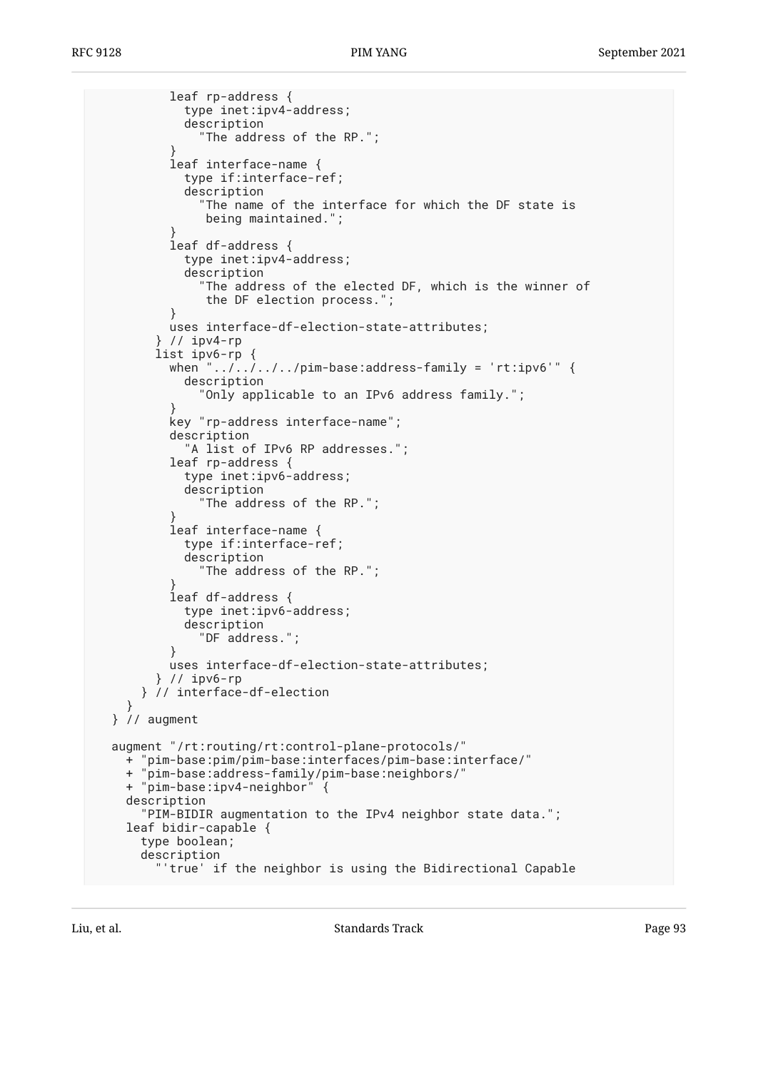```
 leaf rp-address {
             type inet:ipv4-address;
             description
               "The address of the RP.";
 }
           leaf interface-name {
             type if:interface-ref;
             description
              "The name of the interface for which the DF state is
                being maintained.";
 }
           leaf df-address {
             type inet:ipv4-address;
             description
               "The address of the elected DF, which is the winner of
                the DF election process.";
 }
           uses interface-df-election-state-attributes;
         } // ipv4-rp
        list ipv6-rp {
          when "\ldots/\ldots/\ldots/pim-base:address-family = 'rt:ipv6'" {
             description
               "Only applicable to an IPv6 address family.";
 }
           key "rp-address interface-name";
           description
             "A list of IPv6 RP addresses.";
           leaf rp-address {
             type inet:ipv6-address;
             description
               "The address of the RP.";
 }
           leaf interface-name {
             type if:interface-ref;
             description
               "The address of the RP.";
 }
           leaf df-address {
             type inet:ipv6-address;
             description
               "DF address.";
 }
           uses interface-df-election-state-attributes;
         } // ipv6-rp
      } // interface-df-election
 }
  } // augment
  augment "/rt:routing/rt:control-plane-protocols/"
    + "pim-base:pim/pim-base:interfaces/pim-base:interface/"
    + "pim-base:address-family/pim-base:neighbors/"
    + "pim-base:ipv4-neighbor" {
    description
       "PIM-BIDIR augmentation to the IPv4 neighbor state data.";
    leaf bidir-capable {
      type boolean;
      description
         "'true' if the neighbor is using the Bidirectional Capable
```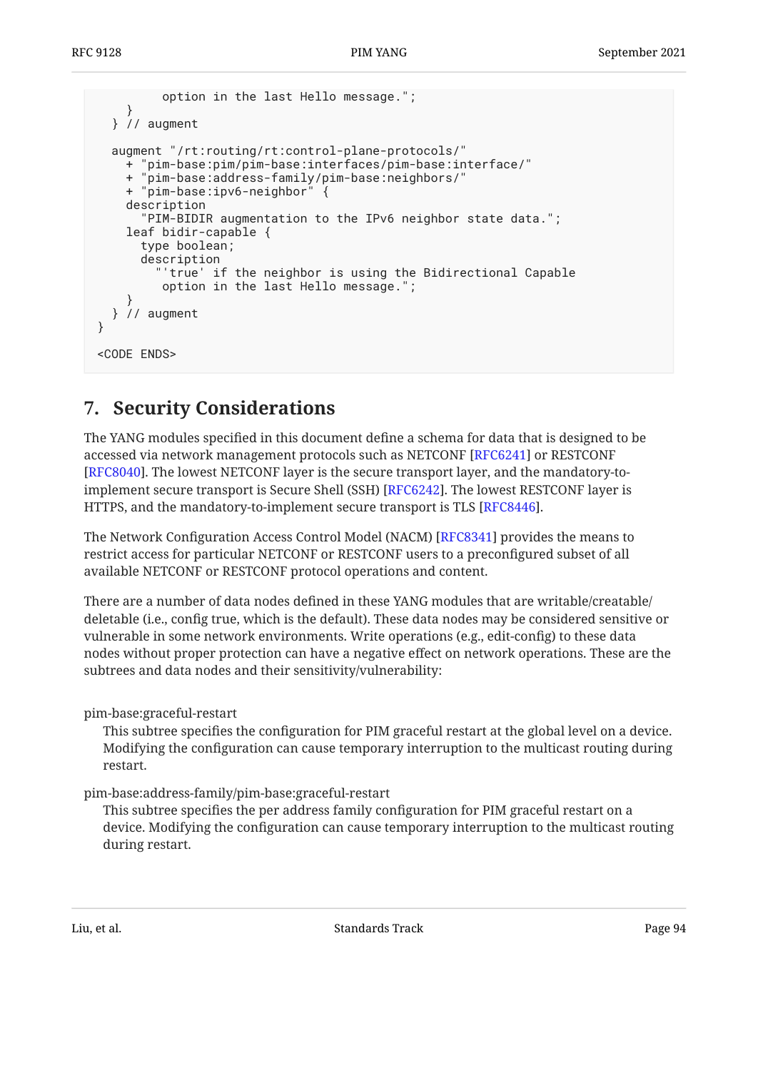```
 option in the last Hello message.";
 }
   } // augment
   augment "/rt:routing/rt:control-plane-protocols/"
     + "pim-base:pim/pim-base:interfaces/pim-base:interface/"
       '\texttt{pim-base:} \texttt{address-family/pim-base:}neighbors/' + "pim-base:ipv6-neighbor" {
     description
       "PIM-BIDIR augmentation to the IPv6 neighbor state data.";
     leaf bidir-capable {
       type boolean;
       description
          "'true' if the neighbor is using the Bidirectional Capable
          option in the last Hello message.";
 }
   } // augment
}
<CODE ENDS>
```
# <span id="page-93-0"></span>**[7. Security Considerations](#page-93-0)**

The YANG modules specified in this document define a schema for data that is designed to be accessed via network management protocols such as NETCONF [RFC6241] or RESTCONF [[RFC8040\]](#page-97-4). The lowest NETCONF layer is the secure transport layer, and the mandatory-toimplement secure transport is Secure Shell (SSH) [RFC6242]. The lowest RESTCONF layer is HTTPS, and the mandatory-to-implement secure transport is TLS [RFC8446].

The Network Configuration Access Control Model (NACM) [[RFC8341\]](#page-97-6) provides the means to restrict access for particular NETCONF or RESTCONF users to a preconfigured subset of all available NETCONF or RESTCONF protocol operations and content.

There are a number of data nodes defined in these YANG modules that are writable/creatable/ deletable (i.e., config true, which is the default). These data nodes may be considered sensitive or vulnerable in some network environments. Write operations (e.g., edit-config) to these data nodes without proper protection can have a negative effect on network operations. These are the subtrees and data nodes and their sensitivity/vulnerability:

pim-base:graceful-restart

This subtree specifies the configuration for PIM graceful restart at the global level on a device. Modifying the configuration can cause temporary interruption to the multicast routing during restart.

pim-base:address-family/pim-base:graceful-restart

This subtree specifies the per address family configuration for PIM graceful restart on a device. Modifying the configuration can cause temporary interruption to the multicast routing during restart.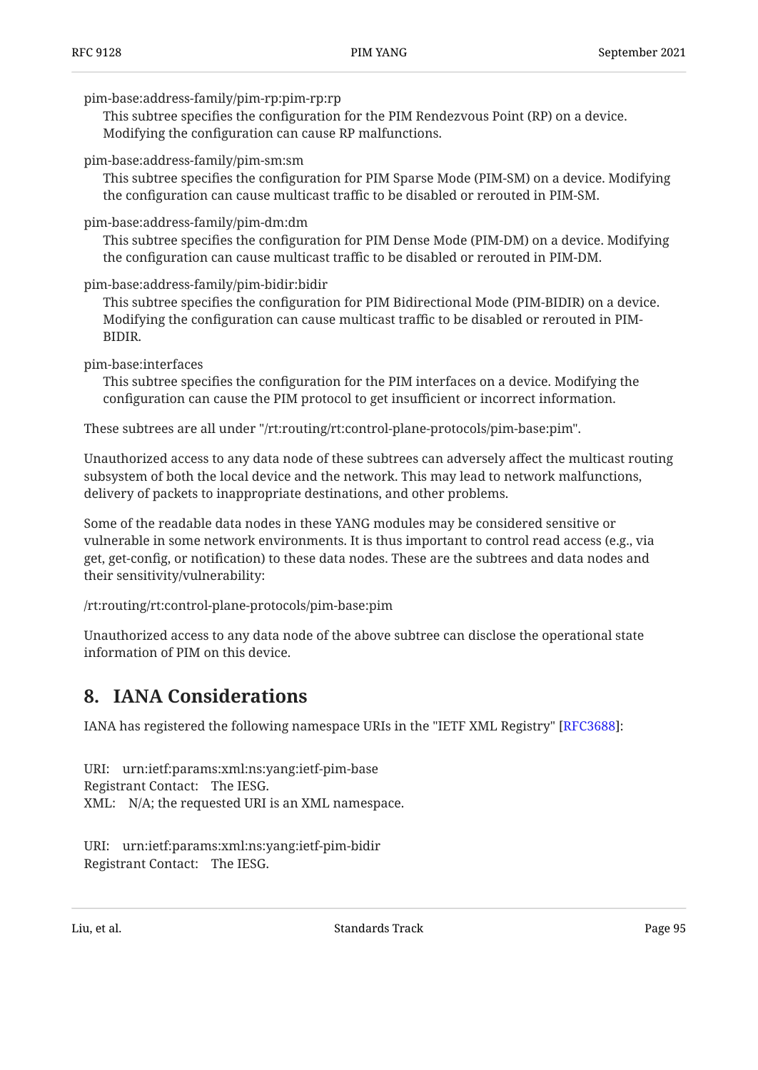#### pim-base:address-family/pim-rp:pim-rp:rp

This subtree specifies the configuration for the PIM Rendezvous Point (RP) on a device. Modifying the configuration can cause RP malfunctions.

pim-base:address-family/pim-sm:sm

This subtree specifies the configuration for PIM Sparse Mode (PIM‑SM) on a device. Modifying the configuration can cause multicast traffic to be disabled or rerouted in PIM-SM.

#### pim-base:address-family/pim-dm:dm

This subtree specifies the configuration for PIM Dense Mode (PIM‑DM) on a device. Modifying the configuration can cause multicast traffic to be disabled or rerouted in PIM-DM.

pim-base:address-family/pim-bidir:bidir

This subtree specifies the configuration for PIM Bidirectional Mode (PIM-BIDIR) on a device. Modifying the configuration can cause multicast traffic to be disabled or rerouted in PIM-BIDIR.

pim-base:interfaces

This subtree specifies the configuration for the PIM interfaces on a device. Modifying the configuration can cause the PIM protocol to get insufficient or incorrect information.

These subtrees are all under "/rt:routing/rt:control-plane-protocols/pim-base:pim".

Unauthorized access to any data node of these subtrees can adversely affect the multicast routing subsystem of both the local device and the network. This may lead to network malfunctions, delivery of packets to inappropriate destinations, and other problems.

Some of the readable data nodes in these YANG modules may be considered sensitive or vulnerable in some network environments. It is thus important to control read access (e.g., via get, get-config, or notification) to these data nodes. These are the subtrees and data nodes and their sensitivity/vulnerability:

/rt:routing/rt:control-plane-protocols/pim-base:pim

<span id="page-94-0"></span>Unauthorized access to any data node of the above subtree can disclose the operational state information of PIM on this device.

## **[8. IANA Considerations](#page-94-0)**

IANA has registered the following namespace URIs in the "IETF XML Registry" [RFC3688]:

URI: urn:ietf:params:xml:ns:yang:ietf-pim-base Registrant Contact: The IESG. XML: N/A; the requested URI is an XML namespace.

URI: urn:ietf:params:xml:ns:yang:ietf-pim-bidir Registrant Contact: The IESG.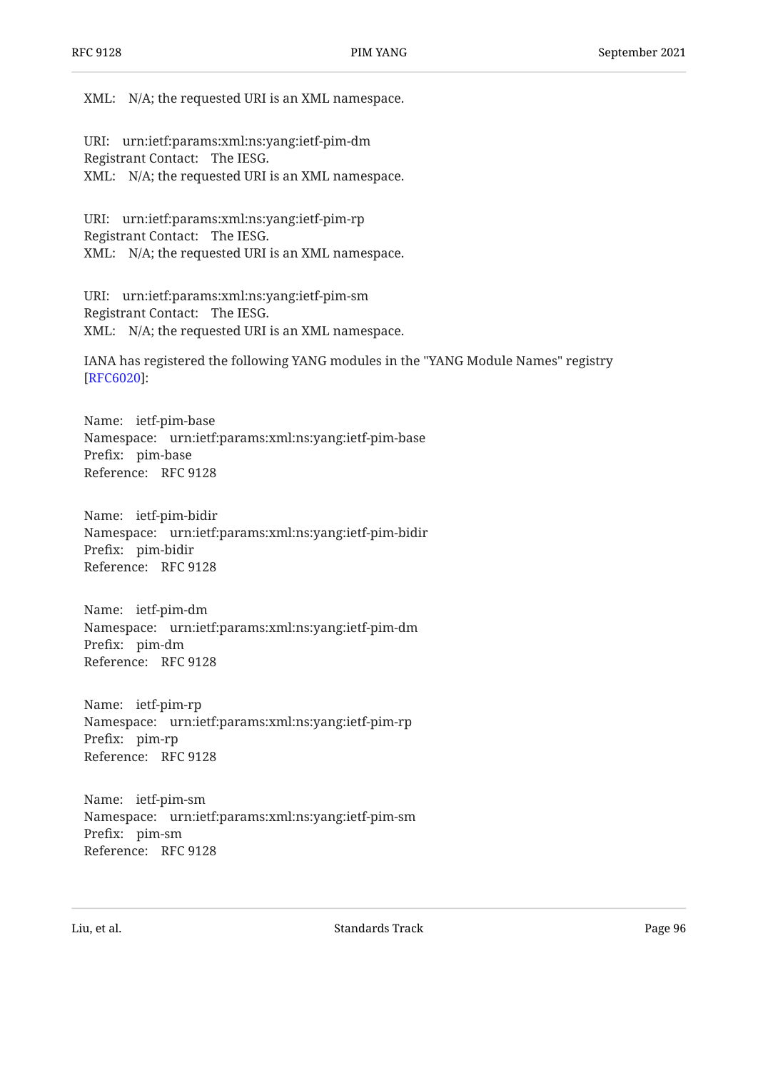XML: N/A; the requested URI is an XML namespace.

URI: urn:ietf:params:xml:ns:yang:ietf-pim-dm Registrant Contact: The IESG. XML: N/A; the requested URI is an XML namespace.

URI: urn:ietf:params:xml:ns:yang:ietf-pim-rp Registrant Contact: The IESG. XML: N/A; the requested URI is an XML namespace.

URI: urn:ietf:params:xml:ns:yang:ietf-pim-sm Registrant Contact: The IESG. XML: N/A; the requested URI is an XML namespace.

IANA has registered the following YANG modules in the "YANG Module Names" registry : [[RFC6020\]](#page-96-7)

Name: ietf-pim-base Namespace: urn:ietf:params:xml:ns:yang:ietf-pim-base Prefix: pim-base Reference: RFC 9128

Name: ietf-pim-bidir Namespace: urn:ietf:params:xml:ns:yang:ietf-pim-bidir Prefix: pim-bidir Reference: RFC 9128

Name: ietf-pim-dm Namespace: urn:ietf:params:xml:ns:yang:ietf-pim-dm Prefix: pim-dm Reference: RFC 9128

Name: ietf-pim-rp Namespace: urn:ietf:params:xml:ns:yang:ietf-pim-rp Prefix: pim-rp Reference: RFC 9128

Name: ietf-pim-sm Namespace: urn:ietf:params:xml:ns:yang:ietf-pim-sm Prefix: pim-sm Reference: RFC 9128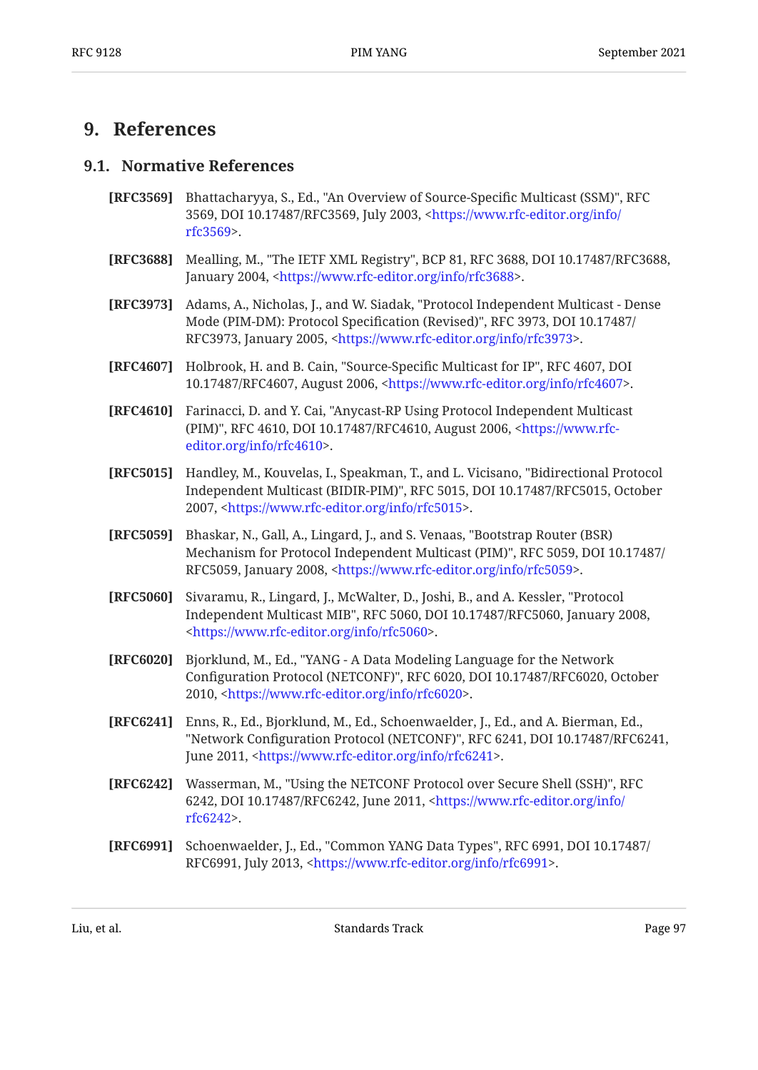## <span id="page-96-9"></span><span id="page-96-8"></span>**[9. References](#page-96-8)**

#### **[9.1. Normative References](#page-96-9)**

- **[RFC3569]** Bhattacharyya, S., Ed., "An Overview of Source-Specific Multicast (SSM)", RFC 3569, DOI 10.17487/RFC3569, July 2003, [<https://www.rfc-editor.org/info/](https://www.rfc-editor.org/info/rfc3569) . [rfc3569>](https://www.rfc-editor.org/info/rfc3569)
- <span id="page-96-6"></span>**[RFC3688]** Mealling, M., "The IETF XML Registry", BCP 81, RFC 3688, DOI 10.17487/RFC3688, January 2004, <https://www.rfc-editor.org/info/rfc3688>.
- <span id="page-96-2"></span>**[RFC3973]** Adams, A., Nicholas, J., and W. Siadak, "Protocol Independent Multicast - Dense Mode (PIM-DM): Protocol Specification (Revised)", RFC 3973, DOI 10.17487/ RFC3973, January 2005, <https://www.rfc-editor.org/info/rfc3973>.
- <span id="page-96-0"></span>**[RFC4607]** Holbrook, H. and B. Cain, "Source-Specific Multicast for IP", RFC 4607, DOI 10.17487/RFC4607, August 2006, <https://www.rfc-editor.org/info/rfc4607>.
- **[RFC4610]** Farinacci, D. and Y. Cai, "Anycast-RP Using Protocol Independent Multicast (PIM)", RFC 4610, DOI 10.17487/RFC4610, August 2006, <[https://www.rfc-](https://www.rfc-editor.org/info/rfc4610). [editor.org/info/rfc4610>](https://www.rfc-editor.org/info/rfc4610)
- <span id="page-96-3"></span>**[RFC5015]** Handley, M., Kouvelas, I., Speakman, T., and L. Vicisano, "Bidirectional Protocol Independent Multicast (BIDIR-PIM)", RFC 5015, DOI 10.17487/RFC5015, October 2007, <https://www.rfc-editor.org/info/rfc5015>.
- **[RFC5059]** Bhaskar, N., Gall, A., Lingard, J., and S. Venaas, "Bootstrap Router (BSR) Mechanism for Protocol Independent Multicast (PIM)", RFC 5059, DOI 10.17487/ RFC5059, January 2008, <https://www.rfc-editor.org/info/rfc5059>.
- **[RFC5060]** Sivaramu, R., Lingard, J., McWalter, D., Joshi, B., and A. Kessler, "Protocol Independent Multicast MIB", RFC 5060, DOI 10.17487/RFC5060, January 2008, . [<https://www.rfc-editor.org/info/rfc5060](https://www.rfc-editor.org/info/rfc5060)>
- <span id="page-96-7"></span>**[RFC6020]** , Bjorklund, M., Ed. "YANG - A Data Modeling Language for the Network Configuration Protocol (NETCONF)", RFC 6020, DOI 10.17487/RFC6020, October 2010, <https://www.rfc-editor.org/info/rfc6020>.
- <span id="page-96-4"></span>**[RFC6241]** Enns, R., Ed., Bjorklund, M., Ed., Schoenwaelder, J., Ed., and A. Bierman, Ed., "Network Configuration Protocol (NETCONF)", RFC 6241, DOI 10.17487/RFC6241, June 2011, <https://www.rfc-editor.org/info/rfc6241>.
- <span id="page-96-5"></span>**[RFC6242]** Wasserman, M., "Using the NETCONF Protocol over Secure Shell (SSH)", RFC 6242, DOI 10.17487/RFC6242, June 2011, [<https://www.rfc-editor.org/info/](https://www.rfc-editor.org/info/rfc6242) . [rfc6242>](https://www.rfc-editor.org/info/rfc6242)
- <span id="page-96-1"></span>**[RFC6991]** Schoenwaelder, J., Ed., "Common YANG Data Types", RFC 6991, DOI 10.17487/ RFC6991, July 2013, <https://www.rfc-editor.org/info/rfc6991>.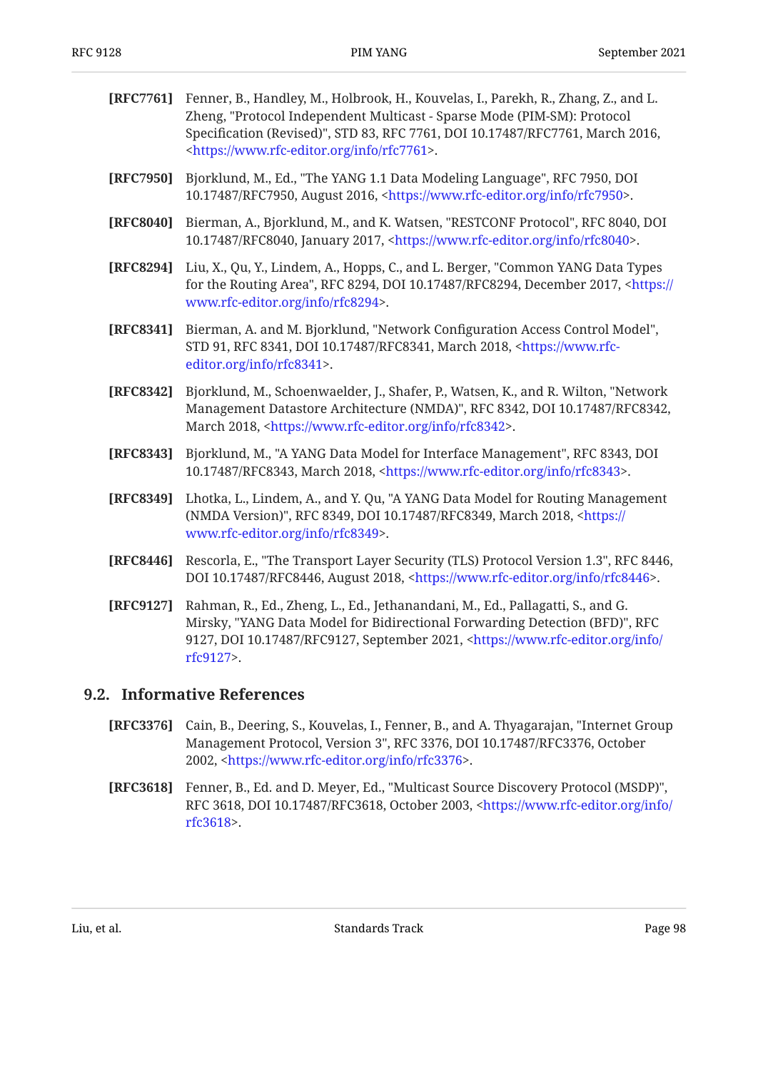<span id="page-97-6"></span><span id="page-97-4"></span><span id="page-97-2"></span><span id="page-97-0"></span>

| [RFC7761] | Fenner, B., Handley, M., Holbrook, H., Kouvelas, I., Parekh, R., Zhang, Z., and L.<br>Zheng, "Protocol Independent Multicast - Sparse Mode (PIM-SM): Protocol<br>Specification (Revised)", STD 83, RFC 7761, DOI 10.17487/RFC7761, March 2016,<br><https: info="" rfc7761="" www.rfc-editor.org="">.</https:> |
|-----------|---------------------------------------------------------------------------------------------------------------------------------------------------------------------------------------------------------------------------------------------------------------------------------------------------------------|
| [RFC7950] | Bjorklund, M., Ed., "The YANG 1.1 Data Modeling Language", RFC 7950, DOI<br>10.17487/RFC7950, August 2016, <https: info="" rfc7950="" www.rfc-editor.org="">.</https:>                                                                                                                                        |
| [RFC8040] | Bierman, A., Bjorklund, M., and K. Watsen, "RESTCONF Protocol", RFC 8040, DOI<br>10.17487/RFC8040, January 2017, <https: info="" rfc8040="" www.rfc-editor.org="">.</https:>                                                                                                                                  |
| [RFC8294] | Liu, X., Qu, Y., Lindem, A., Hopps, C., and L. Berger, "Common YANG Data Types<br>for the Routing Area", RFC 8294, DOI 10.17487/RFC8294, December 2017, <https: <br="">www.rfc-editor.org/info/rfc8294&gt;.</https:>                                                                                          |
| [RFC8341] | Bierman, A. and M. Bjorklund, "Network Configuration Access Control Model",<br>STD 91, RFC 8341, DOI 10.17487/RFC8341, March 2018, <https: www.rfc-<br="">editor.org/info/rfc8341&gt;.</https:>                                                                                                               |
| [RFC8342] | Bjorklund, M., Schoenwaelder, J., Shafer, P., Watsen, K., and R. Wilton, "Network<br>Management Datastore Architecture (NMDA)", RFC 8342, DOI 10.17487/RFC8342,<br>March 2018, <https: info="" rfc8342="" www.rfc-editor.org="">.</https:>                                                                    |
| [RFC8343] | Bjorklund, M., "A YANG Data Model for Interface Management", RFC 8343, DOI<br>10.17487/RFC8343, March 2018, <https: info="" rfc8343="" www.rfc-editor.org="">.</https:>                                                                                                                                       |
| [RFC8349] | Lhotka, L., Lindem, A., and Y. Qu, "A YANG Data Model for Routing Management<br>(NMDA Version)", RFC 8349, DOI 10.17487/RFC8349, March 2018, <https: <br="">www.rfc-editor.org/info/rfc8349&gt;.</https:>                                                                                                     |
| [RFC8446] | Rescorla, E., "The Transport Layer Security (TLS) Protocol Version 1.3", RFC 8446,<br>DOI 10.17487/RFC8446, August 2018, <https: info="" rfc8446="" www.rfc-editor.org="">.</https:>                                                                                                                          |
| [RFC9127] | Rahman, R., Ed., Zheng, L., Ed., Jethanandani, M., Ed., Pallagatti, S., and G.                                                                                                                                                                                                                                |

<span id="page-97-5"></span><span id="page-97-3"></span><span id="page-97-1"></span>Mirsky, "YANG Data Model for Bidirectional Forwarding Detection (BFD)", RFC 9127, DOI 10.17487/RFC9127, September 2021, <[https://www.rfc-editor.org/info/](https://www.rfc-editor.org/info/rfc9127) . [rfc9127>](https://www.rfc-editor.org/info/rfc9127)

#### <span id="page-97-7"></span>**[9.2. Informative References](#page-97-7)**

- **[RFC3376]** Cain, B., Deering, S., Kouvelas, I., Fenner, B., and A. Thyagarajan, "Internet Group Management Protocol, Version 3", RFC 3376, DOI 10.17487/RFC3376, October 2002, <<https://www.rfc-editor.org/info/rfc3376>>.
- **[RFC3618]** Fenner, B., Ed. and D. Meyer, Ed., "Multicast Source Discovery Protocol (MSDP)", RFC 3618, DOI 10.17487/RFC3618, October 2003, <[https://www.rfc-editor.org/info/](https://www.rfc-editor.org/info/rfc3618) . [rfc3618>](https://www.rfc-editor.org/info/rfc3618)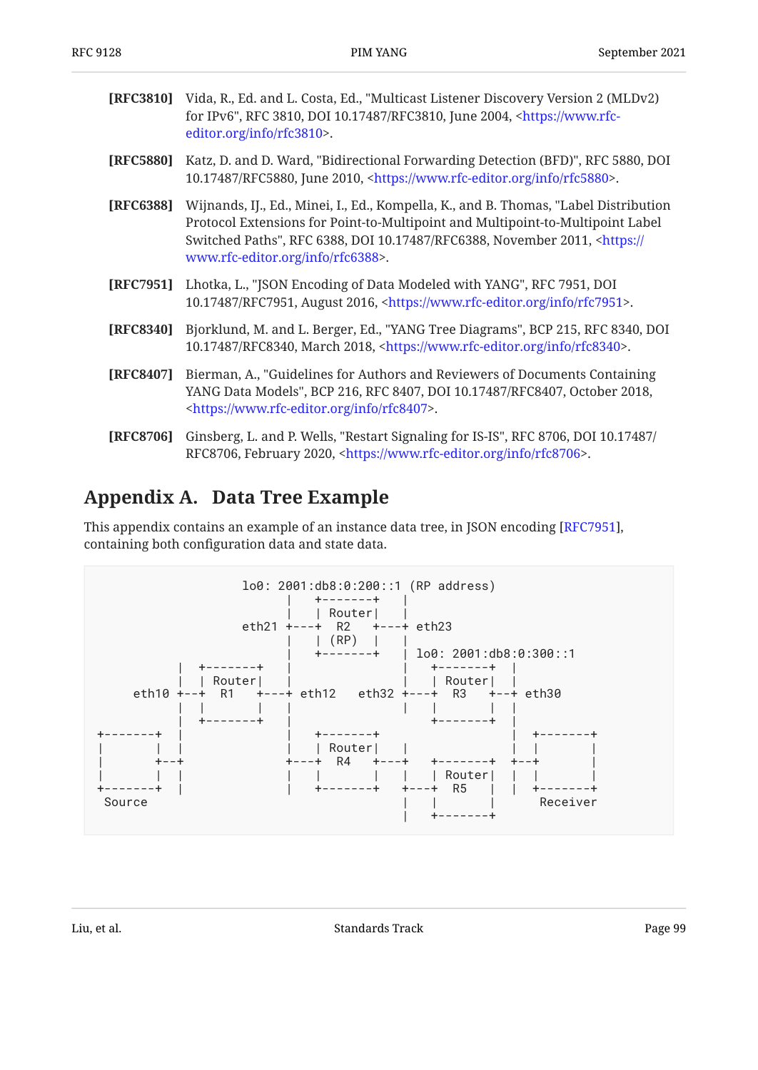<span id="page-98-1"></span>

| [RFC3810] | Vida, R., Ed. and L. Costa, Ed., "Multicast Listener Discovery Version 2 (MLDv2)<br>for IPv6", RFC 3810, DOI 10.17487/RFC3810, June 2004, <https: www.rfc-<br="">editor.org/info/rfc3810&gt;.</https:>                                                                                                 |
|-----------|--------------------------------------------------------------------------------------------------------------------------------------------------------------------------------------------------------------------------------------------------------------------------------------------------------|
| [RFC5880] | Katz, D. and D. Ward, "Bidirectional Forwarding Detection (BFD)", RFC 5880, DOI<br>10.17487/RFC5880, June 2010, <https: info="" rfc5880="" www.rfc-editor.org="">.</https:>                                                                                                                            |
| [RFC6388] | Wijnands, IJ., Ed., Minei, I., Ed., Kompella, K., and B. Thomas, "Label Distribution<br>Protocol Extensions for Point-to-Multipoint and Multipoint-to-Multipoint Label<br>Switched Paths", RFC 6388, DOI 10.17487/RFC6388, November 2011, <https: <br="">www.rfc-editor.org/info/rfc6388&gt;.</https:> |
| [RFC7951] | Lhotka, L., "JSON Encoding of Data Modeled with YANG", RFC 7951, DOI<br>10.17487/RFC7951, August 2016, <https: info="" rfc7951="" www.rfc-editor.org="">.</https:>                                                                                                                                     |
| [RFC8340] | Bjorklund, M. and L. Berger, Ed., "YANG Tree Diagrams", BCP 215, RFC 8340, DOI<br>10.17487/RFC8340, March 2018, <https: info="" rfc8340="" www.rfc-editor.org="">.</https:>                                                                                                                            |
| [RFC8407] | Bierman, A., "Guidelines for Authors and Reviewers of Documents Containing<br>YANG Data Models", BCP 216, RFC 8407, DOI 10.17487/RFC8407, October 2018,<br><https: info="" rfc8407="" www.rfc-editor.org="">.</https:>                                                                                 |
| [RFC8706] | Ginsberg, L. and P. Wells, "Restart Signaling for IS-IS", RFC 8706, DOI 10.17487/<br>RFC8706, February 2020, <https: info="" rfc8706="" www.rfc-editor.org="">.</https:>                                                                                                                               |

# <span id="page-98-0"></span>**[Appendix A. Data Tree Example](#page-98-0)**

This appendix contains an example of an instance data tree, in JSON encoding [RFC7951], containing both configuration data and state data.

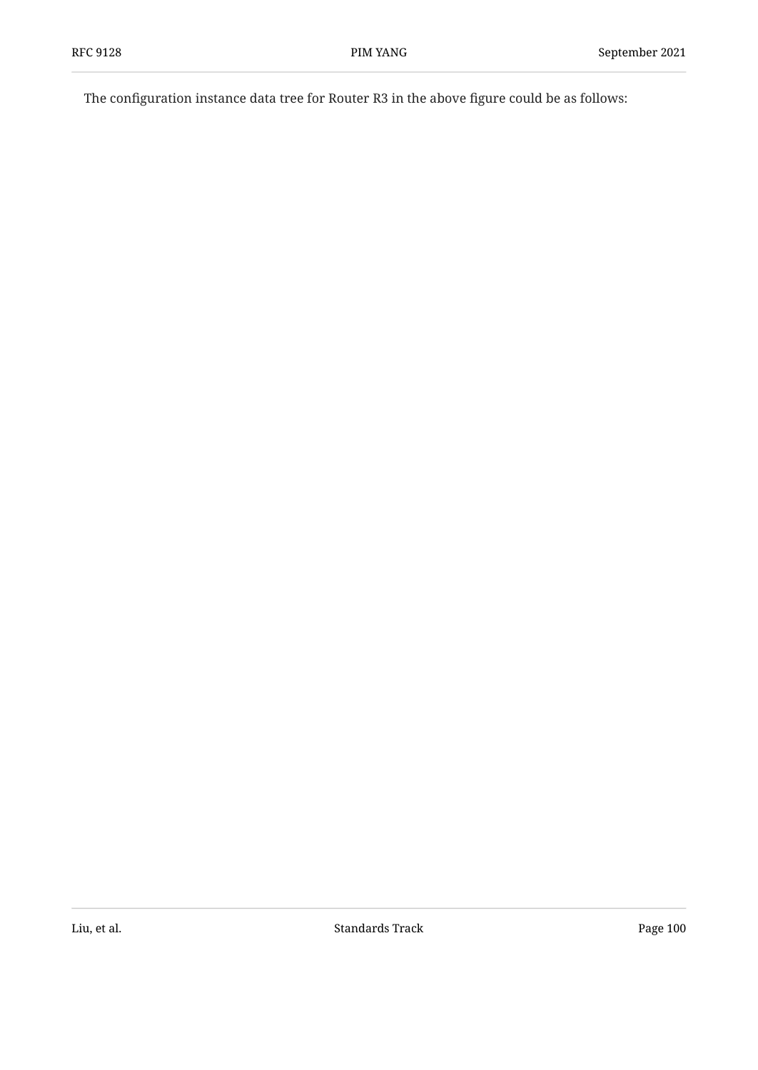The configuration instance data tree for Router R3 in the above figure could be as follows: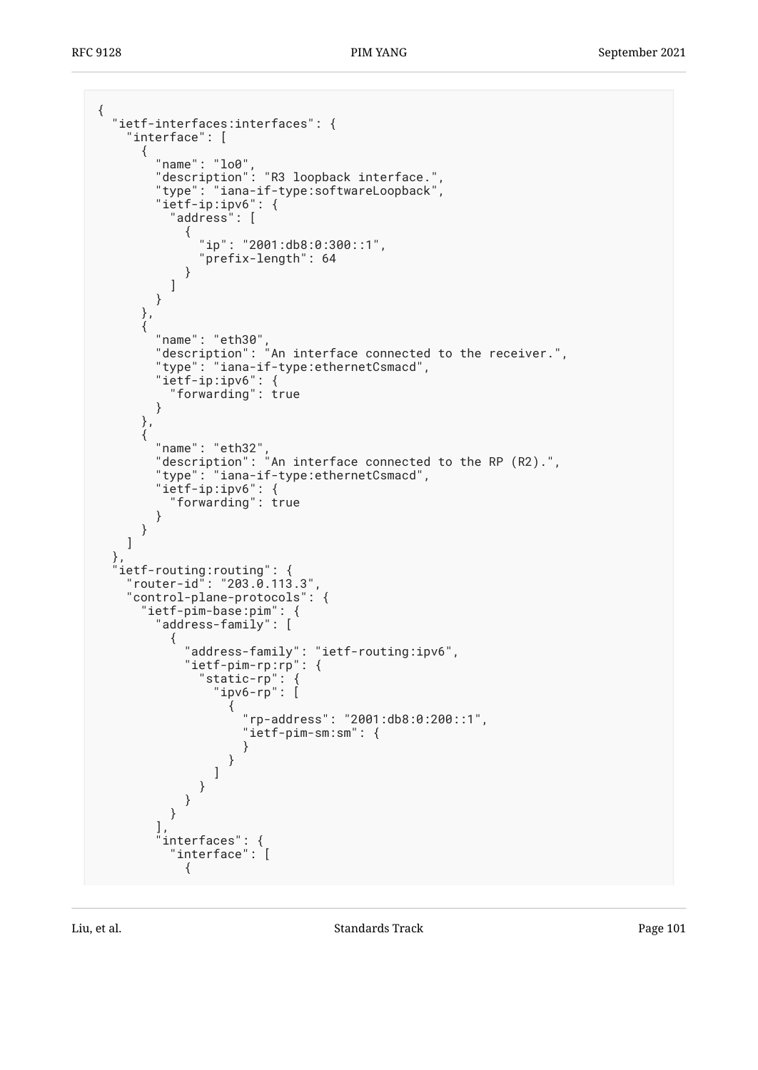```
{
 "ietf-interfaces:interfaces": {
 "interface": [
     {
 "name": "lo0",
 "description": "R3 loopback interface.",
 "type": "iana-if-type:softwareLoopback",
 "ietf-ip:ipv6": {
 "address": [
\{ "ip": "2001:db8:0:300::1",
            "prefix-length": 64
 }
         ]
       }
     },
\{ "name": "eth30",
 "description": "An interface connected to the receiver.",
       "type": "iana-if-type:ethernetCsmacd",
       "ietf-ip:ipv6": {
        "forwarding": true
       }
     },
      {
 "name": "eth32",
 "description": "An interface connected to the RP (R2).",
       "type": "iana-if-type:ethernetCsmacd",
 "ietf-ip:ipv6": {
 "forwarding": true
       }
     }
    ]
 },
 "ietf-routing:routing": {
 "router-id": "203.0.113.3",
 "control-plane-protocols": {
      "ietf-pim-base:pim": {
       "address-family": [
\{ "address-family": "ietf-routing:ipv6",
           "ietf-pim-rp:rp": {
 "static-rp": {
 "ipv6-rp": [
\{ "rp-address": "2001:db8:0:200::1",
                 "ietf-pim-sm:sm": {
 }
 }
 ]
            }
          }
         }
       ],
       interfaces": {
         "interface": [
\{
```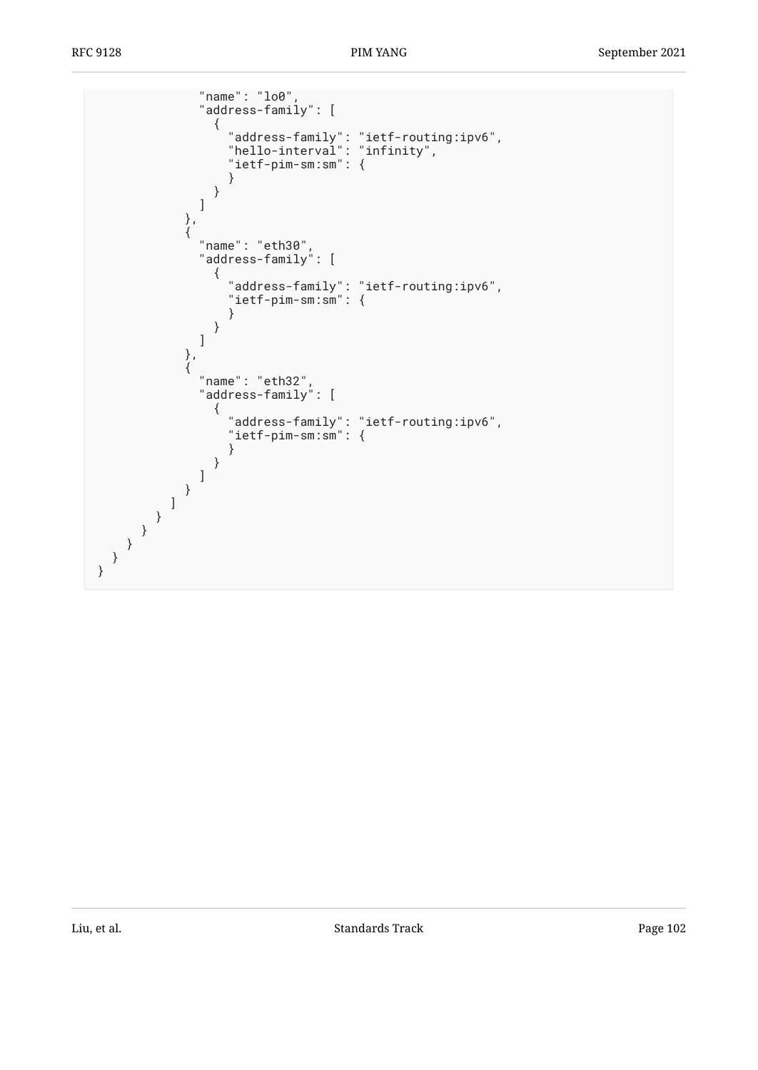```
 "name": "lo0",
              "address-family": [
\{ "address-family": "ietf-routing:ipv6",
 "hello-interval": "infinity",
 "ietf-pim-sm:sm": {
 }
 }
\sim 100 \sim 100 \sim 100 \sim 110 \sim 110 \sim 110 \sim 110 \sim 110 \sim 110 \sim 110 \sim 110 \sim 110 \sim 110 \sim 110 \sim 110 \sim 110 \sim 110 \sim 110 \sim 110 \sim 110 \sim 110 \sim 110 \sim 110 \sim 110 \sim 
             },
\{ "name": "eth30",
 "address-family": [
\{ "address-family": "ietf-routing:ipv6",
 "ietf-pim-sm:sm": {
 }
 }
\sim 100 \sim 100 \sim 100 \sim 110 \sim 110 \sim 110 \sim 110 \sim 110 \sim 110 \sim 110 \sim 110 \sim 110 \sim 110 \sim 110 \sim 110 \sim 110 \sim 110 \sim 110 \sim 110 \sim 110 \sim 110 \sim 110 \sim 110 \sim 110 \sim 
             },
\{ "name": "eth32",
 "address-family": [
\{ "address-family": "ietf-routing:ipv6",
 "ietf-pim-sm:sm": {
 }
 }
 ]
 }
 ]
 }
 }
 }
 }
}
```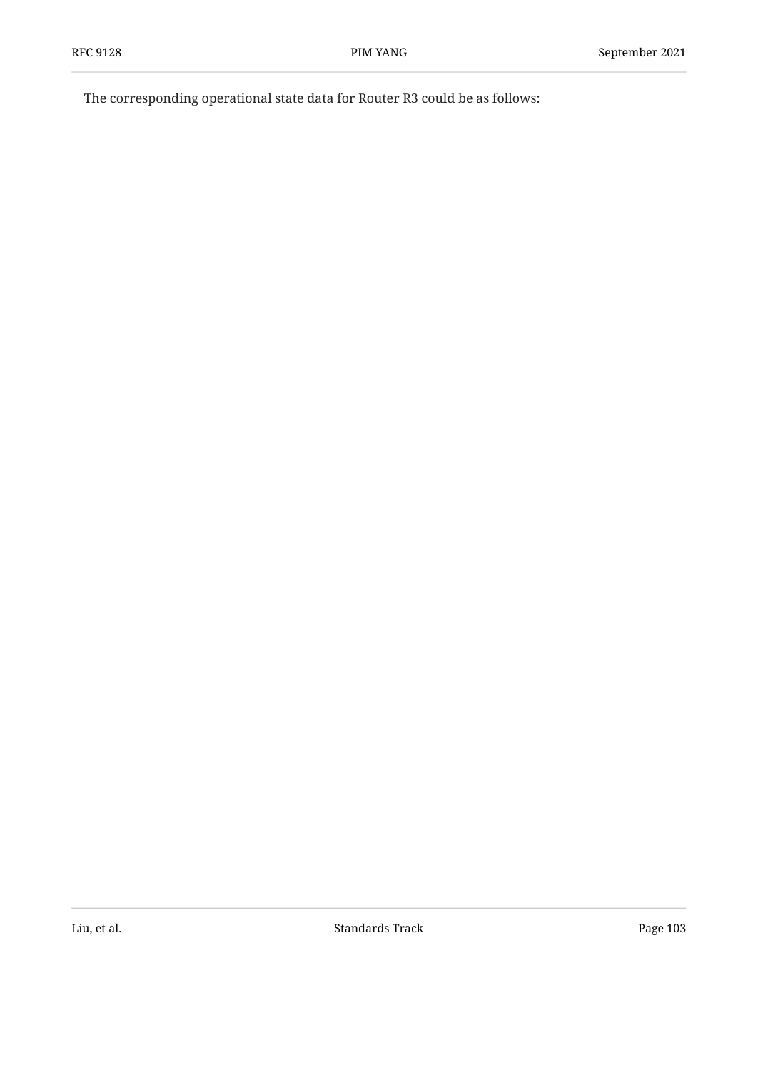The corresponding operational state data for Router R3 could be as follows: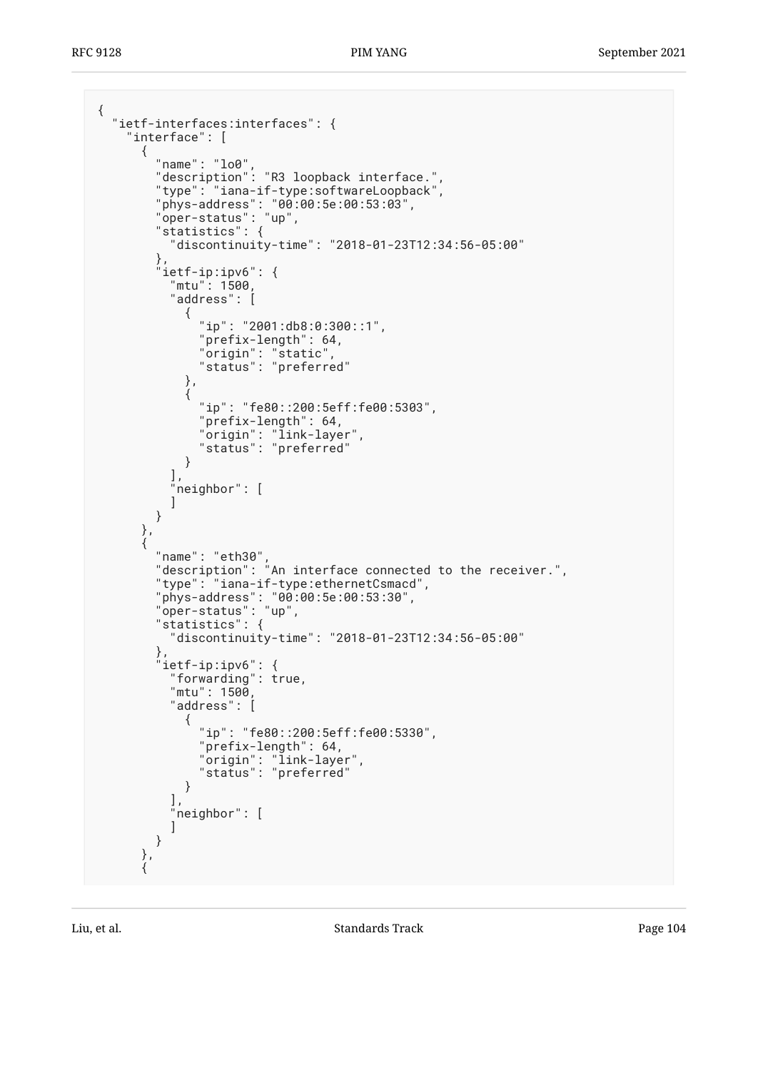```
{
 "ietf-interfaces:interfaces": {
 "interface": [
     {
 "name": "lo0",
 "description": "R3 loopback interface.",
 "type": "iana-if-type:softwareLoopback",
 "phys-address": "00:00:5e:00:53:03",
 "oper-status": "up",
 "statistics": {
         "discontinuity-time": "2018-01-23T12:34:56-05:00"
\},
 "ietf-ip:ipv6": {
 "mtu": 1500,
 "address": [
\{{<br>"ip": "2001:db8:0:300::1",<br>"ip": "2001:db": 64
            "prefix-length": 64,
 "origin": "static",
 "status": "preferred"
          },
\{ "ip": "fe80::200:5eff:fe00:5303",
 "prefix-length": 64,
 "origin": "link-layer",
 "status": "preferred"
 }
 ],
 "neighbor": [
 ]
       }
     },
     {
 "name": "eth30",
 "description": "An interface connected to the receiver.",
       "type": "iana-if-type:ethernetCsmacd",
 "phys-address": "00:00:5e:00:53:30",
 "oper-status": "up",
 "statistics": {
         "discontinuity-time": "2018-01-23T12:34:56-05:00"
\},
 "ietf-ip:ipv6": {
        "forwarding": true,
         "mtu": 1500,
         "address": [
\{ "ip": "fe80::200:5eff:fe00:5330",
            "prefix-length": 64,
 "origin": "link-layer",
 "status": "preferred"
          }
 ],
 "neighbor": [
 ]
       }
     },
\{
```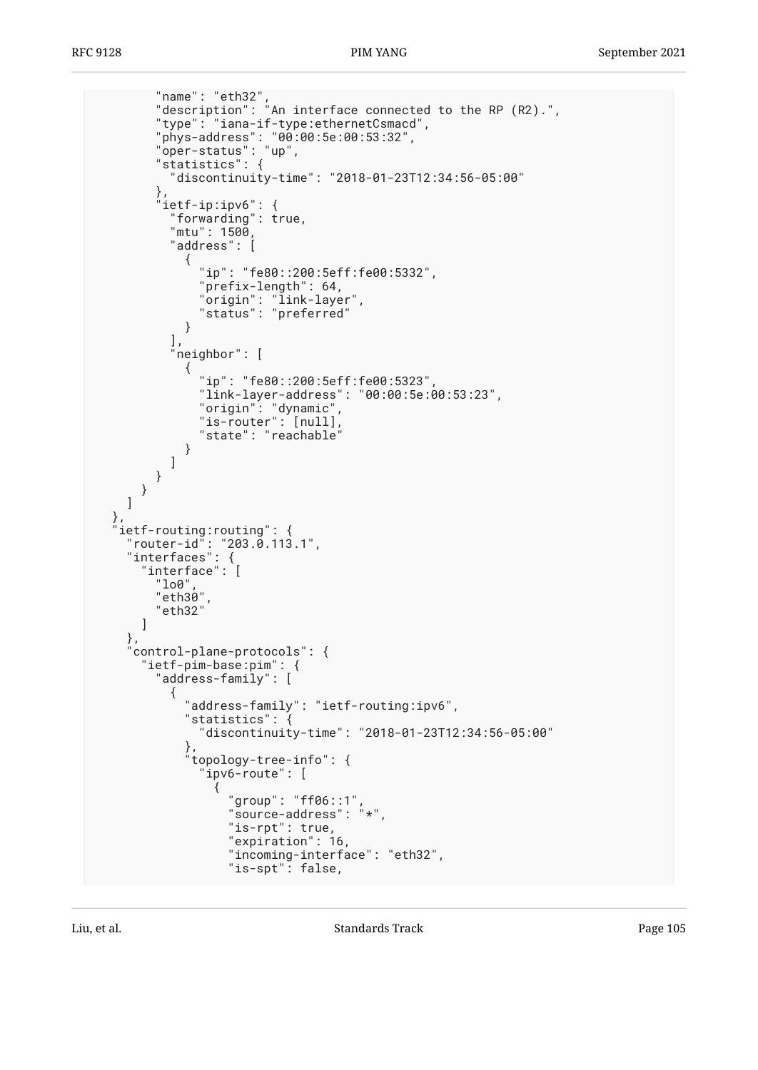```
 "name": "eth32",
 "description": "An interface connected to the RP (R2).",
 "type": "iana-if-type:ethernetCsmacd",
 "phys-address": "00:00:5e:00:53:32",
 "oper-status": "up",
 "statistics": {
         "discontinuity-time": "2018-01-23T12:34:56-05:00"
\},
 "ietf-ip:ipv6": {
 "forwarding": true,
 "mtu": 1500,
         "address": [
\{ "ip": "fe80::200:5eff:fe00:5332",
            "prefix-length": 64,
 "origin": "link-layer",
 "status": "preferred"
 }
\qquad \qquad "neighbor": [
\{ "ip": "fe80::200:5eff:fe00:5323",
            "link-layer-address": "00:00:5e:00:53:23",
 "origin": "dynamic",
"is-router" : [null], "state": "reachable"
 }
        ]
       }
     }
    ]
 },
 "ietf-routing:routing": {
 "router-id": "203.0.113.1",
 "interfaces": {
 "interface": [
       "lo0",
       "eth30",
       "eth32"
     ]
    },
    "control-plane-protocols": {
      "ietf-pim-base:pim": {
       "address-family": [
\{ "address-family": "ietf-routing:ipv6",
           "statistics": {
            "discontinuity-time": "2018-01-23T12:34:56-05:00"
\},
 "topology-tree-info": {
 "ipv6-route": [
\{ "group": "ff06::1",
 "source-address": "*",
               "is-rpt": true,
               "expiration": 16,
               "incoming-interface": "eth32",
               "is-spt": false,
```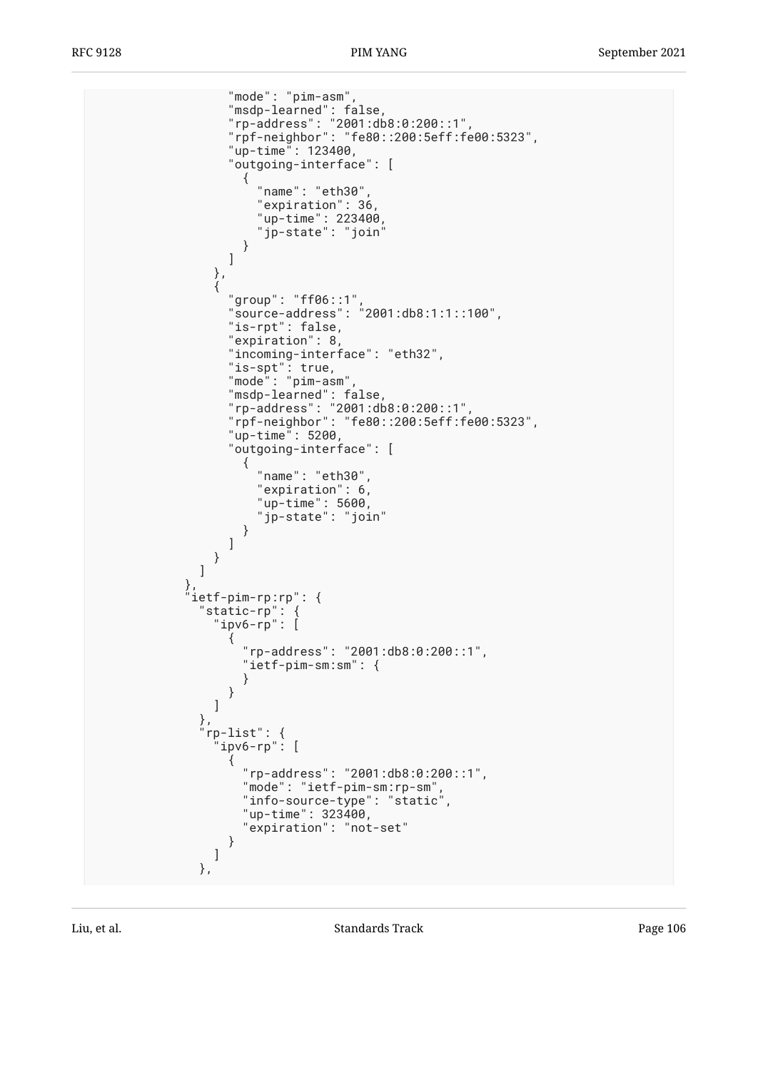"mode": "pim-asm", "msdp-learned": false, "rp-address": "2001:db8:0:200::1", "rpf-neighbor": "fe80::200:5eff:fe00:5323", "up-time": 123400, "outgoing-interface": [  $\{$  "name": "eth30", "expiration": 36,  $"up-time" : 223400$  , "jp-state": "join" }  $\sim$  100  $\sim$  100  $\sim$  100  $\sim$  100  $\sim$  110  $\sim$  110  $\sim$  110  $\sim$  110  $\sim$  110  $\sim$  110  $\sim$  110  $\sim$  110  $\sim$  110  $\sim$  110  $\sim$  110  $\sim$  110  $\sim$  110  $\sim$  110  $\sim$  110  $\sim$  110  $\sim$  110  $\sim$  110  $\sim$  110  $\sim$  110  $\sim$  },  $\{$  "group": "ff06::1", "source-address": "2001:db8:1:1::100", "is-rpt": false, "expiration": 8, "incoming-interface": "eth32", "is-spt": true, "mode": "pim-asm", "msdp-learned": false, "rp-address": "2001:db8:0:200::1", "rpf-neighbor": "fe80::200:5eff:fe00:5323", "up-time": 5200, "outgoing-interface": [  $\{$  "name": "eth30", "expiration": 6, "up-time": 5600, "jp-state": "join" }  $\sim$  100  $\sim$  100  $\sim$  100  $\sim$  100  $\sim$  110  $\sim$  110  $\sim$  110  $\sim$  110  $\sim$  110  $\sim$  110  $\sim$  110  $\sim$  110  $\sim$  110  $\sim$  110  $\sim$  110  $\sim$  110  $\sim$  110  $\sim$  110  $\sim$  110  $\sim$  110  $\sim$  110  $\sim$  110  $\sim$  110  $\sim$  110  $\sim$  } ] }, "ietf-pim-rp:rp": { "static-rp": { "ipv6-rp": [  $\{$  "rp-address": "2001:db8:0:200::1", "ietf-pim-sm:sm": { } } ] , and the state  $\}$  , and the state  $\}$  , "rp-list": { "ipv6-rp": [  $\{$  "rp-address": "2001:db8:0:200::1", "mode": "ietf-pim-sm:rp-sm", "info-source-type": "static", "up-time": 323400, "expiration": "not-set" } ] },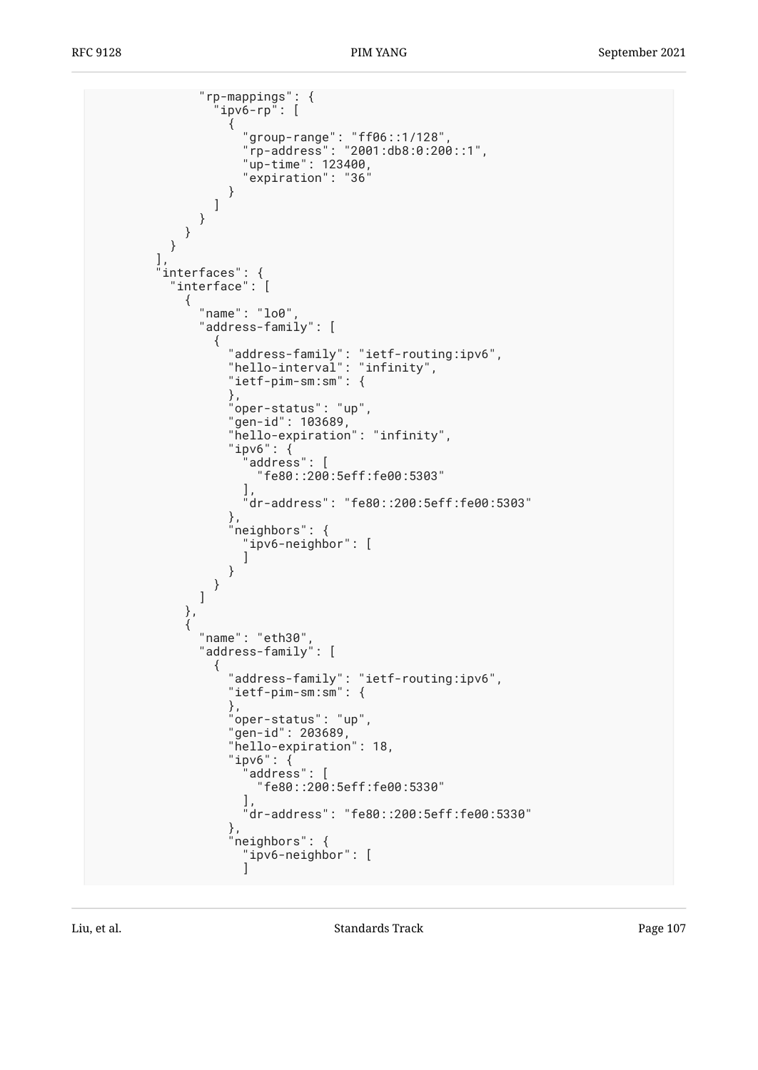```
 "rp-mappings": {
                           'ipv6-rp": [
\{ "group-range": "ff06::1/128",
 "rp-address": "2001:db8:0:200::1",
"up-time": 123400, " "expiration": "36"
 }
                          ]
                      }
                   }
                }
              ],
              "interfaces": {
                 "interface": [
\{ "name": "lo0",
                        "address-family": [
\{ "address-family": "ietf-routing:ipv6",
 "hello-interval": "infinity",
                              "ietf-pim-sm:sm": {
                              },
                              "oper-status": "up",
                              "gen-id": 103689,
                              "hello-expiration": "infinity",
                              "ipv6": {
                                  "address": [
                                     "fe80::200:5eff:fe00:5303"
\mathbf{I}, \mathbf{I}, \mathbf{I}, \mathbf{I}, \mathbf{I}, \mathbf{I}, \mathbf{I}, \mathbf{I}, \mathbf{I}, \mathbf{I}, \mathbf{I}, \mathbf{I}, \mathbf{I}, \mathbf{I}, \mathbf{I}, \mathbf{I}, \mathbf{I}, \mathbf{I}, \mathbf{I}, \mathbf{I}, \mathbf{I}, \mathbf{I},  "dr-address": "fe80::200:5eff:fe00:5303"
\},
 "neighbors": {
                                 "ipv6-neighbor": [
\sim 100 \sim 100 \sim 100 \sim 100 \sim 100 \sim 100 \sim 100 \sim 100 \sim 100 \sim 100 \sim 100 \sim 100 \sim 100 \sim 100 \sim 100 \sim 100 \sim 100 \sim 100 \sim 100 \sim 100 \sim 100 \sim 100 \sim 100 \sim 100 \sim 
 }
 }
\sim 100 \sim 100 \sim 100 \sim 110 \sim 110 \sim 110 \sim 110 \sim 110 \sim 110 \sim 110 \sim 110 \sim 110 \sim 110 \sim 110 \sim 110 \sim 110 \sim 110 \sim 110 \sim 110 \sim 110 \sim 110 \sim 110 \sim 110 \sim 110 \sim 
                    },
\{ "name": "eth30",
                        "address-family": [
\{ "address-family": "ietf-routing:ipv6",
                              "ietf-pim-sm:sm": {
\}, \}, \{ "oper-status": "up",
                              "gen-id": 203689,
                              "hello-expiration": 18,
                              "ipv6": {
                                   "address": [
                                     "fe80::200:5eff:fe00:5330"
\mathbf{I}, \mathbf{I}, \mathbf{I}, \mathbf{I}, \mathbf{I}, \mathbf{I}, \mathbf{I}, \mathbf{I}, \mathbf{I}, \mathbf{I}, \mathbf{I}, \mathbf{I}, \mathbf{I}, \mathbf{I}, \mathbf{I}, \mathbf{I}, \mathbf{I}, \mathbf{I}, \mathbf{I}, \mathbf{I}, \mathbf{I}, \mathbf{I},  "dr-address": "fe80::200:5eff:fe00:5330"
, and the same \} , \{ "neighbors": {
                                 "ipv6-neighbor": [
\sim 100 \sim 100 \sim 100 \sim 100 \sim 100 \sim 100 \sim 100 \sim 100 \sim 100 \sim 100 \sim 100 \sim 100 \sim 100 \sim 100 \sim 100 \sim 100 \sim 100 \sim 100 \sim 100 \sim 100 \sim 100 \sim 100 \sim 100 \sim 100 \sim
```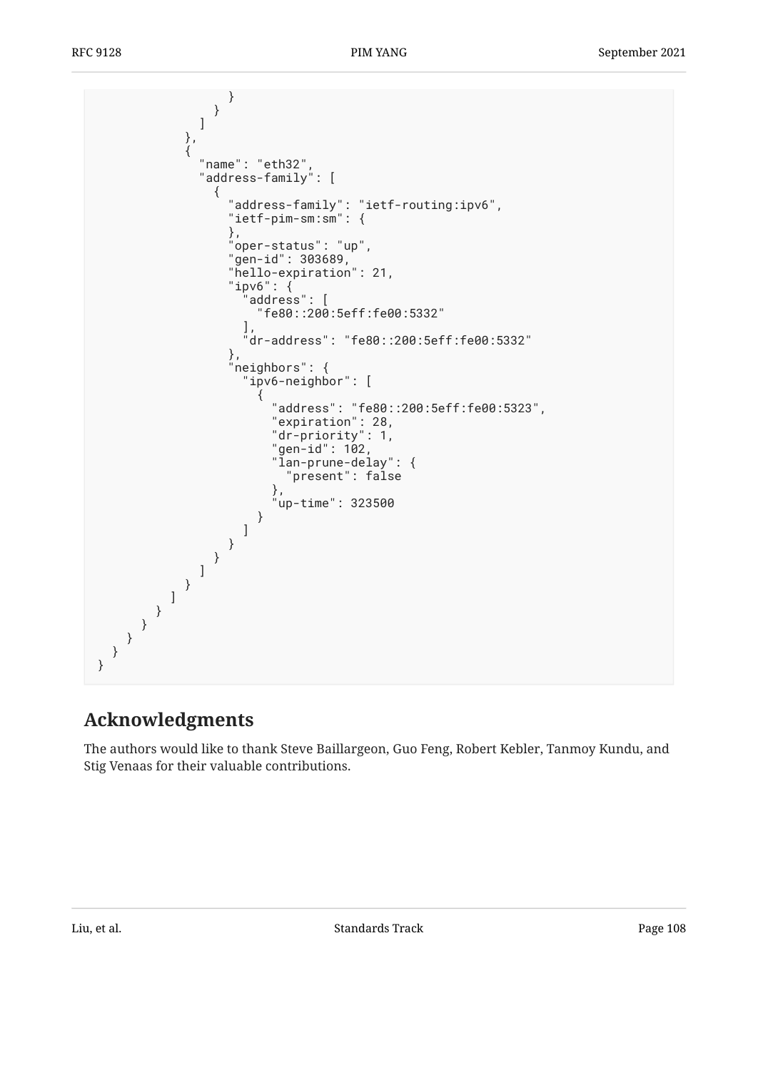```
 }
 }
\sim 100 \sim 100 \sim 100 \sim 110 \sim 110 \sim 110 \sim 110 \sim 110 \sim 110 \sim 110 \sim 110 \sim 110 \sim 110 \sim 110 \sim 110 \sim 110 \sim 110 \sim 110 \sim 110 \sim 110 \sim 110 \sim 110 \sim 110 \sim 110 \sim 
\},
\{ "name": "eth32",
 "address-family": [
\{ "address-family": "ietf-routing:ipv6",
 "ietf-pim-sm:sm": {
\}, \}, \{ "oper-status": "up",
"gen-id" : 303689,"gen-id": 303689,<br>"hello-expiration": 21,
                         "ipv6": {
                            "address": [
                              "fe80::200:5eff:fe00:5332"
\mathbf{I}, \mathbf{I}, \mathbf{I}, \mathbf{I}, \mathbf{I}, \mathbf{I}, \mathbf{I}, \mathbf{I}, \mathbf{I}, \mathbf{I}, \mathbf{I}, \mathbf{I}, \mathbf{I}, \mathbf{I}, \mathbf{I}, \mathbf{I}, \mathbf{I}, \mathbf{I}, \mathbf{I}, \mathbf{I}, \mathbf{I}, \mathbf{I},  "dr-address": "fe80::200:5eff:fe00:5332"
, and the same \} , \{ "neighbors": {
                           "ipv6-neighbor": [
\{ "address": "fe80::200:5eff:fe00:5323",
 "expiration": 28,
 "dr-priority": 1,
"gen-id": 102, "gen-id": 102, "gen-id" "lan-prune-delay": {
                                    "present": false
\},
 "up-time": 323500
 }
\sim 100 \sim 100 \sim 100 \sim 100 \sim 100 \sim 100 \sim 100 \sim 100 \sim 100 \sim 100 \sim 100 \sim 100 \sim 100 \sim 100 \sim 100 \sim 100 \sim 100 \sim 100 \sim 100 \sim 100 \sim 100 \sim 100 \sim 100 \sim 100 \sim 
 }
 }
 ]
 }
 ]
 }
 }
 }
   }
}
```
# <span id="page-107-0"></span>**[Acknowledgments](#page-107-0)**

The authors would like to thank Steve Baillargeon, Guo Feng, Robert Kebler, Tanmoy Kundu, and Stig Venaas for their valuable contributions.